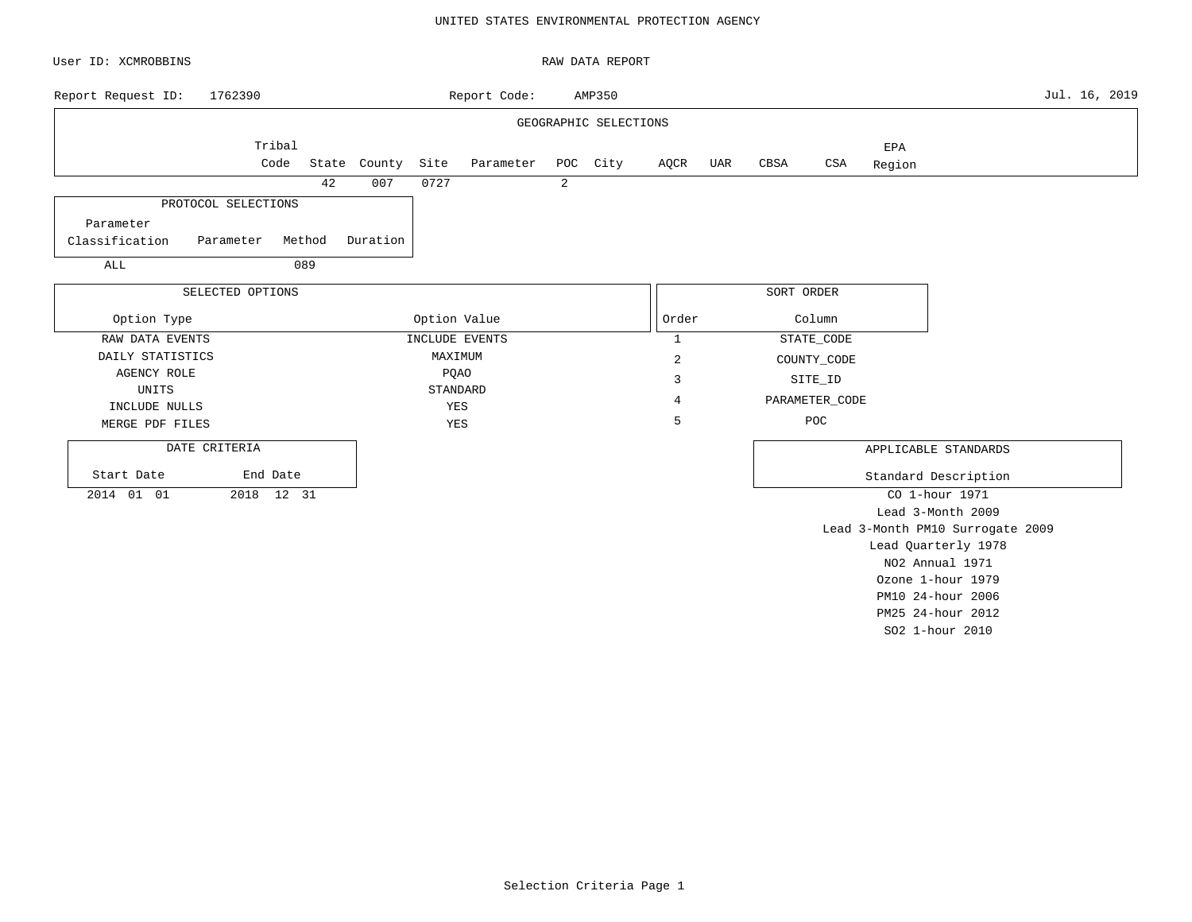### UNITED STATES ENVIRONMENTAL PROTECTION AGENCY

| User ID: XCMROBBINS              |            |        |              |              |                |                | RAW DATA REPORT       |                |     |            |                |        |                                  |               |
|----------------------------------|------------|--------|--------------|--------------|----------------|----------------|-----------------------|----------------|-----|------------|----------------|--------|----------------------------------|---------------|
| 1762390<br>Report Request ID:    |            |        |              |              | Report Code:   |                | AMP350                |                |     |            |                |        |                                  | Jul. 16, 2019 |
|                                  |            |        |              |              |                |                | GEOGRAPHIC SELECTIONS |                |     |            |                |        |                                  |               |
|                                  | Tribal     |        |              |              |                |                |                       |                |     |            |                | EPA    |                                  |               |
|                                  | Code       |        | State County | Site         | Parameter      |                | POC City              | AQCR           | UAR | CBSA       | CSA            | Region |                                  |               |
|                                  |            | 42     | 007          | 0727         |                | $\overline{a}$ |                       |                |     |            |                |        |                                  |               |
| PROTOCOL SELECTIONS              |            |        |              |              |                |                |                       |                |     |            |                |        |                                  |               |
| Parameter                        |            |        |              |              |                |                |                       |                |     |            |                |        |                                  |               |
| Classification<br>Parameter      |            | Method | Duration     |              |                |                |                       |                |     |            |                |        |                                  |               |
| ALL                              |            | 089    |              |              |                |                |                       |                |     |            |                |        |                                  |               |
| SELECTED OPTIONS                 |            |        |              |              |                |                |                       |                |     | SORT ORDER |                |        |                                  |               |
|                                  |            |        |              |              |                |                |                       |                |     |            |                |        |                                  |               |
| Option Type                      |            |        |              | Option Value |                |                |                       | Order          |     |            | Column         |        |                                  |               |
| RAW DATA EVENTS                  |            |        |              |              | INCLUDE EVENTS |                |                       | $\mathbf{1}$   |     |            | STATE_CODE     |        |                                  |               |
| DAILY STATISTICS                 |            |        |              | MAXIMUM      |                |                |                       | $\overline{c}$ |     |            | COUNTY_CODE    |        |                                  |               |
| <b>AGENCY ROLE</b>               |            |        |              | <b>PQAO</b>  |                |                |                       | 3              |     |            | SITE_ID        |        |                                  |               |
| UNITS                            |            |        |              | STANDARD     |                |                |                       | 4              |     |            | PARAMETER_CODE |        |                                  |               |
| INCLUDE NULLS<br>MERGE PDF FILES |            |        |              | YES<br>YES   |                |                |                       | 5              |     |            | POC            |        |                                  |               |
|                                  |            |        |              |              |                |                |                       |                |     |            |                |        |                                  |               |
| DATE CRITERIA                    |            |        |              |              |                |                |                       |                |     |            |                |        | APPLICABLE STANDARDS             |               |
| Start Date                       | End Date   |        |              |              |                |                |                       |                |     |            |                |        | Standard Description             |               |
| 2014 01 01                       | 2018 12 31 |        |              |              |                |                |                       |                |     |            |                |        | CO 1-hour 1971                   |               |
|                                  |            |        |              |              |                |                |                       |                |     |            |                |        | Lead 3-Month 2009                |               |
|                                  |            |        |              |              |                |                |                       |                |     |            |                |        | Lead 3-Month PM10 Surrogate 2009 |               |
|                                  |            |        |              |              |                |                |                       |                |     |            |                |        | Lead Quarterly 1978              |               |
|                                  |            |        |              |              |                |                |                       |                |     |            |                |        | NO2 Annual 1971                  |               |
|                                  |            |        |              |              |                |                |                       |                |     |            |                |        | Ozone 1-hour 1979                |               |
|                                  |            |        |              |              |                |                |                       |                |     |            |                |        | PM10 24-hour 2006                |               |

PM25 24-hour 2012 SO2 1-hour 2010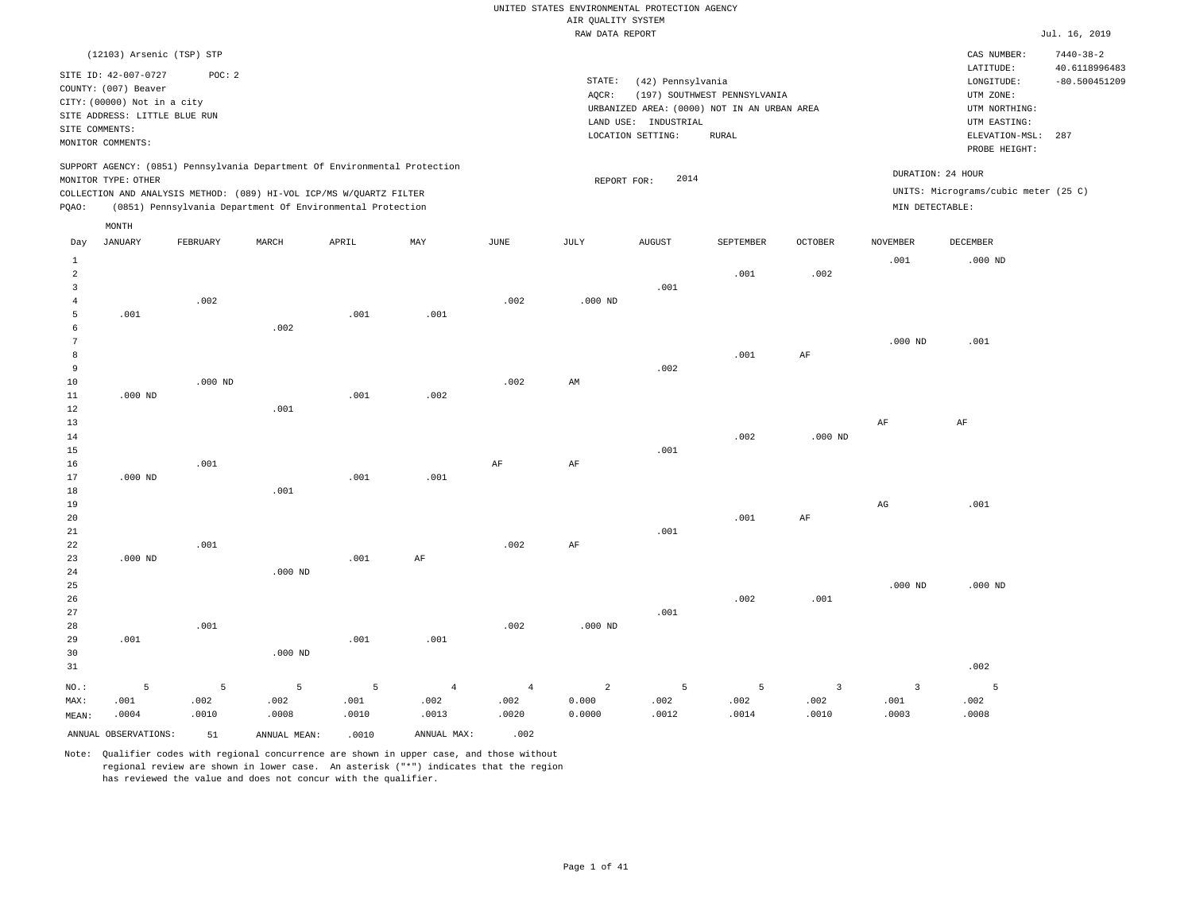|                | (12103) Arsenic (TSP) STP                                                                         |           |                                                            |       |                |                       |                |                                           |                                             |                         |                        | CAS NUMBER:                          | $7440 - 38 - 2$                  |
|----------------|---------------------------------------------------------------------------------------------------|-----------|------------------------------------------------------------|-------|----------------|-----------------------|----------------|-------------------------------------------|---------------------------------------------|-------------------------|------------------------|--------------------------------------|----------------------------------|
|                | SITE ID: 42-007-0727<br>COUNTY: (007) Beaver                                                      | POC: 2    |                                                            |       |                |                       | STATE:         | (42) Pennsylvania                         |                                             |                         |                        | LATITUDE:<br>LONGITUDE:              | 40.6118996483<br>$-80.500451209$ |
|                | CITY: (00000) Not in a city                                                                       |           |                                                            |       |                |                       | AQCR:          |                                           | (197) SOUTHWEST PENNSYLVANIA                |                         |                        | UTM ZONE:                            |                                  |
|                | SITE ADDRESS: LITTLE BLUE RUN                                                                     |           |                                                            |       |                |                       |                |                                           | URBANIZED AREA: (0000) NOT IN AN URBAN AREA |                         |                        | UTM NORTHING:                        |                                  |
| SITE COMMENTS: |                                                                                                   |           |                                                            |       |                |                       |                | LAND USE: INDUSTRIAL<br>LOCATION SETTING: | RURAL                                       |                         |                        | UTM EASTING:<br>ELEVATION-MSL:       | 287                              |
|                | MONITOR COMMENTS:                                                                                 |           |                                                            |       |                |                       |                |                                           |                                             |                         |                        | PROBE HEIGHT:                        |                                  |
|                | SUPPORT AGENCY: (0851) Pennsylvania Department Of Environmental Protection<br>MONITOR TYPE: OTHER |           |                                                            |       |                |                       | REPORT FOR:    | 2014                                      |                                             |                         | DURATION: 24 HOUR      |                                      |                                  |
|                | COLLECTION AND ANALYSIS METHOD: (089) HI-VOL ICP/MS W/QUARTZ FILTER                               |           |                                                            |       |                |                       |                |                                           |                                             |                         |                        | UNITS: Micrograms/cubic meter (25 C) |                                  |
| PQAO:          |                                                                                                   |           | (0851) Pennsylvania Department Of Environmental Protection |       |                |                       |                |                                           |                                             |                         | MIN DETECTABLE:        |                                      |                                  |
|                | MONTH                                                                                             |           |                                                            |       |                |                       |                |                                           |                                             |                         |                        |                                      |                                  |
| Day            | JANUARY                                                                                           | FEBRUARY  | MARCH                                                      | APRIL | MAY            | $\operatorname{JUNE}$ | JULY           | <b>AUGUST</b>                             | SEPTEMBER                                   | OCTOBER                 | <b>NOVEMBER</b>        | DECEMBER                             |                                  |
| $\mathbf{1}$   |                                                                                                   |           |                                                            |       |                |                       |                |                                           |                                             |                         | .001                   | $.000$ ND                            |                                  |
| $\overline{a}$ |                                                                                                   |           |                                                            |       |                |                       |                |                                           | .001                                        | .002                    |                        |                                      |                                  |
| $\overline{3}$ |                                                                                                   |           |                                                            |       |                |                       |                | .001                                      |                                             |                         |                        |                                      |                                  |
| $\overline{4}$ |                                                                                                   | .002      |                                                            |       |                | .002                  | $.000$ ND      |                                           |                                             |                         |                        |                                      |                                  |
| 5              | .001                                                                                              |           |                                                            | .001  | .001           |                       |                |                                           |                                             |                         |                        |                                      |                                  |
| 6              |                                                                                                   |           | .002                                                       |       |                |                       |                |                                           |                                             |                         |                        |                                      |                                  |
| 7              |                                                                                                   |           |                                                            |       |                |                       |                |                                           |                                             |                         | $.000$ ND              | .001                                 |                                  |
| 8              |                                                                                                   |           |                                                            |       |                |                       |                |                                           | .001                                        | AF                      |                        |                                      |                                  |
| 9              |                                                                                                   |           |                                                            |       |                |                       |                | .002                                      |                                             |                         |                        |                                      |                                  |
| $10$           |                                                                                                   | $.000$ ND |                                                            |       |                | .002                  | AM             |                                           |                                             |                         |                        |                                      |                                  |
| $1\,1$         | $.000$ ND                                                                                         |           |                                                            | .001  | .002           |                       |                |                                           |                                             |                         |                        |                                      |                                  |
| 12             |                                                                                                   |           | .001                                                       |       |                |                       |                |                                           |                                             |                         |                        |                                      |                                  |
| 13             |                                                                                                   |           |                                                            |       |                |                       |                |                                           |                                             |                         | $\rm{AF}$              | $\rm AF$                             |                                  |
| 14             |                                                                                                   |           |                                                            |       |                |                       |                | .001                                      | .002                                        | $.000$ ND               |                        |                                      |                                  |
| 15<br>16       |                                                                                                   | .001      |                                                            |       |                | AF                    | AF             |                                           |                                             |                         |                        |                                      |                                  |
| 17             | $.000$ ND                                                                                         |           |                                                            | .001  | .001           |                       |                |                                           |                                             |                         |                        |                                      |                                  |
| $1\,8$         |                                                                                                   |           | .001                                                       |       |                |                       |                |                                           |                                             |                         |                        |                                      |                                  |
| 19             |                                                                                                   |           |                                                            |       |                |                       |                |                                           |                                             |                         | $\mathbb{A}\mathbb{G}$ | .001                                 |                                  |
| $20$           |                                                                                                   |           |                                                            |       |                |                       |                |                                           | .001                                        | $\rm{AF}$               |                        |                                      |                                  |
| 21             |                                                                                                   |           |                                                            |       |                |                       |                | .001                                      |                                             |                         |                        |                                      |                                  |
| 22             |                                                                                                   | .001      |                                                            |       |                | .002                  | AF             |                                           |                                             |                         |                        |                                      |                                  |
| 23             | $.000$ ND                                                                                         |           |                                                            | .001  | $\rm AF$       |                       |                |                                           |                                             |                         |                        |                                      |                                  |
| 24             |                                                                                                   |           | $.000$ ND                                                  |       |                |                       |                |                                           |                                             |                         |                        |                                      |                                  |
| 25             |                                                                                                   |           |                                                            |       |                |                       |                |                                           |                                             |                         | $.000$ ND              | $.000$ ND                            |                                  |
| 26             |                                                                                                   |           |                                                            |       |                |                       |                |                                           | .002                                        | .001                    |                        |                                      |                                  |
| 27             |                                                                                                   |           |                                                            |       |                |                       |                | .001                                      |                                             |                         |                        |                                      |                                  |
| 28             |                                                                                                   | .001      |                                                            |       |                | .002                  | $.000$ ND      |                                           |                                             |                         |                        |                                      |                                  |
| 29             | .001                                                                                              |           |                                                            | .001  | .001           |                       |                |                                           |                                             |                         |                        |                                      |                                  |
| 30             |                                                                                                   |           | $.000$ ND                                                  |       |                |                       |                |                                           |                                             |                         |                        |                                      |                                  |
| 31             |                                                                                                   |           |                                                            |       |                |                       |                |                                           |                                             |                         |                        | .002                                 |                                  |
| NO.:           | 5                                                                                                 | 5         | 5                                                          | 5     | $\overline{4}$ | $\overline{4}$        | $\overline{a}$ | 5                                         | 5                                           | $\overline{\mathbf{3}}$ | $\overline{3}$         | 5                                    |                                  |
| MAX:           | .001                                                                                              | .002      | .002                                                       | .001  | .002           | .002                  | 0.000          | .002                                      | .002                                        | .002                    | .001                   | .002                                 |                                  |
| MEAN:          | .0004                                                                                             | .0010     | .0008                                                      | .0010 | .0013          | .0020                 | 0.0000         | .0012                                     | .0014                                       | .0010                   | .0003                  | .0008                                |                                  |
|                | ANNUAL OBSERVATIONS:                                                                              | 51        | ANNUAL MEAN:                                               | .0010 | ANNUAL MAX:    | .002                  |                |                                           |                                             |                         |                        |                                      |                                  |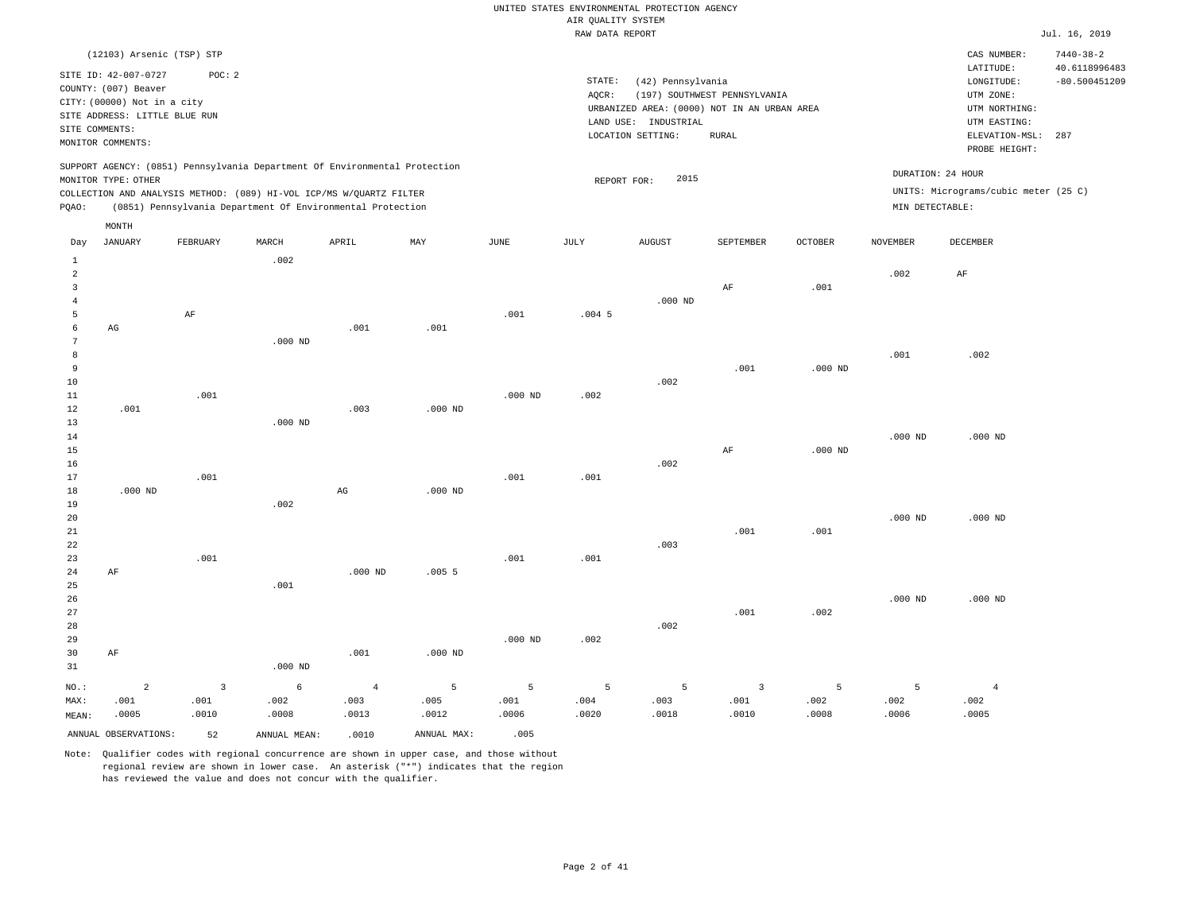|                |                               |                |                                                                            |                |                |           | RAW DATA REPORT |                                             |                              |                    |                 |                                      | Jul. 16, 2019                    |
|----------------|-------------------------------|----------------|----------------------------------------------------------------------------|----------------|----------------|-----------|-----------------|---------------------------------------------|------------------------------|--------------------|-----------------|--------------------------------------|----------------------------------|
|                | (12103) Arsenic (TSP) STP     |                |                                                                            |                |                |           |                 |                                             |                              |                    |                 | CAS NUMBER:                          | $7440 - 38 - 2$                  |
|                | SITE ID: 42-007-0727          | POC: 2         |                                                                            |                |                |           | STATE:          | (42) Pennsylvania                           |                              |                    |                 | LATITUDE:<br>LONGITUDE:              | 40.6118996483<br>$-80.500451209$ |
|                | COUNTY: (007) Beaver          |                |                                                                            |                |                |           | AQCR:           |                                             | (197) SOUTHWEST PENNSYLVANIA |                    |                 | UTM ZONE:                            |                                  |
|                | CITY: (00000) Not in a city   |                |                                                                            |                |                |           |                 | URBANIZED AREA: (0000) NOT IN AN URBAN AREA |                              |                    |                 | UTM NORTHING:                        |                                  |
|                | SITE ADDRESS: LITTLE BLUE RUN |                |                                                                            |                |                |           |                 | LAND USE: INDUSTRIAL                        |                              |                    |                 | UTM EASTING:                         |                                  |
| SITE COMMENTS: |                               |                |                                                                            |                |                |           |                 | LOCATION SETTING:                           | <b>RURAL</b>                 |                    |                 | ELEVATION-MSL:                       | 287                              |
|                | MONITOR COMMENTS:             |                |                                                                            |                |                |           |                 |                                             |                              |                    |                 | PROBE HEIGHT:                        |                                  |
|                |                               |                | SUPPORT AGENCY: (0851) Pennsylvania Department Of Environmental Protection |                |                |           |                 |                                             |                              |                    |                 | DURATION: 24 HOUR                    |                                  |
|                | MONITOR TYPE: OTHER           |                |                                                                            |                |                |           | REPORT FOR:     | 2015                                        |                              |                    |                 |                                      |                                  |
|                |                               |                | COLLECTION AND ANALYSIS METHOD: (089) HI-VOL ICP/MS W/QUARTZ FILTER        |                |                |           |                 |                                             |                              |                    |                 | UNITS: Micrograms/cubic meter (25 C) |                                  |
| PQAO:          |                               |                | (0851) Pennsylvania Department Of Environmental Protection                 |                |                |           |                 |                                             |                              |                    | MIN DETECTABLE: |                                      |                                  |
|                | MONTH                         |                |                                                                            |                |                |           |                 |                                             |                              |                    |                 |                                      |                                  |
| Day            | JANUARY                       | FEBRUARY       | $\tt {MARCH}$                                                              | APRIL          | $\mathtt{MAX}$ | JUNE      | JULY            | <b>AUGUST</b>                               | SEPTEMBER                    | $\mathtt{OCTOBER}$ | <b>NOVEMBER</b> | DECEMBER                             |                                  |
| <sup>1</sup>   |                               |                | .002                                                                       |                |                |           |                 |                                             |                              |                    |                 |                                      |                                  |
| $\overline{a}$ |                               |                |                                                                            |                |                |           |                 |                                             |                              |                    | .002            | $\rm AF$                             |                                  |
| $\overline{3}$ |                               |                |                                                                            |                |                |           |                 |                                             | AF                           | .001               |                 |                                      |                                  |
| $\overline{4}$ |                               |                |                                                                            |                |                |           |                 | $.000$ ND                                   |                              |                    |                 |                                      |                                  |
| 5              |                               | $\rm AF$       |                                                                            |                |                | .001      | $.004$ 5        |                                             |                              |                    |                 |                                      |                                  |
| $\epsilon$     | AG                            |                |                                                                            | .001           | .001           |           |                 |                                             |                              |                    |                 |                                      |                                  |
| $\overline{7}$ |                               |                | $.000$ ND                                                                  |                |                |           |                 |                                             |                              |                    |                 |                                      |                                  |
| 8              |                               |                |                                                                            |                |                |           |                 |                                             |                              |                    | .001            | .002                                 |                                  |
| 9<br>$10$      |                               |                |                                                                            |                |                |           |                 | .002                                        | .001                         | $.000$ ND          |                 |                                      |                                  |
| 11             |                               | .001           |                                                                            |                |                | $.000$ ND | .002            |                                             |                              |                    |                 |                                      |                                  |
| 12             | .001                          |                |                                                                            | .003           | $.000$ ND      |           |                 |                                             |                              |                    |                 |                                      |                                  |
| 13             |                               |                | $.000$ ND                                                                  |                |                |           |                 |                                             |                              |                    |                 |                                      |                                  |
| 14             |                               |                |                                                                            |                |                |           |                 |                                             |                              |                    | $.000$ ND       | $.000$ ND                            |                                  |
| 15             |                               |                |                                                                            |                |                |           |                 |                                             | AF                           | $.000$ ND          |                 |                                      |                                  |
| 16             |                               |                |                                                                            |                |                |           |                 | .002                                        |                              |                    |                 |                                      |                                  |
| 17             |                               | .001           |                                                                            |                |                | .001      | .001            |                                             |                              |                    |                 |                                      |                                  |
| 18             | $.000$ ND                     |                |                                                                            | AG             | $.000$ ND      |           |                 |                                             |                              |                    |                 |                                      |                                  |
| 19             |                               |                | .002                                                                       |                |                |           |                 |                                             |                              |                    |                 |                                      |                                  |
| 20             |                               |                |                                                                            |                |                |           |                 |                                             |                              |                    | $.000$ ND       | $.000$ ND                            |                                  |
| 21             |                               |                |                                                                            |                |                |           |                 |                                             | .001                         | .001               |                 |                                      |                                  |
| 22             |                               |                |                                                                            |                |                |           |                 | .003                                        |                              |                    |                 |                                      |                                  |
| 23             |                               | .001           |                                                                            |                |                | .001      | .001            |                                             |                              |                    |                 |                                      |                                  |
| 24             | AF                            |                |                                                                            | $.000$ ND      | .0055          |           |                 |                                             |                              |                    |                 |                                      |                                  |
| 25             |                               |                | .001                                                                       |                |                |           |                 |                                             |                              |                    |                 |                                      |                                  |
| 26             |                               |                |                                                                            |                |                |           |                 |                                             |                              |                    | $.000$ ND       | $.000$ ND                            |                                  |
| 27             |                               |                |                                                                            |                |                |           |                 |                                             | .001                         | .002               |                 |                                      |                                  |
| 28             |                               |                |                                                                            |                |                |           |                 | .002                                        |                              |                    |                 |                                      |                                  |
| 29             |                               |                |                                                                            |                |                | $.000$ ND | .002            |                                             |                              |                    |                 |                                      |                                  |
| 30             | AF                            |                |                                                                            | .001           | $.000$ ND      |           |                 |                                             |                              |                    |                 |                                      |                                  |
| 31             |                               |                | $.000$ ND                                                                  |                |                |           |                 |                                             |                              |                    |                 |                                      |                                  |
| NO.:           | $\overline{a}$                | $\overline{3}$ | 6                                                                          | $\overline{4}$ | $\overline{5}$ | 5         | 5               | 5                                           | $\overline{3}$               | 5                  | 5               | $\overline{4}$                       |                                  |
| MAX:           | .001                          | .001           | .002                                                                       | .003           | .005           | .001      | .004            | .003                                        | .001                         | .002               | .002            | .002                                 |                                  |
| MEAN:          | .0005                         | .0010          | .0008                                                                      | .0013          | .0012          | .0006     | .0020           | .0018                                       | .0010                        | .0008              | .0006           | .0005                                |                                  |
|                | ANNUAL OBSERVATIONS:          | 52             | ANNUAL MEAN:                                                               | .0010          | ANNUAL MAX:    | .005      |                 |                                             |                              |                    |                 |                                      |                                  |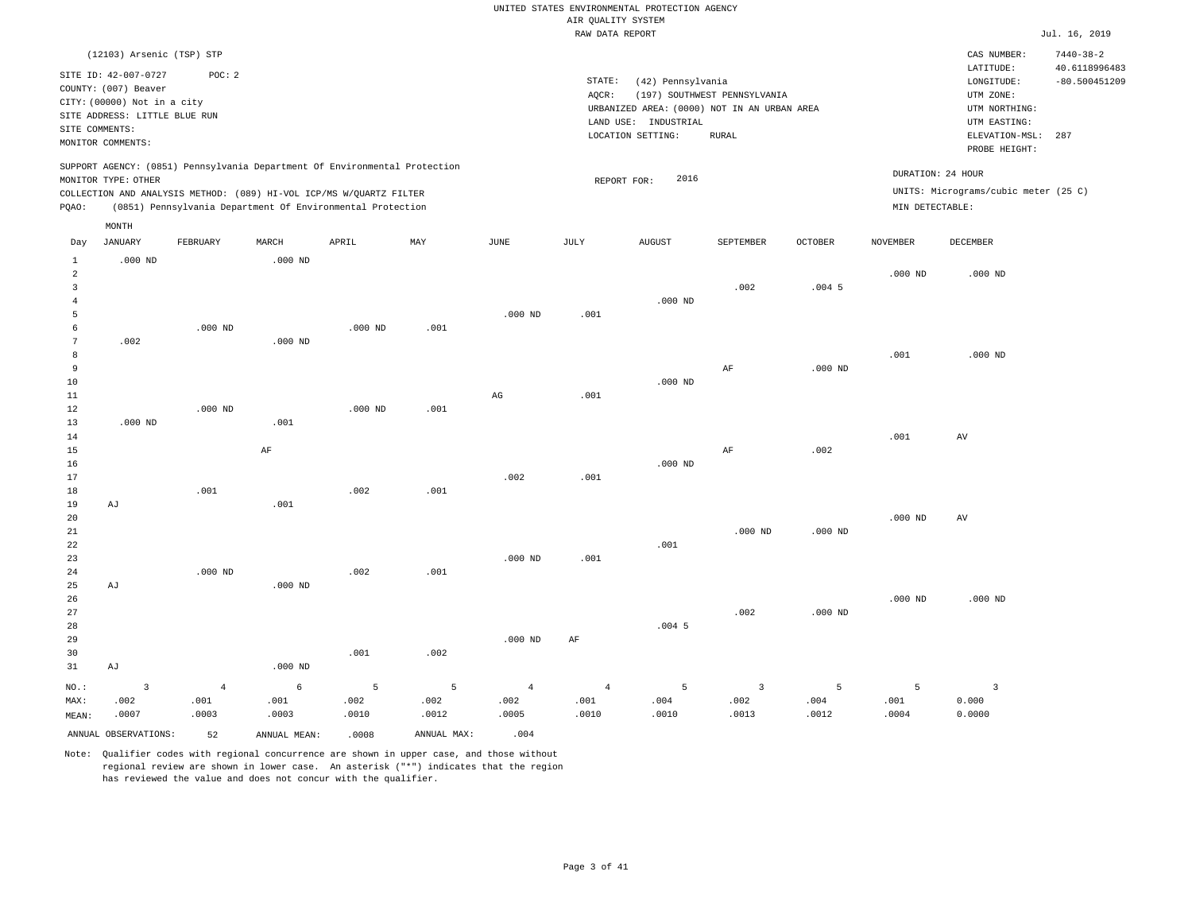|                                       |                                                                                                                                                     |                |              |                                                                                                                                                   |             |                | ----- ------ ---- ---- |                                                                                                               |                                              |           |                 |                                                                                         |                                         |
|---------------------------------------|-----------------------------------------------------------------------------------------------------------------------------------------------------|----------------|--------------|---------------------------------------------------------------------------------------------------------------------------------------------------|-------------|----------------|------------------------|---------------------------------------------------------------------------------------------------------------|----------------------------------------------|-----------|-----------------|-----------------------------------------------------------------------------------------|-----------------------------------------|
|                                       | (12103) Arsenic (TSP) STP                                                                                                                           |                |              |                                                                                                                                                   |             |                |                        |                                                                                                               |                                              |           |                 | CAS NUMBER:                                                                             | $7440 - 38 - 2$                         |
|                                       | SITE ID: 42-007-0727<br>COUNTY: (007) Beaver<br>CITY: (00000) Not in a city<br>SITE ADDRESS: LITTLE BLUE RUN<br>SITE COMMENTS:<br>MONITOR COMMENTS: | POC: 2         |              |                                                                                                                                                   |             |                | STATE:<br>AQCR:        | (42) Pennsylvania<br>URBANIZED AREA: (0000) NOT IN AN URBAN AREA<br>LAND USE: INDUSTRIAL<br>LOCATION SETTING: | (197) SOUTHWEST PENNSYLVANIA<br><b>RURAL</b> |           |                 | LATITUDE:<br>LONGITUDE:<br>UTM ZONE:<br>UTM NORTHING:<br>UTM EASTING:<br>ELEVATION-MSL: | 40.6118996483<br>$-80.500451209$<br>287 |
|                                       | MONITOR TYPE: OTHER                                                                                                                                 |                |              | SUPPORT AGENCY: (0851) Pennsylvania Department Of Environmental Protection<br>COLLECTION AND ANALYSIS METHOD: (089) HI-VOL ICP/MS W/QUARTZ FILTER |             |                |                        | 2016<br>REPORT FOR:                                                                                           |                                              |           |                 | PROBE HEIGHT:<br>DURATION: 24 HOUR<br>UNITS: Micrograms/cubic meter (25 C)              |                                         |
| PQAO:                                 |                                                                                                                                                     |                |              | (0851) Pennsylvania Department Of Environmental Protection                                                                                        |             |                |                        |                                                                                                               |                                              |           | MIN DETECTABLE: |                                                                                         |                                         |
|                                       | MONTH                                                                                                                                               |                |              |                                                                                                                                                   |             |                |                        |                                                                                                               |                                              |           |                 |                                                                                         |                                         |
| Day                                   | <b>JANUARY</b>                                                                                                                                      | FEBRUARY       | MARCH        | APRIL                                                                                                                                             | MAY         | JUNE           | JULY                   | <b>AUGUST</b>                                                                                                 | SEPTEMBER                                    | OCTOBER   | <b>NOVEMBER</b> | DECEMBER                                                                                |                                         |
| $\mathbf{1}$                          | $.000$ ND                                                                                                                                           |                | $.000$ ND    |                                                                                                                                                   |             |                |                        |                                                                                                               |                                              |           |                 |                                                                                         |                                         |
| $\overline{a}$<br>3<br>$\overline{4}$ |                                                                                                                                                     |                |              |                                                                                                                                                   |             |                |                        | $.000$ ND                                                                                                     | .002                                         | $.004$ 5  | $.000$ ND       | $.000$ ND                                                                               |                                         |
| 5                                     |                                                                                                                                                     |                |              |                                                                                                                                                   |             | $.000$ ND      | .001                   |                                                                                                               |                                              |           |                 |                                                                                         |                                         |
| 6                                     |                                                                                                                                                     | $.000$ ND      |              | $.000$ ND                                                                                                                                         | .001        |                |                        |                                                                                                               |                                              |           |                 |                                                                                         |                                         |
| 7                                     | .002                                                                                                                                                |                | $.000$ ND    |                                                                                                                                                   |             |                |                        |                                                                                                               |                                              |           |                 |                                                                                         |                                         |
| 8                                     |                                                                                                                                                     |                |              |                                                                                                                                                   |             |                |                        |                                                                                                               |                                              |           | .001            | $.000$ ND                                                                               |                                         |
| 9<br>10                               |                                                                                                                                                     |                |              |                                                                                                                                                   |             |                |                        | $.000$ ND                                                                                                     | AF                                           | $.000$ ND |                 |                                                                                         |                                         |
| $11\,$                                |                                                                                                                                                     |                |              |                                                                                                                                                   |             | $_{\rm AG}$    | .001                   |                                                                                                               |                                              |           |                 |                                                                                         |                                         |
| 12                                    |                                                                                                                                                     | $.000$ ND      |              | $.000$ ND                                                                                                                                         | .001        |                |                        |                                                                                                               |                                              |           |                 |                                                                                         |                                         |
| 13                                    | $.000$ ND                                                                                                                                           |                | .001         |                                                                                                                                                   |             |                |                        |                                                                                                               |                                              |           |                 |                                                                                         |                                         |
| 14                                    |                                                                                                                                                     |                |              |                                                                                                                                                   |             |                |                        |                                                                                                               |                                              |           | .001            | AV                                                                                      |                                         |
| 15                                    |                                                                                                                                                     |                | AF           |                                                                                                                                                   |             |                |                        | $.000$ ND                                                                                                     | AF                                           | .002      |                 |                                                                                         |                                         |
| 16<br>17                              |                                                                                                                                                     |                |              |                                                                                                                                                   |             | .002           | .001                   |                                                                                                               |                                              |           |                 |                                                                                         |                                         |
| 18                                    |                                                                                                                                                     | .001           |              | .002                                                                                                                                              | .001        |                |                        |                                                                                                               |                                              |           |                 |                                                                                         |                                         |
| 19                                    | AJ                                                                                                                                                  |                | .001         |                                                                                                                                                   |             |                |                        |                                                                                                               |                                              |           |                 |                                                                                         |                                         |
| 20                                    |                                                                                                                                                     |                |              |                                                                                                                                                   |             |                |                        |                                                                                                               |                                              |           | $.000$ ND       | AV                                                                                      |                                         |
| 21                                    |                                                                                                                                                     |                |              |                                                                                                                                                   |             |                |                        |                                                                                                               | $.000$ ND                                    | $.000$ ND |                 |                                                                                         |                                         |
| 22<br>23                              |                                                                                                                                                     |                |              |                                                                                                                                                   |             | $.000$ ND      | .001                   | .001                                                                                                          |                                              |           |                 |                                                                                         |                                         |
| 24                                    |                                                                                                                                                     | $.000$ ND      |              | .002                                                                                                                                              | .001        |                |                        |                                                                                                               |                                              |           |                 |                                                                                         |                                         |
| 25                                    | AJ                                                                                                                                                  |                | $.000$ ND    |                                                                                                                                                   |             |                |                        |                                                                                                               |                                              |           |                 |                                                                                         |                                         |
| 26                                    |                                                                                                                                                     |                |              |                                                                                                                                                   |             |                |                        |                                                                                                               |                                              |           | $.000$ ND       | $.000$ ND                                                                               |                                         |
| 27                                    |                                                                                                                                                     |                |              |                                                                                                                                                   |             |                |                        |                                                                                                               | .002                                         | $.000$ ND |                 |                                                                                         |                                         |
| 28<br>29                              |                                                                                                                                                     |                |              |                                                                                                                                                   |             | $.000$ ND      | AF                     | $.004$ 5                                                                                                      |                                              |           |                 |                                                                                         |                                         |
| 30                                    |                                                                                                                                                     |                |              | .001                                                                                                                                              | .002        |                |                        |                                                                                                               |                                              |           |                 |                                                                                         |                                         |
| 31                                    | AJ                                                                                                                                                  |                | $.000$ ND    |                                                                                                                                                   |             |                |                        |                                                                                                               |                                              |           |                 |                                                                                         |                                         |
| NO.:                                  | $\overline{\mathbf{3}}$                                                                                                                             | $\overline{4}$ | 6            | 5                                                                                                                                                 | 5           | $\overline{4}$ | $\overline{4}$         | 5                                                                                                             | $\overline{\mathbf{3}}$                      | 5         | 5               | 3                                                                                       |                                         |
| MAX:                                  | .002                                                                                                                                                | .001           | .001         | .002                                                                                                                                              | .002        | .002           | .001                   | .004                                                                                                          | .002                                         | .004      | .001            | 0.000                                                                                   |                                         |
| MEAN:                                 | .0007                                                                                                                                               | .0003          | .0003        | .0010                                                                                                                                             | .0012       | .0005          | .0010                  | .0010                                                                                                         | .0013                                        | .0012     | .0004           | 0.0000                                                                                  |                                         |
|                                       | ANNUAL OBSERVATIONS:                                                                                                                                | 52             | ANNUAL MEAN: | .0008                                                                                                                                             | ANNUAL MAX: | .004           |                        |                                                                                                               |                                              |           |                 |                                                                                         |                                         |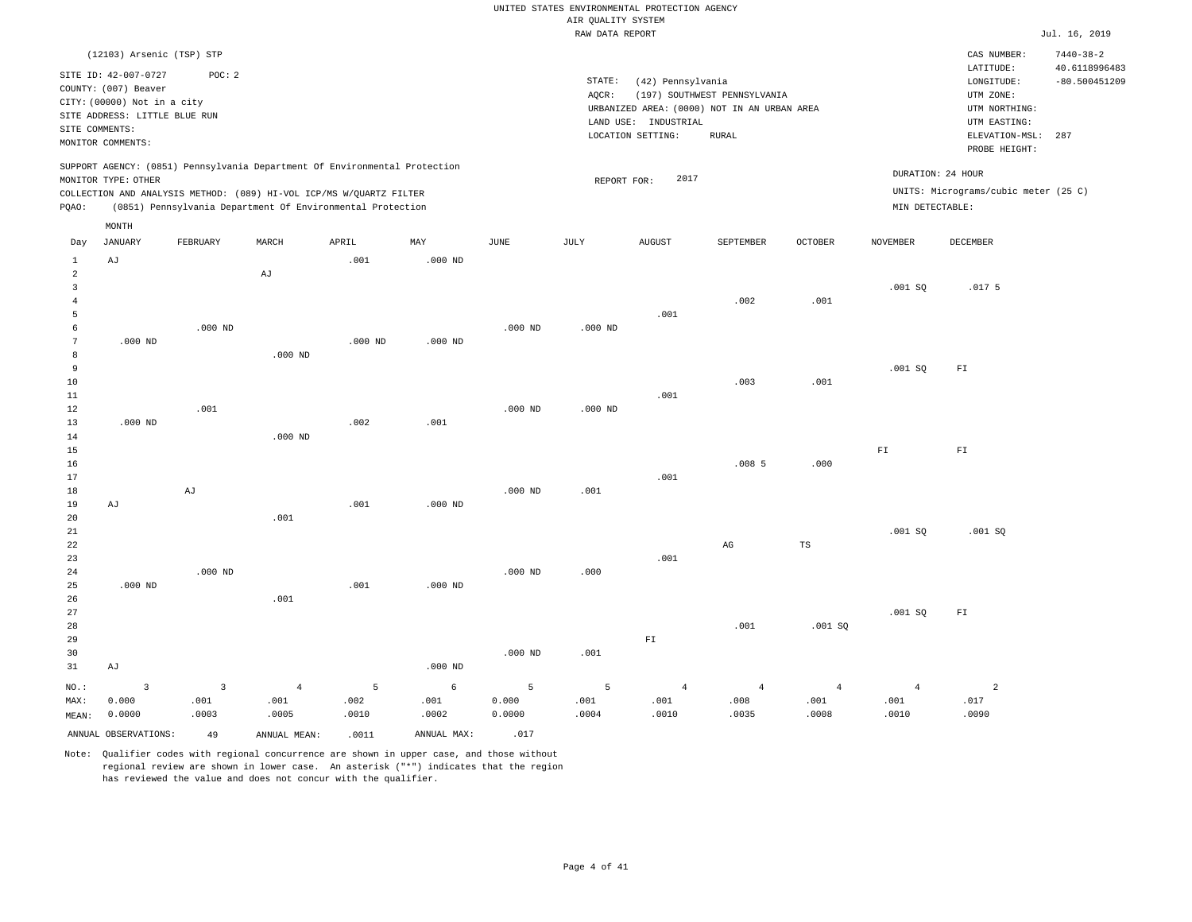|                                                                              |                                                                                                                                           |                                                                                                                                                                                                                 |                                 |                    |                    |                      | UNITED STATES ENVIRONMENTAL PROTECTION AGENCY<br>AIR QUALITY SYSTEM |                                           |                                                                             |                                 |                                      |                                                                      |                                                     |
|------------------------------------------------------------------------------|-------------------------------------------------------------------------------------------------------------------------------------------|-----------------------------------------------------------------------------------------------------------------------------------------------------------------------------------------------------------------|---------------------------------|--------------------|--------------------|----------------------|---------------------------------------------------------------------|-------------------------------------------|-----------------------------------------------------------------------------|---------------------------------|--------------------------------------|----------------------------------------------------------------------|-----------------------------------------------------|
|                                                                              |                                                                                                                                           |                                                                                                                                                                                                                 |                                 |                    |                    |                      | RAW DATA REPORT                                                     |                                           |                                                                             |                                 |                                      |                                                                      | Jul. 16, 2019                                       |
|                                                                              | (12103) Arsenic (TSP) STP<br>SITE ID: 42-007-0727<br>COUNTY: (007) Beaver<br>CITY: (00000) Not in a city<br>SITE ADDRESS: LITTLE BLUE RUN | POC: 2                                                                                                                                                                                                          |                                 |                    |                    |                      | STATE:<br>AQCR:                                                     | (42) Pennsylvania                         | (197) SOUTHWEST PENNSYLVANIA<br>URBANIZED AREA: (0000) NOT IN AN URBAN AREA |                                 |                                      | CAS NUMBER:<br>LATITUDE:<br>LONGITUDE:<br>UTM ZONE:<br>UTM NORTHING: | $7440 - 38 - 2$<br>40.6118996483<br>$-80.500451209$ |
| SITE COMMENTS:                                                               | MONITOR COMMENTS:                                                                                                                         |                                                                                                                                                                                                                 |                                 |                    |                    |                      |                                                                     | LAND USE: INDUSTRIAL<br>LOCATION SETTING: | <b>RURAL</b>                                                                |                                 |                                      | UTM EASTING:<br>ELEVATION-MSL:<br>PROBE HEIGHT:                      | 287                                                 |
| PQAO:                                                                        | MONITOR TYPE: OTHER                                                                                                                       | SUPPORT AGENCY: (0851) Pennsylvania Department Of Environmental Protection<br>COLLECTION AND ANALYSIS METHOD: (089) HI-VOL ICP/MS W/QUARTZ FILTER<br>(0851) Pennsylvania Department Of Environmental Protection |                                 |                    |                    |                      | REPORT FOR:                                                         | 2017                                      |                                                                             |                                 | DURATION: 24 HOUR<br>MIN DETECTABLE: | UNITS: Micrograms/cubic meter (25 C)                                 |                                                     |
|                                                                              | $\texttt{MONTH}$                                                                                                                          |                                                                                                                                                                                                                 |                                 |                    |                    |                      |                                                                     |                                           |                                                                             |                                 |                                      |                                                                      |                                                     |
| Day                                                                          | JANUARY                                                                                                                                   | FEBRUARY                                                                                                                                                                                                        | MARCH                           | APRIL              | MAY                | JUNE                 | JULY                                                                | <b>AUGUST</b>                             | SEPTEMBER                                                                   | <b>OCTOBER</b>                  | NOVEMBER                             | DECEMBER                                                             |                                                     |
| $\mathbf{1}$<br>$\overline{a}$<br>$\overline{3}$<br>$\overline{4}$<br>5<br>6 | AJ                                                                                                                                        | $.000$ ND                                                                                                                                                                                                       | $\mathrm{AJ}$                   | .001               | $.000$ ND          | $.000$ ND            | $.000$ ND                                                           | .001                                      | .002                                                                        | .001                            | .001SQ                               | .017 <sub>5</sub>                                                    |                                                     |
| 7<br>8<br>9<br>10<br>11<br>12                                                | $.000$ ND                                                                                                                                 | .001                                                                                                                                                                                                            | $.000$ ND                       | $.000$ ND          | $.000$ ND          | $.000$ ND            | $.000$ ND                                                           | .001                                      | .003                                                                        | .001                            | .001SQ                               | ${\rm FT}$                                                           |                                                     |
| 13<br>14<br>15<br>16<br>17<br>18<br>19                                       | $.000$ ND<br>AJ                                                                                                                           | $\mathop{\rm Ad}\nolimits$                                                                                                                                                                                      | $.000$ ND                       | .002<br>.001       | .001<br>$.000$ ND  | $.000$ ND            | .001                                                                | .001                                      | .0085                                                                       | .000                            | ${\rm F\,I}$                         | ${\rm F\,I}$                                                         |                                                     |
| 20<br>$2\sqrt{1}$<br>22<br>23<br>$2\sqrt{4}$<br>25                           | $.000$ ND                                                                                                                                 | $.000$ ND                                                                                                                                                                                                       | .001                            | .001               | $.000$ ND          | $.000$ ND            | .000                                                                | .001                                      | $_{\rm AG}$                                                                 | TS                              | .001SQ                               | .001SQ                                                               |                                                     |
| 26<br>27<br>28<br>29<br>30<br>31                                             | AJ                                                                                                                                        |                                                                                                                                                                                                                 | .001                            |                    | $.000$ ND          | $.000$ ND            | .001                                                                | ${\rm F\,I}$                              | .001                                                                        | .001SQ                          | .001SQ                               | ${\rm F\,I}$                                                         |                                                     |
| NO.:<br>MAX:<br>MEAN:                                                        | $\overline{3}$<br>0.000<br>0.0000                                                                                                         | $\overline{3}$<br>.001<br>.0003                                                                                                                                                                                 | $\overline{4}$<br>.001<br>.0005 | 5<br>.002<br>.0010 | 6<br>.001<br>.0002 | 5<br>0.000<br>0.0000 | 5<br>.001<br>.0004                                                  | $\overline{4}$<br>.001<br>.0010           | $\overline{4}$<br>.008<br>.0035                                             | $\overline{4}$<br>.001<br>.0008 | $\overline{4}$<br>.001<br>.0010      | $\overline{a}$<br>.017<br>.0090                                      |                                                     |

Note: Qualifier codes with regional concurrence are shown in upper case, and those without regional review are shown in lower case. An asterisk ("\*") indicates that the region has reviewed the value and does not concur with the qualifier.

ANNUAL OBSERVATIONS:  $\begin{array}{ccc} 49 & \quad \quad \text{ANNUAL} & \text{MNNUAL} & \text{ANNUAL MAX:} \end{array}$  .017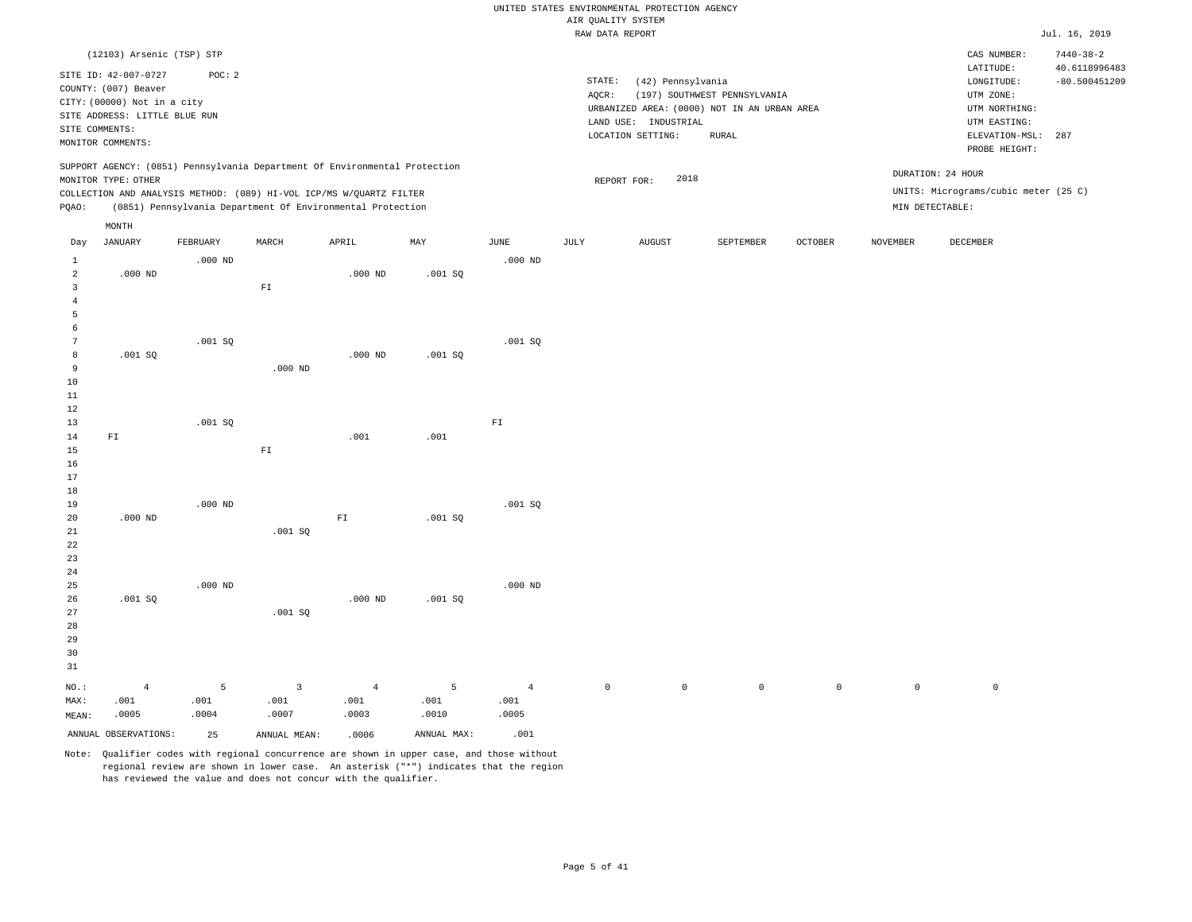|              |                                              |           |              |                                                                                                                                                                                                                 |         |            |        | UNITED STATES ENVIRONMENTAL PROTECTION AGENCY |                              |                |                 |                                                                              |                                  |
|--------------|----------------------------------------------|-----------|--------------|-----------------------------------------------------------------------------------------------------------------------------------------------------------------------------------------------------------------|---------|------------|--------|-----------------------------------------------|------------------------------|----------------|-----------------|------------------------------------------------------------------------------|----------------------------------|
|              |                                              |           |              |                                                                                                                                                                                                                 |         |            |        | AIR QUALITY SYSTEM                            |                              |                |                 |                                                                              |                                  |
|              |                                              |           |              |                                                                                                                                                                                                                 |         |            |        | RAW DATA REPORT                               |                              |                |                 |                                                                              | Jul. 16, 2019                    |
|              | (12103) Arsenic (TSP) STP                    |           |              |                                                                                                                                                                                                                 |         |            |        |                                               |                              |                |                 | CAS NUMBER:                                                                  | $7440 - 38 - 2$                  |
|              | SITE ID: 42-007-0727<br>COUNTY: (007) Beaver | POC: 2    |              |                                                                                                                                                                                                                 |         |            | STATE: | (42) Pennsylvania                             |                              |                |                 | LATITUDE:<br>LONGITUDE:                                                      | 40.6118996483<br>$-80.500451209$ |
|              |                                              |           |              |                                                                                                                                                                                                                 |         |            | AOCR:  |                                               | (197) SOUTHWEST PENNSYLVANIA |                |                 | UTM ZONE:                                                                    |                                  |
|              | CITY: (00000) Not in a city                  |           |              |                                                                                                                                                                                                                 |         |            |        | URBANIZED AREA: (0000) NOT IN AN URBAN AREA   |                              |                |                 | UTM NORTHING:                                                                |                                  |
|              | SITE ADDRESS: LITTLE BLUE RUN                |           |              |                                                                                                                                                                                                                 |         |            |        | LAND USE: INDUSTRIAL                          |                              |                |                 | UTM EASTING:                                                                 |                                  |
|              | SITE COMMENTS:                               |           |              |                                                                                                                                                                                                                 |         |            |        | LOCATION SETTING:                             | <b>RURAL</b>                 |                |                 | ELEVATION-MSL:                                                               | 287                              |
|              | MONITOR COMMENTS:                            |           |              |                                                                                                                                                                                                                 |         |            |        |                                               |                              |                |                 | PROBE HEIGHT:                                                                |                                  |
| PQAO:        | MONITOR TYPE: OTHER<br>MONTH                 |           |              | SUPPORT AGENCY: (0851) Pennsylvania Department Of Environmental Protection<br>COLLECTION AND ANALYSIS METHOD: (089) HI-VOL ICP/MS W/QUARTZ FILTER<br>(0851) Pennsylvania Department Of Environmental Protection |         |            |        | 2018<br>REPORT FOR:                           |                              |                |                 | DURATION: 24 HOUR<br>UNITS: Micrograms/cubic meter (25 C)<br>MIN DETECTABLE: |                                  |
| Day          | JANUARY                                      | FEBRUARY  | MARCH        | APRIL                                                                                                                                                                                                           | MAY     | JUNE       | JULY   | <b>AUGUST</b>                                 | SEPTEMBER                    | <b>OCTOBER</b> | <b>NOVEMBER</b> | DECEMBER                                                                     |                                  |
|              |                                              |           |              |                                                                                                                                                                                                                 |         |            |        |                                               |                              |                |                 |                                                                              |                                  |
| $\mathbf{1}$ |                                              | $.000$ ND |              |                                                                                                                                                                                                                 |         | $.000$ ND  |        |                                               |                              |                |                 |                                                                              |                                  |
| 2            | $.000$ ND                                    |           |              | $.000$ ND                                                                                                                                                                                                       | .001 SQ |            |        |                                               |                              |                |                 |                                                                              |                                  |
| 3            |                                              |           | ${\rm FT}$   |                                                                                                                                                                                                                 |         |            |        |                                               |                              |                |                 |                                                                              |                                  |
|              |                                              |           |              |                                                                                                                                                                                                                 |         |            |        |                                               |                              |                |                 |                                                                              |                                  |
| 5            |                                              |           |              |                                                                                                                                                                                                                 |         |            |        |                                               |                              |                |                 |                                                                              |                                  |
| 6            |                                              |           |              |                                                                                                                                                                                                                 |         |            |        |                                               |                              |                |                 |                                                                              |                                  |
|              |                                              | .001SQ    |              |                                                                                                                                                                                                                 |         | .001SQ     |        |                                               |                              |                |                 |                                                                              |                                  |
| 8            | .001SQ                                       |           |              | $.000$ ND                                                                                                                                                                                                       | .001SQ  |            |        |                                               |                              |                |                 |                                                                              |                                  |
| 9            |                                              |           | $.000$ ND    |                                                                                                                                                                                                                 |         |            |        |                                               |                              |                |                 |                                                                              |                                  |
| 10           |                                              |           |              |                                                                                                                                                                                                                 |         |            |        |                                               |                              |                |                 |                                                                              |                                  |
| 11           |                                              |           |              |                                                                                                                                                                                                                 |         |            |        |                                               |                              |                |                 |                                                                              |                                  |
| 12           |                                              |           |              |                                                                                                                                                                                                                 |         |            |        |                                               |                              |                |                 |                                                                              |                                  |
| 13           |                                              | .001SQ    |              |                                                                                                                                                                                                                 |         | ${\tt F1}$ |        |                                               |                              |                |                 |                                                                              |                                  |
| 14           | FI                                           |           |              | .001                                                                                                                                                                                                            | .001    |            |        |                                               |                              |                |                 |                                                                              |                                  |
| 15           |                                              |           | ${\rm F\,I}$ |                                                                                                                                                                                                                 |         |            |        |                                               |                              |                |                 |                                                                              |                                  |
| 16           |                                              |           |              |                                                                                                                                                                                                                 |         |            |        |                                               |                              |                |                 |                                                                              |                                  |
| 17           |                                              |           |              |                                                                                                                                                                                                                 |         |            |        |                                               |                              |                |                 |                                                                              |                                  |
| 18           |                                              |           |              |                                                                                                                                                                                                                 |         |            |        |                                               |                              |                |                 |                                                                              |                                  |

19 20 .000 ND .000 ND  $F1$  .001 SQ .001 SQ

.001 SQ

| 25    |                      | $.000$ ND |              |                |             | $.000$ ND      |                |         |         |                |         |            |
|-------|----------------------|-----------|--------------|----------------|-------------|----------------|----------------|---------|---------|----------------|---------|------------|
| 26    | .001SQ               |           |              | $.000$ ND      | .001SQ      |                |                |         |         |                |         |            |
| 27    |                      |           | .001SQ       |                |             |                |                |         |         |                |         |            |
| 28    |                      |           |              |                |             |                |                |         |         |                |         |            |
| 29    |                      |           |              |                |             |                |                |         |         |                |         |            |
| 30    |                      |           |              |                |             |                |                |         |         |                |         |            |
| 31    |                      |           |              |                |             |                |                |         |         |                |         |            |
| NO.:  | $\overline{4}$       | 5         | 3            | $\overline{4}$ | 5           | $\overline{4}$ | $\overline{0}$ | $\circ$ | $\circ$ | $\overline{0}$ | $\circ$ | $^{\circ}$ |
| MAX:  | .001                 | .001      | .001         | .001           | .001        | .001           |                |         |         |                |         |            |
| MEAN: | .0005                | .0004     | .0007        | .0003          | .0010       | .0005          |                |         |         |                |         |            |
|       | ANNUAL OBSERVATIONS: | 25        | ANNUAL MEAN: | .0006          | ANNUAL MAX: | .001           |                |         |         |                |         |            |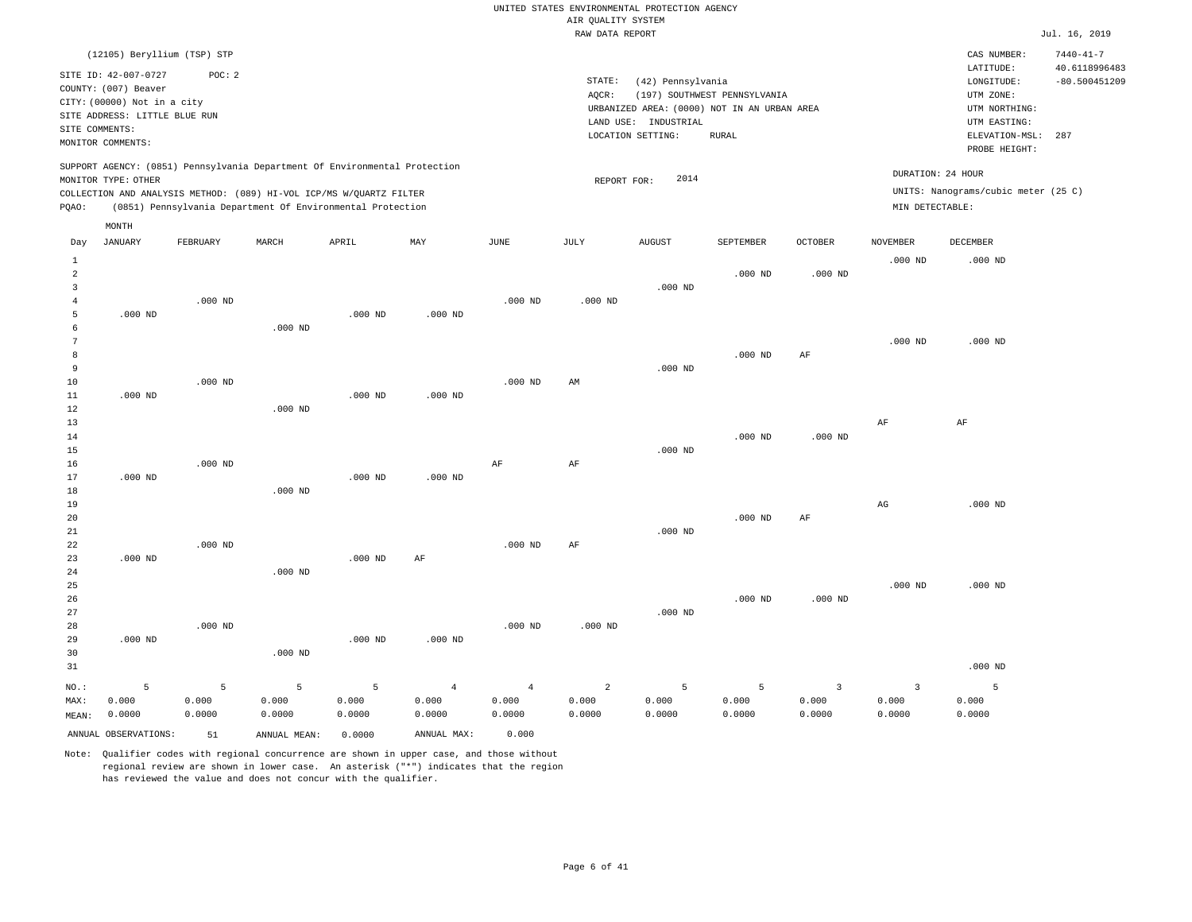|                     |                                                                             |           |                                                                            |           |                |                | RAW DATA REPORT |                                                                  |                              |                |                   |                                                       | Jul. 16, 2019                    |
|---------------------|-----------------------------------------------------------------------------|-----------|----------------------------------------------------------------------------|-----------|----------------|----------------|-----------------|------------------------------------------------------------------|------------------------------|----------------|-------------------|-------------------------------------------------------|----------------------------------|
|                     | (12105) Beryllium (TSP) STP                                                 |           |                                                                            |           |                |                |                 |                                                                  |                              |                |                   | CAS NUMBER:                                           | $7440 - 41 - 7$                  |
|                     | SITE ID: 42-007-0727<br>COUNTY: (007) Beaver<br>CITY: (00000) Not in a city | POC: 2    |                                                                            |           |                |                | STATE:<br>AQCR: | (42) Pennsylvania<br>URBANIZED AREA: (0000) NOT IN AN URBAN AREA | (197) SOUTHWEST PENNSYLVANIA |                |                   | LATITUDE:<br>LONGITUDE:<br>UTM ZONE:<br>UTM NORTHING: | 40.6118996483<br>$-80.500451209$ |
|                     | SITE ADDRESS: LITTLE BLUE RUN                                               |           |                                                                            |           |                |                |                 |                                                                  |                              |                |                   |                                                       |                                  |
|                     | SITE COMMENTS:                                                              |           |                                                                            |           |                |                |                 | LAND USE: INDUSTRIAL                                             |                              |                |                   | UTM EASTING:                                          |                                  |
|                     | MONITOR COMMENTS:                                                           |           |                                                                            |           |                |                |                 | LOCATION SETTING:                                                | <b>RURAL</b>                 |                |                   | ELEVATION-MSL:<br>PROBE HEIGHT:                       | 287                              |
|                     |                                                                             |           | SUPPORT AGENCY: (0851) Pennsylvania Department Of Environmental Protection |           |                |                |                 |                                                                  |                              |                | DURATION: 24 HOUR |                                                       |                                  |
|                     | MONITOR TYPE: OTHER                                                         |           |                                                                            |           |                |                | REPORT FOR:     | 2014                                                             |                              |                |                   |                                                       |                                  |
|                     |                                                                             |           | COLLECTION AND ANALYSIS METHOD: (089) HI-VOL ICP/MS W/QUARTZ FILTER        |           |                |                |                 |                                                                  |                              |                |                   | UNITS: Nanograms/cubic meter (25 C)                   |                                  |
| PQAO:               |                                                                             |           | (0851) Pennsylvania Department Of Environmental Protection                 |           |                |                |                 |                                                                  |                              |                | MIN DETECTABLE:   |                                                       |                                  |
|                     | MONTH                                                                       |           |                                                                            |           |                |                |                 |                                                                  |                              |                |                   |                                                       |                                  |
| Day                 | JANUARY                                                                     | FEBRUARY  | MARCH                                                                      | APRIL     | MAY            | JUNE           | JULY            | <b>AUGUST</b>                                                    | SEPTEMBER                    | <b>OCTOBER</b> | <b>NOVEMBER</b>   | DECEMBER                                              |                                  |
| $\mathbf{1}$        |                                                                             |           |                                                                            |           |                |                |                 |                                                                  |                              |                | $.000$ ND         | $.000$ ND                                             |                                  |
| $\overline{a}$      |                                                                             |           |                                                                            |           |                |                |                 |                                                                  | $.000$ ND                    | $.000$ ND      |                   |                                                       |                                  |
| 3                   |                                                                             |           |                                                                            |           |                |                |                 | $.000$ ND                                                        |                              |                |                   |                                                       |                                  |
| $\overline{4}$<br>5 | $.000$ ND                                                                   | $.000$ ND |                                                                            | $.000$ ND | $.000$ ND      | $.000$ ND      | $.000$ ND       |                                                                  |                              |                |                   |                                                       |                                  |
| 6                   |                                                                             |           | $.000$ ND                                                                  |           |                |                |                 |                                                                  |                              |                |                   |                                                       |                                  |
| $7\phantom{.0}$     |                                                                             |           |                                                                            |           |                |                |                 |                                                                  |                              |                | $.000$ ND         | $.000$ ND                                             |                                  |
| 8                   |                                                                             |           |                                                                            |           |                |                |                 |                                                                  | $.000$ ND                    | $\rm AF$       |                   |                                                       |                                  |
| 9                   |                                                                             |           |                                                                            |           |                |                |                 | $.000$ ND                                                        |                              |                |                   |                                                       |                                  |
| 10                  |                                                                             | $.000$ ND |                                                                            |           |                | $.000$ ND      | AM              |                                                                  |                              |                |                   |                                                       |                                  |
| 11                  | $.000$ ND                                                                   |           |                                                                            | $.000$ ND | $.000$ ND      |                |                 |                                                                  |                              |                |                   |                                                       |                                  |
| 12                  |                                                                             |           | $.000$ ND                                                                  |           |                |                |                 |                                                                  |                              |                |                   |                                                       |                                  |
| 13                  |                                                                             |           |                                                                            |           |                |                |                 |                                                                  |                              |                | $\rm{AF}$         | AF                                                    |                                  |
| 14                  |                                                                             |           |                                                                            |           |                |                |                 |                                                                  | $.000$ ND                    | $.000$ ND      |                   |                                                       |                                  |
| 15                  |                                                                             |           |                                                                            |           |                |                |                 | $.000$ ND                                                        |                              |                |                   |                                                       |                                  |
| 16                  |                                                                             | $.000$ ND |                                                                            |           |                | AF             | $\rm AF$        |                                                                  |                              |                |                   |                                                       |                                  |
| 17                  | $.000$ ND                                                                   |           |                                                                            | $.000$ ND | $.000$ ND      |                |                 |                                                                  |                              |                |                   |                                                       |                                  |
| 18                  |                                                                             |           | $.000$ ND                                                                  |           |                |                |                 |                                                                  |                              |                |                   |                                                       |                                  |
| 19                  |                                                                             |           |                                                                            |           |                |                |                 |                                                                  |                              |                | $_{\rm AG}$       | $.000$ ND                                             |                                  |
| 20                  |                                                                             |           |                                                                            |           |                |                |                 |                                                                  | $.000$ ND                    | $\rm AF$       |                   |                                                       |                                  |
| 21                  |                                                                             |           |                                                                            |           |                |                |                 | $.000$ ND                                                        |                              |                |                   |                                                       |                                  |
| 22                  |                                                                             | $.000$ ND |                                                                            |           |                | $.000$ ND      | AF              |                                                                  |                              |                |                   |                                                       |                                  |
| 23                  | $.000$ ND                                                                   |           |                                                                            | $.000$ ND | $\rm AF$       |                |                 |                                                                  |                              |                |                   |                                                       |                                  |
| 24                  |                                                                             |           | $.000$ ND                                                                  |           |                |                |                 |                                                                  |                              |                |                   |                                                       |                                  |
| 25                  |                                                                             |           |                                                                            |           |                |                |                 |                                                                  |                              |                | $.000$ ND         | $.000$ ND                                             |                                  |
| 26                  |                                                                             |           |                                                                            |           |                |                |                 |                                                                  | $.000$ ND                    | $.000$ ND      |                   |                                                       |                                  |
| 27                  |                                                                             |           |                                                                            |           |                |                |                 | $.000$ ND                                                        |                              |                |                   |                                                       |                                  |
| 28                  |                                                                             | $.000$ ND |                                                                            |           |                | $.000$ ND      | $.000$ ND       |                                                                  |                              |                |                   |                                                       |                                  |
| 29                  | $.000$ ND                                                                   |           |                                                                            | $.000$ ND | $.000$ ND      |                |                 |                                                                  |                              |                |                   |                                                       |                                  |
| 30                  |                                                                             |           | $.000$ ND                                                                  |           |                |                |                 |                                                                  |                              |                |                   |                                                       |                                  |
| 31                  |                                                                             |           |                                                                            |           |                |                |                 |                                                                  |                              |                |                   | $.000$ ND                                             |                                  |
| NO.:                | 5                                                                           | 5         | 5                                                                          | 5         | $\overline{4}$ | $\overline{4}$ | $\overline{a}$  | 5                                                                | 5                            | 3              | 3                 | 5                                                     |                                  |
| MAX:                | 0.000                                                                       | 0.000     | 0.000                                                                      | 0.000     | 0.000          | 0.000          | 0.000           | 0.000                                                            | 0.000                        | 0.000          | 0.000             | 0.000                                                 |                                  |
| MEAN:               | 0.0000                                                                      | 0.0000    | 0.0000                                                                     | 0.0000    | 0.0000         | 0.0000         | 0.0000          | 0.0000                                                           | 0.0000                       | 0.0000         | 0.0000            | 0.0000                                                |                                  |
|                     | ANNUAL OBSERVATIONS:                                                        | 51        | ANNUAL MEAN:                                                               | 0.0000    | ANNUAL MAX:    | 0.000          |                 |                                                                  |                              |                |                   |                                                       |                                  |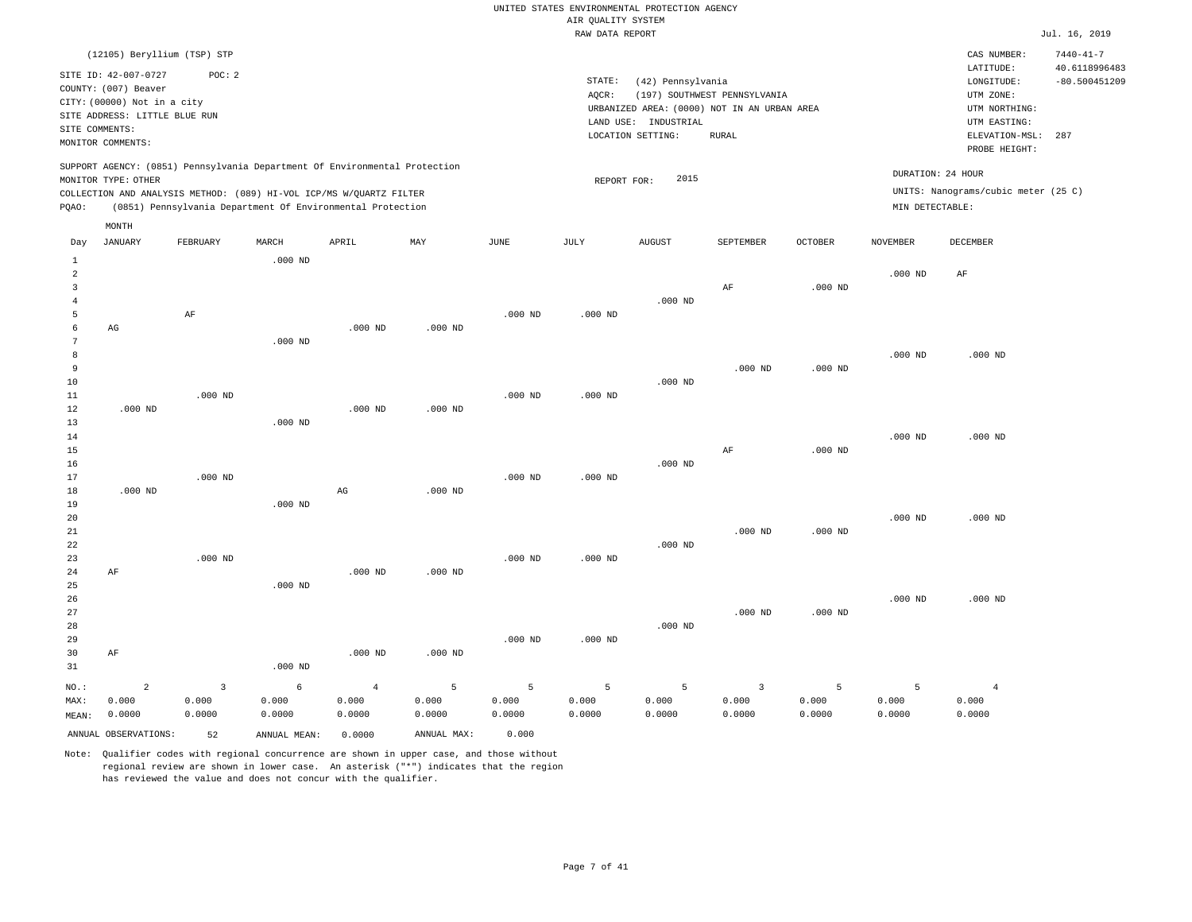|                                  |                               |                |                                                                            |                |             |             | RAW DATA REPORT |                      |                                             |                |                   |                                     | Jul. 16, 2019                    |
|----------------------------------|-------------------------------|----------------|----------------------------------------------------------------------------|----------------|-------------|-------------|-----------------|----------------------|---------------------------------------------|----------------|-------------------|-------------------------------------|----------------------------------|
|                                  | (12105) Beryllium (TSP) STP   |                |                                                                            |                |             |             |                 |                      |                                             |                |                   | CAS NUMBER:<br>LATITUDE:            | $7440 - 41 - 7$<br>40.6118996483 |
|                                  | SITE ID: 42-007-0727          | POC: 2         |                                                                            |                |             |             | STATE:          | (42) Pennsylvania    |                                             |                |                   | LONGITUDE:                          | $-80.500451209$                  |
|                                  | COUNTY: (007) Beaver          |                |                                                                            |                |             |             | AQCR:           |                      | (197) SOUTHWEST PENNSYLVANIA                |                |                   | UTM ZONE:                           |                                  |
|                                  | CITY: (00000) Not in a city   |                |                                                                            |                |             |             |                 |                      | URBANIZED AREA: (0000) NOT IN AN URBAN AREA |                |                   | UTM NORTHING:                       |                                  |
|                                  | SITE ADDRESS: LITTLE BLUE RUN |                |                                                                            |                |             |             |                 | LAND USE: INDUSTRIAL |                                             |                |                   | UTM EASTING:                        |                                  |
| SITE COMMENTS:                   |                               |                |                                                                            |                |             |             |                 | LOCATION SETTING:    | <b>RURAL</b>                                |                |                   | ELEVATION-MSL:                      | 287                              |
|                                  | MONITOR COMMENTS:             |                |                                                                            |                |             |             |                 |                      |                                             |                |                   | PROBE HEIGHT:                       |                                  |
|                                  | MONITOR TYPE: OTHER           |                | SUPPORT AGENCY: (0851) Pennsylvania Department Of Environmental Protection |                |             |             |                 | 2015                 |                                             |                | DURATION: 24 HOUR |                                     |                                  |
|                                  |                               |                | COLLECTION AND ANALYSIS METHOD: (089) HI-VOL ICP/MS W/OUARTZ FILTER        |                |             |             | REPORT FOR:     |                      |                                             |                |                   | UNITS: Nanograms/cubic meter (25 C) |                                  |
| PQAO:                            |                               |                | (0851) Pennsylvania Department Of Environmental Protection                 |                |             |             |                 |                      |                                             |                | MIN DETECTABLE:   |                                     |                                  |
|                                  | MONTH                         |                |                                                                            |                |             |             |                 |                      |                                             |                |                   |                                     |                                  |
| Day                              | <b>JANUARY</b>                | FEBRUARY       | MARCH                                                                      | APRIL          | MAY         | <b>JUNE</b> | JULY            | <b>AUGUST</b>        | SEPTEMBER                                   | <b>OCTOBER</b> | <b>NOVEMBER</b>   | DECEMBER                            |                                  |
| $\mathbf{1}$                     |                               |                | $.000$ ND                                                                  |                |             |             |                 |                      |                                             |                |                   |                                     |                                  |
| $\overline{a}$                   |                               |                |                                                                            |                |             |             |                 |                      |                                             |                | $.000$ ND         | AF                                  |                                  |
| $\overline{3}$<br>$\overline{4}$ |                               |                |                                                                            |                |             |             |                 | $.000$ ND            | AF                                          | $.000$ ND      |                   |                                     |                                  |
| 5                                |                               | $\rm AF$       |                                                                            |                |             | $.000$ ND   | $.000$ ND       |                      |                                             |                |                   |                                     |                                  |
| 6                                | AG                            |                |                                                                            | $.000$ ND      | $.000$ ND   |             |                 |                      |                                             |                |                   |                                     |                                  |
| $7\phantom{.0}$                  |                               |                | $.000$ ND                                                                  |                |             |             |                 |                      |                                             |                |                   |                                     |                                  |
| 8                                |                               |                |                                                                            |                |             |             |                 |                      |                                             |                | $.000$ ND         | $.000$ ND                           |                                  |
| 9                                |                               |                |                                                                            |                |             |             |                 |                      | $.000$ ND                                   | $.000$ ND      |                   |                                     |                                  |
| 10                               |                               |                |                                                                            |                |             |             |                 | $.000$ ND            |                                             |                |                   |                                     |                                  |
| 11                               |                               | $.000$ ND      |                                                                            |                |             | $.000$ ND   | $.000$ ND       |                      |                                             |                |                   |                                     |                                  |
| 12                               | $.000$ ND                     |                |                                                                            | $.000$ ND      | $.000$ ND   |             |                 |                      |                                             |                |                   |                                     |                                  |
| 13                               |                               |                | $.000$ ND                                                                  |                |             |             |                 |                      |                                             |                |                   |                                     |                                  |
| 14                               |                               |                |                                                                            |                |             |             |                 |                      |                                             |                | $.000$ ND         | $.000$ ND                           |                                  |
| 15                               |                               |                |                                                                            |                |             |             |                 |                      | AF                                          | $.000$ ND      |                   |                                     |                                  |
| 16                               |                               |                |                                                                            |                |             |             |                 | $.000$ ND            |                                             |                |                   |                                     |                                  |
| 17                               |                               | $.000$ ND      |                                                                            |                |             | $.000$ ND   | $.000$ ND       |                      |                                             |                |                   |                                     |                                  |
| 18                               | $.000$ ND                     |                |                                                                            | $_{\rm AG}$    | $.000$ ND   |             |                 |                      |                                             |                |                   |                                     |                                  |
| 19                               |                               |                | $.000$ ND                                                                  |                |             |             |                 |                      |                                             |                |                   |                                     |                                  |
| 20                               |                               |                |                                                                            |                |             |             |                 |                      |                                             |                | $.000$ ND         | $.000$ ND                           |                                  |
| 21<br>22                         |                               |                |                                                                            |                |             |             |                 | $.000$ ND            | $.000$ ND                                   | $.000$ ND      |                   |                                     |                                  |
| 23                               |                               | $.000$ ND      |                                                                            |                |             | $.000$ ND   | $.000$ ND       |                      |                                             |                |                   |                                     |                                  |
| 24                               | AF                            |                |                                                                            | $.000$ ND      | $.000$ ND   |             |                 |                      |                                             |                |                   |                                     |                                  |
| 25                               |                               |                | $.000$ ND                                                                  |                |             |             |                 |                      |                                             |                |                   |                                     |                                  |
| 26                               |                               |                |                                                                            |                |             |             |                 |                      |                                             |                | $.000$ ND         | $.000$ ND                           |                                  |
| 27                               |                               |                |                                                                            |                |             |             |                 |                      | $.000$ ND                                   | $.000$ ND      |                   |                                     |                                  |
| 28                               |                               |                |                                                                            |                |             |             |                 | $.000$ ND            |                                             |                |                   |                                     |                                  |
| 29                               |                               |                |                                                                            |                |             | $.000$ ND   | $.000$ ND       |                      |                                             |                |                   |                                     |                                  |
| 30                               | AF                            |                |                                                                            | $.000$ ND      | $.000$ ND   |             |                 |                      |                                             |                |                   |                                     |                                  |
| 31                               |                               |                | $.000$ ND                                                                  |                |             |             |                 |                      |                                             |                |                   |                                     |                                  |
| NO.:                             | $\overline{2}$                | $\overline{3}$ | 6                                                                          | $\overline{4}$ | 5           | 5           | 5               | 5                    | $\overline{\mathbf{3}}$                     | 5              | 5                 | $\overline{4}$                      |                                  |
| MAX:                             | 0.000                         | 0.000          | 0.000                                                                      | 0.000          | 0.000       | 0.000       | 0.000           | 0.000                | 0.000                                       | 0.000          | 0.000             | 0.000                               |                                  |
| MEAN:                            | 0.0000                        | 0.0000         | 0.0000                                                                     | 0.0000         | 0.0000      | 0.0000      | 0.0000          | 0.0000               | 0.0000                                      | 0.0000         | 0.0000            | 0.0000                              |                                  |
|                                  | ANNUAL OBSERVATIONS:          | 52             | ANNUAL MEAN:                                                               | 0.0000         | ANNUAL MAX: | 0.000       |                 |                      |                                             |                |                   |                                     |                                  |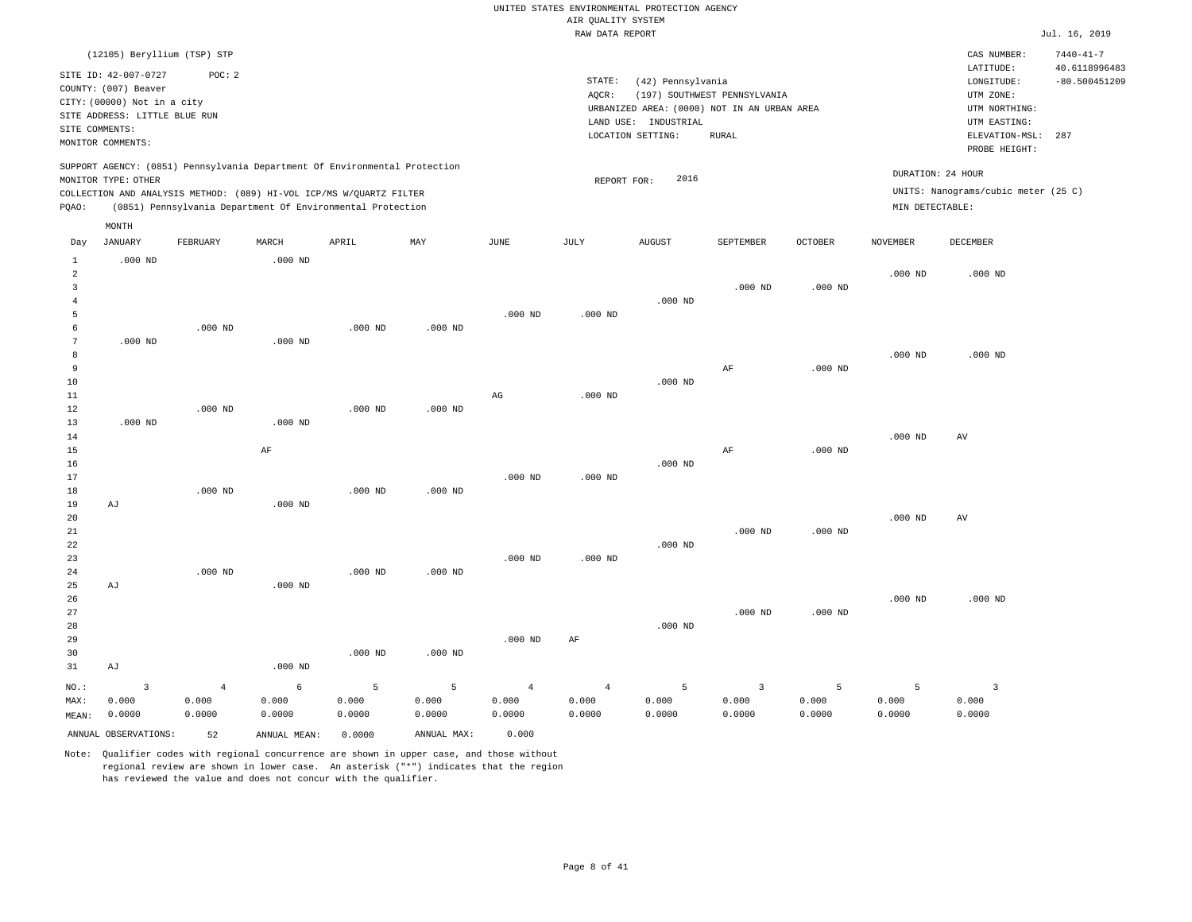|                         |                                              |                |                                                                                                                                   |                |                |                        | ------ ---- ---- |                      |                                             |                    |                   |                                     |                                  |
|-------------------------|----------------------------------------------|----------------|-----------------------------------------------------------------------------------------------------------------------------------|----------------|----------------|------------------------|------------------|----------------------|---------------------------------------------|--------------------|-------------------|-------------------------------------|----------------------------------|
|                         | (12105) Beryllium (TSP) STP                  |                |                                                                                                                                   |                |                |                        |                  |                      |                                             |                    |                   | CAS NUMBER:                         | $7440 - 41 - 7$                  |
|                         | SITE ID: 42-007-0727<br>COUNTY: (007) Beaver | POC: 2         |                                                                                                                                   |                |                |                        | STATE:           | (42) Pennsylvania    |                                             |                    |                   | LATITUDE:<br>LONGITUDE:             | 40.6118996483<br>$-80.500451209$ |
|                         | CITY: (00000) Not in a city                  |                |                                                                                                                                   |                |                |                        | AQCR:            |                      | (197) SOUTHWEST PENNSYLVANIA                |                    |                   | UTM ZONE:                           |                                  |
|                         | SITE ADDRESS: LITTLE BLUE RUN                |                |                                                                                                                                   |                |                |                        |                  |                      | URBANIZED AREA: (0000) NOT IN AN URBAN AREA |                    |                   | UTM NORTHING:                       |                                  |
| SITE COMMENTS:          |                                              |                |                                                                                                                                   |                |                |                        |                  | LAND USE: INDUSTRIAL |                                             |                    |                   | UTM EASTING:                        |                                  |
|                         | MONITOR COMMENTS:                            |                |                                                                                                                                   |                |                |                        |                  | LOCATION SETTING:    | <b>RURAL</b>                                |                    |                   | ELEVATION-MSL:<br>PROBE HEIGHT:     | 287                              |
|                         |                                              |                | SUPPORT AGENCY: (0851) Pennsylvania Department Of Environmental Protection                                                        |                |                |                        |                  |                      |                                             |                    | DURATION: 24 HOUR |                                     |                                  |
|                         | MONITOR TYPE: OTHER                          |                |                                                                                                                                   |                |                |                        | REPORT FOR:      | 2016                 |                                             |                    |                   | UNITS: Nanograms/cubic meter (25 C) |                                  |
| PQAO:                   |                                              |                | COLLECTION AND ANALYSIS METHOD: (089) HI-VOL ICP/MS W/QUARTZ FILTER<br>(0851) Pennsylvania Department Of Environmental Protection |                |                |                        |                  |                      |                                             |                    | MIN DETECTABLE:   |                                     |                                  |
|                         | MONTH                                        |                |                                                                                                                                   |                |                |                        |                  |                      |                                             |                    |                   |                                     |                                  |
| Day                     | JANUARY                                      | FEBRUARY       | MARCH                                                                                                                             | APRIL          | MAY            | JUNE                   | JULY             | AUGUST               | SEPTEMBER                                   | $\mathtt{OCTOBER}$ | <b>NOVEMBER</b>   | <b>DECEMBER</b>                     |                                  |
| $\mathbf{1}$            | $.000$ ND                                    |                | $.000$ ND                                                                                                                         |                |                |                        |                  |                      |                                             |                    |                   |                                     |                                  |
| $\overline{a}$          |                                              |                |                                                                                                                                   |                |                |                        |                  |                      |                                             |                    | $.000$ ND         | $.000$ ND                           |                                  |
| $\overline{\mathbf{3}}$ |                                              |                |                                                                                                                                   |                |                |                        |                  |                      | $.000$ ND                                   | $.000$ ND          |                   |                                     |                                  |
| $\overline{4}$          |                                              |                |                                                                                                                                   |                |                |                        |                  | $.000$ ND            |                                             |                    |                   |                                     |                                  |
| 5<br>6                  |                                              | $.000$ ND      |                                                                                                                                   | $.000$ ND      | $.000$ ND      | $.000$ ND              | $.000$ ND        |                      |                                             |                    |                   |                                     |                                  |
| 7                       | $.000$ ND                                    |                | $.000$ ND                                                                                                                         |                |                |                        |                  |                      |                                             |                    |                   |                                     |                                  |
| 8                       |                                              |                |                                                                                                                                   |                |                |                        |                  |                      |                                             |                    | $.000$ ND         | $.000$ ND                           |                                  |
| 9                       |                                              |                |                                                                                                                                   |                |                |                        |                  |                      | $\rm AF$                                    | $.000$ ND          |                   |                                     |                                  |
| 10                      |                                              |                |                                                                                                                                   |                |                |                        |                  | $.000$ ND            |                                             |                    |                   |                                     |                                  |
| 11                      |                                              |                |                                                                                                                                   |                |                | $\mathbb{A}\mathbb{G}$ | $.000$ ND        |                      |                                             |                    |                   |                                     |                                  |
| 12                      |                                              | $.000$ ND      |                                                                                                                                   | $.000$ ND      | $.000$ ND      |                        |                  |                      |                                             |                    |                   |                                     |                                  |
| 13                      | $.000$ ND                                    |                | $.000$ ND                                                                                                                         |                |                |                        |                  |                      |                                             |                    |                   |                                     |                                  |
| 14                      |                                              |                |                                                                                                                                   |                |                |                        |                  |                      |                                             |                    | $.000$ ND         | AV                                  |                                  |
| 15                      |                                              |                | AF                                                                                                                                |                |                |                        |                  |                      | AF                                          | $.000$ ND          |                   |                                     |                                  |
| 16                      |                                              |                |                                                                                                                                   |                |                |                        |                  | $.000$ ND            |                                             |                    |                   |                                     |                                  |
| 17                      |                                              |                |                                                                                                                                   |                |                | $.000$ ND              | $.000$ ND        |                      |                                             |                    |                   |                                     |                                  |
| 18                      |                                              | $.000$ ND      |                                                                                                                                   | $.000$ ND      | $.000$ ND      |                        |                  |                      |                                             |                    |                   |                                     |                                  |
| 19                      | AJ                                           |                | $.000$ ND                                                                                                                         |                |                |                        |                  |                      |                                             |                    |                   |                                     |                                  |
| 20                      |                                              |                |                                                                                                                                   |                |                |                        |                  |                      |                                             |                    | $.000$ ND         | $\operatorname{AV}$                 |                                  |
| 21                      |                                              |                |                                                                                                                                   |                |                |                        |                  |                      | $.000$ ND                                   | $.000$ ND          |                   |                                     |                                  |
| 22                      |                                              |                |                                                                                                                                   |                |                |                        |                  | $.000$ ND            |                                             |                    |                   |                                     |                                  |
| 23                      |                                              |                |                                                                                                                                   |                |                | $.000$ ND              | $.000$ ND        |                      |                                             |                    |                   |                                     |                                  |
| 24                      |                                              | $.000$ ND      |                                                                                                                                   | $.000$ ND      | $.000$ ND      |                        |                  |                      |                                             |                    |                   |                                     |                                  |
| 25                      | AJ                                           |                | $.000$ ND                                                                                                                         |                |                |                        |                  |                      |                                             |                    |                   |                                     |                                  |
| 26                      |                                              |                |                                                                                                                                   |                |                |                        |                  |                      |                                             |                    | $.000$ ND         | $.000$ ND                           |                                  |
| 27                      |                                              |                |                                                                                                                                   |                |                |                        |                  |                      | $.000$ ND                                   | $.000$ ND          |                   |                                     |                                  |
| 28                      |                                              |                |                                                                                                                                   |                |                |                        |                  | $.000$ ND            |                                             |                    |                   |                                     |                                  |
| 29                      |                                              |                |                                                                                                                                   |                |                | $.000$ ND              | AF               |                      |                                             |                    |                   |                                     |                                  |
| 30                      |                                              |                |                                                                                                                                   | $.000$ ND      | $.000$ ND      |                        |                  |                      |                                             |                    |                   |                                     |                                  |
| 31                      | AJ                                           |                | $.000$ ND                                                                                                                         |                |                |                        |                  |                      |                                             |                    |                   |                                     |                                  |
| $NO.$ :                 | $\overline{\mathbf{3}}$                      | $\overline{4}$ | 6                                                                                                                                 | $\overline{5}$ | $\overline{5}$ | $\overline{4}$         | $\overline{4}$   | 5                    | $\overline{\mathbf{3}}$                     | 5                  | 5                 | $\overline{3}$                      |                                  |
| MAX:                    | 0.000                                        | 0.000          | 0.000                                                                                                                             | 0.000          | 0.000          | 0.000                  | 0.000            | 0.000                | 0.000                                       | 0.000              | 0.000             | 0.000                               |                                  |
| MEAN:                   | 0.0000                                       | 0.0000         | 0.0000                                                                                                                            | 0.0000         | 0.0000         | 0.0000                 | 0.0000           | 0.0000               | 0.0000                                      | 0.0000             | 0.0000            | 0.0000                              |                                  |
|                         | ANNUAL OBSERVATIONS:                         | 52             | ANNUAL MEAN:                                                                                                                      | 0.0000         | ANNUAL MAX:    | 0.000                  |                  |                      |                                             |                    |                   |                                     |                                  |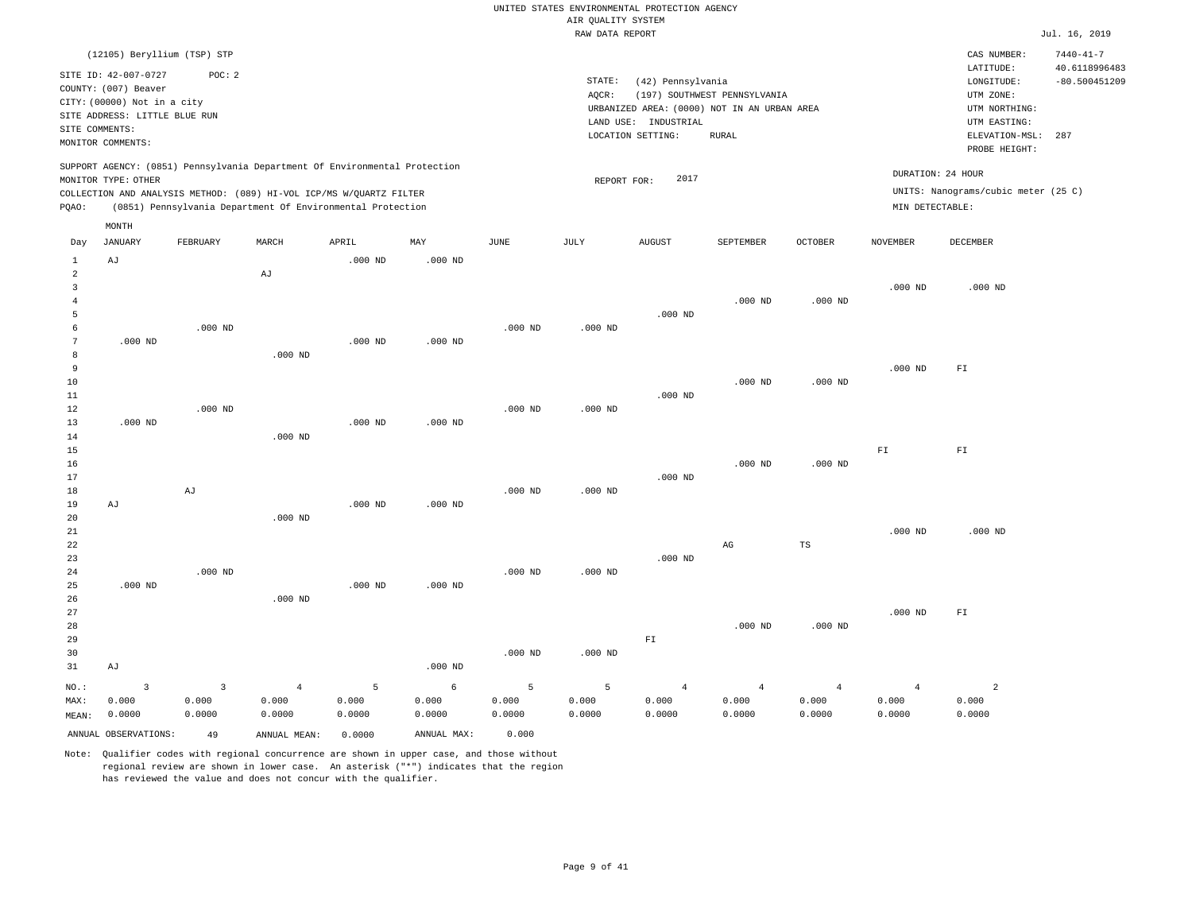|                                       |                                                     |                |                                                                            |                |             |             | AIR QUALITY SYSTEM | UNITED STATES ENVIRONMENTAL PROTECTION AGENCY                       |                              |                |                         |                                     |                                  |
|---------------------------------------|-----------------------------------------------------|----------------|----------------------------------------------------------------------------|----------------|-------------|-------------|--------------------|---------------------------------------------------------------------|------------------------------|----------------|-------------------------|-------------------------------------|----------------------------------|
|                                       |                                                     |                |                                                                            |                |             |             | RAW DATA REPORT    |                                                                     |                              |                |                         |                                     | Jul. 16, 2019                    |
|                                       | (12105) Beryllium (TSP) STP<br>SITE ID: 42-007-0727 | POC: 2         |                                                                            |                |             |             |                    |                                                                     |                              |                |                         | CAS NUMBER:<br>LATITUDE:            | $7440 - 41 - 7$<br>40.6118996483 |
|                                       | COUNTY: (007) Beaver                                |                |                                                                            |                |             |             | STATE:             | (42) Pennsylvania                                                   |                              |                |                         | LONGITUDE:                          | $-80.500451209$                  |
|                                       | CITY: (00000) Not in a city                         |                |                                                                            |                |             |             | AQCR:              |                                                                     | (197) SOUTHWEST PENNSYLVANIA |                |                         | UTM ZONE:                           |                                  |
|                                       | SITE ADDRESS: LITTLE BLUE RUN                       |                |                                                                            |                |             |             |                    | URBANIZED AREA: (0000) NOT IN AN URBAN AREA<br>LAND USE: INDUSTRIAL |                              |                |                         | UTM NORTHING:<br>UTM EASTING:       |                                  |
| SITE COMMENTS:                        |                                                     |                |                                                                            |                |             |             |                    | LOCATION SETTING:                                                   | <b>RURAL</b>                 |                |                         | ELEVATION-MSL:                      | 287                              |
|                                       | MONITOR COMMENTS:                                   |                |                                                                            |                |             |             |                    |                                                                     |                              |                |                         | PROBE HEIGHT:                       |                                  |
|                                       | MONITOR TYPE: OTHER                                 |                | SUPPORT AGENCY: (0851) Pennsylvania Department Of Environmental Protection |                |             |             | REPORT FOR:        | 2017                                                                |                              |                | DURATION: 24 HOUR       |                                     |                                  |
|                                       |                                                     |                | COLLECTION AND ANALYSIS METHOD: (089) HI-VOL ICP/MS W/QUARTZ FILTER        |                |             |             |                    |                                                                     |                              |                |                         | UNITS: Nanograms/cubic meter (25 C) |                                  |
| PQAO:                                 |                                                     |                | (0851) Pennsylvania Department Of Environmental Protection                 |                |             |             |                    |                                                                     |                              |                | MIN DETECTABLE:         |                                     |                                  |
|                                       | MONTH                                               |                |                                                                            |                |             |             |                    |                                                                     |                              |                |                         |                                     |                                  |
| Day                                   | <b>JANUARY</b>                                      | FEBRUARY       | MARCH                                                                      | APRIL          | MAY         | <b>JUNE</b> | JULY               | <b>AUGUST</b>                                                       | SEPTEMBER                    | <b>OCTOBER</b> | <b>NOVEMBER</b>         | DECEMBER                            |                                  |
| 1<br>$\mathfrak{D}$                   | AJ                                                  |                | AJ                                                                         | $.000$ ND      | $.000$ ND   |             |                    |                                                                     |                              |                |                         |                                     |                                  |
| $\overline{3}$<br>$\overline{4}$<br>5 |                                                     |                |                                                                            |                |             |             |                    | $.000$ ND                                                           | $.000$ ND                    | $.000$ ND      | $.000$ ND               | $.000$ ND                           |                                  |
| 6                                     |                                                     | $.000$ ND      |                                                                            |                |             | $.000$ ND   | $.000$ ND          |                                                                     |                              |                |                         |                                     |                                  |
| 7                                     | $.000$ ND                                           |                |                                                                            | $.000$ ND      | $.000$ ND   |             |                    |                                                                     |                              |                |                         |                                     |                                  |
| 8                                     |                                                     |                | $.000$ ND                                                                  |                |             |             |                    |                                                                     |                              |                |                         |                                     |                                  |
| 9                                     |                                                     |                |                                                                            |                |             |             |                    |                                                                     |                              |                | $.000$ ND               | FL                                  |                                  |
| 10                                    |                                                     |                |                                                                            |                |             |             |                    |                                                                     | $.000$ ND                    | $.000$ ND      |                         |                                     |                                  |
| 11                                    |                                                     |                |                                                                            |                |             |             |                    | $.000$ ND                                                           |                              |                |                         |                                     |                                  |
| 12                                    |                                                     | $.000$ ND      |                                                                            |                |             | $.000$ ND   | $.000$ ND          |                                                                     |                              |                |                         |                                     |                                  |
| 13                                    | $.000$ ND                                           |                |                                                                            | $.000$ ND      | $.000$ ND   |             |                    |                                                                     |                              |                |                         |                                     |                                  |
| 14                                    |                                                     |                | $.000$ ND                                                                  |                |             |             |                    |                                                                     |                              |                |                         |                                     |                                  |
| 15<br>16                              |                                                     |                |                                                                            |                |             |             |                    |                                                                     | $.000$ ND                    | $.000$ ND      | ${\rm F}\, {\mathbb I}$ | ${\rm F\,I}$                        |                                  |
| 17                                    |                                                     |                |                                                                            |                |             |             |                    | $.000$ ND                                                           |                              |                |                         |                                     |                                  |
| 18                                    |                                                     | AJ             |                                                                            |                |             | $.000$ ND   | $.000$ ND          |                                                                     |                              |                |                         |                                     |                                  |
| 19                                    | AJ                                                  |                |                                                                            | $.000$ ND      | $.000$ ND   |             |                    |                                                                     |                              |                |                         |                                     |                                  |
| 20                                    |                                                     |                | $.000$ ND                                                                  |                |             |             |                    |                                                                     |                              |                |                         |                                     |                                  |
| 21                                    |                                                     |                |                                                                            |                |             |             |                    |                                                                     |                              |                | $.000$ ND               | $.000$ ND                           |                                  |
| 22                                    |                                                     |                |                                                                            |                |             |             |                    |                                                                     | $_{\rm AG}$                  | $_{\rm TS}$    |                         |                                     |                                  |
| 23                                    |                                                     |                |                                                                            |                |             |             |                    | $.000$ ND                                                           |                              |                |                         |                                     |                                  |
| 24                                    |                                                     | $.000$ ND      |                                                                            |                |             | $.000$ ND   | $.000$ ND          |                                                                     |                              |                |                         |                                     |                                  |
| 25                                    | $.000$ ND                                           |                |                                                                            | $.000$ ND      | $.000$ ND   |             |                    |                                                                     |                              |                |                         |                                     |                                  |
| 26                                    |                                                     |                | $.000$ ND                                                                  |                |             |             |                    |                                                                     |                              |                |                         |                                     |                                  |
| 27<br>28                              |                                                     |                |                                                                            |                |             |             |                    |                                                                     | $.000$ ND                    | $.000$ ND      | $.000$ ND               | ${\rm F\,I}$                        |                                  |
| 29                                    |                                                     |                |                                                                            |                |             |             |                    | ${\rm F\,I}$                                                        |                              |                |                         |                                     |                                  |
| 30                                    |                                                     |                |                                                                            |                |             | $.000$ ND   | $.000$ ND          |                                                                     |                              |                |                         |                                     |                                  |
| 31                                    | AJ                                                  |                |                                                                            |                | $.000$ ND   |             |                    |                                                                     |                              |                |                         |                                     |                                  |
| NO.:                                  | $\overline{\mathbf{3}}$                             | $\overline{3}$ | $\overline{4}$                                                             | $\overline{5}$ | 6           | 5           | 5                  | $\overline{4}$                                                      | $\overline{4}$               | $\overline{4}$ | $\overline{4}$          | $\overline{a}$                      |                                  |
| MAX:                                  | 0.000                                               | 0.000          | 0.000                                                                      | 0.000          | 0.000       | 0.000       | 0.000              | 0.000                                                               | 0.000                        | 0.000          | 0.000                   | 0.000                               |                                  |
| MEAN:                                 | 0.0000                                              | 0.0000         | 0.0000                                                                     | 0.0000         | 0.0000      | 0.0000      | 0.0000             | 0.0000                                                              | 0.0000                       | 0.0000         | 0.0000                  | 0.0000                              |                                  |
|                                       | ANNUAL OBSERVATIONS:                                | 49             | ANNUAL, MEAN:                                                              | 0.0000         | ANNUAL MAX: | 0.000       |                    |                                                                     |                              |                |                         |                                     |                                  |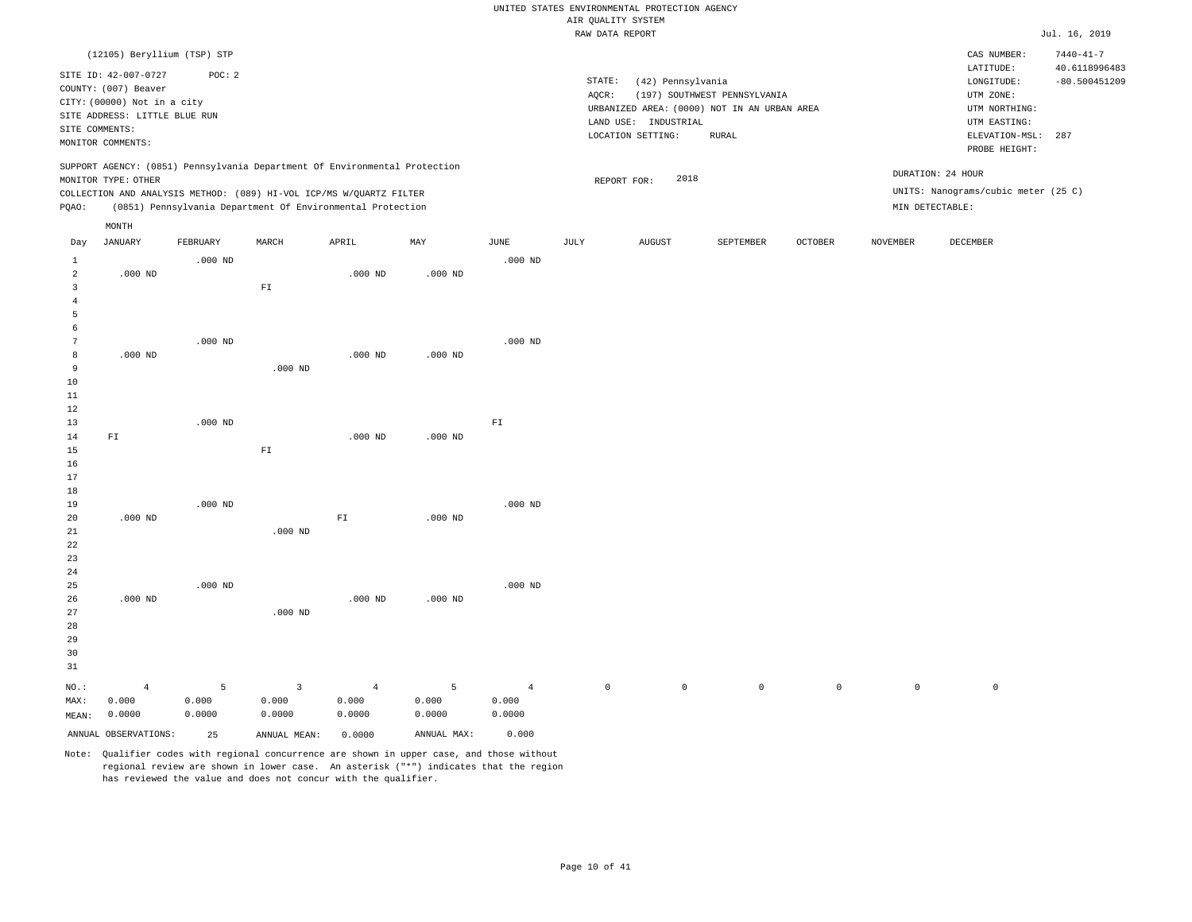## UNITED STATES ENVIRONMENTAL PROTECTION AGENCY AIR QUALITY SYSTEM<br>PAW DATA PEDOPT

|                                  |                                                                                                                                |                 |                                                                            |                 |                 |                 | RAW DATA REPORT     |                                                                |                                                                                              |         |          |                                                                            | Jul. 16, 2019                    |
|----------------------------------|--------------------------------------------------------------------------------------------------------------------------------|-----------------|----------------------------------------------------------------------------|-----------------|-----------------|-----------------|---------------------|----------------------------------------------------------------|----------------------------------------------------------------------------------------------|---------|----------|----------------------------------------------------------------------------|----------------------------------|
|                                  | (12105) Beryllium (TSP) STP                                                                                                    |                 |                                                                            |                 |                 |                 |                     |                                                                |                                                                                              |         |          | CAS NUMBER:<br>LATITUDE:                                                   | $7440 - 41 - 7$<br>40.6118996483 |
|                                  | SITE ID: 42-007-0727<br>COUNTY: (007) Beaver<br>CITY: (00000) Not in a city<br>SITE ADDRESS: LITTLE BLUE RUN<br>SITE COMMENTS: | POC: 2          |                                                                            |                 |                 |                 | STATE:<br>AQCR:     | (42) Pennsylvania<br>LAND USE: INDUSTRIAL<br>LOCATION SETTING: | (197) SOUTHWEST PENNSYLVANIA<br>URBANIZED AREA: (0000) NOT IN AN URBAN AREA<br>${\tt RURAL}$ |         |          | LONGITUDE:<br>UTM ZONE:<br>UTM NORTHING:<br>UTM EASTING:<br>ELEVATION-MSL: | $-80.500451209$<br>287           |
|                                  | MONITOR COMMENTS:                                                                                                              |                 |                                                                            |                 |                 |                 |                     |                                                                |                                                                                              |         |          | PROBE HEIGHT:                                                              |                                  |
|                                  | MONITOR TYPE: OTHER                                                                                                            |                 | SUPPORT AGENCY: (0851) Pennsylvania Department Of Environmental Protection |                 |                 |                 |                     | 2018<br>REPORT FOR:                                            |                                                                                              |         |          | DURATION: 24 HOUR                                                          |                                  |
|                                  |                                                                                                                                |                 | COLLECTION AND ANALYSIS METHOD: (089) HI-VOL ICP/MS W/QUARTZ FILTER        |                 |                 |                 |                     |                                                                |                                                                                              |         |          | UNITS: Nanograms/cubic meter (25 C)                                        |                                  |
| PQAO:                            |                                                                                                                                |                 | (0851) Pennsylvania Department Of Environmental Protection                 |                 |                 |                 |                     |                                                                |                                                                                              |         |          | MIN DETECTABLE:                                                            |                                  |
|                                  | MONTH                                                                                                                          |                 |                                                                            |                 |                 |                 |                     |                                                                |                                                                                              |         |          |                                                                            |                                  |
| Day                              | JANUARY                                                                                                                        | FEBRUARY        | MARCH                                                                      | APRIL           | MAY             | JUNE            | JULY                | <b>AUGUST</b>                                                  | SEPTEMBER                                                                                    | OCTOBER | NOVEMBER | DECEMBER                                                                   |                                  |
| $\mathbf{1}$                     |                                                                                                                                | $.000$ ND       |                                                                            |                 |                 | $.000$ ND       |                     |                                                                |                                                                                              |         |          |                                                                            |                                  |
| $\overline{a}$<br>$\overline{3}$ | $.000$ ND                                                                                                                      |                 |                                                                            | $.000$ ND       | $.000$ ND       |                 |                     |                                                                |                                                                                              |         |          |                                                                            |                                  |
| $\overline{4}$                   |                                                                                                                                |                 | ${\rm FT}$                                                                 |                 |                 |                 |                     |                                                                |                                                                                              |         |          |                                                                            |                                  |
| 5                                |                                                                                                                                |                 |                                                                            |                 |                 |                 |                     |                                                                |                                                                                              |         |          |                                                                            |                                  |
| 6                                |                                                                                                                                |                 |                                                                            |                 |                 |                 |                     |                                                                |                                                                                              |         |          |                                                                            |                                  |
| $7\phantom{.0}$                  |                                                                                                                                | $.000$ ND       |                                                                            |                 |                 | $.000$ ND       |                     |                                                                |                                                                                              |         |          |                                                                            |                                  |
| 8<br>9                           | $.000$ ND                                                                                                                      |                 |                                                                            | $.000$ ND       | $.000$ ND       |                 |                     |                                                                |                                                                                              |         |          |                                                                            |                                  |
| 10                               |                                                                                                                                |                 | $.000$ ND                                                                  |                 |                 |                 |                     |                                                                |                                                                                              |         |          |                                                                            |                                  |
| 11                               |                                                                                                                                |                 |                                                                            |                 |                 |                 |                     |                                                                |                                                                                              |         |          |                                                                            |                                  |
| 12                               |                                                                                                                                |                 |                                                                            |                 |                 |                 |                     |                                                                |                                                                                              |         |          |                                                                            |                                  |
| 13                               |                                                                                                                                | $.000$ ND       |                                                                            |                 |                 | ${\rm F\,I}$    |                     |                                                                |                                                                                              |         |          |                                                                            |                                  |
| 14                               | ${\rm F\,I}$                                                                                                                   |                 |                                                                            | $.000$ ND       | $.000$ ND       |                 |                     |                                                                |                                                                                              |         |          |                                                                            |                                  |
| 15<br>16                         |                                                                                                                                |                 | ${\rm FT}$                                                                 |                 |                 |                 |                     |                                                                |                                                                                              |         |          |                                                                            |                                  |
| 17                               |                                                                                                                                |                 |                                                                            |                 |                 |                 |                     |                                                                |                                                                                              |         |          |                                                                            |                                  |
| 18                               |                                                                                                                                |                 |                                                                            |                 |                 |                 |                     |                                                                |                                                                                              |         |          |                                                                            |                                  |
| 19                               |                                                                                                                                | $.000$ ND       |                                                                            |                 |                 | $.000$ ND       |                     |                                                                |                                                                                              |         |          |                                                                            |                                  |
| 20<br>21                         | $.000$ ND                                                                                                                      |                 | $.000$ ND                                                                  | ${\rm FT}$      | $.000$ ND       |                 |                     |                                                                |                                                                                              |         |          |                                                                            |                                  |
| 22                               |                                                                                                                                |                 |                                                                            |                 |                 |                 |                     |                                                                |                                                                                              |         |          |                                                                            |                                  |
| 23                               |                                                                                                                                |                 |                                                                            |                 |                 |                 |                     |                                                                |                                                                                              |         |          |                                                                            |                                  |
| 24                               |                                                                                                                                |                 |                                                                            |                 |                 |                 |                     |                                                                |                                                                                              |         |          |                                                                            |                                  |
| 25                               |                                                                                                                                | $.000$ ND       |                                                                            | $.000$ ND       |                 | $.000$ ND       |                     |                                                                |                                                                                              |         |          |                                                                            |                                  |
| 26<br>27                         | $.000$ ND                                                                                                                      |                 | $.000$ ND                                                                  |                 | $.000$ ND       |                 |                     |                                                                |                                                                                              |         |          |                                                                            |                                  |
| 28                               |                                                                                                                                |                 |                                                                            |                 |                 |                 |                     |                                                                |                                                                                              |         |          |                                                                            |                                  |
| 29                               |                                                                                                                                |                 |                                                                            |                 |                 |                 |                     |                                                                |                                                                                              |         |          |                                                                            |                                  |
| 30                               |                                                                                                                                |                 |                                                                            |                 |                 |                 |                     |                                                                |                                                                                              |         |          |                                                                            |                                  |
| 31                               |                                                                                                                                |                 |                                                                            |                 |                 |                 |                     |                                                                |                                                                                              |         |          |                                                                            |                                  |
| NO.:                             | $\overline{4}$                                                                                                                 | 5               | $\overline{3}$                                                             | $\overline{4}$  | 5               | $\overline{4}$  | $\mathsf{O}\xspace$ | $\circ$                                                        | $\circ$                                                                                      | $\circ$ | $\circ$  | $\mathbb O$                                                                |                                  |
| MAX:                             | 0.000<br>0.0000                                                                                                                | 0.000<br>0.0000 | 0.000<br>0.0000                                                            | 0.000<br>0.0000 | 0.000<br>0.0000 | 0.000<br>0.0000 |                     |                                                                |                                                                                              |         |          |                                                                            |                                  |
| MEAN:                            |                                                                                                                                |                 |                                                                            |                 |                 |                 |                     |                                                                |                                                                                              |         |          |                                                                            |                                  |
|                                  | ANNUAL OBSERVATIONS:                                                                                                           | 25              | ANNUAL MEAN:                                                               | 0.0000          | ANNUAL MAX:     | 0.000           |                     |                                                                |                                                                                              |         |          |                                                                            |                                  |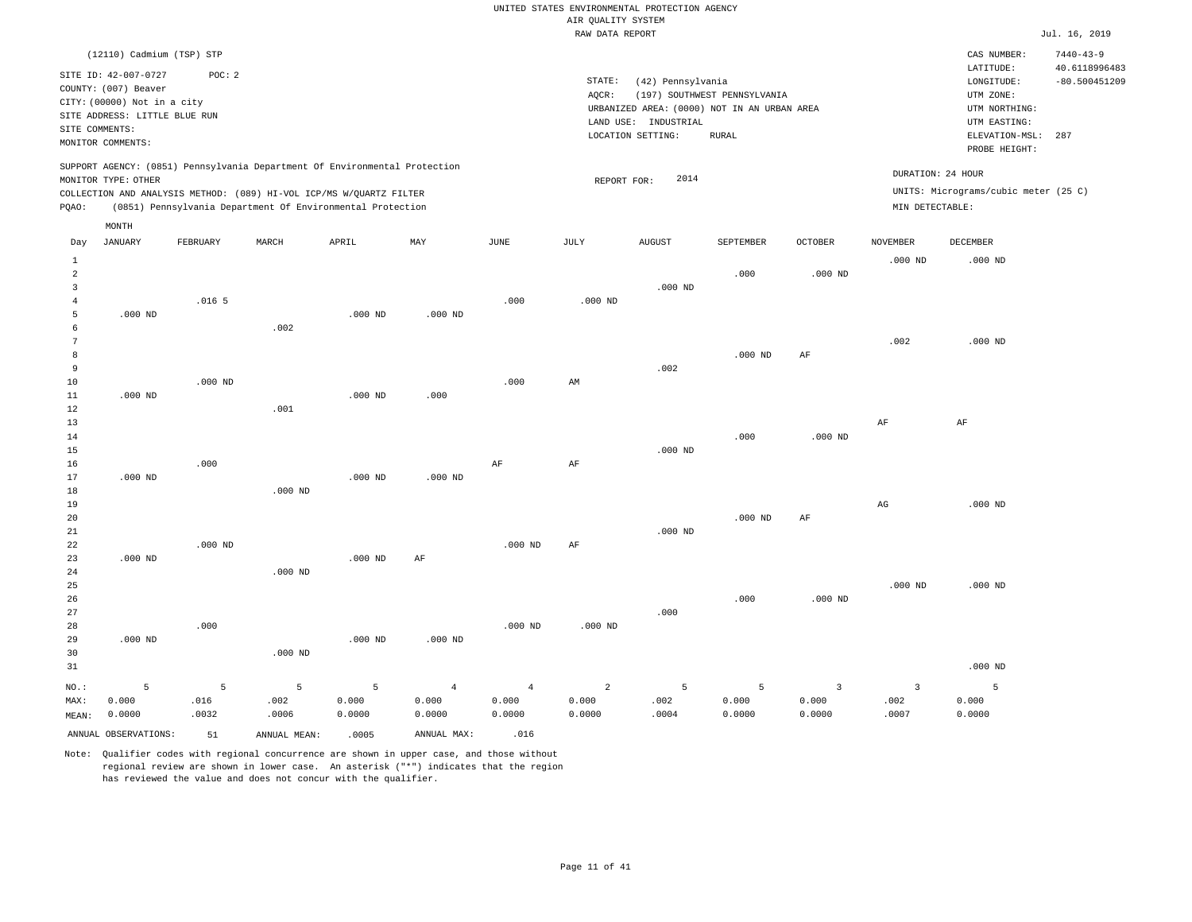|                                              |                                                                                                                                                                          |                    |                                                            |                        |                                   |                                   | ----- ------ ---- ----            |                                                                                                               |                                              |                                            |                                      |                                                                                                          |                                         |
|----------------------------------------------|--------------------------------------------------------------------------------------------------------------------------------------------------------------------------|--------------------|------------------------------------------------------------|------------------------|-----------------------------------|-----------------------------------|-----------------------------------|---------------------------------------------------------------------------------------------------------------|----------------------------------------------|--------------------------------------------|--------------------------------------|----------------------------------------------------------------------------------------------------------|-----------------------------------------|
|                                              | (12110) Cadmium (TSP) STP                                                                                                                                                |                    |                                                            |                        |                                   |                                   |                                   |                                                                                                               |                                              |                                            |                                      | CAS NUMBER:                                                                                              | $7440 - 43 - 9$                         |
|                                              | SITE ID: 42-007-0727<br>COUNTY: (007) Beaver<br>CITY: (00000) Not in a city<br>SITE ADDRESS: LITTLE BLUE RUN<br>SITE COMMENTS:<br>MONITOR COMMENTS:                      | POC: 2             |                                                            |                        |                                   |                                   | STATE:<br>AQCR:                   | (42) Pennsylvania<br>URBANIZED AREA: (0000) NOT IN AN URBAN AREA<br>LAND USE: INDUSTRIAL<br>LOCATION SETTING: | (197) SOUTHWEST PENNSYLVANIA<br><b>RURAL</b> |                                            |                                      | LATITUDE:<br>LONGITUDE:<br>UTM ZONE:<br>UTM NORTHING:<br>UTM EASTING:<br>ELEVATION-MSL:<br>PROBE HEIGHT: | 40.6118996483<br>$-80.500451209$<br>287 |
| PQAO:                                        | SUPPORT AGENCY: (0851) Pennsylvania Department Of Environmental Protection<br>MONITOR TYPE: OTHER<br>COLLECTION AND ANALYSIS METHOD: (089) HI-VOL ICP/MS W/QUARTZ FILTER |                    | (0851) Pennsylvania Department Of Environmental Protection |                        |                                   |                                   | REPORT FOR:                       | 2014                                                                                                          |                                              |                                            | DURATION: 24 HOUR<br>MIN DETECTABLE: | UNITS: Micrograms/cubic meter (25 C)                                                                     |                                         |
|                                              | MONTH                                                                                                                                                                    |                    |                                                            |                        |                                   |                                   |                                   |                                                                                                               |                                              |                                            |                                      |                                                                                                          |                                         |
| Day                                          | <b>JANUARY</b>                                                                                                                                                           | FEBRUARY           | MARCH                                                      | APRIL                  | MAY                               | JUNE                              | JULY                              | <b>AUGUST</b>                                                                                                 | SEPTEMBER                                    | OCTOBER                                    | <b>NOVEMBER</b>                      | DECEMBER                                                                                                 |                                         |
| $\mathbf{1}$<br>$\sqrt{2}$<br>$\overline{3}$ |                                                                                                                                                                          |                    |                                                            |                        |                                   |                                   |                                   | $.000$ ND                                                                                                     | .000                                         | $.000$ ND                                  | $.000$ ND                            | $.000$ ND                                                                                                |                                         |
| $\overline{4}$<br>5<br>6                     | $.000$ ND                                                                                                                                                                | .016 <sub>5</sub>  | .002                                                       | $.000$ ND              | $.000$ ND                         | .000                              | $.000$ ND                         |                                                                                                               |                                              |                                            |                                      |                                                                                                          |                                         |
| 7<br>8<br>9                                  |                                                                                                                                                                          |                    |                                                            |                        |                                   |                                   |                                   | .002                                                                                                          | $.000$ ND                                    | AF                                         | .002                                 | $.000$ ND                                                                                                |                                         |
| 10<br>$11\,$<br>$1\,2$                       | $.000$ ND                                                                                                                                                                | $.000$ ND          | .001                                                       | $.000$ ND              | .000                              | .000                              | AM                                |                                                                                                               |                                              |                                            |                                      |                                                                                                          |                                         |
| 13<br>14<br>15                               |                                                                                                                                                                          |                    |                                                            |                        |                                   |                                   |                                   | $.000$ ND                                                                                                     | .000                                         | $.000$ ND                                  | $\rm{AF}$                            | AF                                                                                                       |                                         |
| 16<br>17<br>18                               | $.000$ ND                                                                                                                                                                | .000               | $.000$ ND                                                  | $.000$ ND              | $.000$ ND                         | AF                                | AF                                |                                                                                                               |                                              |                                            |                                      |                                                                                                          |                                         |
| 19<br>20<br>21<br>22                         |                                                                                                                                                                          | $.000$ ND          |                                                            |                        |                                   | $.000$ ND                         | AF                                | $.000$ ND                                                                                                     | $.000$ ND                                    | AF                                         | $_{\rm AG}$                          | $.000$ ND                                                                                                |                                         |
| 23<br>24<br>25                               | $.000$ ND                                                                                                                                                                |                    | $.000$ ND                                                  | $.000$ ND              | AF                                |                                   |                                   |                                                                                                               |                                              |                                            | $.000$ ND                            | $.000$ ND                                                                                                |                                         |
| 26<br>27<br>28                               |                                                                                                                                                                          | .000               |                                                            |                        |                                   | $.000$ ND                         | $.000$ ND                         | .000                                                                                                          | .000                                         | $.000$ ND                                  |                                      |                                                                                                          |                                         |
| 29<br>30<br>31                               | $.000$ ND                                                                                                                                                                |                    | $.000$ ND                                                  | $.000$ ND              | $.000$ ND                         |                                   |                                   |                                                                                                               |                                              |                                            |                                      | $.000$ ND                                                                                                |                                         |
| NO.:<br>MAX:<br>MEAN:                        | 5<br>0.000<br>0.0000                                                                                                                                                     | 5<br>.016<br>.0032 | 5<br>.002<br>.0006                                         | - 5<br>0.000<br>0.0000 | $\overline{4}$<br>0.000<br>0.0000 | $\overline{4}$<br>0.000<br>0.0000 | $\overline{a}$<br>0.000<br>0.0000 | 5<br>.002<br>.0004                                                                                            | 5<br>0.000<br>0.0000                         | $\overline{\mathbf{3}}$<br>0.000<br>0.0000 | $\overline{3}$<br>.002<br>.0007      | 5<br>0.000<br>0.0000                                                                                     |                                         |
|                                              | ANNUAL OBSERVATIONS:                                                                                                                                                     | 51                 | ANNUAL MEAN:                                               | .0005                  | ANNUAL MAX:                       | .016                              |                                   |                                                                                                               |                                              |                                            |                                      |                                                                                                          |                                         |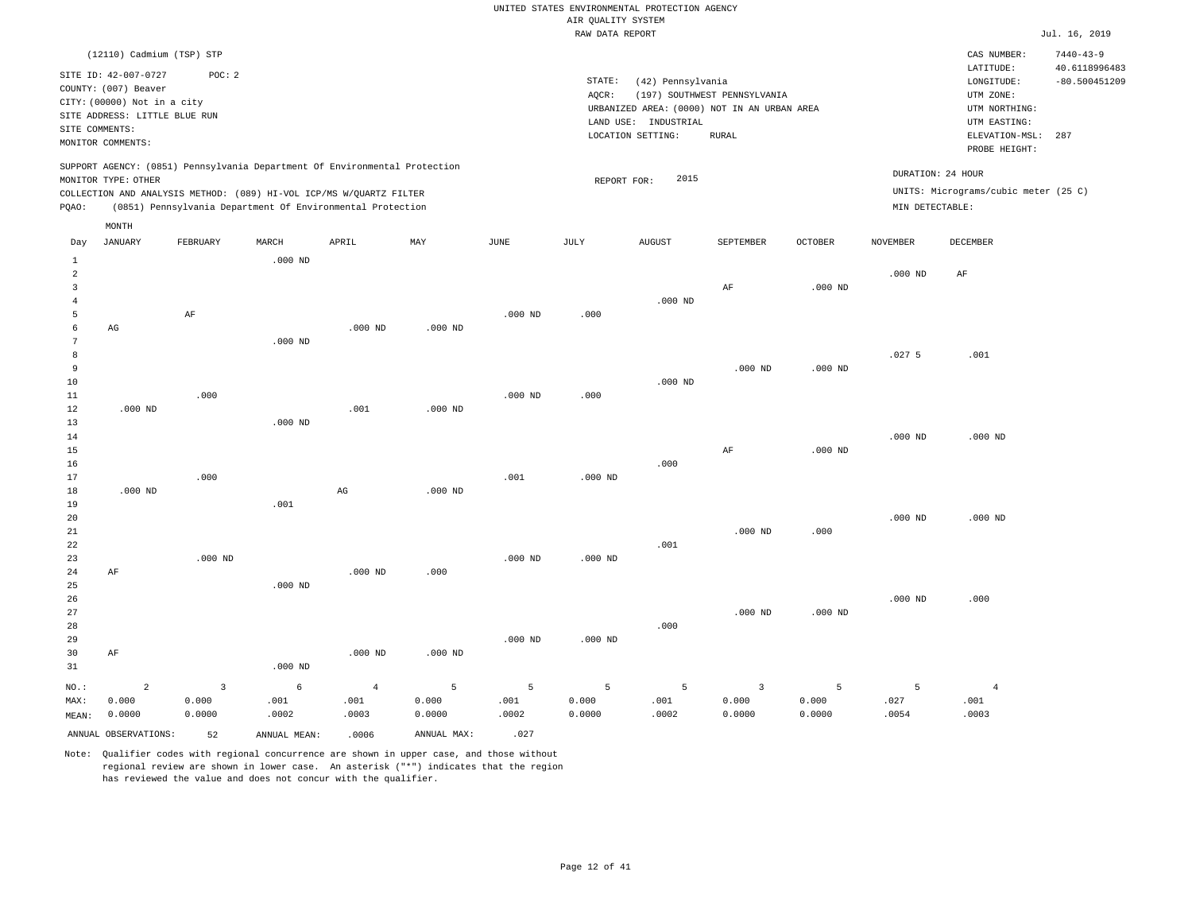|                |                               |                |                                                                            |                |           |             | RAW DATA REPORT |                                             |                              |                |                   |                                      | Jul. 16, 2019                    |
|----------------|-------------------------------|----------------|----------------------------------------------------------------------------|----------------|-----------|-------------|-----------------|---------------------------------------------|------------------------------|----------------|-------------------|--------------------------------------|----------------------------------|
|                | (12110) Cadmium (TSP) STP     |                |                                                                            |                |           |             |                 |                                             |                              |                |                   | CAS NUMBER:<br>LATITUDE:             | $7440 - 43 - 9$<br>40.6118996483 |
|                | SITE ID: 42-007-0727          | POC: 2         |                                                                            |                |           |             | STATE:          | (42) Pennsylvania                           |                              |                |                   | LONGITUDE:                           | $-80.500451209$                  |
|                | COUNTY: (007) Beaver          |                |                                                                            |                |           |             | AQCR:           |                                             | (197) SOUTHWEST PENNSYLVANIA |                |                   | UTM ZONE:                            |                                  |
|                | CITY: (00000) Not in a city   |                |                                                                            |                |           |             |                 | URBANIZED AREA: (0000) NOT IN AN URBAN AREA |                              |                |                   | UTM NORTHING:                        |                                  |
|                | SITE ADDRESS: LITTLE BLUE RUN |                |                                                                            |                |           |             |                 | LAND USE: INDUSTRIAL                        |                              |                |                   | UTM EASTING:                         |                                  |
| SITE COMMENTS: |                               |                |                                                                            |                |           |             |                 | LOCATION SETTING:                           | <b>RURAL</b>                 |                |                   | ELEVATION-MSL:                       | 287                              |
|                | MONITOR COMMENTS:             |                |                                                                            |                |           |             |                 |                                             |                              |                |                   | PROBE HEIGHT:                        |                                  |
|                |                               |                | SUPPORT AGENCY: (0851) Pennsylvania Department Of Environmental Protection |                |           |             |                 |                                             |                              |                | DURATION: 24 HOUR |                                      |                                  |
|                | MONITOR TYPE: OTHER           |                |                                                                            |                |           |             | REPORT FOR:     | 2015                                        |                              |                |                   |                                      |                                  |
|                |                               |                | COLLECTION AND ANALYSIS METHOD: (089) HI-VOL ICP/MS W/QUARTZ FILTER        |                |           |             |                 |                                             |                              |                |                   | UNITS: Micrograms/cubic meter (25 C) |                                  |
| PQAO:          |                               |                | (0851) Pennsylvania Department Of Environmental Protection                 |                |           |             |                 |                                             |                              |                | MIN DETECTABLE:   |                                      |                                  |
|                | MONTH                         |                |                                                                            |                |           |             |                 |                                             |                              |                |                   |                                      |                                  |
| Day            | <b>JANUARY</b>                | FEBRUARY       | MARCH                                                                      | APRIL          | MAY       | <b>JUNE</b> | <b>JULY</b>     | <b>AUGUST</b>                               | <b>SEPTEMBER</b>             | <b>OCTOBER</b> | <b>NOVEMBER</b>   | <b>DECEMBER</b>                      |                                  |
| $\mathbf{1}$   |                               |                | $.000$ ND                                                                  |                |           |             |                 |                                             |                              |                |                   |                                      |                                  |
| $\overline{a}$ |                               |                |                                                                            |                |           |             |                 |                                             |                              |                | $.000$ ND         | AF                                   |                                  |
| $\overline{3}$ |                               |                |                                                                            |                |           |             |                 |                                             | AF                           | $.000$ ND      |                   |                                      |                                  |
| 4              |                               |                |                                                                            |                |           |             |                 | $.000$ ND                                   |                              |                |                   |                                      |                                  |
| 5<br>6         | AG                            | $\rm AF$       |                                                                            |                |           | $.000$ ND   | .000            |                                             |                              |                |                   |                                      |                                  |
| 7              |                               |                | $.000$ ND                                                                  | $.000$ ND      | $.000$ ND |             |                 |                                             |                              |                |                   |                                      |                                  |
| 8              |                               |                |                                                                            |                |           |             |                 |                                             |                              |                | .0275             | .001                                 |                                  |
| 9              |                               |                |                                                                            |                |           |             |                 |                                             | $.000$ ND                    | $.000$ ND      |                   |                                      |                                  |
| 10             |                               |                |                                                                            |                |           |             |                 | $.000$ ND                                   |                              |                |                   |                                      |                                  |
| 11             |                               | .000           |                                                                            |                |           | $.000$ ND   | .000            |                                             |                              |                |                   |                                      |                                  |
| 12             | $.000$ ND                     |                |                                                                            | .001           | $.000$ ND |             |                 |                                             |                              |                |                   |                                      |                                  |
| 13             |                               |                | $.000$ ND                                                                  |                |           |             |                 |                                             |                              |                |                   |                                      |                                  |
| 14             |                               |                |                                                                            |                |           |             |                 |                                             |                              |                | $.000$ ND         | $.000$ ND                            |                                  |
| 15             |                               |                |                                                                            |                |           |             |                 |                                             | $\rm AF$                     | $.000$ ND      |                   |                                      |                                  |
| 16             |                               |                |                                                                            |                |           |             |                 | .000                                        |                              |                |                   |                                      |                                  |
| 17             | $.000$ ND                     | .000           |                                                                            |                | $.000$ ND | .001        | $.000$ ND       |                                             |                              |                |                   |                                      |                                  |
| 18<br>19       |                               |                | .001                                                                       | AG             |           |             |                 |                                             |                              |                |                   |                                      |                                  |
| 20             |                               |                |                                                                            |                |           |             |                 |                                             |                              |                | $.000$ ND         | $.000$ ND                            |                                  |
| 21             |                               |                |                                                                            |                |           |             |                 |                                             | $.000$ ND                    | .000           |                   |                                      |                                  |
| 22             |                               |                |                                                                            |                |           |             |                 | .001                                        |                              |                |                   |                                      |                                  |
| 23             |                               | $.000$ ND      |                                                                            |                |           | $.000$ ND   | $.000$ ND       |                                             |                              |                |                   |                                      |                                  |
| 24             | AF                            |                |                                                                            | $.000$ ND      | .000.     |             |                 |                                             |                              |                |                   |                                      |                                  |
| 25             |                               |                | $.000$ ND                                                                  |                |           |             |                 |                                             |                              |                |                   |                                      |                                  |
| 26             |                               |                |                                                                            |                |           |             |                 |                                             |                              |                | $.000$ ND         | .000                                 |                                  |
| 27             |                               |                |                                                                            |                |           |             |                 |                                             | $.000$ ND                    | $.000$ ND      |                   |                                      |                                  |
| 28             |                               |                |                                                                            |                |           |             |                 | .000                                        |                              |                |                   |                                      |                                  |
| 29             |                               |                |                                                                            |                |           | $.000$ ND   | $.000$ ND       |                                             |                              |                |                   |                                      |                                  |
| 30<br>31       | AF                            |                | $.000$ ND                                                                  | $.000$ ND      | $.000$ ND |             |                 |                                             |                              |                |                   |                                      |                                  |
|                |                               |                |                                                                            |                |           |             |                 |                                             |                              |                |                   |                                      |                                  |
| NO.:           | $\overline{a}$                | $\overline{3}$ | $\epsilon$                                                                 | $\overline{4}$ | 5         | 5           | 5               | 5                                           | $\overline{3}$               | 5              | 5                 | $\overline{4}$                       |                                  |
| MAX:           | 0.000                         | 0.000          | .001                                                                       | .001           | 0.000     | .001        | 0.000           | .001                                        | 0.000                        | 0.000          | .027              | .001                                 |                                  |
| MEAN:          | 0.0000                        | 0.0000         | .0002                                                                      | .0003          | 0.0000    | .0002       | 0.0000          | .0002                                       | 0.0000                       | 0.0000         | .0054             | .0003                                |                                  |

ANNUAL OBSERVATIONS: 52 ANNUAL MEAN: .0006 ANNUAL MAX: .027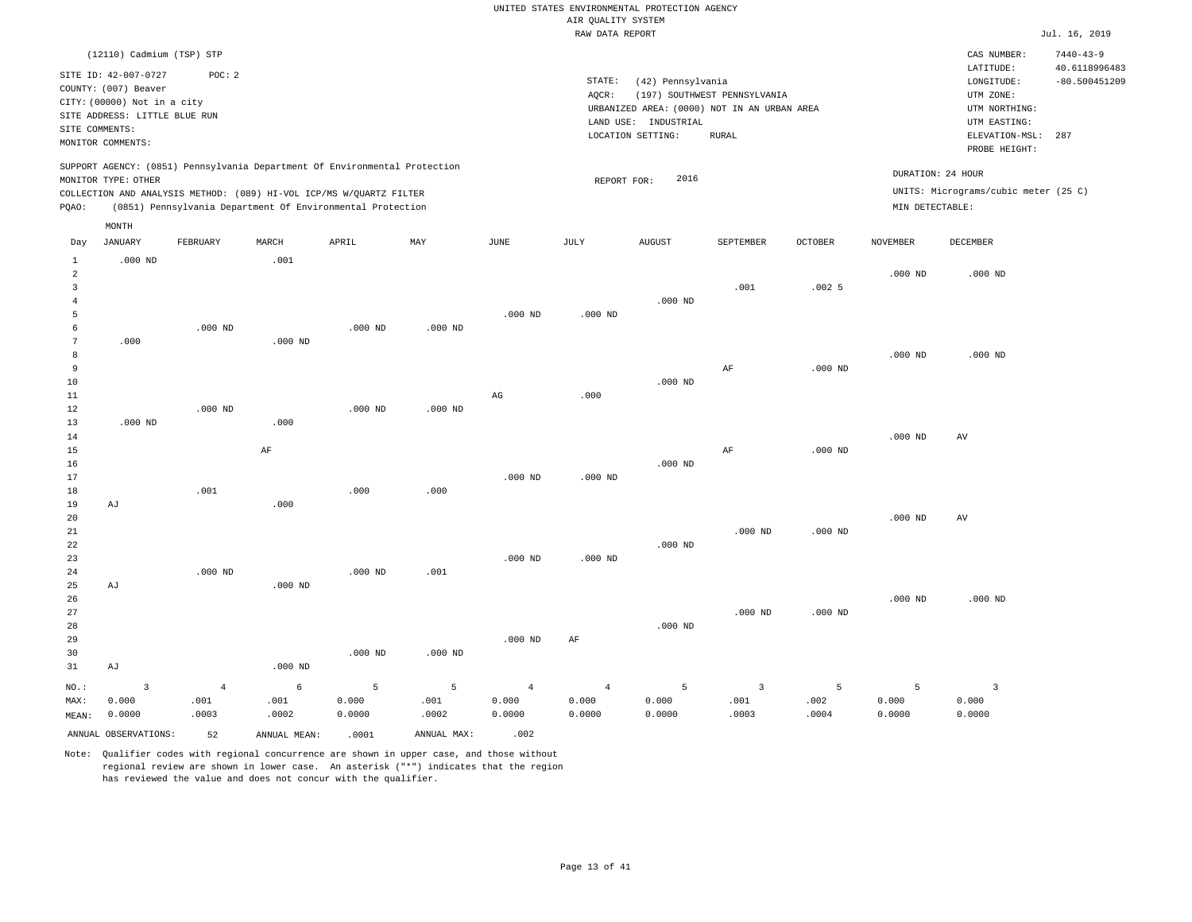|                      | (12110) Cadmium (TSP) STP     |            |              |                                                                                                                                                                                                                 |             |                |                |                      |                                             |           |                 | CAS NUMBER:                                               | $7440 - 43 - 9$ |
|----------------------|-------------------------------|------------|--------------|-----------------------------------------------------------------------------------------------------------------------------------------------------------------------------------------------------------------|-------------|----------------|----------------|----------------------|---------------------------------------------|-----------|-----------------|-----------------------------------------------------------|-----------------|
|                      | SITE ID: 42-007-0727          | POC: 2     |              |                                                                                                                                                                                                                 |             |                |                |                      |                                             |           |                 | LATITUDE:                                                 | 40.6118996483   |
|                      | COUNTY: (007) Beaver          |            |              |                                                                                                                                                                                                                 |             |                | STATE:         | (42) Pennsylvania    |                                             |           |                 | LONGITUDE:                                                | $-80.500451209$ |
|                      | CITY: (00000) Not in a city   |            |              |                                                                                                                                                                                                                 |             |                | AQCR:          |                      | (197) SOUTHWEST PENNSYLVANIA                |           |                 | UTM ZONE:                                                 |                 |
|                      | SITE ADDRESS: LITTLE BLUE RUN |            |              |                                                                                                                                                                                                                 |             |                |                |                      | URBANIZED AREA: (0000) NOT IN AN URBAN AREA |           |                 | UTM NORTHING:                                             |                 |
|                      | SITE COMMENTS:                |            |              |                                                                                                                                                                                                                 |             |                |                | LAND USE: INDUSTRIAL |                                             |           |                 | UTM EASTING:                                              |                 |
|                      | MONITOR COMMENTS:             |            |              |                                                                                                                                                                                                                 |             |                |                | LOCATION SETTING:    | <b>RURAL</b>                                |           |                 | ELEVATION-MSL:<br>PROBE HEIGHT:                           | 287             |
| PQAO:                | MONITOR TYPE: OTHER           |            |              | SUPPORT AGENCY: (0851) Pennsylvania Department Of Environmental Protection<br>COLLECTION AND ANALYSIS METHOD: (089) HI-VOL ICP/MS W/QUARTZ FILTER<br>(0851) Pennsylvania Department Of Environmental Protection |             |                | REPORT FOR:    | 2016                 |                                             |           | MIN DETECTABLE: | DURATION: 24 HOUR<br>UNITS: Micrograms/cubic meter (25 C) |                 |
|                      | MONTH                         |            |              |                                                                                                                                                                                                                 |             |                |                |                      |                                             |           |                 |                                                           |                 |
| Day                  | <b>JANUARY</b>                | FEBRUARY   | MARCH        | APRIL                                                                                                                                                                                                           | MAY         | JUNE           | JULY           | <b>AUGUST</b>        | SEPTEMBER                                   | OCTOBER   | <b>NOVEMBER</b> | DECEMBER                                                  |                 |
| $\mathbf{1}$         | $.000$ ND                     |            | .001         |                                                                                                                                                                                                                 |             |                |                |                      |                                             |           |                 |                                                           |                 |
| $\sqrt{2}$           |                               |            |              |                                                                                                                                                                                                                 |             |                |                |                      |                                             |           | $.000$ ND       | $.000$ ND                                                 |                 |
| 3                    |                               |            |              |                                                                                                                                                                                                                 |             |                |                |                      | .001                                        | .0025     |                 |                                                           |                 |
| $\overline{4}$       |                               |            |              |                                                                                                                                                                                                                 |             |                |                | $.000$ ND            |                                             |           |                 |                                                           |                 |
| 5                    |                               |            |              |                                                                                                                                                                                                                 |             | $.000$ ND      | $.000$ ND      |                      |                                             |           |                 |                                                           |                 |
| 6                    |                               | $.000$ ND  |              | $.000$ ND                                                                                                                                                                                                       | $.000$ ND   |                |                |                      |                                             |           |                 |                                                           |                 |
| $7\phantom{.0}$<br>8 | .000                          |            | $.000$ ND    |                                                                                                                                                                                                                 |             |                |                |                      |                                             |           | $.000$ ND       | $.000$ ND                                                 |                 |
| 9                    |                               |            |              |                                                                                                                                                                                                                 |             |                |                |                      | AF                                          | $.000$ ND |                 |                                                           |                 |
| 10                   |                               |            |              |                                                                                                                                                                                                                 |             |                |                | $.000$ ND            |                                             |           |                 |                                                           |                 |
| 11                   |                               |            |              |                                                                                                                                                                                                                 |             | $_{\rm AG}$    | .000           |                      |                                             |           |                 |                                                           |                 |
| 12                   |                               | $.000$ ND  |              | $.000$ ND                                                                                                                                                                                                       | $.000$ ND   |                |                |                      |                                             |           |                 |                                                           |                 |
| 13                   | $.000$ ND                     |            | .000         |                                                                                                                                                                                                                 |             |                |                |                      |                                             |           |                 |                                                           |                 |
| 14                   |                               |            |              |                                                                                                                                                                                                                 |             |                |                |                      |                                             |           | $.000$ ND       | $\mathbf{A}\mathbf{V}$                                    |                 |
| 15                   |                               |            | $\rm AF$     |                                                                                                                                                                                                                 |             |                |                |                      | AF                                          | $.000$ ND |                 |                                                           |                 |
| 16                   |                               |            |              |                                                                                                                                                                                                                 |             |                |                | $.000$ ND            |                                             |           |                 |                                                           |                 |
| 17                   |                               |            |              |                                                                                                                                                                                                                 |             | $.000$ ND      | $.000$ ND      |                      |                                             |           |                 |                                                           |                 |
| 18                   |                               | .001       |              | .000                                                                                                                                                                                                            | .000        |                |                |                      |                                             |           |                 |                                                           |                 |
| 19                   | AJ                            |            | .000         |                                                                                                                                                                                                                 |             |                |                |                      |                                             |           |                 |                                                           |                 |
| 20                   |                               |            |              |                                                                                                                                                                                                                 |             |                |                |                      |                                             |           | $.000$ ND       | AV                                                        |                 |
| 21                   |                               |            |              |                                                                                                                                                                                                                 |             |                |                |                      | $.000$ ND                                   | $.000$ ND |                 |                                                           |                 |
| 22                   |                               |            |              |                                                                                                                                                                                                                 |             |                |                | $.000$ ND            |                                             |           |                 |                                                           |                 |
| 23                   |                               |            |              |                                                                                                                                                                                                                 |             | $.000$ ND      | $.000$ ND      |                      |                                             |           |                 |                                                           |                 |
| 24                   |                               | $.000$ ND  |              | $.000$ ND                                                                                                                                                                                                       | .001        |                |                |                      |                                             |           |                 |                                                           |                 |
| 25                   | AJ                            |            | $.000$ ND    |                                                                                                                                                                                                                 |             |                |                |                      |                                             |           |                 |                                                           |                 |
| 26                   |                               |            |              |                                                                                                                                                                                                                 |             |                |                |                      |                                             |           | $.000$ ND       | $.000$ ND                                                 |                 |
| 27                   |                               |            |              |                                                                                                                                                                                                                 |             |                |                |                      | $.000$ ND                                   | $.000$ ND |                 |                                                           |                 |
| 28<br>29             |                               |            |              |                                                                                                                                                                                                                 |             | $.000$ ND      | AF             | $.000$ ND            |                                             |           |                 |                                                           |                 |
| 30                   |                               |            |              | $.000$ ND                                                                                                                                                                                                       | $.000$ ND   |                |                |                      |                                             |           |                 |                                                           |                 |
| 31                   | AJ                            |            | $.000$ ND    |                                                                                                                                                                                                                 |             |                |                |                      |                                             |           |                 |                                                           |                 |
|                      |                               |            |              |                                                                                                                                                                                                                 |             |                |                |                      |                                             |           |                 |                                                           |                 |
| NO.:                 | $\overline{3}$                | $\sqrt{4}$ | 6            | 5                                                                                                                                                                                                               | 5           | $\overline{4}$ | $\overline{4}$ | 5                    | $\overline{\mathbf{3}}$                     | 5         | 5               | $\overline{3}$                                            |                 |
| MAX:                 | 0.000                         | .001       | .001         | 0.000                                                                                                                                                                                                           | .001        | 0.000          | 0.000          | 0.000                | .001                                        | .002      | 0.000           | 0.000                                                     |                 |
| MEAN:                | 0.0000                        | .0003      | .0002        | 0.0000                                                                                                                                                                                                          | .0002       | 0.0000         | 0.0000         | 0.0000               | .0003                                       | .0004     | 0.0000          | 0.0000                                                    |                 |
|                      | ANNUAL OBSERVATIONS:          | 52         | ANNUAL MEAN: | .0001                                                                                                                                                                                                           | ANNUAL MAX: | .002           |                |                      |                                             |           |                 |                                                           |                 |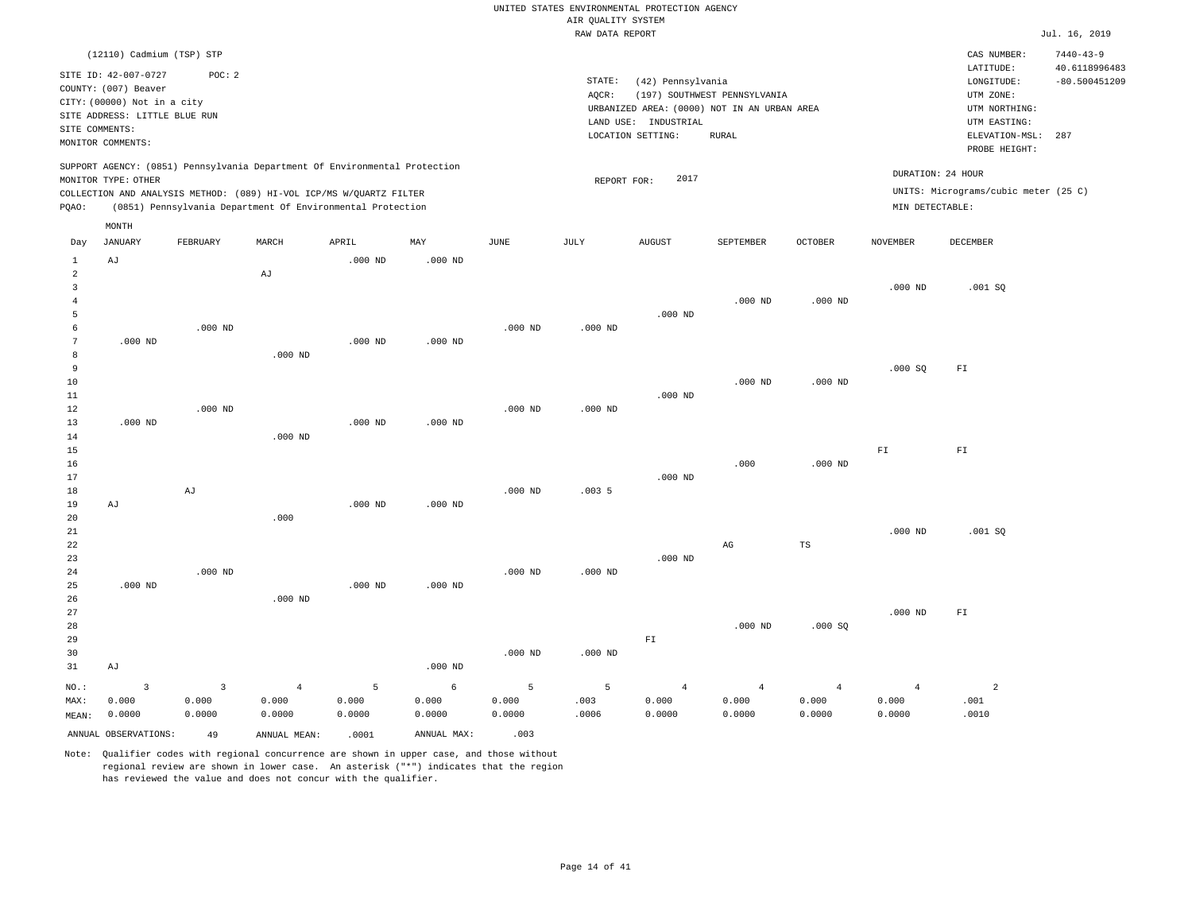|                 |                                                     |                            |                                                                            |                |             |           |                    | UNITED STATES ENVIRONMENTAL PROTECTION AGENCY |                              |                |                   |                                      |                                  |
|-----------------|-----------------------------------------------------|----------------------------|----------------------------------------------------------------------------|----------------|-------------|-----------|--------------------|-----------------------------------------------|------------------------------|----------------|-------------------|--------------------------------------|----------------------------------|
|                 |                                                     |                            |                                                                            |                |             |           | AIR QUALITY SYSTEM |                                               |                              |                |                   |                                      |                                  |
|                 |                                                     |                            |                                                                            |                |             |           | RAW DATA REPORT    |                                               |                              |                |                   |                                      | Jul. 16, 2019                    |
|                 | (12110) Cadmium (TSP) STP                           |                            |                                                                            |                |             |           |                    |                                               |                              |                |                   | CAS NUMBER:<br>LATITUDE:             | $7440 - 43 - 9$<br>40.6118996483 |
|                 | SITE ID: 42-007-0727                                | POC: 2                     |                                                                            |                |             |           | STATE:             | (42) Pennsylvania                             |                              |                |                   | LONGITUDE:                           | $-80.500451209$                  |
|                 | COUNTY: (007) Beaver<br>CITY: (00000) Not in a city |                            |                                                                            |                |             |           | AQCR:              |                                               | (197) SOUTHWEST PENNSYLVANIA |                |                   | UTM ZONE:                            |                                  |
|                 | SITE ADDRESS: LITTLE BLUE RUN                       |                            |                                                                            |                |             |           |                    | URBANIZED AREA: (0000) NOT IN AN URBAN AREA   |                              |                |                   | UTM NORTHING:                        |                                  |
| SITE COMMENTS:  |                                                     |                            |                                                                            |                |             |           |                    | LAND USE: INDUSTRIAL                          |                              |                |                   | UTM EASTING:                         |                                  |
|                 | MONITOR COMMENTS:                                   |                            |                                                                            |                |             |           |                    | LOCATION SETTING:                             | <b>RURAL</b>                 |                |                   | ELEVATION-MSL:<br>PROBE HEIGHT:      | 287                              |
|                 |                                                     |                            | SUPPORT AGENCY: (0851) Pennsylvania Department Of Environmental Protection |                |             |           |                    |                                               |                              |                | DURATION: 24 HOUR |                                      |                                  |
|                 | MONITOR TYPE: OTHER                                 |                            |                                                                            |                |             |           | REPORT FOR:        | 2017                                          |                              |                |                   |                                      |                                  |
|                 |                                                     |                            | COLLECTION AND ANALYSIS METHOD: (089) HI-VOL ICP/MS W/QUARTZ FILTER        |                |             |           |                    |                                               |                              |                |                   | UNITS: Micrograms/cubic meter (25 C) |                                  |
| PQAO:           | MONTH                                               |                            | (0851) Pennsylvania Department Of Environmental Protection                 |                |             |           |                    |                                               |                              |                | MIN DETECTABLE:   |                                      |                                  |
| Day             | <b>JANUARY</b>                                      | FEBRUARY                   | MARCH                                                                      | APRIL          | MAY         | JUNE      | JULY               | <b>AUGUST</b>                                 | SEPTEMBER                    | <b>OCTOBER</b> | <b>NOVEMBER</b>   | DECEMBER                             |                                  |
| $\mathbf{1}$    | AJ                                                  |                            |                                                                            | $.000$ ND      | $.000$ ND   |           |                    |                                               |                              |                |                   |                                      |                                  |
| $\overline{a}$  |                                                     |                            | AJ                                                                         |                |             |           |                    |                                               |                              |                |                   |                                      |                                  |
| $\overline{3}$  |                                                     |                            |                                                                            |                |             |           |                    |                                               |                              |                | $.000$ ND         | .001SQ                               |                                  |
| $\overline{4}$  |                                                     |                            |                                                                            |                |             |           |                    |                                               | $.000$ ND                    | $.000$ ND      |                   |                                      |                                  |
| 5               |                                                     |                            |                                                                            |                |             |           |                    | $.000$ ND                                     |                              |                |                   |                                      |                                  |
| 6               |                                                     | $.000$ ND                  |                                                                            |                |             | $.000$ ND | $.000$ ND          |                                               |                              |                |                   |                                      |                                  |
| $7\phantom{.0}$ | $.000$ ND                                           |                            |                                                                            | $.000$ ND      | $.000$ ND   |           |                    |                                               |                              |                |                   |                                      |                                  |
| 8               |                                                     |                            | $.000$ ND                                                                  |                |             |           |                    |                                               |                              |                |                   |                                      |                                  |
| 9               |                                                     |                            |                                                                            |                |             |           |                    |                                               |                              |                | .000SQ            | ${\rm F\,I}$                         |                                  |
| 10              |                                                     |                            |                                                                            |                |             |           |                    | $.000$ ND                                     | $.000$ ND                    | $.000$ ND      |                   |                                      |                                  |
| 11<br>12        |                                                     | $.000$ ND                  |                                                                            |                |             | $.000$ ND | $.000$ ND          |                                               |                              |                |                   |                                      |                                  |
| 13              | $.000$ ND                                           |                            |                                                                            | $.000$ ND      | $.000$ ND   |           |                    |                                               |                              |                |                   |                                      |                                  |
| 14              |                                                     |                            | $.000$ ND                                                                  |                |             |           |                    |                                               |                              |                |                   |                                      |                                  |
| 15              |                                                     |                            |                                                                            |                |             |           |                    |                                               |                              |                | ${\rm F\,I}$      | ${\rm F\,I}$                         |                                  |
| 16              |                                                     |                            |                                                                            |                |             |           |                    |                                               | .000                         | $.000$ ND      |                   |                                      |                                  |
| 17              |                                                     |                            |                                                                            |                |             |           |                    | $.000$ ND                                     |                              |                |                   |                                      |                                  |
| 18              |                                                     | $\mathop{\rm Ad}\nolimits$ |                                                                            |                |             | $.000$ ND | .0035              |                                               |                              |                |                   |                                      |                                  |
| 19              | AJ                                                  |                            |                                                                            | $.000$ ND      | $.000$ ND   |           |                    |                                               |                              |                |                   |                                      |                                  |
| 20              |                                                     |                            | .000                                                                       |                |             |           |                    |                                               |                              |                |                   |                                      |                                  |
| $2\sqrt{1}$     |                                                     |                            |                                                                            |                |             |           |                    |                                               |                              |                | $.000$ ND         | .001SQ                               |                                  |
| 22              |                                                     |                            |                                                                            |                |             |           |                    |                                               | $_{\rm AG}$                  | $_{\rm TS}$    |                   |                                      |                                  |
| 23              |                                                     |                            |                                                                            |                |             |           |                    | $.000$ ND                                     |                              |                |                   |                                      |                                  |
| 24              |                                                     | $.000$ ND                  |                                                                            |                |             | $.000$ ND | $.000$ ND          |                                               |                              |                |                   |                                      |                                  |
| 25              | $.000$ ND                                           |                            |                                                                            | $.000$ ND      | $.000$ ND   |           |                    |                                               |                              |                |                   |                                      |                                  |
| 26<br>27        |                                                     |                            | $.000$ ND                                                                  |                |             |           |                    |                                               |                              |                |                   |                                      |                                  |
| 28              |                                                     |                            |                                                                            |                |             |           |                    |                                               | $.000$ ND                    | .000SQ         | $.000$ ND         | ${\rm F\,I}$                         |                                  |
| 29              |                                                     |                            |                                                                            |                |             |           |                    | ${\rm F\,I}$                                  |                              |                |                   |                                      |                                  |
| 30              |                                                     |                            |                                                                            |                |             | $.000$ ND | $.000$ ND          |                                               |                              |                |                   |                                      |                                  |
| 31              | AJ                                                  |                            |                                                                            |                | $.000$ ND   |           |                    |                                               |                              |                |                   |                                      |                                  |
| NO.:            | $\overline{\mathbf{3}}$                             | 3                          | $\overline{4}$                                                             | $\overline{5}$ | $\epsilon$  | 5         | 5                  | $\overline{4}$                                | $\overline{4}$               | $\overline{4}$ | $\overline{4}$    | $\overline{a}$                       |                                  |
| MAX:            | 0.000                                               | 0.000                      | 0.000                                                                      | 0.000          | 0.000       | 0.000     | .003               | 0.000                                         | 0.000                        | 0.000          | 0.000             | .001                                 |                                  |
| MEAN:           | 0.0000                                              | 0.0000                     | 0.0000                                                                     | 0.0000         | 0.0000      | 0.0000    | .0006              | 0.0000                                        | 0.0000                       | 0.0000         | 0.0000            | .0010                                |                                  |
|                 |                                                     |                            |                                                                            |                |             |           |                    |                                               |                              |                |                   |                                      |                                  |
|                 | ANNUAL OBSERVATIONS:                                | 49                         | ANNUAL, MEAN:                                                              | .0001          | ANNUAL MAX: | .003      |                    |                                               |                              |                |                   |                                      |                                  |

Note: Qualifier codes with regional concurrence are shown in upper case, and those without regional review are shown in lower case. An asterisk ("\*") indicates that the region

has reviewed the value and does not concur with the qualifier.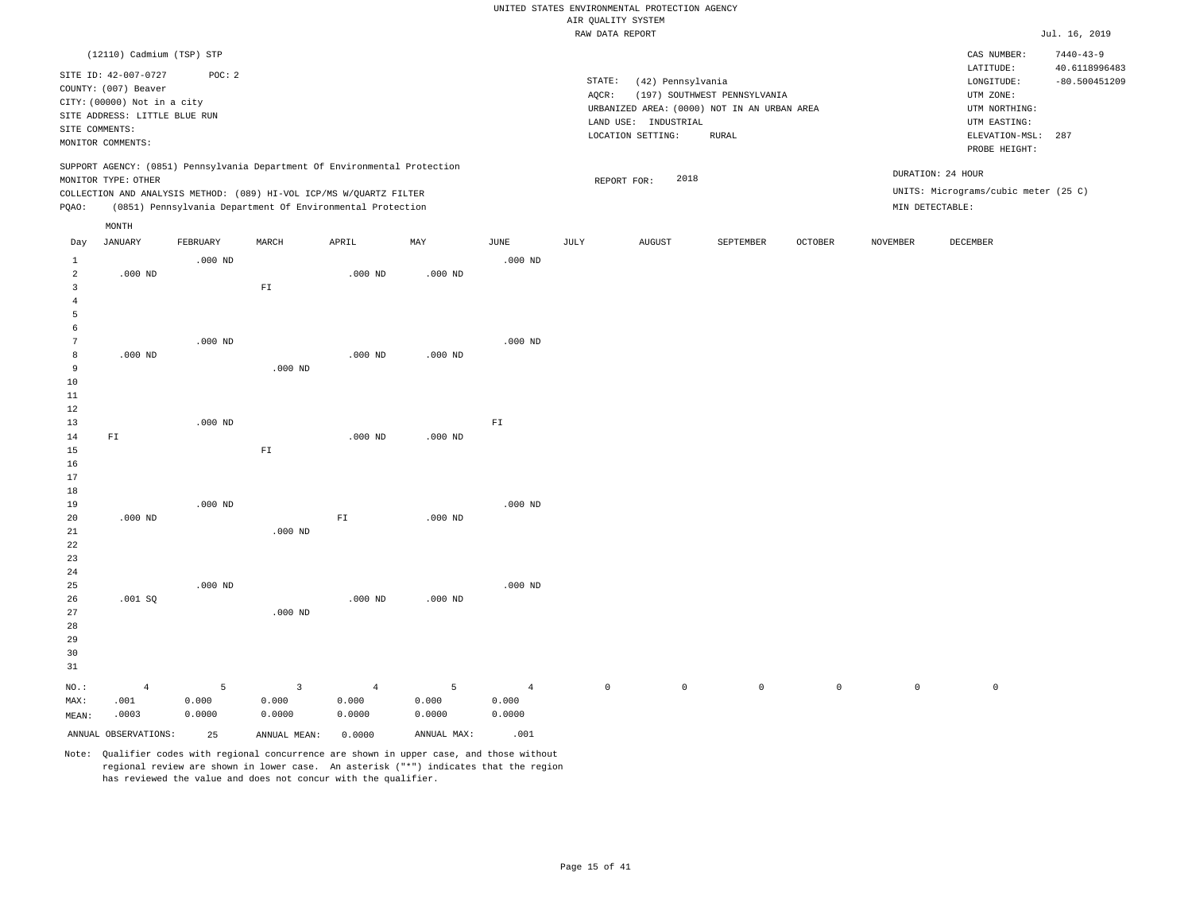|                      |                               |           |                                                                            |                |             |                | ----- ------ ---- ---- |                      |                                                                             |             |             |                                      | .               |
|----------------------|-------------------------------|-----------|----------------------------------------------------------------------------|----------------|-------------|----------------|------------------------|----------------------|-----------------------------------------------------------------------------|-------------|-------------|--------------------------------------|-----------------|
|                      | (12110) Cadmium (TSP) STP     |           |                                                                            |                |             |                |                        |                      |                                                                             |             |             | CAS NUMBER:                          | $7440 - 43 - 9$ |
|                      | SITE ID: 42-007-0727          | POC: 2    |                                                                            |                |             |                |                        |                      |                                                                             |             |             | LATITUDE:                            | 40.6118996483   |
|                      | COUNTY: (007) Beaver          |           |                                                                            |                |             |                | STATE:                 | (42) Pennsylvania    |                                                                             |             |             | LONGITUDE:                           | $-80.500451209$ |
|                      | CITY: (00000) Not in a city   |           |                                                                            |                |             |                | AQCR:                  |                      | (197) SOUTHWEST PENNSYLVANIA<br>URBANIZED AREA: (0000) NOT IN AN URBAN AREA |             |             | UTM ZONE:<br>UTM NORTHING:           |                 |
|                      | SITE ADDRESS: LITTLE BLUE RUN |           |                                                                            |                |             |                |                        | LAND USE: INDUSTRIAL |                                                                             |             |             | UTM EASTING:                         |                 |
|                      | SITE COMMENTS:                |           |                                                                            |                |             |                |                        | LOCATION SETTING:    | RURAL                                                                       |             |             | ELEVATION-MSL:                       | 287             |
|                      | MONITOR COMMENTS:             |           |                                                                            |                |             |                |                        |                      |                                                                             |             |             | PROBE HEIGHT:                        |                 |
|                      | MONITOR TYPE: OTHER           |           | SUPPORT AGENCY: (0851) Pennsylvania Department Of Environmental Protection |                |             |                |                        | 2018<br>REPORT FOR:  |                                                                             |             |             | DURATION: 24 HOUR                    |                 |
|                      |                               |           | COLLECTION AND ANALYSIS METHOD: (089) HI-VOL ICP/MS W/QUARTZ FILTER        |                |             |                |                        |                      |                                                                             |             |             | UNITS: Micrograms/cubic meter (25 C) |                 |
| PQAO:                |                               |           | (0851) Pennsylvania Department Of Environmental Protection                 |                |             |                |                        |                      |                                                                             |             |             | MIN DETECTABLE:                      |                 |
|                      | MONTH                         |           |                                                                            |                |             |                |                        |                      |                                                                             |             |             |                                      |                 |
| Day                  | JANUARY                       | FEBRUARY  | MARCH                                                                      | APRIL          | MAY         | JUNE           | JULY                   | AUGUST               | SEPTEMBER                                                                   | OCTOBER     | NOVEMBER    | DECEMBER                             |                 |
| $\mathbf{1}$         |                               | $.000$ ND |                                                                            |                |             | $.000$ ND      |                        |                      |                                                                             |             |             |                                      |                 |
| $\overline{a}$       | $.000$ ND                     |           |                                                                            | $.000$ ND      | $.000$ ND   |                |                        |                      |                                                                             |             |             |                                      |                 |
| $\overline{3}$       |                               |           | ${\rm F\,I}$                                                               |                |             |                |                        |                      |                                                                             |             |             |                                      |                 |
| $\overline{4}$       |                               |           |                                                                            |                |             |                |                        |                      |                                                                             |             |             |                                      |                 |
| 5                    |                               |           |                                                                            |                |             |                |                        |                      |                                                                             |             |             |                                      |                 |
| 6<br>$7\phantom{.0}$ |                               | $.000$ ND |                                                                            |                |             | $.000$ ND      |                        |                      |                                                                             |             |             |                                      |                 |
| 8                    | $.000$ ND                     |           |                                                                            | $.000$ ND      | $.000$ ND   |                |                        |                      |                                                                             |             |             |                                      |                 |
| 9                    |                               |           | $.000$ ND                                                                  |                |             |                |                        |                      |                                                                             |             |             |                                      |                 |
| 10                   |                               |           |                                                                            |                |             |                |                        |                      |                                                                             |             |             |                                      |                 |
| 11                   |                               |           |                                                                            |                |             |                |                        |                      |                                                                             |             |             |                                      |                 |
| 12                   |                               |           |                                                                            |                |             |                |                        |                      |                                                                             |             |             |                                      |                 |
| 13                   |                               | $.000$ ND |                                                                            |                |             | ${\rm F}1$     |                        |                      |                                                                             |             |             |                                      |                 |
| 14                   | ${\tt F1}$                    |           |                                                                            | $.000$ ND      | $.000$ ND   |                |                        |                      |                                                                             |             |             |                                      |                 |
| 15                   |                               |           | ${\rm FT}$                                                                 |                |             |                |                        |                      |                                                                             |             |             |                                      |                 |
| 16<br>17             |                               |           |                                                                            |                |             |                |                        |                      |                                                                             |             |             |                                      |                 |
| 18                   |                               |           |                                                                            |                |             |                |                        |                      |                                                                             |             |             |                                      |                 |
| 19                   |                               | $.000$ ND |                                                                            |                |             | $.000$ ND      |                        |                      |                                                                             |             |             |                                      |                 |
| 20                   | $.000$ ND                     |           |                                                                            | ${\rm F\,I}$   | $.000$ ND   |                |                        |                      |                                                                             |             |             |                                      |                 |
| 21                   |                               |           | $.000$ ND                                                                  |                |             |                |                        |                      |                                                                             |             |             |                                      |                 |
| 22                   |                               |           |                                                                            |                |             |                |                        |                      |                                                                             |             |             |                                      |                 |
| 23                   |                               |           |                                                                            |                |             |                |                        |                      |                                                                             |             |             |                                      |                 |
| 24                   |                               |           |                                                                            |                |             |                |                        |                      |                                                                             |             |             |                                      |                 |
| 25<br>26             |                               | $.000$ ND |                                                                            | $.000$ ND      | $.000$ ND   | $.000$ ND      |                        |                      |                                                                             |             |             |                                      |                 |
| 27                   | .001 SQ                       |           | $.000$ ND                                                                  |                |             |                |                        |                      |                                                                             |             |             |                                      |                 |
| 28                   |                               |           |                                                                            |                |             |                |                        |                      |                                                                             |             |             |                                      |                 |
| 29                   |                               |           |                                                                            |                |             |                |                        |                      |                                                                             |             |             |                                      |                 |
| 30                   |                               |           |                                                                            |                |             |                |                        |                      |                                                                             |             |             |                                      |                 |
| 31                   |                               |           |                                                                            |                |             |                |                        |                      |                                                                             |             |             |                                      |                 |
| NO.:                 | $\overline{4}$                | 5         | $\overline{3}$                                                             | $\overline{4}$ | 5           | $\overline{4}$ | $\mathbf{0}$           | $\mathbf{0}$         | $\circ$                                                                     | $\mathbb O$ | $\mathbb O$ | $\mathbb O$                          |                 |
| MAX:                 | .001                          | 0.000     | 0.000                                                                      | 0.000          | 0.000       | 0.000          |                        |                      |                                                                             |             |             |                                      |                 |
| MEAN:                | .0003                         | 0.0000    | 0.0000                                                                     | 0.0000         | 0.0000      | 0.0000         |                        |                      |                                                                             |             |             |                                      |                 |
|                      | ANNUAL OBSERVATIONS:          | 25        | ANNUAL MEAN:                                                               | 0.0000         | ANNUAL MAX: | .001           |                        |                      |                                                                             |             |             |                                      |                 |
|                      |                               |           |                                                                            |                |             |                |                        |                      |                                                                             |             |             |                                      |                 |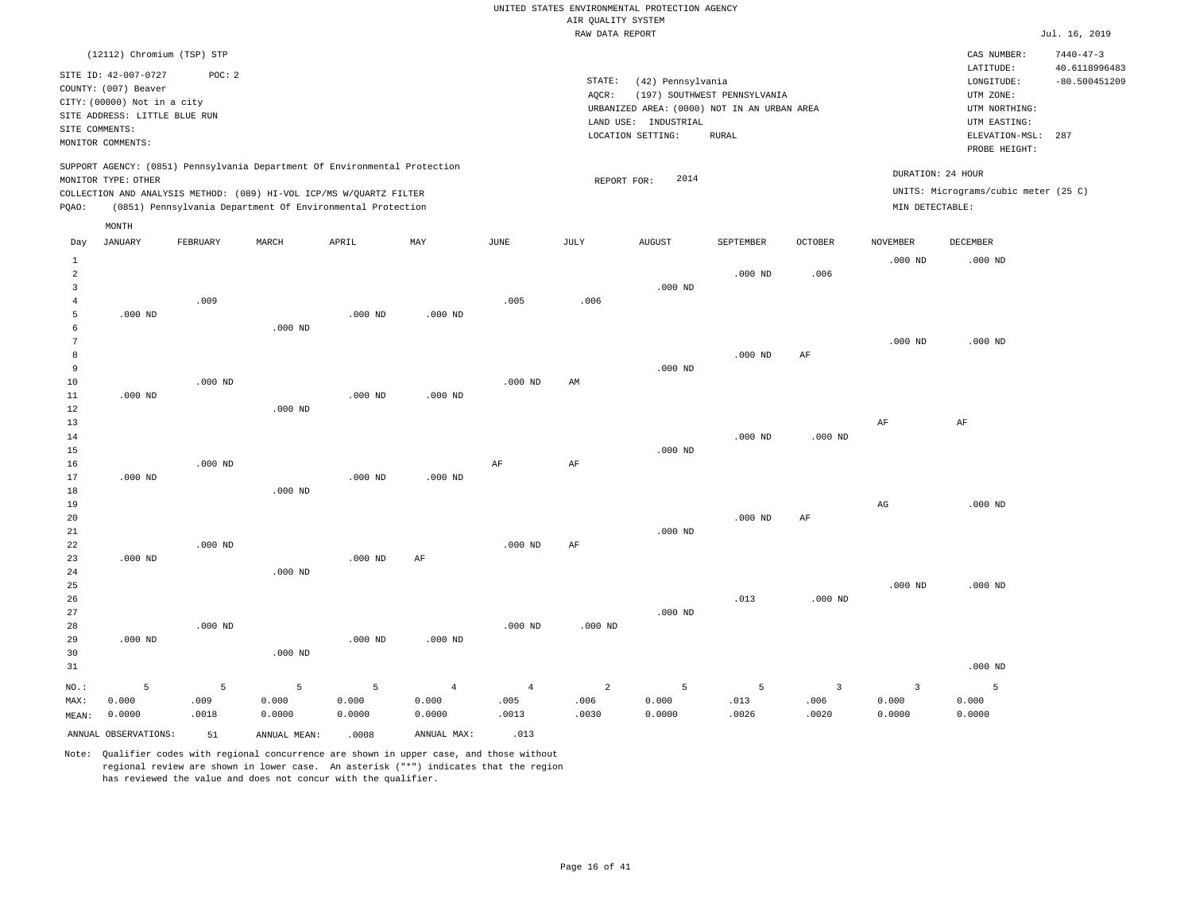|                                                            |                                                                                                                                                                          |                    |                      |                                                            |                                   |                                 | TAILE DUTTLE TIME ATLE          |                                                                |                                                                                             |                                 |                                            |                                                                                                          | 0.44.40, 201                            |
|------------------------------------------------------------|--------------------------------------------------------------------------------------------------------------------------------------------------------------------------|--------------------|----------------------|------------------------------------------------------------|-----------------------------------|---------------------------------|---------------------------------|----------------------------------------------------------------|---------------------------------------------------------------------------------------------|---------------------------------|--------------------------------------------|----------------------------------------------------------------------------------------------------------|-----------------------------------------|
|                                                            | (12112) Chromium (TSP) STP                                                                                                                                               |                    |                      |                                                            |                                   |                                 |                                 |                                                                |                                                                                             |                                 |                                            | CAS NUMBER:                                                                                              | $7440 - 47 - 3$                         |
|                                                            | SITE ID: 42-007-0727<br>COUNTY: (007) Beaver<br>CITY: (00000) Not in a city<br>SITE ADDRESS: LITTLE BLUE RUN<br>SITE COMMENTS:<br>MONITOR COMMENTS:                      | POC: 2             |                      |                                                            |                                   |                                 | STATE:<br>AQCR:                 | (42) Pennsylvania<br>LAND USE: INDUSTRIAL<br>LOCATION SETTING: | (197) SOUTHWEST PENNSYLVANIA<br>URBANIZED AREA: (0000) NOT IN AN URBAN AREA<br><b>RURAL</b> |                                 |                                            | LATITUDE:<br>LONGITUDE:<br>UTM ZONE:<br>UTM NORTHING:<br>UTM EASTING:<br>ELEVATION-MSL:<br>PROBE HEIGHT: | 40.6118996483<br>$-80.500451209$<br>287 |
| PQAO:                                                      | SUPPORT AGENCY: (0851) Pennsylvania Department Of Environmental Protection<br>MONITOR TYPE: OTHER<br>COLLECTION AND ANALYSIS METHOD: (089) HI-VOL ICP/MS W/QUARTZ FILTER |                    |                      | (0851) Pennsylvania Department Of Environmental Protection |                                   |                                 | REPORT FOR:                     | 2014                                                           |                                                                                             |                                 | DURATION: 24 HOUR<br>MIN DETECTABLE:       | UNITS: Micrograms/cubic meter (25 C)                                                                     |                                         |
|                                                            | MONTH                                                                                                                                                                    |                    |                      |                                                            |                                   |                                 |                                 |                                                                |                                                                                             |                                 |                                            |                                                                                                          |                                         |
| Day                                                        | <b>JANUARY</b>                                                                                                                                                           | FEBRUARY           | MARCH                | APRIL                                                      | $\ensuremath{\text{MAX}}$         | $_{\rm JUNE}$                   | JULY                            | <b>AUGUST</b>                                                  | SEPTEMBER                                                                                   | OCTOBER                         | <b>NOVEMBER</b>                            | DECEMBER                                                                                                 |                                         |
| $\mathbf{1}$<br>$\overline{a}$<br>3<br>$\overline{4}$<br>5 | $.000$ ND                                                                                                                                                                | .009               |                      | $.000$ ND                                                  | $.000$ ND                         | .005                            | .006                            | $.000$ ND                                                      | $.000$ ND                                                                                   | .006                            | $.000$ ND                                  | $.000$ ND                                                                                                |                                         |
| 6<br>$7\phantom{.0}$<br>8<br>9                             |                                                                                                                                                                          |                    | $.000$ ND            |                                                            |                                   |                                 |                                 | $.000$ ND                                                      | $.000$ ND                                                                                   | $\rm{AF}$                       | $.000$ ND                                  | $.000$ ND                                                                                                |                                         |
| 10<br>11<br>12<br>13                                       | $.000$ ND                                                                                                                                                                | $.000$ ND          | $.000$ ND            | $.000$ ND                                                  | $.000$ ND                         | $.000$ ND                       | AM                              |                                                                |                                                                                             |                                 | $\rm AF$                                   | $\rm AF$                                                                                                 |                                         |
| 14<br>15<br>16<br>17                                       | $.000$ ND                                                                                                                                                                | $.000$ ND          |                      | $.000$ ND                                                  | $.000$ ND                         | $\rm{AF}$                       | $\rm{AF}$                       | $.000$ ND                                                      | $.000$ ND                                                                                   | $.000$ ND                       |                                            |                                                                                                          |                                         |
| 18<br>19<br>20<br>21                                       |                                                                                                                                                                          |                    | $.000$ ND            |                                                            |                                   |                                 |                                 | $.000$ ND                                                      | $.000$ ND                                                                                   | AF                              | $_{\rm AG}$                                | $.000$ ND                                                                                                |                                         |
| 22<br>23<br>24<br>25<br>26                                 | $.000$ ND                                                                                                                                                                | $.000$ ND          | $.000$ ND            | $.000$ ND                                                  | AF                                | $.000$ ND                       | AF                              |                                                                | .013                                                                                        | $.000$ ND                       | $.000$ ND                                  | $.000$ ND                                                                                                |                                         |
| 27<br>28<br>29<br>30                                       | $.000$ ND                                                                                                                                                                | $.000$ ND          | $.000$ ND            | $.000$ ND                                                  | $.000$ ND                         | $.000$ ND                       | $.000$ ND                       | $.000$ ND                                                      |                                                                                             |                                 |                                            |                                                                                                          |                                         |
| 31                                                         |                                                                                                                                                                          |                    |                      |                                                            |                                   |                                 |                                 |                                                                |                                                                                             |                                 |                                            | $.000$ ND                                                                                                |                                         |
| NO.:<br>MAX:<br>MEAN:                                      | 5<br>0.000<br>0.0000                                                                                                                                                     | 5<br>.009<br>.0018 | 5<br>0.000<br>0.0000 | 5<br>0.000<br>0.0000                                       | $\overline{4}$<br>0.000<br>0.0000 | $\overline{4}$<br>.005<br>.0013 | $\overline{a}$<br>.006<br>.0030 | 5<br>0.000<br>0.0000                                           | 5<br>.013<br>.0026                                                                          | $\overline{3}$<br>.006<br>.0020 | $\overline{\mathbf{3}}$<br>0.000<br>0.0000 | 5<br>0.000<br>0.0000                                                                                     |                                         |
|                                                            | ANNUAL OBSERVATIONS:                                                                                                                                                     | 51                 | ANNUAL MEAN:         | .0008                                                      | ANNUAL MAX:                       | .013                            |                                 |                                                                |                                                                                             |                                 |                                            |                                                                                                          |                                         |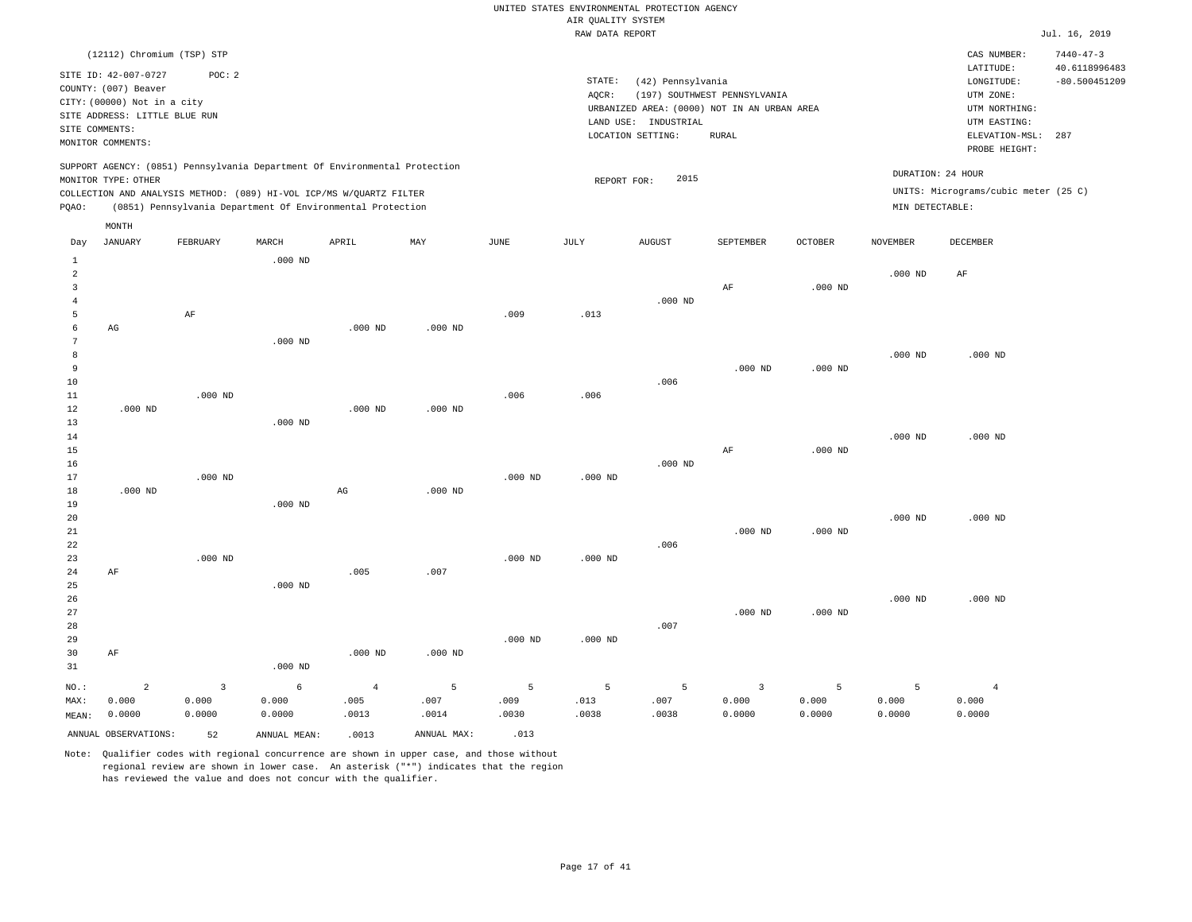|       |                               |                            |           |                                                                            |           |      | RAW DATA REPORT |                                             |                              |                |                 |                                      | Jul. 16, 2019   |
|-------|-------------------------------|----------------------------|-----------|----------------------------------------------------------------------------|-----------|------|-----------------|---------------------------------------------|------------------------------|----------------|-----------------|--------------------------------------|-----------------|
|       |                               | (12112) Chromium (TSP) STP |           |                                                                            |           |      |                 |                                             |                              |                |                 | CAS NUMBER:                          | $7440 - 47 - 3$ |
|       | SITE ID: 42-007-0727          | POC:2                      |           |                                                                            |           |      |                 |                                             |                              |                |                 | LATITUDE:                            | 40.6118996483   |
|       | COUNTY: (007) Beaver          |                            |           |                                                                            |           |      | STATE:          | (42) Pennsylvania                           |                              |                |                 | LONGITUDE:                           | $-80.500451209$ |
|       |                               |                            |           |                                                                            |           |      | AOCR:           |                                             | (197) SOUTHWEST PENNSYLVANIA |                |                 | UTM ZONE:                            |                 |
|       | CITY: (00000) Not in a city   |                            |           |                                                                            |           |      |                 | URBANIZED AREA: (0000) NOT IN AN URBAN AREA |                              |                |                 | UTM NORTHING:                        |                 |
|       | SITE ADDRESS: LITTLE BLUE RUN |                            |           |                                                                            |           |      | LAND USE:       | INDUSTRIAL                                  |                              |                |                 | UTM EASTING:                         |                 |
|       | SITE COMMENTS:                |                            |           |                                                                            |           |      |                 | LOCATION SETTING:                           | RURAL                        |                |                 | ELEVATION-MSL:                       | 287             |
|       | MONITOR COMMENTS:             |                            |           |                                                                            |           |      |                 |                                             |                              |                |                 | PROBE HEIGHT:                        |                 |
|       | MONITOR TYPE: OTHER           |                            |           | SUPPORT AGENCY: (0851) Pennsylvania Department Of Environmental Protection |           |      |                 | 2015<br>REPORT FOR:                         |                              |                |                 | DURATION: 24 HOUR                    |                 |
|       |                               |                            |           | COLLECTION AND ANALYSIS METHOD: (089) HI-VOL ICP/MS W/OUARTZ FILTER        |           |      |                 |                                             |                              |                |                 | UNITS: Micrograms/cubic meter (25 C) |                 |
| POAO: |                               |                            |           | (0851) Pennsylvania Department Of Environmental Protection                 |           |      |                 |                                             |                              |                | MIN DETECTABLE: |                                      |                 |
|       |                               |                            |           |                                                                            |           |      |                 |                                             |                              |                |                 |                                      |                 |
|       | MONTH                         |                            |           |                                                                            |           |      |                 |                                             |                              |                |                 |                                      |                 |
| Day   | JANUARY                       | FEBRUARY                   | MARCH     | APRIL                                                                      | MAY       | JUNE | JULY            | <b>AUGUST</b>                               | SEPTEMBER                    | <b>OCTOBER</b> | NOVEMBER        | DECEMBER                             |                 |
|       |                               |                            | $.000$ ND |                                                                            |           |      |                 |                                             |                              |                |                 |                                      |                 |
|       |                               |                            |           |                                                                            |           |      |                 |                                             |                              |                | $.000$ ND       | AF                                   |                 |
|       |                               |                            |           |                                                                            |           |      |                 |                                             | AF                           | $.000$ ND      |                 |                                      |                 |
|       |                               |                            |           |                                                                            |           |      |                 | $.000$ ND                                   |                              |                |                 |                                      |                 |
|       |                               | AF                         |           |                                                                            |           | .009 | .013            |                                             |                              |                |                 |                                      |                 |
|       | AG                            |                            |           | $.000$ ND                                                                  | $.000$ ND |      |                 |                                             |                              |                |                 |                                      |                 |
|       |                               |                            | $.000$ ND |                                                                            |           |      |                 |                                             |                              |                |                 |                                      |                 |

| 8  |           |           |        |           |           |      |      |      |           |           | $.000$ ND | $.000$ ND |
|----|-----------|-----------|--------|-----------|-----------|------|------|------|-----------|-----------|-----------|-----------|
| 9  |           |           |        |           |           |      |      |      | $.000$ ND | $.000$ ND |           |           |
| 10 |           |           |        |           |           |      |      | .006 |           |           |           |           |
| 11 |           | $.000$ ND |        |           |           | .006 | .006 |      |           |           |           |           |
| 12 | $.000$ ND |           |        | $.000$ ND | $.000$ ND |      |      |      |           |           |           |           |
| 12 |           |           | 000 MD |           |           |      |      |      |           |           |           |           |

| 13              |                     | $.000$ ND |              |                  |           |           |           |    |           |           |           |
|-----------------|---------------------|-----------|--------------|------------------|-----------|-----------|-----------|----|-----------|-----------|-----------|
| 14              |                     |           |              |                  |           |           |           |    |           | $.000$ ND | $.000$ ND |
| 15              |                     |           |              |                  |           |           |           | ΑF | $.000$ ND |           |           |
| 16              |                     |           |              |                  |           |           | $.000$ ND |    |           |           |           |
| 17              | $.000$ ND           |           |              |                  | $.000$ ND | $.000$ ND |           |    |           |           |           |
| 10 <sup>1</sup> | $0.00 \, \text{nm}$ |           | $\mathbb{R}$ | $0.00 \text{ m}$ |           |           |           |    |           |           |           |

.000 ND

.000 ND

| 18 | $.000$ ND |           | AG | $.000$ ND |      |           |           |
|----|-----------|-----------|----|-----------|------|-----------|-----------|
| 19 |           | $.000$ ND |    |           |      |           |           |
| 20 |           |           |    |           |      |           |           |
| 21 |           |           |    |           |      | $.000$ ND | $.000$ ND |
| 22 |           |           |    |           | .006 |           |           |

| 23   |    |                | $.000$ ND |           |           |           | $.000$ ND | $.000$ ND |      |           |           |           |           |
|------|----|----------------|-----------|-----------|-----------|-----------|-----------|-----------|------|-----------|-----------|-----------|-----------|
| 24   | AF |                |           |           | .005      | .007      |           |           |      |           |           |           |           |
| 25   |    |                |           | $.000$ ND |           |           |           |           |      |           |           |           |           |
| 26   |    |                |           |           |           |           |           |           |      |           |           | $.000$ ND | $.000$ ND |
| 27   |    |                |           |           |           |           |           |           |      | $.000$ ND | $.000$ ND |           |           |
| 28   |    |                |           |           |           |           |           |           | .007 |           |           |           |           |
| 29   |    |                |           |           |           |           | $.000$ ND | $.000$ ND |      |           |           |           |           |
| 30   | AF |                |           |           | $.000$ ND | $.000$ ND |           |           |      |           |           |           |           |
| 31   |    |                |           | $.000$ ND |           |           |           |           |      |           |           |           |           |
| NO.: |    | $\overline{a}$ | 3         | 6         | 4         | 5         | 5         | $5 -$     | 5    | 3         | 5         | 5         | 4         |

| NO.:  |                      |       |                 |       |             |      |      |      |        |       |       |        |
|-------|----------------------|-------|-----------------|-------|-------------|------|------|------|--------|-------|-------|--------|
| MAX:  | 0.000                | 000.ر | .000            | .005  | .007        | .009 | .013 | .007 | 0.000  | 0.000 | 0.000 | 000. ز |
| MEAN: | 0.0000               | ,0000 | .0000           | .0013 | .0014       | 0030 | 0038 | 0038 | J.0000 | 0000. | .0000 | 0.0000 |
|       | ANNUAL OBSERVATIONS: | 52    | MEAN:<br>ANNUAL | .0013 | ANNUAL MAX: | .013 |      |      |        |       |       |        |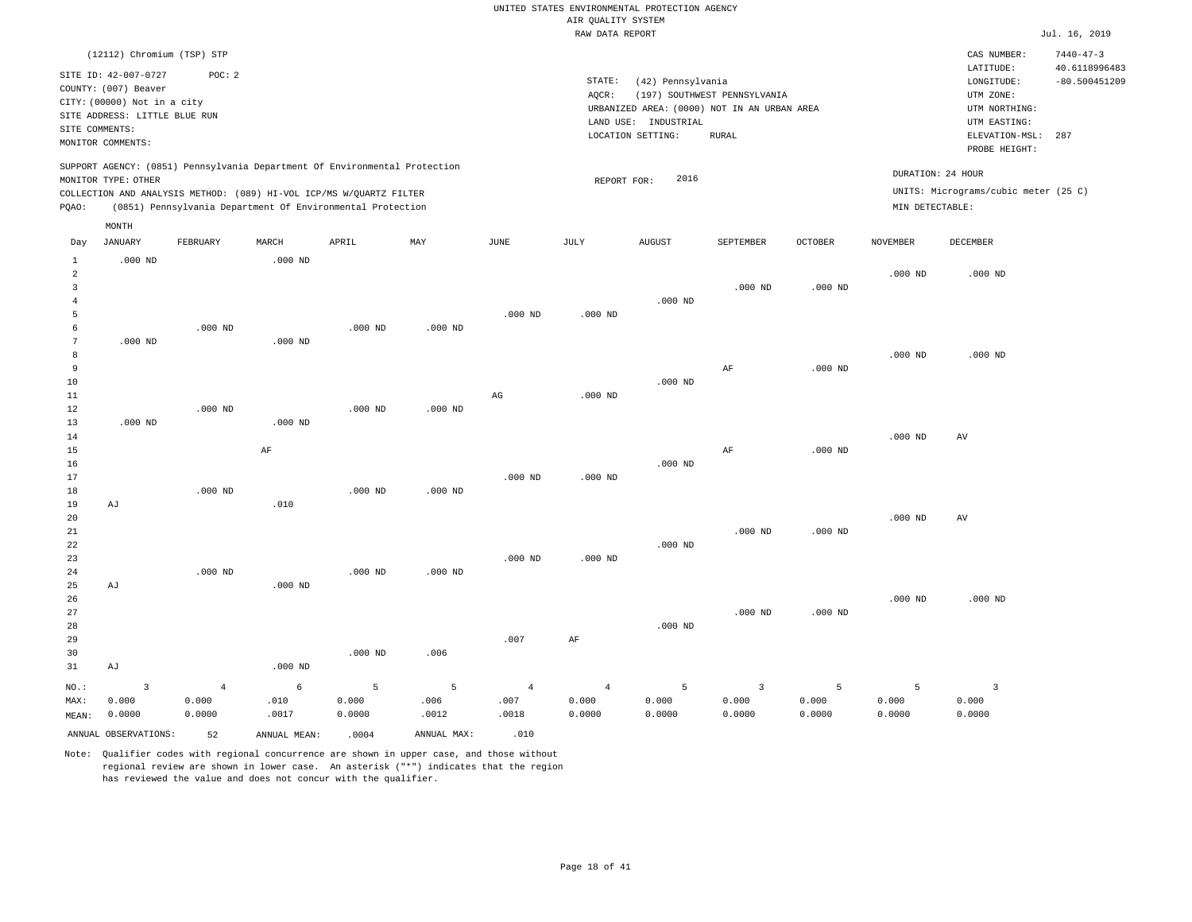|                 |                                              |                |              |                                                                            |                |                | RAW DATA REPORT |                      |                                             |                |                   |                                      | Jul. 16, 2019   |
|-----------------|----------------------------------------------|----------------|--------------|----------------------------------------------------------------------------|----------------|----------------|-----------------|----------------------|---------------------------------------------|----------------|-------------------|--------------------------------------|-----------------|
|                 | (12112) Chromium (TSP) STP                   |                |              |                                                                            |                |                |                 |                      |                                             |                |                   | CAS NUMBER:                          | $7440 - 47 - 3$ |
|                 |                                              |                |              |                                                                            |                |                |                 |                      |                                             |                |                   | LATITUDE:                            | 40.6118996483   |
|                 | SITE ID: 42-007-0727<br>COUNTY: (007) Beaver | POC: 2         |              |                                                                            |                |                | STATE:          | (42) Pennsylvania    |                                             |                |                   | LONGITUDE:                           | $-80.500451209$ |
|                 |                                              |                |              |                                                                            |                |                | AQCR:           |                      | (197) SOUTHWEST PENNSYLVANIA                |                |                   | UTM ZONE:                            |                 |
|                 | CITY: (00000) Not in a city                  |                |              |                                                                            |                |                |                 |                      | URBANIZED AREA: (0000) NOT IN AN URBAN AREA |                |                   | UTM NORTHING:                        |                 |
|                 | SITE ADDRESS: LITTLE BLUE RUN                |                |              |                                                                            |                |                |                 | LAND USE: INDUSTRIAL |                                             |                |                   | UTM EASTING:                         |                 |
|                 | SITE COMMENTS:                               |                |              |                                                                            |                |                |                 | LOCATION SETTING:    | <b>RURAL</b>                                |                |                   | ELEVATION-MSL:                       | 287             |
|                 | MONITOR COMMENTS:                            |                |              |                                                                            |                |                |                 |                      |                                             |                |                   | PROBE HEIGHT:                        |                 |
|                 |                                              |                |              | SUPPORT AGENCY: (0851) Pennsylvania Department Of Environmental Protection |                |                |                 |                      |                                             |                |                   |                                      |                 |
|                 | MONITOR TYPE: OTHER                          |                |              |                                                                            |                |                | REPORT FOR:     | 2016                 |                                             |                | DURATION: 24 HOUR |                                      |                 |
|                 |                                              |                |              | COLLECTION AND ANALYSIS METHOD: (089) HI-VOL ICP/MS W/QUARTZ FILTER        |                |                |                 |                      |                                             |                |                   | UNITS: Micrograms/cubic meter (25 C) |                 |
| PQAO:           |                                              |                |              | (0851) Pennsylvania Department Of Environmental Protection                 |                |                |                 |                      |                                             |                | MIN DETECTABLE:   |                                      |                 |
|                 | MONTH                                        |                |              |                                                                            |                |                |                 |                      |                                             |                |                   |                                      |                 |
| Day             | <b>JANUARY</b>                               | FEBRUARY       | MARCH        | APRIL                                                                      | MAY            | JUNE           | JULY            | <b>AUGUST</b>        | SEPTEMBER                                   | <b>OCTOBER</b> | <b>NOVEMBER</b>   | DECEMBER                             |                 |
| $\mathbf{1}$    | $.000$ ND                                    |                | $.000$ ND    |                                                                            |                |                |                 |                      |                                             |                |                   |                                      |                 |
| $\overline{a}$  |                                              |                |              |                                                                            |                |                |                 |                      |                                             |                | $.000$ ND         | $.000$ ND                            |                 |
| $\mathbf{3}$    |                                              |                |              |                                                                            |                |                |                 |                      | $.000$ ND                                   | $.000$ ND      |                   |                                      |                 |
| $\overline{4}$  |                                              |                |              |                                                                            |                |                |                 | $.000$ ND            |                                             |                |                   |                                      |                 |
| 5               |                                              |                |              |                                                                            |                | $.000$ ND      | $.000$ ND       |                      |                                             |                |                   |                                      |                 |
| 6               |                                              | $.000$ ND      |              | $.000$ ND                                                                  | $.000$ ND      |                |                 |                      |                                             |                |                   |                                      |                 |
| $7\phantom{.0}$ | $.000$ ND                                    |                | $.000$ ND    |                                                                            |                |                |                 |                      |                                             |                |                   |                                      |                 |
| 8               |                                              |                |              |                                                                            |                |                |                 |                      |                                             |                | $.000$ ND         | $.000$ ND                            |                 |
| 9               |                                              |                |              |                                                                            |                |                |                 |                      | AF                                          | $.000$ ND      |                   |                                      |                 |
| 10              |                                              |                |              |                                                                            |                |                |                 | $.000$ ND            |                                             |                |                   |                                      |                 |
| 11              |                                              |                |              |                                                                            |                | AG             | $.000$ ND       |                      |                                             |                |                   |                                      |                 |
| 12              |                                              | $.000$ ND      |              | $.000$ ND                                                                  | $.000$ ND      |                |                 |                      |                                             |                |                   |                                      |                 |
| 13              | $.000$ ND                                    |                | $.000$ ND    |                                                                            |                |                |                 |                      |                                             |                |                   |                                      |                 |
| 14              |                                              |                |              |                                                                            |                |                |                 |                      |                                             |                | $.000$ ND         | AV                                   |                 |
| 15              |                                              |                | AF           |                                                                            |                |                |                 |                      | AF                                          | $.000$ ND      |                   |                                      |                 |
| 16<br>17        |                                              |                |              |                                                                            |                | $.000$ ND      | $.000$ ND       | $.000$ ND            |                                             |                |                   |                                      |                 |
| 18              |                                              | $.000$ ND      |              | $.000$ ND                                                                  | $.000$ ND      |                |                 |                      |                                             |                |                   |                                      |                 |
| 19              | AJ                                           |                | .010         |                                                                            |                |                |                 |                      |                                             |                |                   |                                      |                 |
| 20              |                                              |                |              |                                                                            |                |                |                 |                      |                                             |                | $.000$ ND         | $\hbox{AV}$                          |                 |
| 21              |                                              |                |              |                                                                            |                |                |                 |                      | $.000$ ND                                   | $.000$ ND      |                   |                                      |                 |
| 22              |                                              |                |              |                                                                            |                |                |                 | $.000$ ND            |                                             |                |                   |                                      |                 |
| 23              |                                              |                |              |                                                                            |                | $.000$ ND      | $.000$ ND       |                      |                                             |                |                   |                                      |                 |
| 24              |                                              | $.000$ ND      |              | $.000$ ND                                                                  | $.000$ ND      |                |                 |                      |                                             |                |                   |                                      |                 |
| 25              | AJ                                           |                | $.000$ ND    |                                                                            |                |                |                 |                      |                                             |                |                   |                                      |                 |
| 26              |                                              |                |              |                                                                            |                |                |                 |                      |                                             |                | $.000$ ND         | $.000$ ND                            |                 |
| 27              |                                              |                |              |                                                                            |                |                |                 |                      | $.000$ ND                                   | $.000$ ND      |                   |                                      |                 |
| 28              |                                              |                |              |                                                                            |                |                |                 | $.000$ ND            |                                             |                |                   |                                      |                 |
| 29              |                                              |                |              |                                                                            |                | .007           | $\rm AF$        |                      |                                             |                |                   |                                      |                 |
| 30              |                                              |                |              | $.000$ ND                                                                  | .006           |                |                 |                      |                                             |                |                   |                                      |                 |
| 31              | AJ                                           |                | $.000$ ND    |                                                                            |                |                |                 |                      |                                             |                |                   |                                      |                 |
| NO.:            | $\overline{\mathbf{3}}$                      | $\overline{4}$ | 6            | 5                                                                          | $\overline{5}$ | $\overline{4}$ | $\overline{4}$  | 5                    | $\overline{3}$                              | 5              | 5                 | $\overline{3}$                       |                 |
| MAX:            | 0.000                                        | 0.000          | .010         | 0.000                                                                      | .006           | .007           | 0.000           | 0.000                | 0.000                                       | 0.000          | 0.000             | 0.000                                |                 |
| MEAN:           | 0.0000                                       | 0.0000         | .0017        | 0.0000                                                                     | .0012          | .0018          | 0.0000          | 0.0000               | 0.0000                                      | 0.0000         | 0.0000            | 0.0000                               |                 |
|                 | ANNUAL OBSERVATIONS:                         | 52             | ANNUAL MEAN: | .0004                                                                      | ANNUAL MAX:    | .010           |                 |                      |                                             |                |                   |                                      |                 |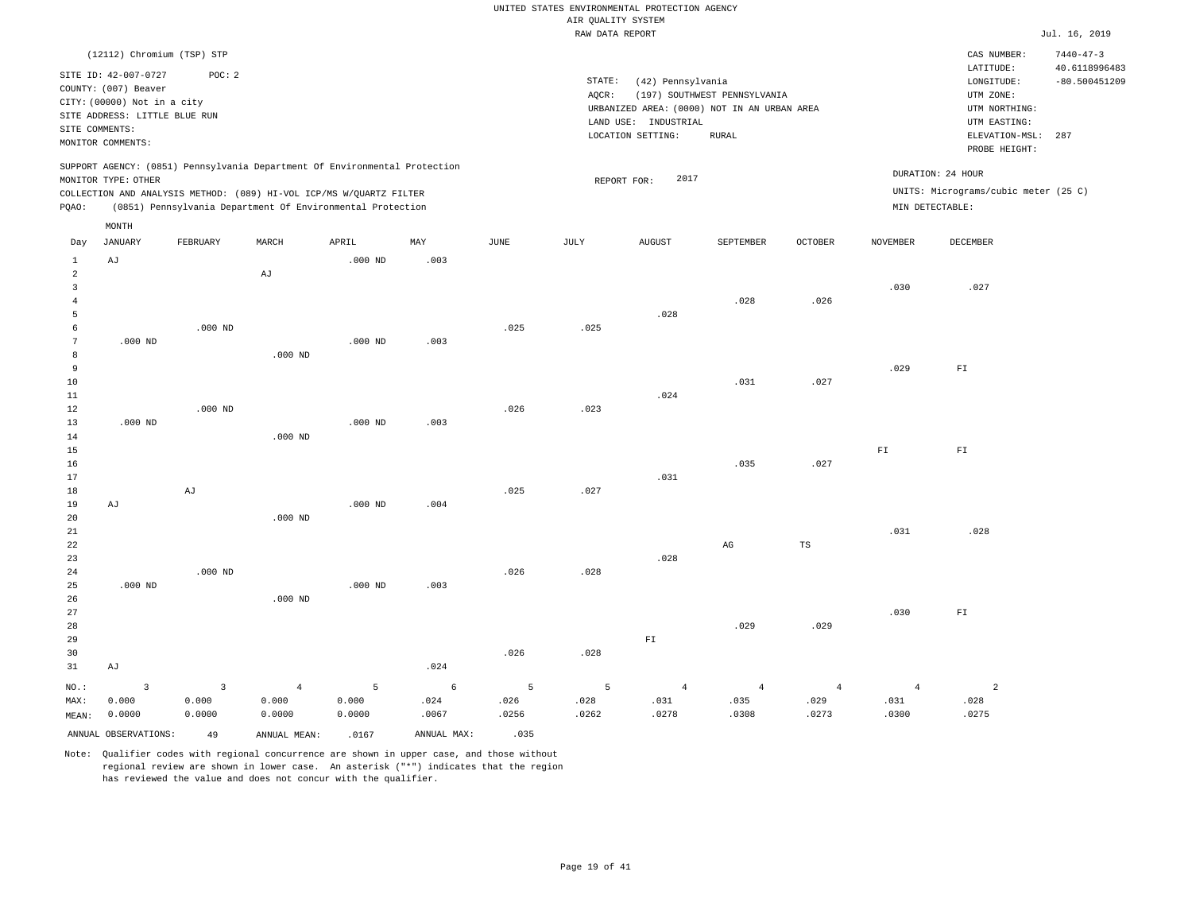#### RAW DATA REPORT **FOULD ASSESSED ASSESSED A** THE RAW DATA REPORT **Jul. 16, 2019** UNITED STATES ENVIRONMENTAL PROTECTION AGENCY AIR QUALITY SYSTEM

|                                |                                                                                                                                |                 |                                                                            |                 |               |               | TAILE DUTTLE TIME ATLE |                                                                                          |                                              |                |                 |                                                                       | 0.44.40, 201                            |
|--------------------------------|--------------------------------------------------------------------------------------------------------------------------------|-----------------|----------------------------------------------------------------------------|-----------------|---------------|---------------|------------------------|------------------------------------------------------------------------------------------|----------------------------------------------|----------------|-----------------|-----------------------------------------------------------------------|-----------------------------------------|
|                                | (12112) Chromium (TSP) STP                                                                                                     |                 |                                                                            |                 |               |               |                        |                                                                                          |                                              |                |                 | CAS NUMBER:                                                           | $7440 - 47 - 3$                         |
|                                | SITE ID: 42-007-0727<br>COUNTY: (007) Beaver<br>CITY: (00000) Not in a city<br>SITE ADDRESS: LITTLE BLUE RUN<br>SITE COMMENTS: | POC: 2          |                                                                            |                 |               |               | STATE:<br>AQCR:        | (42) Pennsylvania<br>URBANIZED AREA: (0000) NOT IN AN URBAN AREA<br>LAND USE: INDUSTRIAL | (197) SOUTHWEST PENNSYLVANIA<br><b>RURAL</b> |                |                 | LATITUDE:<br>LONGITUDE:<br>UTM ZONE:<br>UTM NORTHING:<br>UTM EASTING: | 40.6118996483<br>$-80.500451209$<br>287 |
|                                | MONITOR COMMENTS:                                                                                                              |                 |                                                                            |                 |               |               |                        | LOCATION SETTING:                                                                        |                                              |                |                 | ELEVATION-MSL:<br>PROBE HEIGHT:                                       |                                         |
|                                | MONITOR TYPE: OTHER                                                                                                            |                 | SUPPORT AGENCY: (0851) Pennsylvania Department Of Environmental Protection |                 |               |               |                        | 2017<br>REPORT FOR:                                                                      |                                              |                |                 | DURATION: 24 HOUR                                                     |                                         |
|                                |                                                                                                                                |                 | COLLECTION AND ANALYSIS METHOD: (089) HI-VOL ICP/MS W/QUARTZ FILTER        |                 |               |               |                        |                                                                                          |                                              |                |                 | UNITS: Micrograms/cubic meter (25 C)                                  |                                         |
| PQAO:                          |                                                                                                                                |                 | (0851) Pennsylvania Department Of Environmental Protection                 |                 |               |               |                        |                                                                                          |                                              |                | MIN DETECTABLE: |                                                                       |                                         |
|                                | $\texttt{MONTH}$                                                                                                               |                 |                                                                            |                 |               |               |                        |                                                                                          |                                              |                |                 |                                                                       |                                         |
| Day                            | <b>JANUARY</b>                                                                                                                 | FEBRUARY        | MARCH                                                                      | APRIL           | MAY           | JUNE          | JULY                   | <b>AUGUST</b>                                                                            | SEPTEMBER                                    | <b>OCTOBER</b> | <b>NOVEMBER</b> | DECEMBER                                                              |                                         |
| $\mathbf{1}$<br>$\overline{a}$ | AJ                                                                                                                             |                 | AJ                                                                         | $.000$ ND       | .003          |               |                        |                                                                                          |                                              |                |                 |                                                                       |                                         |
| $\overline{\mathbf{3}}$        |                                                                                                                                |                 |                                                                            |                 |               |               |                        |                                                                                          |                                              |                | .030            | .027                                                                  |                                         |
| $\overline{4}$                 |                                                                                                                                |                 |                                                                            |                 |               |               |                        |                                                                                          | .028                                         | .026           |                 |                                                                       |                                         |
| 5<br>6                         |                                                                                                                                | $.000$ ND       |                                                                            |                 |               | .025          | .025                   | .028                                                                                     |                                              |                |                 |                                                                       |                                         |
| $7\phantom{.0}$                | $.000$ ND                                                                                                                      |                 |                                                                            | $.000$ ND       | .003          |               |                        |                                                                                          |                                              |                |                 |                                                                       |                                         |
| 8                              |                                                                                                                                |                 | $.000$ ND                                                                  |                 |               |               |                        |                                                                                          |                                              |                |                 |                                                                       |                                         |
| 9                              |                                                                                                                                |                 |                                                                            |                 |               |               |                        |                                                                                          |                                              |                | .029            | ${\rm FT}$                                                            |                                         |
| 10                             |                                                                                                                                |                 |                                                                            |                 |               |               |                        | .024                                                                                     | .031                                         | .027           |                 |                                                                       |                                         |
| 11<br>$12$                     |                                                                                                                                | $.000$ ND       |                                                                            |                 |               | .026          | .023                   |                                                                                          |                                              |                |                 |                                                                       |                                         |
| 13                             | $.000$ ND                                                                                                                      |                 |                                                                            | $.000$ ND       | .003          |               |                        |                                                                                          |                                              |                |                 |                                                                       |                                         |
| 14                             |                                                                                                                                |                 | $.000$ ND                                                                  |                 |               |               |                        |                                                                                          |                                              |                |                 |                                                                       |                                         |
| 15                             |                                                                                                                                |                 |                                                                            |                 |               |               |                        |                                                                                          | .035                                         |                | ${\rm F\,I}$    | ${\rm FT}$                                                            |                                         |
| 16<br>17                       |                                                                                                                                |                 |                                                                            |                 |               |               |                        | .031                                                                                     |                                              | .027           |                 |                                                                       |                                         |
| 18                             |                                                                                                                                | AJ              |                                                                            |                 |               | .025          | .027                   |                                                                                          |                                              |                |                 |                                                                       |                                         |
| 19                             | AJ                                                                                                                             |                 |                                                                            | $.000$ ND       | .004          |               |                        |                                                                                          |                                              |                |                 |                                                                       |                                         |
| 20                             |                                                                                                                                |                 | $.000$ ND                                                                  |                 |               |               |                        |                                                                                          |                                              |                |                 |                                                                       |                                         |
| 21<br>22                       |                                                                                                                                |                 |                                                                            |                 |               |               |                        |                                                                                          | $\mathbb{A}\mathbb{G}$                       | $_{\rm TS}$    | .031            | .028                                                                  |                                         |
| 23                             |                                                                                                                                |                 |                                                                            |                 |               |               |                        | .028                                                                                     |                                              |                |                 |                                                                       |                                         |
| 24                             |                                                                                                                                | $.000$ ND       |                                                                            |                 |               | .026          | .028                   |                                                                                          |                                              |                |                 |                                                                       |                                         |
| 25                             | $.000$ ND                                                                                                                      |                 |                                                                            | $.000$ ND       | .003          |               |                        |                                                                                          |                                              |                |                 |                                                                       |                                         |
| 26<br>27                       |                                                                                                                                |                 | $.000$ ND                                                                  |                 |               |               |                        |                                                                                          |                                              |                | .030            | ${\rm F\,I}$                                                          |                                         |
| 28                             |                                                                                                                                |                 |                                                                            |                 |               |               |                        |                                                                                          | .029                                         | .029           |                 |                                                                       |                                         |
| 29                             |                                                                                                                                |                 |                                                                            |                 |               |               |                        | $\mathbb{F} \mathbbm{I}$                                                                 |                                              |                |                 |                                                                       |                                         |
| 30                             |                                                                                                                                |                 |                                                                            |                 |               | .026          | .028                   |                                                                                          |                                              |                |                 |                                                                       |                                         |
| 31                             | AJ                                                                                                                             |                 |                                                                            |                 | .024          |               |                        |                                                                                          |                                              |                |                 |                                                                       |                                         |
| NO.:                           | $\overline{3}$                                                                                                                 | $\overline{3}$  | $\overline{4}$                                                             | 5               | 6             | 5             | 5                      | $\overline{4}$                                                                           | $\overline{4}$                               | $\overline{4}$ | $\overline{4}$  | $\overline{2}$                                                        |                                         |
| MAX:<br>MEAN:                  | 0.000<br>0.0000                                                                                                                | 0.000<br>0.0000 | 0.000<br>0.0000                                                            | 0.000<br>0.0000 | .024<br>.0067 | .026<br>.0256 | .028<br>.0262          | .031<br>.0278                                                                            | .035<br>.0308                                | .029<br>.0273  | .031<br>.0300   | .028<br>.0275                                                         |                                         |
|                                | ANNUAL OBSERVATIONS:                                                                                                           | 49              | ANNUAL MEAN:                                                               | .0167           | ANNUAL MAX:   | .035          |                        |                                                                                          |                                              |                |                 |                                                                       |                                         |
|                                |                                                                                                                                |                 |                                                                            |                 |               |               |                        |                                                                                          |                                              |                |                 |                                                                       |                                         |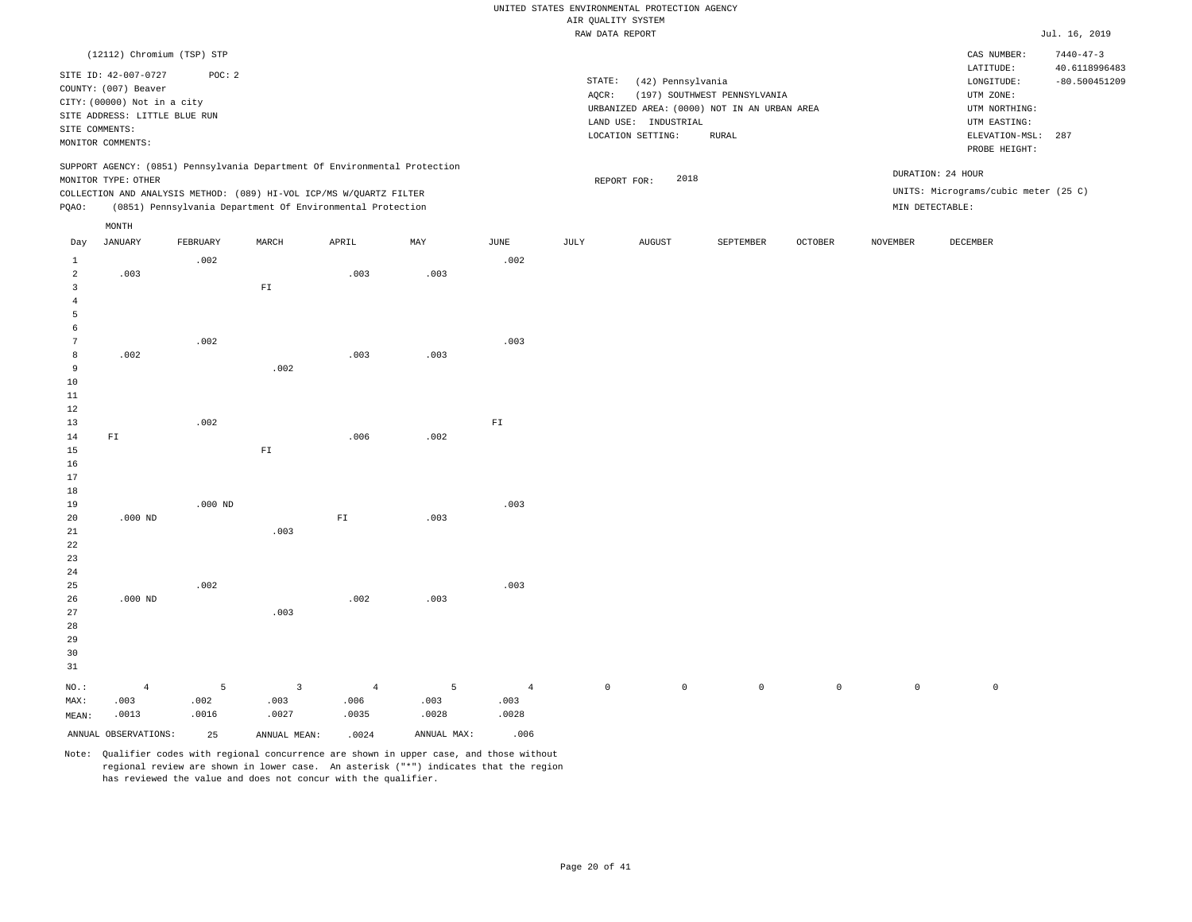|                                  |                                                                                                              |           |                          |                                                                                                                                   |             |                        | THAN DISTAN TOOL ONLY |                                           |                                                                             |                |                     |                                                                       | $0.421 + 201 + 2022$             |
|----------------------------------|--------------------------------------------------------------------------------------------------------------|-----------|--------------------------|-----------------------------------------------------------------------------------------------------------------------------------|-------------|------------------------|-----------------------|-------------------------------------------|-----------------------------------------------------------------------------|----------------|---------------------|-----------------------------------------------------------------------|----------------------------------|
|                                  | (12112) Chromium (TSP) STP                                                                                   |           |                          |                                                                                                                                   |             |                        |                       |                                           |                                                                             |                |                     | CAS NUMBER:                                                           | $7440 - 47 - 3$                  |
|                                  | SITE ID: 42-007-0727<br>COUNTY: (007) Beaver<br>CITY: (00000) Not in a city<br>SITE ADDRESS: LITTLE BLUE RUN | POC: 2    |                          |                                                                                                                                   |             |                        | STATE:<br>AQCR:       | (42) Pennsylvania<br>LAND USE: INDUSTRIAL | (197) SOUTHWEST PENNSYLVANIA<br>URBANIZED AREA: (0000) NOT IN AN URBAN AREA |                |                     | LATITUDE:<br>LONGITUDE:<br>UTM ZONE:<br>UTM NORTHING:<br>UTM EASTING: | 40.6118996483<br>$-80.500451209$ |
|                                  | SITE COMMENTS:<br>MONITOR COMMENTS:                                                                          |           |                          |                                                                                                                                   |             |                        |                       | LOCATION SETTING:                         | ${\tt RURAL}$                                                               |                |                     | ELEVATION-MSL:<br>PROBE HEIGHT:                                       | 287                              |
|                                  | MONITOR TYPE: OTHER                                                                                          |           |                          | SUPPORT AGENCY: (0851) Pennsylvania Department Of Environmental Protection                                                        |             |                        |                       | 2018<br>REPORT FOR:                       |                                                                             |                |                     | DURATION: 24 HOUR                                                     |                                  |
| PQAO:                            |                                                                                                              |           |                          | COLLECTION AND ANALYSIS METHOD: (089) HI-VOL ICP/MS W/QUARTZ FILTER<br>(0851) Pennsylvania Department Of Environmental Protection |             |                        |                       |                                           |                                                                             |                | MIN DETECTABLE:     | UNITS: Micrograms/cubic meter (25 C)                                  |                                  |
|                                  | MONTH                                                                                                        |           |                          |                                                                                                                                   |             |                        |                       |                                           |                                                                             |                |                     |                                                                       |                                  |
| Day                              | <b>JANUARY</b>                                                                                               | FEBRUARY  | MARCH                    | APRIL                                                                                                                             | MAY         | <b>JUNE</b>            | $\mathtt{JULY}$       | ${\tt AUGUST}$                            | SEPTEMBER                                                                   | <b>OCTOBER</b> | <b>NOVEMBER</b>     | DECEMBER                                                              |                                  |
| $\mathbf{1}$                     |                                                                                                              | .002      |                          |                                                                                                                                   |             | .002                   |                       |                                           |                                                                             |                |                     |                                                                       |                                  |
| $\overline{a}$<br>$\overline{3}$ | .003                                                                                                         |           | ${\rm FT}$               | .003                                                                                                                              | .003        |                        |                       |                                           |                                                                             |                |                     |                                                                       |                                  |
| $\overline{4}$                   |                                                                                                              |           |                          |                                                                                                                                   |             |                        |                       |                                           |                                                                             |                |                     |                                                                       |                                  |
| 5<br>6                           |                                                                                                              |           |                          |                                                                                                                                   |             |                        |                       |                                           |                                                                             |                |                     |                                                                       |                                  |
| $7\phantom{.0}$                  |                                                                                                              | .002      |                          |                                                                                                                                   |             | .003                   |                       |                                           |                                                                             |                |                     |                                                                       |                                  |
| 8                                | .002                                                                                                         |           |                          | .003                                                                                                                              | .003        |                        |                       |                                           |                                                                             |                |                     |                                                                       |                                  |
| 9<br>10                          |                                                                                                              |           | .002                     |                                                                                                                                   |             |                        |                       |                                           |                                                                             |                |                     |                                                                       |                                  |
| 11                               |                                                                                                              |           |                          |                                                                                                                                   |             |                        |                       |                                           |                                                                             |                |                     |                                                                       |                                  |
| 12                               |                                                                                                              |           |                          |                                                                                                                                   |             |                        |                       |                                           |                                                                             |                |                     |                                                                       |                                  |
| 13<br>14                         | ${\tt F1}$                                                                                                   | .002      |                          | .006                                                                                                                              | .002        | ${\rm F\,I}$           |                       |                                           |                                                                             |                |                     |                                                                       |                                  |
| 15                               |                                                                                                              |           | $\mathbb{F} \mathbbm{I}$ |                                                                                                                                   |             |                        |                       |                                           |                                                                             |                |                     |                                                                       |                                  |
| 16<br>17                         |                                                                                                              |           |                          |                                                                                                                                   |             |                        |                       |                                           |                                                                             |                |                     |                                                                       |                                  |
| 18                               |                                                                                                              |           |                          |                                                                                                                                   |             |                        |                       |                                           |                                                                             |                |                     |                                                                       |                                  |
| 19                               |                                                                                                              | $.000$ ND |                          |                                                                                                                                   |             | .003                   |                       |                                           |                                                                             |                |                     |                                                                       |                                  |
| 20<br>21                         | $.000$ ND                                                                                                    |           | .003                     | ${\rm F\,I}$                                                                                                                      | .003        |                        |                       |                                           |                                                                             |                |                     |                                                                       |                                  |
| $2\sqrt{2}$                      |                                                                                                              |           |                          |                                                                                                                                   |             |                        |                       |                                           |                                                                             |                |                     |                                                                       |                                  |
| 23                               |                                                                                                              |           |                          |                                                                                                                                   |             |                        |                       |                                           |                                                                             |                |                     |                                                                       |                                  |
| 24<br>25                         |                                                                                                              | .002      |                          |                                                                                                                                   |             | .003                   |                       |                                           |                                                                             |                |                     |                                                                       |                                  |
| 26                               | $.000$ ND                                                                                                    |           |                          | .002                                                                                                                              | .003        |                        |                       |                                           |                                                                             |                |                     |                                                                       |                                  |
| 27<br>28                         |                                                                                                              |           | .003                     |                                                                                                                                   |             |                        |                       |                                           |                                                                             |                |                     |                                                                       |                                  |
| 29                               |                                                                                                              |           |                          |                                                                                                                                   |             |                        |                       |                                           |                                                                             |                |                     |                                                                       |                                  |
| 30                               |                                                                                                              |           |                          |                                                                                                                                   |             |                        |                       |                                           |                                                                             |                |                     |                                                                       |                                  |
| 31                               |                                                                                                              |           |                          |                                                                                                                                   |             |                        |                       |                                           |                                                                             |                |                     |                                                                       |                                  |
| NO.:<br>MAX:                     | $\overline{4}$<br>.003                                                                                       | 5<br>.002 | $\overline{3}$<br>.003   | $\overline{4}$<br>.006                                                                                                            | 5<br>.003   | $\overline{4}$<br>.003 | $\circ$               | $\mathbb O$                               | $\mathbb O$                                                                 | $\mathbb O$    | $\mathsf{O}\xspace$ | $\mathsf 0$                                                           |                                  |
| MEAN:                            | .0013                                                                                                        | .0016     | .0027                    | .0035                                                                                                                             | .0028       | .0028                  |                       |                                           |                                                                             |                |                     |                                                                       |                                  |
|                                  | ANNUAL OBSERVATIONS:                                                                                         | 25        | ANNUAL MEAN:             | .0024                                                                                                                             | ANNUAL MAX: | .006                   |                       |                                           |                                                                             |                |                     |                                                                       |                                  |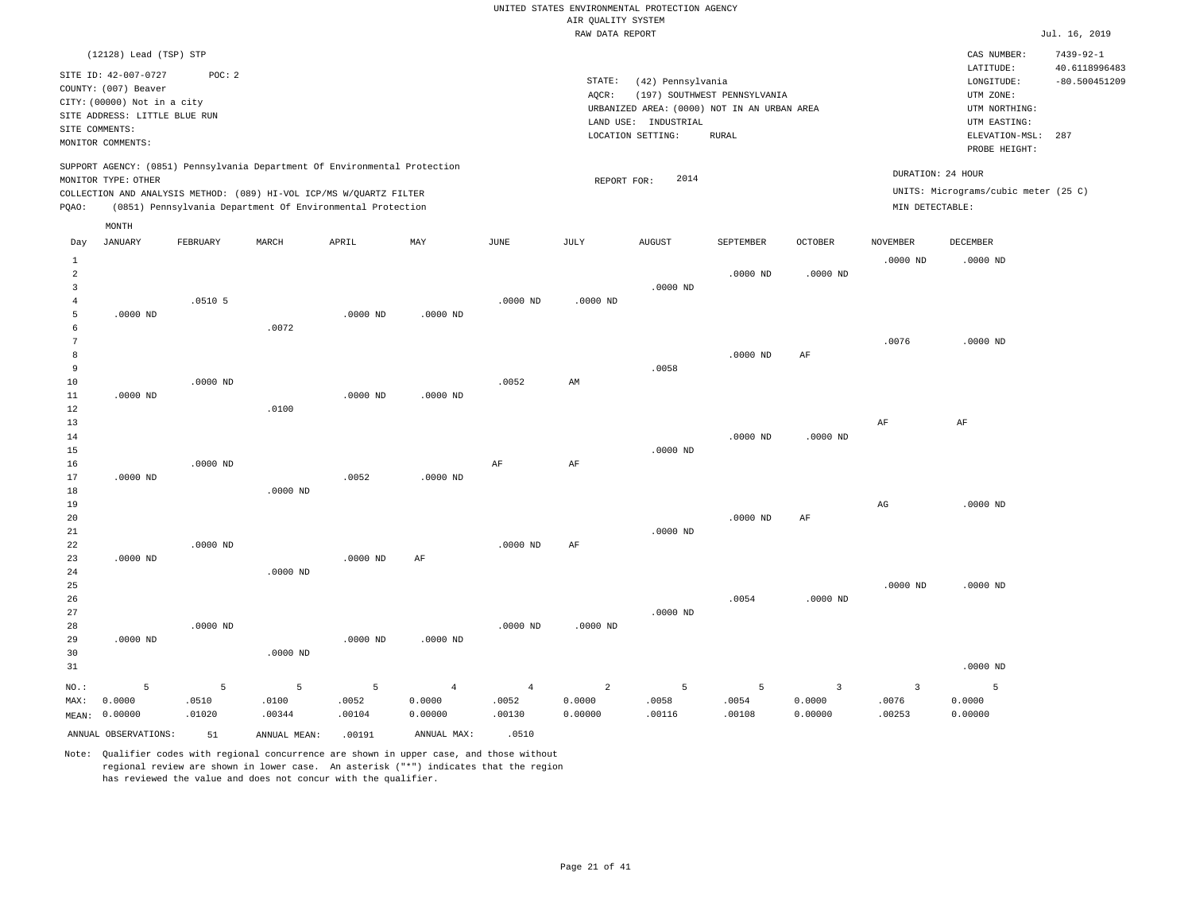|                |                                                |            |            |                                                                            |                |                |                    | UNITED STATES ENVIRONMENTAL PROTECTION AGENCY |                              |                |                   |                                        |                                                     |
|----------------|------------------------------------------------|------------|------------|----------------------------------------------------------------------------|----------------|----------------|--------------------|-----------------------------------------------|------------------------------|----------------|-------------------|----------------------------------------|-----------------------------------------------------|
|                |                                                |            |            |                                                                            |                |                | AIR QUALITY SYSTEM |                                               |                              |                |                   |                                        |                                                     |
|                |                                                |            |            |                                                                            |                |                | RAW DATA REPORT    |                                               |                              |                |                   |                                        | Jul. 16, 2019                                       |
|                | (12128) Lead (TSP) STP<br>SITE ID: 42-007-0727 | POC: 2     |            |                                                                            |                |                | $\texttt{STATE}$ : | (42) Pennsylvania                             |                              |                |                   | CAS NUMBER:<br>LATITUDE:<br>LONGITUDE: | $7439 - 92 - 1$<br>40.6118996483<br>$-80.500451209$ |
|                | COUNTY: (007) Beaver                           |            |            |                                                                            |                |                | AOCR:              |                                               | (197) SOUTHWEST PENNSYLVANIA |                |                   | UTM ZONE:                              |                                                     |
|                | CITY: (00000) Not in a city                    |            |            |                                                                            |                |                |                    | URBANIZED AREA: (0000) NOT IN AN URBAN AREA   |                              |                |                   | UTM NORTHING:                          |                                                     |
|                | SITE ADDRESS: LITTLE BLUE RUN                  |            |            |                                                                            |                |                |                    | LAND USE: INDUSTRIAL                          |                              |                |                   | UTM EASTING:                           |                                                     |
|                | SITE COMMENTS:                                 |            |            |                                                                            |                |                |                    | LOCATION SETTING:                             | <b>RURAL</b>                 |                |                   | ELEVATION-MSL:                         | 287                                                 |
|                | MONITOR COMMENTS:                              |            |            |                                                                            |                |                |                    |                                               |                              |                |                   | PROBE HEIGHT:                          |                                                     |
|                | MONITOR TYPE: OTHER                            |            |            | SUPPORT AGENCY: (0851) Pennsylvania Department Of Environmental Protection |                |                | REPORT FOR:        | 2014                                          |                              |                | DURATION: 24 HOUR |                                        |                                                     |
|                |                                                |            |            | COLLECTION AND ANALYSIS METHOD: (089) HI-VOL ICP/MS W/QUARTZ FILTER        |                |                |                    |                                               |                              |                |                   | UNITS: Micrograms/cubic meter (25 C)   |                                                     |
| PQAO:          |                                                |            |            | (0851) Pennsylvania Department Of Environmental Protection                 |                |                |                    |                                               |                              |                | MIN DETECTABLE:   |                                        |                                                     |
|                | MONTH                                          |            |            |                                                                            |                |                |                    |                                               |                              |                |                   |                                        |                                                     |
| Day            | <b>JANUARY</b>                                 | FEBRUARY   | MARCH      | APRIL                                                                      | MAY            | $_{\rm JUNE}$  | JULY               | <b>AUGUST</b>                                 | SEPTEMBER                    | <b>OCTOBER</b> | <b>NOVEMBER</b>   | DECEMBER                               |                                                     |
| 1              |                                                |            |            |                                                                            |                |                |                    |                                               |                              |                | $.0000$ ND        | $.0000$ ND                             |                                                     |
| $\sqrt{2}$     |                                                |            |            |                                                                            |                |                |                    |                                               | $.0000$ ND                   | $.0000$ ND     |                   |                                        |                                                     |
| 3              |                                                |            |            |                                                                            |                |                |                    | $.0000$ ND                                    |                              |                |                   |                                        |                                                     |
| $\overline{4}$ |                                                | $.0510$ 5  |            |                                                                            |                | $.0000$ ND     | $.0000$ ND         |                                               |                              |                |                   |                                        |                                                     |
| 5              | $.0000$ ND                                     |            |            | $.0000$ ND                                                                 | $.0000$ ND     |                |                    |                                               |                              |                |                   |                                        |                                                     |
| 6              |                                                |            | .0072      |                                                                            |                |                |                    |                                               |                              |                |                   |                                        |                                                     |
| $\overline{7}$ |                                                |            |            |                                                                            |                |                |                    |                                               |                              |                | .0076             | $.0000$ ND                             |                                                     |
| 8<br>9         |                                                |            |            |                                                                            |                |                |                    |                                               | $.0000$ ND                   | $\rm AF$       |                   |                                        |                                                     |
|                |                                                |            |            |                                                                            |                |                |                    | .0058                                         |                              |                |                   |                                        |                                                     |
| 10<br>11       | $.0000$ ND                                     | $.0000$ ND |            | $.0000$ ND                                                                 | $.0000$ ND     | .0052          | AM                 |                                               |                              |                |                   |                                        |                                                     |
| 12             |                                                |            | .0100      |                                                                            |                |                |                    |                                               |                              |                |                   |                                        |                                                     |
| 13             |                                                |            |            |                                                                            |                |                |                    |                                               |                              |                | AF                | AF                                     |                                                     |
| 14             |                                                |            |            |                                                                            |                |                |                    |                                               | $.0000$ ND                   | $.0000$ ND     |                   |                                        |                                                     |
| 15             |                                                |            |            |                                                                            |                |                |                    | $.0000$ ND                                    |                              |                |                   |                                        |                                                     |
| 16             |                                                | $.0000$ ND |            |                                                                            |                | AF             | $\rm{AF}$          |                                               |                              |                |                   |                                        |                                                     |
| 17             | $.0000$ ND                                     |            |            | .0052                                                                      | $.0000$ ND     |                |                    |                                               |                              |                |                   |                                        |                                                     |
| 18             |                                                |            | $.0000$ ND |                                                                            |                |                |                    |                                               |                              |                |                   |                                        |                                                     |
| 19             |                                                |            |            |                                                                            |                |                |                    |                                               |                              |                | AG                | $.0000 \, \text{ND}$                   |                                                     |
| 20             |                                                |            |            |                                                                            |                |                |                    |                                               | $.0000$ ND                   | $\rm AF$       |                   |                                        |                                                     |
| 21             |                                                |            |            |                                                                            |                |                |                    | $.0000 \, \text{ND}$                          |                              |                |                   |                                        |                                                     |
| 22             |                                                | .0000 ND   |            |                                                                            |                | $.0000$ ND     | AF                 |                                               |                              |                |                   |                                        |                                                     |
| 23             | $.0000$ ND                                     |            |            | $.0000$ ND                                                                 | $\rm{AF}$      |                |                    |                                               |                              |                |                   |                                        |                                                     |
| 24             |                                                |            | $.0000$ ND |                                                                            |                |                |                    |                                               |                              |                |                   |                                        |                                                     |
| 25             |                                                |            |            |                                                                            |                |                |                    |                                               |                              |                | $.0000$ ND        | $.0000$ ND                             |                                                     |
| 26             |                                                |            |            |                                                                            |                |                |                    |                                               | .0054                        | $.0000$ ND     |                   |                                        |                                                     |
| 27             |                                                |            |            |                                                                            |                |                |                    | $.0000$ ND                                    |                              |                |                   |                                        |                                                     |
| 28             |                                                | .0000 ND   |            |                                                                            |                | $.0000$ ND     | $.0000$ ND         |                                               |                              |                |                   |                                        |                                                     |
| 29             | $.0000$ ND                                     |            |            | $.0000$ ND                                                                 | $.0000$ ND     |                |                    |                                               |                              |                |                   |                                        |                                                     |
| 30             |                                                |            | $.0000$ ND |                                                                            |                |                |                    |                                               |                              |                |                   |                                        |                                                     |
| 31             |                                                |            |            |                                                                            |                |                |                    |                                               |                              |                |                   | $.0000$ ND                             |                                                     |
| NO.:           | 5                                              | 5          | 5          | $\overline{5}$                                                             | $\overline{4}$ | $\overline{4}$ | 2                  | 5                                             | $\overline{5}$               | $\overline{3}$ | $\overline{3}$    | 5                                      |                                                     |
| MAX:           | 0.0000                                         | .0510      | .0100      | .0052                                                                      | 0.0000         | .0052          | 0.0000             | .0058                                         | .0054                        | 0.0000         | .0076             | 0.0000                                 |                                                     |
|                | MEAN: 0.00000                                  | .01020     | .00344     | .00104                                                                     | 0.00000        | .00130         | 0.00000            | .00116                                        | .00108                       | 0.00000        | .00253            | 0.00000                                |                                                     |
|                |                                                |            |            |                                                                            |                |                |                    |                                               |                              |                |                   |                                        |                                                     |

ANNUAL OBSERVATIONS:  $51$  ANNUAL MEAN: .00191 ANNUAL MAX: .0510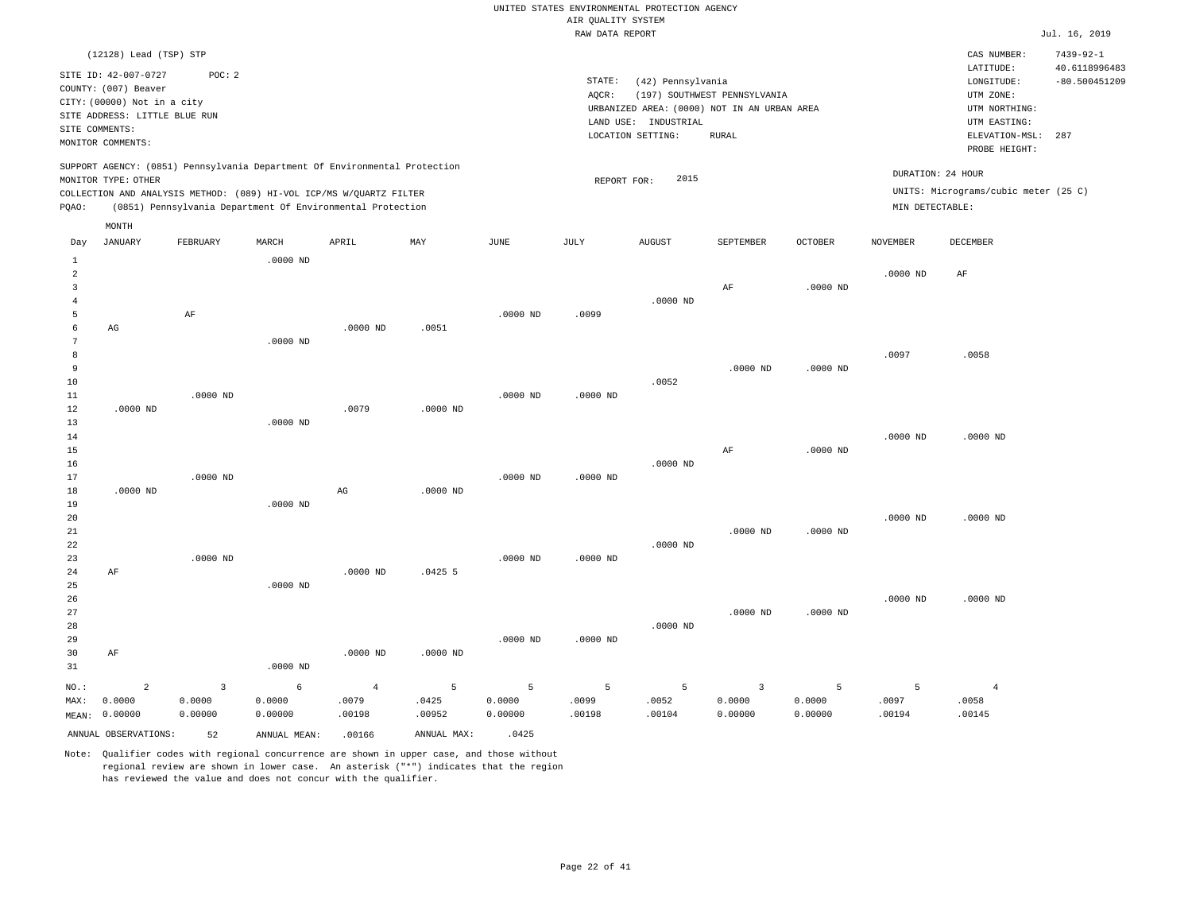|                |                                     |                                                                            |            |                |            |            |                    | UNITED STATES ENVIRONMENTAL PROTECTION AGENCY |                                             |                |                   |                                      |                                  |
|----------------|-------------------------------------|----------------------------------------------------------------------------|------------|----------------|------------|------------|--------------------|-----------------------------------------------|---------------------------------------------|----------------|-------------------|--------------------------------------|----------------------------------|
|                |                                     |                                                                            |            |                |            |            | AIR QUALITY SYSTEM |                                               |                                             |                |                   |                                      |                                  |
|                |                                     |                                                                            |            |                |            |            | RAW DATA REPORT    |                                               |                                             |                |                   |                                      | Jul. 16, 2019                    |
|                | (12128) Lead (TSP) STP              |                                                                            |            |                |            |            |                    |                                               |                                             |                |                   | CAS NUMBER:<br>LATITUDE:             | $7439 - 92 - 1$<br>40.6118996483 |
|                | SITE ID: 42-007-0727                | POC: 2                                                                     |            |                |            |            | STATE:             | (42) Pennsylvania                             |                                             |                |                   | LONGITUDE:                           | $-80.500451209$                  |
|                | COUNTY: (007) Beaver                |                                                                            |            |                |            |            | AQCR:              |                                               | (197) SOUTHWEST PENNSYLVANIA                |                |                   | UTM ZONE:                            |                                  |
|                | CITY: (00000) Not in a city         |                                                                            |            |                |            |            |                    |                                               | URBANIZED AREA: (0000) NOT IN AN URBAN AREA |                |                   | UTM NORTHING:                        |                                  |
|                | SITE ADDRESS: LITTLE BLUE RUN       |                                                                            |            |                |            |            |                    | LAND USE: INDUSTRIAL                          |                                             |                |                   | UTM EASTING:                         |                                  |
|                | SITE COMMENTS:<br>MONITOR COMMENTS: |                                                                            |            |                |            |            |                    | LOCATION SETTING:                             | <b>RURAL</b>                                |                |                   | ELEVATION-MSL:<br>PROBE HEIGHT:      | 287                              |
|                | MONITOR TYPE: OTHER                 | SUPPORT AGENCY: (0851) Pennsylvania Department Of Environmental Protection |            |                |            |            | REPORT FOR:        | 2015                                          |                                             |                | DURATION: 24 HOUR |                                      |                                  |
|                |                                     | COLLECTION AND ANALYSIS METHOD: (089) HI-VOL ICP/MS W/QUARTZ FILTER        |            |                |            |            |                    |                                               |                                             |                |                   | UNITS: Micrograms/cubic meter (25 C) |                                  |
| PQAO:          |                                     | (0851) Pennsylvania Department Of Environmental Protection                 |            |                |            |            |                    |                                               |                                             |                | MIN DETECTABLE:   |                                      |                                  |
|                | $\texttt{MONTH}$                    |                                                                            |            |                |            |            |                    |                                               |                                             |                |                   |                                      |                                  |
| Day            | JANUARY                             | FEBRUARY                                                                   | MARCH      | APRIL          | MAY        | JUNE       | JULY               | <b>AUGUST</b>                                 | SEPTEMBER                                   | <b>OCTOBER</b> | NOVEMBER          | DECEMBER                             |                                  |
| $\mathbf{1}$   |                                     |                                                                            | $.0000$ ND |                |            |            |                    |                                               |                                             |                |                   |                                      |                                  |
| $\overline{a}$ |                                     |                                                                            |            |                |            |            |                    |                                               |                                             |                | $.0000$ ND        | AF                                   |                                  |
| 3              |                                     |                                                                            |            |                |            |            |                    |                                               | AF                                          | $.0000$ ND     |                   |                                      |                                  |
| $\overline{4}$ |                                     |                                                                            |            |                |            |            |                    | $.0000$ ND                                    |                                             |                |                   |                                      |                                  |
| 5<br>6         | AG                                  | AF                                                                         |            | $.0000$ ND     | .0051      | $.0000$ ND | .0099              |                                               |                                             |                |                   |                                      |                                  |
| 7              |                                     |                                                                            | $.0000$ ND |                |            |            |                    |                                               |                                             |                |                   |                                      |                                  |
| 8              |                                     |                                                                            |            |                |            |            |                    |                                               |                                             |                | .0097             | .0058                                |                                  |
| $\overline{9}$ |                                     |                                                                            |            |                |            |            |                    |                                               | $.0000$ ND                                  | $.0000$ ND     |                   |                                      |                                  |
| 10             |                                     |                                                                            |            |                |            |            |                    | .0052                                         |                                             |                |                   |                                      |                                  |
| 11             |                                     | $.0000$ ND                                                                 |            |                |            | $.0000$ ND | $.0000$ ND         |                                               |                                             |                |                   |                                      |                                  |
| 12             | $.0000$ ND                          |                                                                            |            | .0079          | $.0000$ ND |            |                    |                                               |                                             |                |                   |                                      |                                  |
| 13             |                                     |                                                                            | $.0000$ ND |                |            |            |                    |                                               |                                             |                |                   |                                      |                                  |
| 14             |                                     |                                                                            |            |                |            |            |                    |                                               |                                             |                | $.0000$ ND        | $.0000$ ND                           |                                  |
| 15             |                                     |                                                                            |            |                |            |            |                    |                                               | AF                                          | $.0000$ ND     |                   |                                      |                                  |
| 16             |                                     |                                                                            |            |                |            |            |                    | $.0000$ ND                                    |                                             |                |                   |                                      |                                  |
| 17             |                                     | $.0000$ ND                                                                 |            |                |            | $.0000$ ND | $.0000$ ND         |                                               |                                             |                |                   |                                      |                                  |
| 18             | $.0000$ ND                          |                                                                            |            | AG             | $.0000$ ND |            |                    |                                               |                                             |                |                   |                                      |                                  |
| 19             |                                     |                                                                            | $.0000$ ND |                |            |            |                    |                                               |                                             |                |                   |                                      |                                  |
| 20             |                                     |                                                                            |            |                |            |            |                    |                                               |                                             |                | $.0000$ ND        | $.0000$ ND                           |                                  |
| 21<br>22       |                                     |                                                                            |            |                |            |            |                    | $.0000$ ND                                    | $.0000$ ND                                  | $.0000$ ND     |                   |                                      |                                  |
| 23             |                                     | $.0000$ ND                                                                 |            |                |            | $.0000$ ND | $.0000$ ND         |                                               |                                             |                |                   |                                      |                                  |
| 24             | AF                                  |                                                                            |            | $.0000$ ND     | .04255     |            |                    |                                               |                                             |                |                   |                                      |                                  |
| 25             |                                     |                                                                            | $.0000$ ND |                |            |            |                    |                                               |                                             |                |                   |                                      |                                  |
| 26             |                                     |                                                                            |            |                |            |            |                    |                                               |                                             |                | $.0000$ ND        | $.0000$ ND                           |                                  |
| 27             |                                     |                                                                            |            |                |            |            |                    |                                               | $.0000$ ND                                  | $.0000$ ND     |                   |                                      |                                  |
| 28             |                                     |                                                                            |            |                |            |            |                    | $.0000$ ND                                    |                                             |                |                   |                                      |                                  |
| 29             |                                     |                                                                            |            |                |            | $.0000$ ND | $.0000$ ND         |                                               |                                             |                |                   |                                      |                                  |
| 30             | AF                                  |                                                                            |            | $.0000$ ND     | $.0000$ ND |            |                    |                                               |                                             |                |                   |                                      |                                  |
| 31             |                                     |                                                                            | $.0000$ ND |                |            |            |                    |                                               |                                             |                |                   |                                      |                                  |
| NO.:           | $\overline{2}$                      | $\overline{3}$                                                             | 6          | $\overline{4}$ | 5          | 5          | 5                  | 5                                             | $\overline{\mathbf{3}}$                     | 5              | 5                 | $\overline{4}$                       |                                  |
| MAX:           | 0.0000                              | 0.0000                                                                     | 0.0000     | .0079          | .0425      | 0.0000     | .0099              | .0052                                         | 0.0000                                      | 0.0000         | .0097             | .0058                                |                                  |
|                | MEAN: 0.00000                       | 0.00000                                                                    | 0.00000    | .00198         | .00952     | 0.00000    | .00198             | .00104                                        | 0.00000                                     | 0.00000        | .00194            | .00145                               |                                  |

Note: Qualifier codes with regional concurrence are shown in upper case, and those without regional review are shown in lower case. An asterisk ("\*") indicates that the region has reviewed the value and does not concur with the qualifier.

ANNUAL OBSERVATIONS: 52 ANNUAL MEAN: .00166 ANNUAL MAX: .0425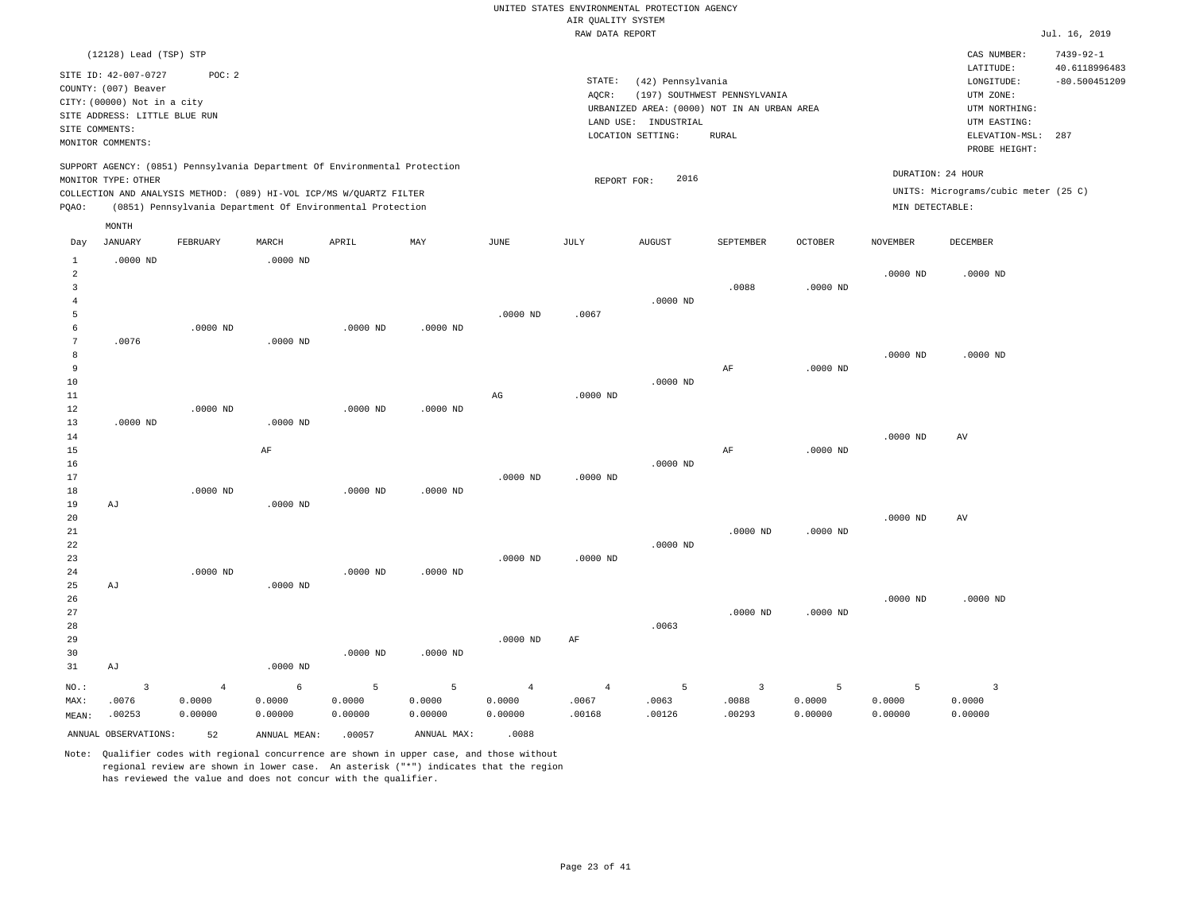|                                  |                                                                                                              |                |                                                                            |                |             |                        | ------ ---- ---- |                                                                  |                              |                |                   |                                                       |                                  |
|----------------------------------|--------------------------------------------------------------------------------------------------------------|----------------|----------------------------------------------------------------------------|----------------|-------------|------------------------|------------------|------------------------------------------------------------------|------------------------------|----------------|-------------------|-------------------------------------------------------|----------------------------------|
|                                  | (12128) Lead (TSP) STP                                                                                       |                |                                                                            |                |             |                        |                  |                                                                  |                              |                |                   | CAS NUMBER:                                           | $7439 - 92 - 1$                  |
|                                  | SITE ID: 42-007-0727<br>COUNTY: (007) Beaver<br>CITY: (00000) Not in a city<br>SITE ADDRESS: LITTLE BLUE RUN | POC: 2         |                                                                            |                |             |                        | STATE:<br>AQCR:  | (42) Pennsylvania<br>URBANIZED AREA: (0000) NOT IN AN URBAN AREA | (197) SOUTHWEST PENNSYLVANIA |                |                   | LATITUDE:<br>LONGITUDE:<br>UTM ZONE:<br>UTM NORTHING: | 40.6118996483<br>$-80.500451209$ |
| SITE COMMENTS:                   |                                                                                                              |                |                                                                            |                |             |                        |                  | LAND USE: INDUSTRIAL                                             |                              |                |                   | UTM EASTING:                                          |                                  |
|                                  | MONITOR COMMENTS:                                                                                            |                |                                                                            |                |             |                        |                  | LOCATION SETTING:                                                | <b>RURAL</b>                 |                |                   | ELEVATION-MSL:<br>PROBE HEIGHT:                       | 287                              |
|                                  |                                                                                                              |                | SUPPORT AGENCY: (0851) Pennsylvania Department Of Environmental Protection |                |             |                        |                  |                                                                  |                              |                |                   |                                                       |                                  |
|                                  | MONITOR TYPE: OTHER                                                                                          |                |                                                                            |                |             |                        | REPORT FOR:      | 2016                                                             |                              |                | DURATION: 24 HOUR |                                                       |                                  |
|                                  |                                                                                                              |                | COLLECTION AND ANALYSIS METHOD: (089) HI-VOL ICP/MS W/QUARTZ FILTER        |                |             |                        |                  |                                                                  |                              |                |                   | UNITS: Micrograms/cubic meter (25 C)                  |                                  |
| PQAO:                            |                                                                                                              |                | (0851) Pennsylvania Department Of Environmental Protection                 |                |             |                        |                  |                                                                  |                              |                | MIN DETECTABLE:   |                                                       |                                  |
|                                  | MONTH                                                                                                        |                |                                                                            |                |             |                        |                  |                                                                  |                              |                |                   |                                                       |                                  |
| Day                              | <b>JANUARY</b>                                                                                               | FEBRUARY       | MARCH                                                                      | APRIL          | MAY         | JUNE                   | JULY             | <b>AUGUST</b>                                                    | SEPTEMBER                    | <b>OCTOBER</b> | <b>NOVEMBER</b>   | DECEMBER                                              |                                  |
| 1                                | $.0000$ ND                                                                                                   |                | $.0000$ ND                                                                 |                |             |                        |                  |                                                                  |                              |                |                   |                                                       |                                  |
| $\overline{a}$<br>$\overline{3}$ |                                                                                                              |                |                                                                            |                |             |                        |                  |                                                                  | .0088                        | $.0000$ ND     | $.0000$ ND        | $.0000$ ND                                            |                                  |
| $\overline{4}$                   |                                                                                                              |                |                                                                            |                |             |                        |                  | $.0000$ ND                                                       |                              |                |                   |                                                       |                                  |
| 5                                |                                                                                                              |                |                                                                            |                |             | $.0000$ ND             | .0067            |                                                                  |                              |                |                   |                                                       |                                  |
| 6                                |                                                                                                              | $.0000$ ND     |                                                                            | $.0000$ ND     | $.0000$ ND  |                        |                  |                                                                  |                              |                |                   |                                                       |                                  |
| 7                                | .0076                                                                                                        |                | $.0000$ ND                                                                 |                |             |                        |                  |                                                                  |                              |                |                   |                                                       |                                  |
| 8                                |                                                                                                              |                |                                                                            |                |             |                        |                  |                                                                  |                              |                | $.0000$ ND        | $.0000$ ND                                            |                                  |
| 9<br>10                          |                                                                                                              |                |                                                                            |                |             |                        |                  | $.0000$ ND                                                       | AF                           | $.0000$ ND     |                   |                                                       |                                  |
| 11                               |                                                                                                              |                |                                                                            |                |             | $\mathbb{A}\mathbb{G}$ | $.0000$ ND       |                                                                  |                              |                |                   |                                                       |                                  |
| $12$                             |                                                                                                              | $.0000$ ND     |                                                                            | $.0000$ ND     | $.0000$ ND  |                        |                  |                                                                  |                              |                |                   |                                                       |                                  |
| 13                               | $.0000$ ND                                                                                                   |                | $.0000$ ND                                                                 |                |             |                        |                  |                                                                  |                              |                |                   |                                                       |                                  |
| 14                               |                                                                                                              |                |                                                                            |                |             |                        |                  |                                                                  |                              |                | $.0000$ ND        | AV                                                    |                                  |
| 15                               |                                                                                                              |                | AF                                                                         |                |             |                        |                  |                                                                  | AF                           | $.0000$ ND     |                   |                                                       |                                  |
| 16<br>17                         |                                                                                                              |                |                                                                            |                |             | $.0000$ ND             | $.0000$ ND       | $.0000$ ND                                                       |                              |                |                   |                                                       |                                  |
| 18                               |                                                                                                              | $.0000$ ND     |                                                                            | $.0000$ ND     | $.0000$ ND  |                        |                  |                                                                  |                              |                |                   |                                                       |                                  |
| 19                               | AJ                                                                                                           |                | $.0000$ ND                                                                 |                |             |                        |                  |                                                                  |                              |                |                   |                                                       |                                  |
| 20                               |                                                                                                              |                |                                                                            |                |             |                        |                  |                                                                  |                              |                | $.0000$ ND        | $\hbox{AV}$                                           |                                  |
| 21                               |                                                                                                              |                |                                                                            |                |             |                        |                  |                                                                  | $.0000$ ND                   | $.0000$ ND     |                   |                                                       |                                  |
| 22<br>23                         |                                                                                                              |                |                                                                            |                |             | $.0000$ ND             | $.0000$ ND       | $.0000$ ND                                                       |                              |                |                   |                                                       |                                  |
| 24                               |                                                                                                              | $.0000$ ND     |                                                                            | $.0000$ ND     | $.0000$ ND  |                        |                  |                                                                  |                              |                |                   |                                                       |                                  |
| 25                               | AJ                                                                                                           |                | $.0000$ ND                                                                 |                |             |                        |                  |                                                                  |                              |                |                   |                                                       |                                  |
| 26                               |                                                                                                              |                |                                                                            |                |             |                        |                  |                                                                  |                              |                | $.0000$ ND        | $.0000$ ND                                            |                                  |
| 27                               |                                                                                                              |                |                                                                            |                |             |                        |                  |                                                                  | $.0000$ ND                   | $.0000$ ND     |                   |                                                       |                                  |
| 28                               |                                                                                                              |                |                                                                            |                |             | $.0000$ ND             |                  | .0063                                                            |                              |                |                   |                                                       |                                  |
| 29<br>30                         |                                                                                                              |                |                                                                            | $.0000$ ND     | $.0000$ ND  |                        | AF               |                                                                  |                              |                |                   |                                                       |                                  |
| 31                               | AJ                                                                                                           |                | $.0000$ ND                                                                 |                |             |                        |                  |                                                                  |                              |                |                   |                                                       |                                  |
| NO.:                             | $\overline{\mathbf{3}}$                                                                                      | $\overline{4}$ | -6                                                                         | $\overline{5}$ | 5           | $\overline{4}$         | $\overline{4}$   | 5                                                                | $\overline{\mathbf{3}}$      | 5              | 5                 | $\overline{3}$                                        |                                  |
| MAX:                             | .0076                                                                                                        | 0.0000         | 0.0000                                                                     | 0.0000         | 0.0000      | 0.0000                 | .0067            | .0063                                                            | .0088                        | 0.0000         | 0.0000            | 0.0000                                                |                                  |
| MEAN:                            | .00253                                                                                                       | 0.00000        | 0.00000                                                                    | 0.00000        | 0.00000     | 0.00000                | .00168           | .00126                                                           | .00293                       | 0.00000        | 0.00000           | 0.00000                                               |                                  |
|                                  | ANNUAL OBSERVATIONS:                                                                                         | 52             | ANNUAL MEAN:                                                               | .00057         | ANNUAL MAX: | .0088                  |                  |                                                                  |                              |                |                   |                                                       |                                  |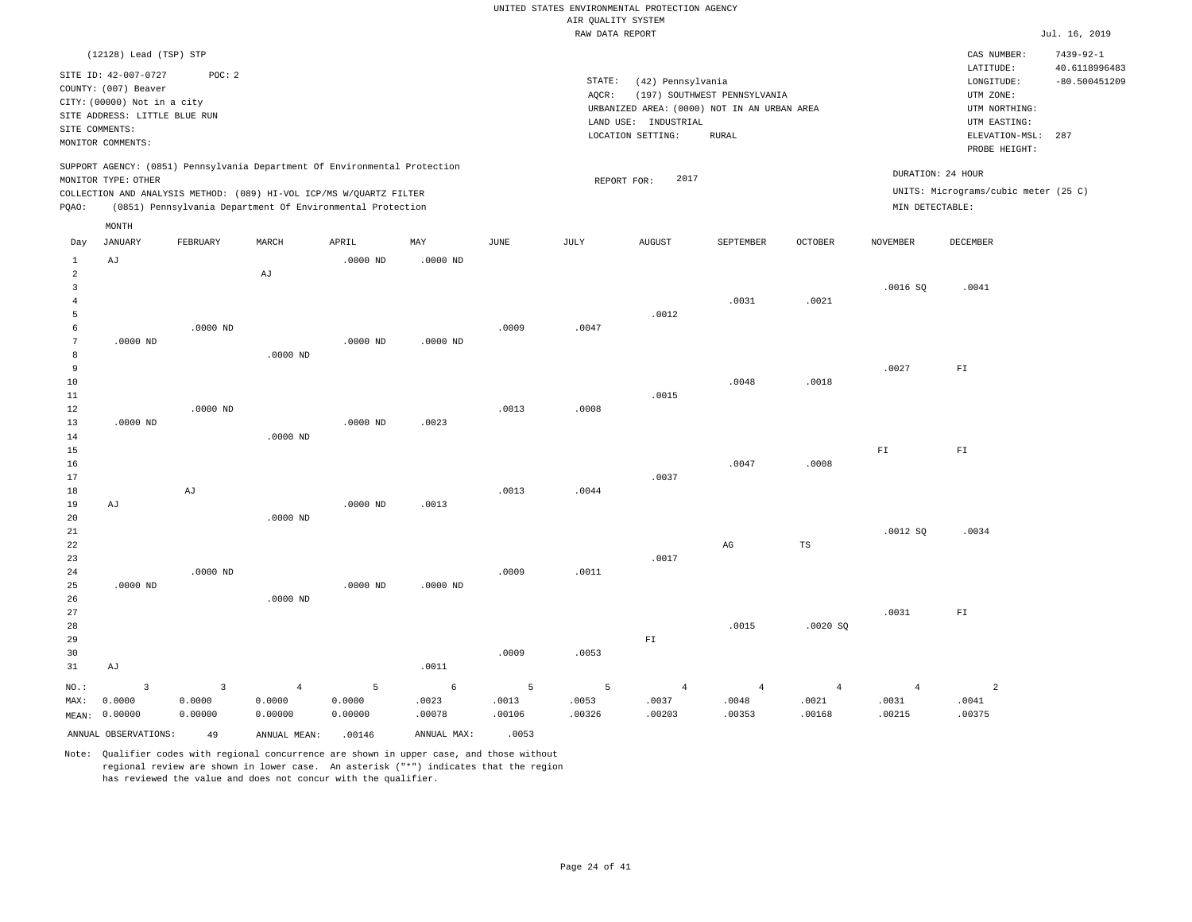|                                                                         |                                                                                                       |                                     |                                     |                                                                                                                                                                                                                 |                      |                      | AIR QUALITY SYSTEM   | UNITED STATES ENVIRONMENTAL PROTECTION AGENCY |                                                             |                                   |                                      |                                                                  |                                                     |
|-------------------------------------------------------------------------|-------------------------------------------------------------------------------------------------------|-------------------------------------|-------------------------------------|-----------------------------------------------------------------------------------------------------------------------------------------------------------------------------------------------------------------|----------------------|----------------------|----------------------|-----------------------------------------------|-------------------------------------------------------------|-----------------------------------|--------------------------------------|------------------------------------------------------------------|-----------------------------------------------------|
|                                                                         |                                                                                                       |                                     |                                     |                                                                                                                                                                                                                 |                      |                      | RAW DATA REPORT      |                                               |                                                             |                                   |                                      |                                                                  | Jul. 16, 2019                                       |
|                                                                         | (12128) Lead (TSP) STP<br>SITE ID: 42-007-0727<br>COUNTY: (007) Beaver<br>CITY: (00000) Not in a city | POC: 2                              |                                     |                                                                                                                                                                                                                 |                      |                      | STATE:<br>AOCR:      | (42) Pennsylvania                             | (197) SOUTHWEST PENNSYLVANIA                                |                                   |                                      | CAS NUMBER:<br>LATITUDE:<br>LONGITUDE:<br>UTM ZONE:              | $7439 - 92 - 1$<br>40.6118996483<br>$-80.500451209$ |
|                                                                         | SITE ADDRESS: LITTLE BLUE RUN<br>SITE COMMENTS:<br>MONITOR COMMENTS:                                  |                                     |                                     |                                                                                                                                                                                                                 |                      |                      |                      | LAND USE: INDUSTRIAL<br>LOCATION SETTING:     | URBANIZED AREA: (0000) NOT IN AN URBAN AREA<br><b>RURAL</b> |                                   |                                      | UTM NORTHING:<br>UTM EASTING:<br>ELEVATION-MSL:<br>PROBE HEIGHT: | 287                                                 |
| PQAO:                                                                   | MONITOR TYPE: OTHER                                                                                   |                                     |                                     | SUPPORT AGENCY: (0851) Pennsylvania Department Of Environmental Protection<br>COLLECTION AND ANALYSIS METHOD: (089) HI-VOL ICP/MS W/QUARTZ FILTER<br>(0851) Pennsylvania Department Of Environmental Protection |                      |                      | REPORT FOR:          | 2017                                          |                                                             |                                   | DURATION: 24 HOUR<br>MIN DETECTABLE: | UNITS: Micrograms/cubic meter (25 C)                             |                                                     |
| Day                                                                     | MONTH<br><b>JANUARY</b>                                                                               | FEBRUARY                            | MARCH                               | APRIL                                                                                                                                                                                                           | MAY                  | <b>JUNE</b>          | JULY                 | <b>AUGUST</b>                                 | SEPTEMBER                                                   | <b>OCTOBER</b>                    | <b>NOVEMBER</b>                      | DECEMBER                                                         |                                                     |
| <sup>1</sup><br>$\overline{a}$<br>$\overline{3}$<br>$\overline{4}$<br>5 | AJ                                                                                                    |                                     | $\mathrm{AJ}$                       | $.0000$ ND                                                                                                                                                                                                      | $.0000$ ND           |                      |                      | .0012                                         | .0031                                                       | .0021                             | .0016S                               | .0041                                                            |                                                     |
| 6<br>7<br>8<br>$\overline{9}$<br>10                                     | $.0000$ ND                                                                                            | $.0000$ ND                          | $.0000$ ND                          | $.0000$ ND                                                                                                                                                                                                      | $.0000$ ND           | .0009                | .0047                |                                               | .0048                                                       | .0018                             | .0027                                | ${\rm F\,I}$                                                     |                                                     |
| 11<br>12<br>13<br>14<br>15<br>16                                        | $.0000$ ND                                                                                            | $.0000$ ND                          | $.0000$ ND                          | $.0000$ ND                                                                                                                                                                                                      | .0023                | .0013                | .0008                | .0015                                         | .0047                                                       | .0008                             | ${\rm F\,I}$                         | ${\rm F\,I}$                                                     |                                                     |
| 17<br>18<br>19<br>20                                                    | AJ                                                                                                    | AJ                                  | $.0000$ ND                          | $.0000$ ND                                                                                                                                                                                                      | .0013                | .0013                | .0044                | .0037                                         |                                                             |                                   |                                      |                                                                  |                                                     |
| 21<br>22<br>23<br>24<br>25                                              | $.0000$ ND                                                                                            | $.0000$ ND                          |                                     | $.0000$ ND                                                                                                                                                                                                      | $.0000$ ND           | .0009                | .0011                | .0017                                         | $\mathbb{A}\mathbb{G}$                                      | <b>TS</b>                         | .0012 SQ                             | .0034                                                            |                                                     |
| 26<br>27<br>28<br>29<br>30<br>31                                        | AJ                                                                                                    |                                     | $.0000$ ND                          |                                                                                                                                                                                                                 | .0011                | .0009                | .0053                | ${\rm F\,I}$                                  | .0015                                                       | .0020S                            | .0031                                | ${\rm FT}$                                                       |                                                     |
| NO.:<br>MAX:                                                            | $\overline{\mathbf{3}}$<br>0.0000<br>MEAN: 0.00000                                                    | $\overline{3}$<br>0.0000<br>0.00000 | $\overline{4}$<br>0.0000<br>0.00000 | 5<br>0.0000<br>0.00000                                                                                                                                                                                          | 6<br>.0023<br>.00078 | 5<br>.0013<br>.00106 | 5<br>.0053<br>.00326 | $\overline{4}$<br>.0037<br>.00203             | $\sqrt{4}$<br>.0048<br>.00353                               | $\overline{4}$<br>.0021<br>.00168 | $\overline{4}$<br>.0031<br>.00215    | $\overline{a}$<br>.0041<br>.00375                                |                                                     |

ANNUAL OBSERVATIONS: 49 ANNUAL MEAN: .00146 ANNUAL MAX: .0053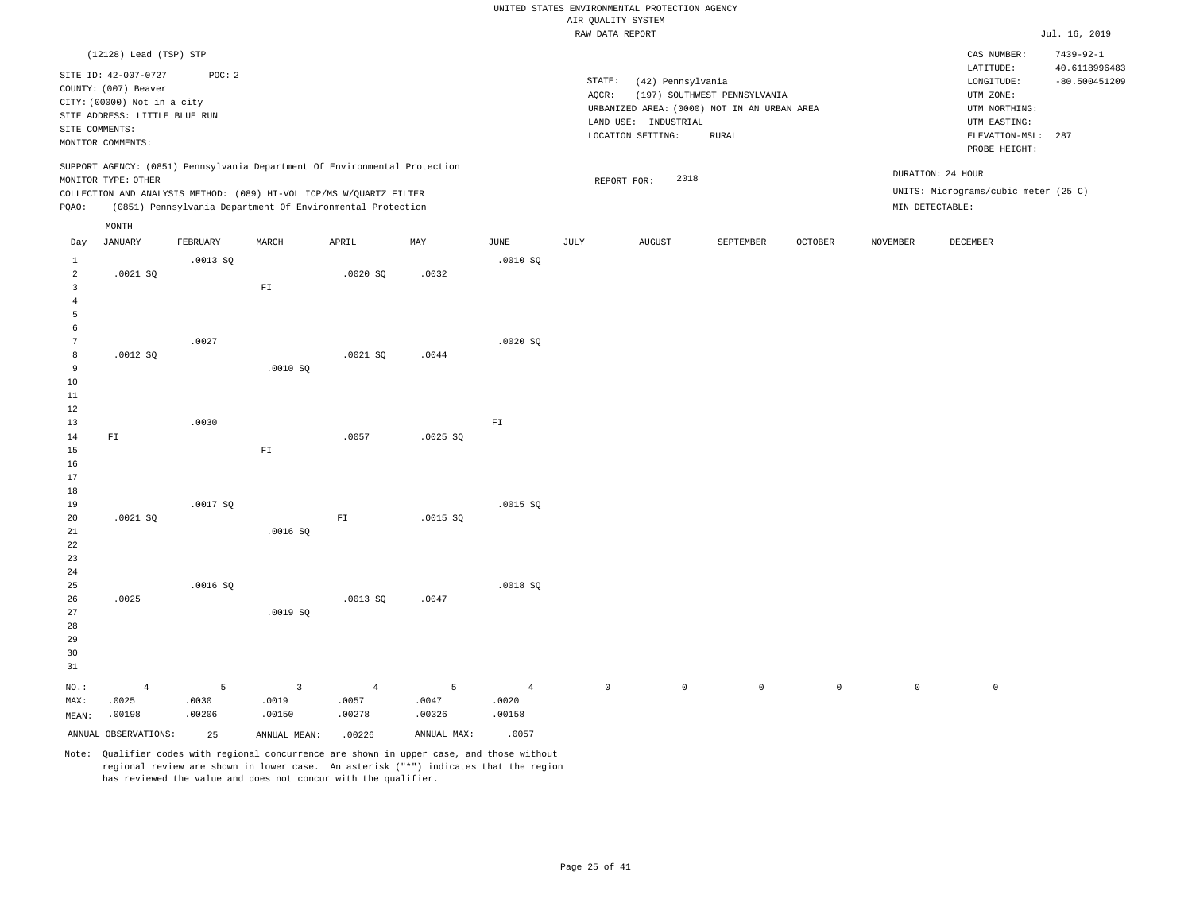|                                           |                                                                                                                                        |                      |                                                                                                                                                   |                                   |                      |                                   | UNITED STATES ENVIRONMENTAL PROTECTION AGENCY |                      |                                                                             |             |                 |                                                                      |                                                     |
|-------------------------------------------|----------------------------------------------------------------------------------------------------------------------------------------|----------------------|---------------------------------------------------------------------------------------------------------------------------------------------------|-----------------------------------|----------------------|-----------------------------------|-----------------------------------------------|----------------------|-----------------------------------------------------------------------------|-------------|-----------------|----------------------------------------------------------------------|-----------------------------------------------------|
|                                           |                                                                                                                                        |                      |                                                                                                                                                   |                                   |                      |                                   | AIR QUALITY SYSTEM                            |                      |                                                                             |             |                 |                                                                      |                                                     |
|                                           |                                                                                                                                        |                      |                                                                                                                                                   |                                   |                      |                                   | RAW DATA REPORT                               |                      |                                                                             |             |                 |                                                                      | Jul. 16, 2019                                       |
|                                           | (12128) Lead (TSP) STP<br>SITE ID: 42-007-0727<br>COUNTY: (007) Beaver<br>CITY: (00000) Not in a city<br>SITE ADDRESS: LITTLE BLUE RUN | POC: 2               |                                                                                                                                                   |                                   |                      |                                   | $\texttt{STATE}{}:$<br>AQCR:                  | (42) Pennsylvania    | (197) SOUTHWEST PENNSYLVANIA<br>URBANIZED AREA: (0000) NOT IN AN URBAN AREA |             |                 | CAS NUMBER:<br>LATITUDE:<br>LONGITUDE:<br>UTM ZONE:<br>UTM NORTHING: | $7439 - 92 - 1$<br>40.6118996483<br>$-80.500451209$ |
|                                           | SITE COMMENTS:                                                                                                                         |                      |                                                                                                                                                   |                                   |                      |                                   |                                               | LAND USE: INDUSTRIAL |                                                                             |             |                 | UTM EASTING:                                                         |                                                     |
|                                           | MONITOR COMMENTS:                                                                                                                      |                      |                                                                                                                                                   |                                   |                      |                                   |                                               | LOCATION SETTING:    | <b>RURAL</b>                                                                |             |                 | ELEVATION-MSL:<br>PROBE HEIGHT:                                      | 287                                                 |
|                                           | MONITOR TYPE: OTHER                                                                                                                    |                      | SUPPORT AGENCY: (0851) Pennsylvania Department Of Environmental Protection<br>COLLECTION AND ANALYSIS METHOD: (089) HI-VOL ICP/MS W/QUARTZ FILTER |                                   |                      |                                   | REPORT FOR:                                   | 2018                 |                                                                             |             |                 | DURATION: 24 HOUR<br>UNITS: Micrograms/cubic meter (25 C)            |                                                     |
| PQAO:                                     |                                                                                                                                        |                      | (0851) Pennsylvania Department Of Environmental Protection                                                                                        |                                   |                      |                                   |                                               |                      |                                                                             |             | MIN DETECTABLE: |                                                                      |                                                     |
|                                           | MONTH                                                                                                                                  |                      |                                                                                                                                                   |                                   |                      |                                   |                                               |                      |                                                                             |             |                 |                                                                      |                                                     |
| Day                                       | <b>JANUARY</b>                                                                                                                         | FEBRUARY             | MARCH                                                                                                                                             | APRIL                             | MAY                  | $_{\rm JUNE}$                     | $\mathtt{JULY}$                               | <b>AUGUST</b>        | SEPTEMBER                                                                   | OCTOBER     | <b>NOVEMBER</b> | DECEMBER                                                             |                                                     |
| $1\,$                                     |                                                                                                                                        | .0013S               |                                                                                                                                                   |                                   |                      | .0010SQ                           |                                               |                      |                                                                             |             |                 |                                                                      |                                                     |
| $\overline{a}$<br>$\overline{\mathbf{3}}$ | .0021SQ                                                                                                                                |                      | ${\rm FT}$                                                                                                                                        | .0020SQ                           | .0032                |                                   |                                               |                      |                                                                             |             |                 |                                                                      |                                                     |
| $\overline{4}$<br>5<br>6                  |                                                                                                                                        |                      |                                                                                                                                                   |                                   |                      |                                   |                                               |                      |                                                                             |             |                 |                                                                      |                                                     |
| $\overline{7}$<br>8                       |                                                                                                                                        | .0027                |                                                                                                                                                   |                                   |                      | .0020SQ                           |                                               |                      |                                                                             |             |                 |                                                                      |                                                     |
| $\mathbf{q}$<br>10<br>$11\,$<br>12        | .0012S                                                                                                                                 |                      | .0010SQ                                                                                                                                           | .0021SQ                           | .0044                |                                   |                                               |                      |                                                                             |             |                 |                                                                      |                                                     |
| 13                                        |                                                                                                                                        | .0030                |                                                                                                                                                   |                                   |                      | $\mathbb{F} \mathbbm{I}$          |                                               |                      |                                                                             |             |                 |                                                                      |                                                     |
| 14<br>15<br>16<br>17<br>18                | ${\rm FT}$                                                                                                                             |                      | ${\rm FT}$                                                                                                                                        | .0057                             | .0025 SQ             |                                   |                                               |                      |                                                                             |             |                 |                                                                      |                                                     |
| 19                                        |                                                                                                                                        | .0017SQ              |                                                                                                                                                   |                                   |                      | .0015 SQ                          |                                               |                      |                                                                             |             |                 |                                                                      |                                                     |
| 20<br>21<br>22<br>23                      | .0021SQ                                                                                                                                |                      | .0016SQ                                                                                                                                           | ${\rm FT}$                        | .0015 SQ             |                                   |                                               |                      |                                                                             |             |                 |                                                                      |                                                     |
| 24<br>25<br>26<br>27<br>28<br>29<br>30    | .0025                                                                                                                                  | .0016SQ              | .0019 SO                                                                                                                                          | .0013 SQ                          | .0047                | .0018 SQ                          |                                               |                      |                                                                             |             |                 |                                                                      |                                                     |
| 31                                        |                                                                                                                                        |                      |                                                                                                                                                   |                                   |                      |                                   |                                               |                      |                                                                             |             |                 |                                                                      |                                                     |
| NO.:<br>MAX:<br>MEAN:                     | $\overline{4}$<br>.0025<br>.00198                                                                                                      | 5<br>.0030<br>.00206 | $\overline{\mathbf{3}}$<br>.0019<br>.00150                                                                                                        | $\overline{4}$<br>.0057<br>.00278 | 5<br>.0047<br>.00326 | $\overline{4}$<br>.0020<br>.00158 | $\mathsf{O}\xspace$                           | $\mathbb O$          | $\mathbb O$                                                                 | $\mathbb O$ | $\mathbb O$     | $\mathsf 0$                                                          |                                                     |
|                                           | ANNUAL OBSERVATIONS:                                                                                                                   | 25                   | ANNUAL MEAN:                                                                                                                                      | .00226                            | ANNUAL MAX:          | .0057                             |                                               |                      |                                                                             |             |                 |                                                                      |                                                     |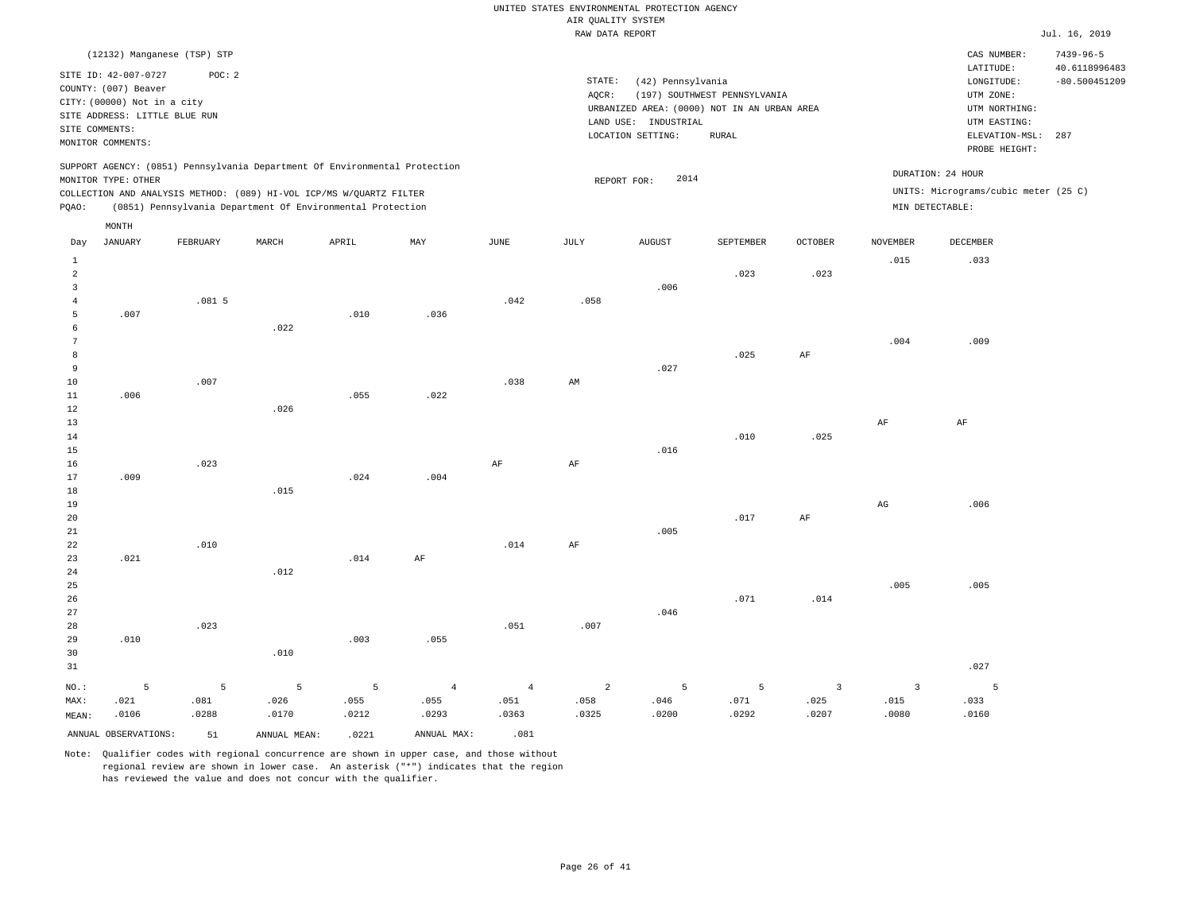|                              |                                                                                                              |          |                                                                            |       |                |                | RAW DATA REPORT |                                                                                          |                              |                         |                   |                                                                       | Jul. 16, 2019                    |
|------------------------------|--------------------------------------------------------------------------------------------------------------|----------|----------------------------------------------------------------------------|-------|----------------|----------------|-----------------|------------------------------------------------------------------------------------------|------------------------------|-------------------------|-------------------|-----------------------------------------------------------------------|----------------------------------|
|                              | (12132) Manganese (TSP) STP                                                                                  |          |                                                                            |       |                |                |                 |                                                                                          |                              |                         |                   | CAS NUMBER:                                                           | $7439 - 96 - 5$                  |
| SITE COMMENTS:               | SITE ID: 42-007-0727<br>COUNTY: (007) Beaver<br>CITY: (00000) Not in a city<br>SITE ADDRESS: LITTLE BLUE RUN | POC: 2   |                                                                            |       |                |                | STATE:<br>AQCR: | (42) Pennsylvania<br>URBANIZED AREA: (0000) NOT IN AN URBAN AREA<br>LAND USE: INDUSTRIAL | (197) SOUTHWEST PENNSYLVANIA |                         |                   | LATITUDE:<br>LONGITUDE:<br>UTM ZONE:<br>UTM NORTHING:<br>UTM EASTING: | 40.6118996483<br>$-80.500451209$ |
|                              | MONITOR COMMENTS:                                                                                            |          |                                                                            |       |                |                |                 | LOCATION SETTING:                                                                        | <b>RURAL</b>                 |                         |                   | ELEVATION-MSL:<br>PROBE HEIGHT:                                       | 287                              |
|                              |                                                                                                              |          | SUPPORT AGENCY: (0851) Pennsylvania Department Of Environmental Protection |       |                |                |                 |                                                                                          |                              |                         |                   |                                                                       |                                  |
|                              | MONITOR TYPE: OTHER                                                                                          |          |                                                                            |       |                |                | REPORT FOR:     | 2014                                                                                     |                              |                         | DURATION: 24 HOUR |                                                                       |                                  |
|                              |                                                                                                              |          | COLLECTION AND ANALYSIS METHOD: (089) HI-VOL ICP/MS W/QUARTZ FILTER        |       |                |                |                 |                                                                                          |                              |                         |                   | UNITS: Micrograms/cubic meter (25 C)                                  |                                  |
| PQAO:                        |                                                                                                              |          | (0851) Pennsylvania Department Of Environmental Protection                 |       |                |                |                 |                                                                                          |                              |                         | MIN DETECTABLE:   |                                                                       |                                  |
|                              | MONTH                                                                                                        |          |                                                                            |       |                |                |                 |                                                                                          |                              |                         |                   |                                                                       |                                  |
| Day                          | <b>JANUARY</b>                                                                                               | FEBRUARY | MARCH                                                                      | APRIL | MAY            | $_{\rm JUNE}$  | $\mathtt{JULY}$ | <b>AUGUST</b>                                                                            | SEPTEMBER                    | OCTOBER                 | <b>NOVEMBER</b>   | DECEMBER                                                              |                                  |
| $\mathbf{1}$                 |                                                                                                              |          |                                                                            |       |                |                |                 |                                                                                          |                              |                         | .015              | .033                                                                  |                                  |
| $\sqrt{2}$<br>$\overline{3}$ |                                                                                                              |          |                                                                            |       |                |                |                 | .006                                                                                     | .023                         | .023                    |                   |                                                                       |                                  |
| $\overline{4}$               |                                                                                                              | .0815    |                                                                            |       |                | .042           | .058            |                                                                                          |                              |                         |                   |                                                                       |                                  |
| 5                            | .007                                                                                                         |          |                                                                            | .010  | .036           |                |                 |                                                                                          |                              |                         |                   |                                                                       |                                  |
| 6                            |                                                                                                              |          | .022                                                                       |       |                |                |                 |                                                                                          |                              |                         |                   |                                                                       |                                  |
| 7                            |                                                                                                              |          |                                                                            |       |                |                |                 |                                                                                          |                              |                         | .004              | .009                                                                  |                                  |
| 8                            |                                                                                                              |          |                                                                            |       |                |                |                 |                                                                                          | .025                         | $\rm AF$                |                   |                                                                       |                                  |
| 9                            |                                                                                                              |          |                                                                            |       |                |                |                 | .027                                                                                     |                              |                         |                   |                                                                       |                                  |
| 10                           |                                                                                                              | .007     |                                                                            |       |                | .038           | AM              |                                                                                          |                              |                         |                   |                                                                       |                                  |
| 11                           | .006                                                                                                         |          |                                                                            | .055  | .022           |                |                 |                                                                                          |                              |                         |                   |                                                                       |                                  |
| 12                           |                                                                                                              |          | .026                                                                       |       |                |                |                 |                                                                                          |                              |                         |                   |                                                                       |                                  |
| 13                           |                                                                                                              |          |                                                                            |       |                |                |                 |                                                                                          |                              |                         | AF                | $\rm{AF}$                                                             |                                  |
| 14<br>15                     |                                                                                                              |          |                                                                            |       |                |                |                 | .016                                                                                     | .010                         | .025                    |                   |                                                                       |                                  |
| 16                           |                                                                                                              | .023     |                                                                            |       |                | $\rm{AF}$      | $\rm{AF}$       |                                                                                          |                              |                         |                   |                                                                       |                                  |
| 17                           | .009                                                                                                         |          |                                                                            | .024  | .004           |                |                 |                                                                                          |                              |                         |                   |                                                                       |                                  |
| 18                           |                                                                                                              |          | .015                                                                       |       |                |                |                 |                                                                                          |                              |                         |                   |                                                                       |                                  |
| 19                           |                                                                                                              |          |                                                                            |       |                |                |                 |                                                                                          |                              |                         | $_{\rm AG}$       | .006                                                                  |                                  |
| 20                           |                                                                                                              |          |                                                                            |       |                |                |                 |                                                                                          | .017                         | AF                      |                   |                                                                       |                                  |
| $2\sqrt{1}$                  |                                                                                                              |          |                                                                            |       |                |                |                 | .005                                                                                     |                              |                         |                   |                                                                       |                                  |
| 22                           |                                                                                                              | .010     |                                                                            |       |                | .014           | AF              |                                                                                          |                              |                         |                   |                                                                       |                                  |
| 23                           | .021                                                                                                         |          |                                                                            | .014  | AF             |                |                 |                                                                                          |                              |                         |                   |                                                                       |                                  |
| 24                           |                                                                                                              |          | .012                                                                       |       |                |                |                 |                                                                                          |                              |                         |                   |                                                                       |                                  |
| 25<br>26                     |                                                                                                              |          |                                                                            |       |                |                |                 |                                                                                          | .071                         | .014                    | .005              | .005                                                                  |                                  |
| 27                           |                                                                                                              |          |                                                                            |       |                |                |                 | .046                                                                                     |                              |                         |                   |                                                                       |                                  |
| 28                           |                                                                                                              | .023     |                                                                            |       |                | .051           | .007            |                                                                                          |                              |                         |                   |                                                                       |                                  |
| 29                           | .010                                                                                                         |          |                                                                            | .003  | .055           |                |                 |                                                                                          |                              |                         |                   |                                                                       |                                  |
| 30                           |                                                                                                              |          | .010                                                                       |       |                |                |                 |                                                                                          |                              |                         |                   |                                                                       |                                  |
| 31                           |                                                                                                              |          |                                                                            |       |                |                |                 |                                                                                          |                              |                         |                   | .027                                                                  |                                  |
| NO.:                         | 5                                                                                                            | 5        | 5                                                                          | 5     | $\overline{4}$ | $\overline{4}$ | 2               | 5                                                                                        | $\overline{5}$               | $\overline{\mathbf{3}}$ | $\overline{3}$    | 5                                                                     |                                  |
| MAX:                         | .021                                                                                                         | .081     | .026                                                                       | .055  | .055           | .051           | .058            | .046                                                                                     | .071                         | .025                    | .015              | .033                                                                  |                                  |
| MEAN:                        | .0106                                                                                                        | .0288    | .0170                                                                      | .0212 | .0293          | .0363          | .0325           | .0200                                                                                    | .0292                        | .0207                   | .0080             | .0160                                                                 |                                  |
|                              | ANNUAL OBSERVATIONS:                                                                                         | 51       | ANNUAL MEAN:                                                               | .0221 | ANNUAL MAX:    | .081           |                 |                                                                                          |                              |                         |                   |                                                                       |                                  |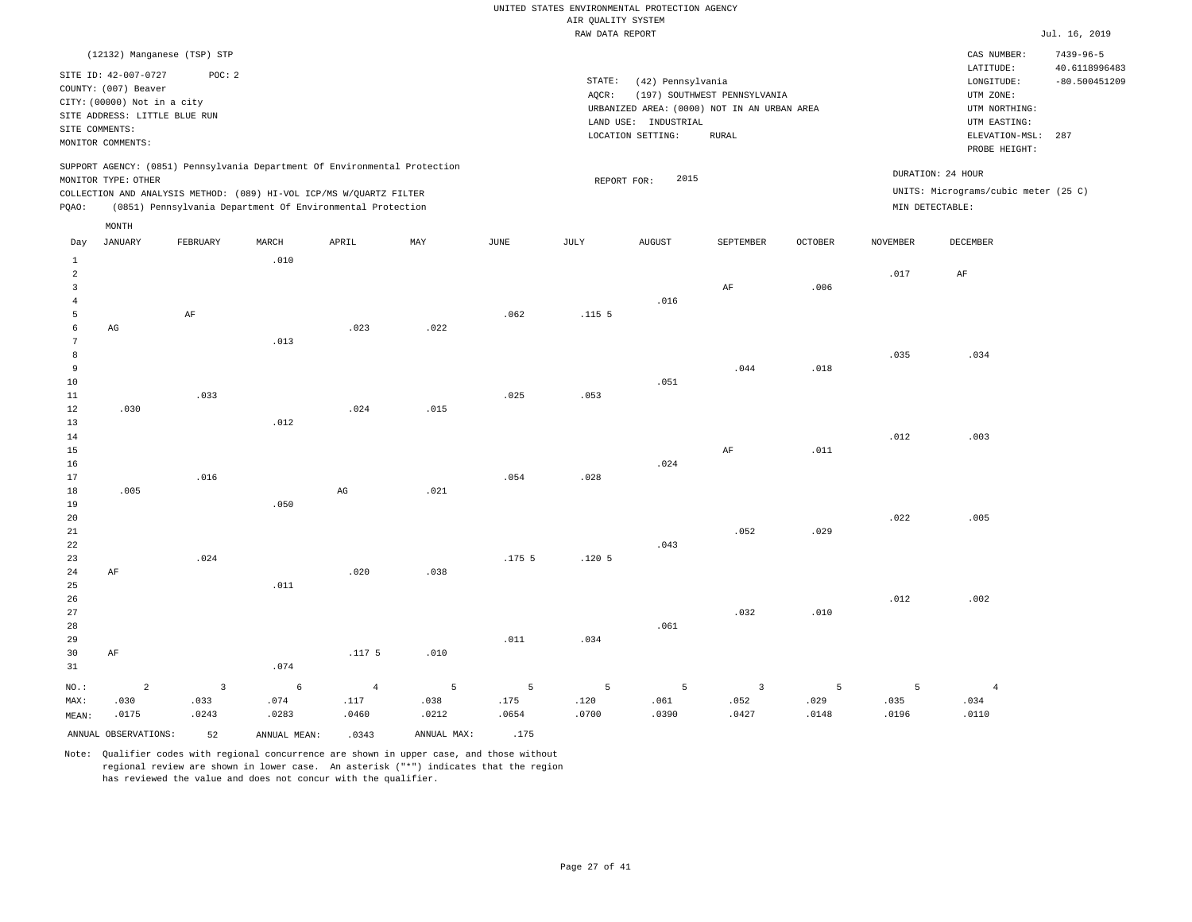|                |                               |                                                                            |       |       |      |                   | RAW DATA REPORT   |                      |                                             |         |          |                                      | Jul. 16, 2019                    |
|----------------|-------------------------------|----------------------------------------------------------------------------|-------|-------|------|-------------------|-------------------|----------------------|---------------------------------------------|---------|----------|--------------------------------------|----------------------------------|
|                |                               | (12132) Manganese (TSP) STP                                                |       |       |      |                   |                   |                      |                                             |         |          | CAS NUMBER:<br>LATITUDE:             | $7439 - 96 - 5$<br>40.6118996483 |
|                | SITE ID: 42-007-0727          | POC: 2                                                                     |       |       |      |                   | STATE:            | (42) Pennsylvania    |                                             |         |          | LONGITUDE:                           | $-80.500451209$                  |
|                | COUNTY: (007) Beaver          |                                                                            |       |       |      |                   | AOCR:             |                      | (197) SOUTHWEST PENNSYLVANIA                |         |          | UTM ZONE:                            |                                  |
|                | CITY: (00000) Not in a city   |                                                                            |       |       |      |                   |                   |                      | URBANIZED AREA: (0000) NOT IN AN URBAN AREA |         |          | UTM NORTHING:                        |                                  |
|                | SITE ADDRESS: LITTLE BLUE RUN |                                                                            |       |       |      |                   |                   | LAND USE: INDUSTRIAL |                                             |         |          | UTM EASTING:                         |                                  |
|                | SITE COMMENTS:                |                                                                            |       |       |      |                   |                   | LOCATION SETTING:    | <b>RURAL</b>                                |         |          | ELEVATION-MSL:                       | 287                              |
|                | MONITOR COMMENTS:             |                                                                            |       |       |      |                   |                   |                      |                                             |         |          | PROBE HEIGHT:                        |                                  |
|                |                               | SUPPORT AGENCY: (0851) Pennsylvania Department Of Environmental Protection |       |       |      |                   |                   |                      |                                             |         |          | DURATION: 24 HOUR                    |                                  |
|                | MONITOR TYPE: OTHER           |                                                                            |       |       |      |                   |                   | 2015<br>REPORT FOR:  |                                             |         |          |                                      |                                  |
|                |                               | COLLECTION AND ANALYSIS METHOD: (089) HI-VOL ICP/MS W/QUARTZ FILTER        |       |       |      |                   |                   |                      |                                             |         |          | UNITS: Micrograms/cubic meter (25 C) |                                  |
| PQAO:          |                               | (0851) Pennsylvania Department Of Environmental Protection                 |       |       |      |                   |                   |                      |                                             |         |          | MIN DETECTABLE:                      |                                  |
|                | MONTH                         |                                                                            |       |       |      |                   |                   |                      |                                             |         |          |                                      |                                  |
| Day            | JANUARY                       | FEBRUARY                                                                   | MARCH | APRIL | MAY  | JUNE              | JULY              | <b>AUGUST</b>        | SEPTEMBER                                   | OCTOBER | NOVEMBER | DECEMBER                             |                                  |
| $\mathbf{1}$   |                               |                                                                            | .010  |       |      |                   |                   |                      |                                             |         |          |                                      |                                  |
| 2              |                               |                                                                            |       |       |      |                   |                   |                      |                                             |         | .017     | AF                                   |                                  |
| $\overline{3}$ |                               |                                                                            |       |       |      |                   |                   |                      | AF                                          | .006    |          |                                      |                                  |
| $\overline{4}$ |                               |                                                                            |       |       |      |                   |                   | .016                 |                                             |         |          |                                      |                                  |
| 5              |                               | AF                                                                         |       |       |      | .062              | .115 <sub>5</sub> |                      |                                             |         |          |                                      |                                  |
| 6              | AG                            |                                                                            |       | .023  | .022 |                   |                   |                      |                                             |         |          |                                      |                                  |
| 7              |                               |                                                                            | .013  |       |      |                   |                   |                      |                                             |         |          |                                      |                                  |
| 8              |                               |                                                                            |       |       |      |                   |                   |                      |                                             |         | .035     | .034                                 |                                  |
| 9              |                               |                                                                            |       |       |      |                   |                   |                      | .044                                        | .018    |          |                                      |                                  |
| 10             |                               |                                                                            |       |       |      |                   |                   | .051                 |                                             |         |          |                                      |                                  |
| 11             |                               | .033                                                                       |       |       |      | .025              | .053              |                      |                                             |         |          |                                      |                                  |
| 12             | .030                          |                                                                            |       | .024  | .015 |                   |                   |                      |                                             |         |          |                                      |                                  |
| 13             |                               |                                                                            | .012  |       |      |                   |                   |                      |                                             |         |          |                                      |                                  |
| 14             |                               |                                                                            |       |       |      |                   |                   |                      |                                             |         | .012     | .003                                 |                                  |
| 15             |                               |                                                                            |       |       |      |                   |                   |                      | AF                                          | .011    |          |                                      |                                  |
| 16             |                               |                                                                            |       |       |      |                   |                   | .024                 |                                             |         |          |                                      |                                  |
| 17             |                               | .016                                                                       |       |       |      | .054              | .028              |                      |                                             |         |          |                                      |                                  |
| 18             | .005                          |                                                                            |       | AG    | .021 |                   |                   |                      |                                             |         |          |                                      |                                  |
| 19             |                               |                                                                            | .050  |       |      |                   |                   |                      |                                             |         | .022     | .005                                 |                                  |
| 20             |                               |                                                                            |       |       |      |                   |                   |                      |                                             |         |          |                                      |                                  |
| 21             |                               |                                                                            |       |       |      |                   |                   | .043                 | .052                                        | .029    |          |                                      |                                  |
| 22             |                               |                                                                            |       |       |      |                   |                   |                      |                                             |         |          |                                      |                                  |
| 23             | AF                            | .024                                                                       |       | .020  | .038 | .175 <sub>5</sub> | .120 <sub>5</sub> |                      |                                             |         |          |                                      |                                  |
| 24<br>25       |                               |                                                                            | .011  |       |      |                   |                   |                      |                                             |         |          |                                      |                                  |
| 26             |                               |                                                                            |       |       |      |                   |                   |                      |                                             |         | .012     | .002                                 |                                  |
| 27             |                               |                                                                            |       |       |      |                   |                   |                      | .032                                        | .010    |          |                                      |                                  |
|                |                               |                                                                            |       |       |      |                   |                   |                      |                                             |         |          |                                      |                                  |

Note: Qualifier codes with regional concurrence are shown in upper case, and those without regional review are shown in lower case. An asterisk ("\*") indicates that the region has reviewed the value and does not concur with the qualifier.

.117 5

4 .117 .0460

.010

5 .038 .0212

.011

5 .175 .0654

.074

6 .074 .0283

ANNUAL OBSERVATIONS: 52 ANNUAL MEAN: .0343 ANNUAL MAX: .175

3 .033 .0243

NO.: MAX: MEAN: AF

2 .030 .0175

.034

5 .120 .0700

.061

5 .061 .0390

3 .052 .0427

5 .029 .0148

5 .035 .0196

4 .034 .0110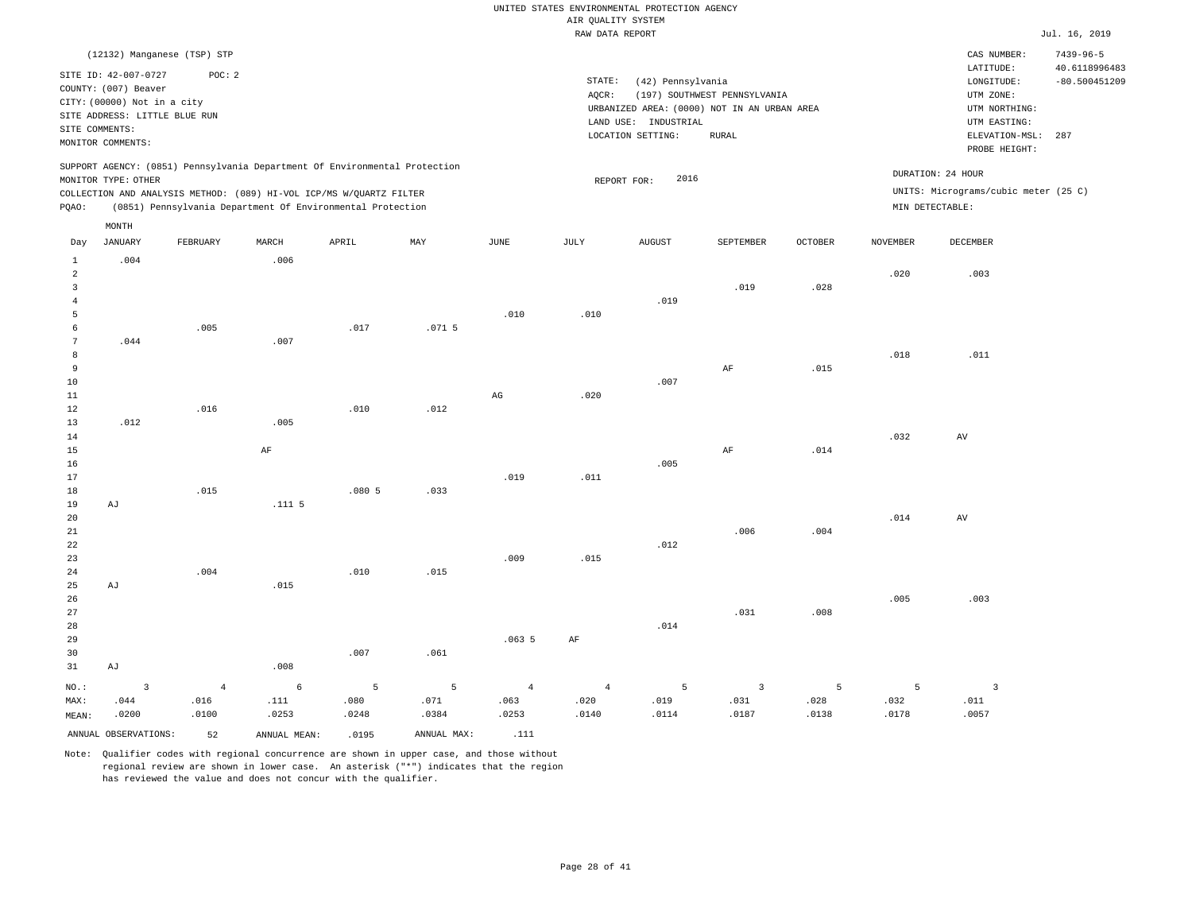|                                |                               |                |              |                                                                            |             |                        | ----- ------ ---- ---- |                                             |                              |         |                 |                                      | .               |
|--------------------------------|-------------------------------|----------------|--------------|----------------------------------------------------------------------------|-------------|------------------------|------------------------|---------------------------------------------|------------------------------|---------|-----------------|--------------------------------------|-----------------|
|                                | (12132) Manganese (TSP) STP   |                |              |                                                                            |             |                        |                        |                                             |                              |         |                 | CAS NUMBER:                          | $7439 - 96 - 5$ |
|                                | SITE ID: 42-007-0727          | POC: 2         |              |                                                                            |             |                        |                        |                                             |                              |         |                 | LATITUDE:                            | 40.6118996483   |
|                                | COUNTY: (007) Beaver          |                |              |                                                                            |             |                        | STATE:                 | (42) Pennsylvania                           |                              |         |                 | LONGITUDE:                           | $-80.500451209$ |
|                                | CITY: (00000) Not in a city   |                |              |                                                                            |             |                        | AQCR:                  |                                             | (197) SOUTHWEST PENNSYLVANIA |         |                 | UTM ZONE:                            |                 |
|                                | SITE ADDRESS: LITTLE BLUE RUN |                |              |                                                                            |             |                        |                        | URBANIZED AREA: (0000) NOT IN AN URBAN AREA |                              |         |                 | UTM NORTHING:                        |                 |
| SITE COMMENTS:                 |                               |                |              |                                                                            |             |                        |                        | LAND USE: INDUSTRIAL                        | <b>RURAL</b>                 |         |                 | UTM EASTING:                         |                 |
|                                | MONITOR COMMENTS:             |                |              |                                                                            |             |                        |                        | LOCATION SETTING:                           |                              |         |                 | ELEVATION-MSL: 287<br>PROBE HEIGHT:  |                 |
|                                |                               |                |              | SUPPORT AGENCY: (0851) Pennsylvania Department Of Environmental Protection |             |                        |                        |                                             |                              |         |                 | DURATION: 24 HOUR                    |                 |
|                                | MONITOR TYPE: OTHER           |                |              |                                                                            |             |                        |                        | 2016<br>REPORT FOR:                         |                              |         |                 |                                      |                 |
|                                |                               |                |              | COLLECTION AND ANALYSIS METHOD: (089) HI-VOL ICP/MS W/QUARTZ FILTER        |             |                        |                        |                                             |                              |         |                 | UNITS: Micrograms/cubic meter (25 C) |                 |
| PQAO:                          |                               |                |              | (0851) Pennsylvania Department Of Environmental Protection                 |             |                        |                        |                                             |                              |         | MIN DETECTABLE: |                                      |                 |
| Day                            | MONTH<br><b>JANUARY</b>       | FEBRUARY       | MARCH        | APRIL                                                                      | MAY         | JUNE                   | JULY                   | <b>AUGUST</b>                               | SEPTEMBER                    | OCTOBER | NOVEMBER        | DECEMBER                             |                 |
|                                |                               |                |              |                                                                            |             |                        |                        |                                             |                              |         |                 |                                      |                 |
| $\mathbf{1}$<br>$\overline{a}$ | .004                          |                | .006         |                                                                            |             |                        |                        |                                             |                              |         | .020            | .003                                 |                 |
| $\overline{3}$                 |                               |                |              |                                                                            |             |                        |                        |                                             | .019                         | .028    |                 |                                      |                 |
| $\overline{4}$                 |                               |                |              |                                                                            |             |                        |                        | .019                                        |                              |         |                 |                                      |                 |
| 5                              |                               |                |              |                                                                            |             | .010                   | .010                   |                                             |                              |         |                 |                                      |                 |
| 6                              |                               | .005           |              | .017                                                                       | .0715       |                        |                        |                                             |                              |         |                 |                                      |                 |
| 7                              | .044                          |                | .007         |                                                                            |             |                        |                        |                                             |                              |         |                 |                                      |                 |
| 8                              |                               |                |              |                                                                            |             |                        |                        |                                             |                              |         | .018            | .011                                 |                 |
| 9                              |                               |                |              |                                                                            |             |                        |                        |                                             | $\rm AF$                     | .015    |                 |                                      |                 |
| 10                             |                               |                |              |                                                                            |             |                        |                        | .007                                        |                              |         |                 |                                      |                 |
| $11\,$                         |                               |                |              |                                                                            |             | $\mathbb{A}\mathbb{G}$ | .020                   |                                             |                              |         |                 |                                      |                 |
| 12                             |                               | .016           |              | .010                                                                       | .012        |                        |                        |                                             |                              |         |                 |                                      |                 |
| 13                             | .012                          |                | .005         |                                                                            |             |                        |                        |                                             |                              |         |                 |                                      |                 |
| 14                             |                               |                |              |                                                                            |             |                        |                        |                                             |                              |         | .032            | AV                                   |                 |
| 15                             |                               |                | $\rm AF$     |                                                                            |             |                        |                        |                                             | $\rm AF$                     | .014    |                 |                                      |                 |
| 16                             |                               |                |              |                                                                            |             |                        |                        | .005                                        |                              |         |                 |                                      |                 |
| 17                             |                               |                |              |                                                                            |             | .019                   | .011                   |                                             |                              |         |                 |                                      |                 |
| 18                             |                               | .015           |              | .0805                                                                      | .033        |                        |                        |                                             |                              |         |                 |                                      |                 |
| 19                             | AJ                            |                | .1115        |                                                                            |             |                        |                        |                                             |                              |         |                 |                                      |                 |
| 20                             |                               |                |              |                                                                            |             |                        |                        |                                             |                              |         | .014            | $\,\mathrm{AV}$                      |                 |
| 21                             |                               |                |              |                                                                            |             |                        |                        |                                             | .006                         | .004    |                 |                                      |                 |
| 22                             |                               |                |              |                                                                            |             |                        |                        | .012                                        |                              |         |                 |                                      |                 |
| 23                             |                               |                |              |                                                                            |             | .009                   | .015                   |                                             |                              |         |                 |                                      |                 |
| 24<br>25                       |                               | .004           | .015         | .010                                                                       | .015        |                        |                        |                                             |                              |         |                 |                                      |                 |
| 26                             | AJ                            |                |              |                                                                            |             |                        |                        |                                             |                              |         | .005            | .003                                 |                 |
| 27                             |                               |                |              |                                                                            |             |                        |                        |                                             | .031                         | .008    |                 |                                      |                 |
| 28                             |                               |                |              |                                                                            |             |                        |                        | .014                                        |                              |         |                 |                                      |                 |
| 29                             |                               |                |              |                                                                            |             | .0635                  | AF                     |                                             |                              |         |                 |                                      |                 |
| 30                             |                               |                |              | .007                                                                       | .061        |                        |                        |                                             |                              |         |                 |                                      |                 |
| 31                             | AJ                            |                | .008         |                                                                            |             |                        |                        |                                             |                              |         |                 |                                      |                 |
|                                |                               |                |              |                                                                            |             |                        |                        |                                             |                              |         |                 |                                      |                 |
| NO.:                           | $\overline{3}$                | $\overline{4}$ | 6            | 5                                                                          | 5           | $\overline{4}$         | $\overline{4}$         | 5                                           | $\overline{3}$               | 5       | 5               | $\overline{3}$                       |                 |
| MAX:                           | .044                          | .016           | .111         | .080                                                                       | .071        | .063                   | .020                   | .019                                        | .031                         | .028    | .032            | .011                                 |                 |
| MEAN:                          | .0200                         | .0100          | .0253        | .0248                                                                      | .0384       | .0253                  | .0140                  | .0114                                       | .0187                        | .0138   | .0178           | .0057                                |                 |
|                                | ANNUAL OBSERVATIONS:          | 52             | ANNUAL MEAN: | .0195                                                                      | ANNUAL MAX: | .111                   |                        |                                             |                              |         |                 |                                      |                 |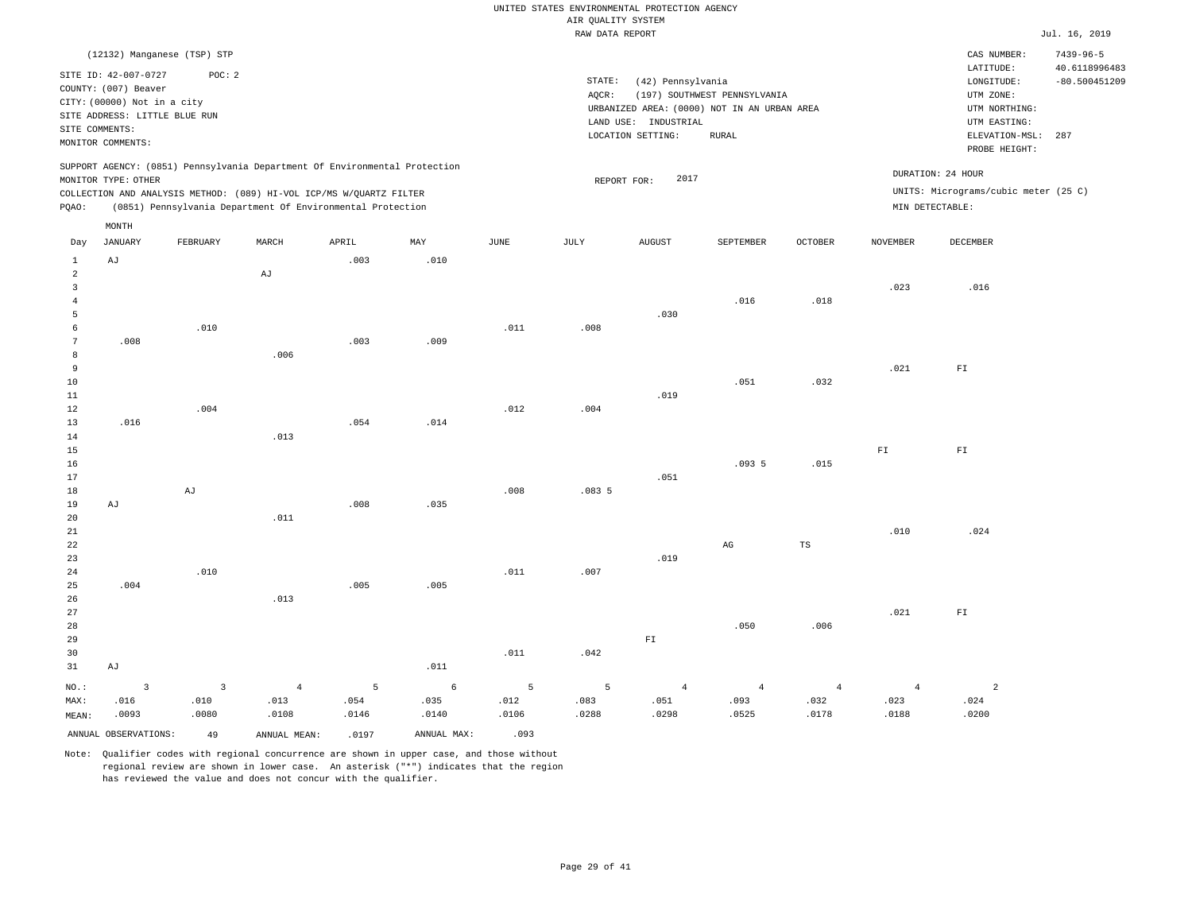|                 |                               |                                 |                                                                                                                                   |           |             |           | RAW DATA REPORT |                        |                                             |                        |                        |                                      | Jul. 16, 2019                    |
|-----------------|-------------------------------|---------------------------------|-----------------------------------------------------------------------------------------------------------------------------------|-----------|-------------|-----------|-----------------|------------------------|---------------------------------------------|------------------------|------------------------|--------------------------------------|----------------------------------|
|                 | (12132) Manganese (TSP) STP   |                                 |                                                                                                                                   |           |             |           |                 |                        |                                             |                        |                        | CAS NUMBER:                          | $7439 - 96 - 5$                  |
|                 | SITE ID: 42-007-0727          | POC: 2                          |                                                                                                                                   |           |             |           | STATE:          | (42) Pennsylvania      |                                             |                        |                        | LATITUDE:<br>LONGITUDE:              | 40.6118996483<br>$-80.500451209$ |
|                 | COUNTY: (007) Beaver          |                                 |                                                                                                                                   |           |             |           | AQCR:           |                        | (197) SOUTHWEST PENNSYLVANIA                |                        |                        | UTM ZONE:                            |                                  |
|                 | CITY: (00000) Not in a city   |                                 |                                                                                                                                   |           |             |           |                 |                        | URBANIZED AREA: (0000) NOT IN AN URBAN AREA |                        |                        | UTM NORTHING:                        |                                  |
|                 | SITE ADDRESS: LITTLE BLUE RUN |                                 |                                                                                                                                   |           |             |           |                 | LAND USE: INDUSTRIAL   |                                             |                        |                        | UTM EASTING:                         |                                  |
|                 | SITE COMMENTS:                |                                 |                                                                                                                                   |           |             |           |                 | LOCATION SETTING:      | <b>RURAL</b>                                |                        |                        | ELEVATION-MSL:                       | 287                              |
|                 | MONITOR COMMENTS:             |                                 |                                                                                                                                   |           |             |           |                 |                        |                                             |                        |                        | PROBE HEIGHT:                        |                                  |
|                 |                               |                                 | SUPPORT AGENCY: (0851) Pennsylvania Department Of Environmental Protection                                                        |           |             |           |                 |                        |                                             |                        |                        | DURATION: 24 HOUR                    |                                  |
|                 | MONITOR TYPE: OTHER           |                                 |                                                                                                                                   |           |             |           | REPORT FOR:     | 2017                   |                                             |                        |                        | UNITS: Micrograms/cubic meter (25 C) |                                  |
| PQAO:           |                               |                                 | COLLECTION AND ANALYSIS METHOD: (089) HI-VOL ICP/MS W/QUARTZ FILTER<br>(0851) Pennsylvania Department Of Environmental Protection |           |             |           |                 |                        |                                             |                        | MIN DETECTABLE:        |                                      |                                  |
|                 |                               |                                 |                                                                                                                                   |           |             |           |                 |                        |                                             |                        |                        |                                      |                                  |
| Day             | MONTH<br><b>JANUARY</b>       | FEBRUARY                        | MARCH                                                                                                                             | APRIL     | MAY         | JUNE      | JULY            | <b>AUGUST</b>          | SEPTEMBER                                   | OCTOBER                | <b>NOVEMBER</b>        | DECEMBER                             |                                  |
| $\mathbf{1}$    | AJ                            |                                 |                                                                                                                                   | .003      | .010        |           |                 |                        |                                             |                        |                        |                                      |                                  |
| $\overline{a}$  |                               |                                 | $\mathbb{A} \mathbb{J}$                                                                                                           |           |             |           |                 |                        |                                             |                        |                        |                                      |                                  |
| 3               |                               |                                 |                                                                                                                                   |           |             |           |                 |                        |                                             |                        | .023                   | .016                                 |                                  |
| $\overline{4}$  |                               |                                 |                                                                                                                                   |           |             |           |                 |                        | .016                                        | .018                   |                        |                                      |                                  |
| 5               |                               |                                 |                                                                                                                                   |           |             |           |                 | .030                   |                                             |                        |                        |                                      |                                  |
| 6               |                               | .010                            |                                                                                                                                   |           |             | .011      | .008            |                        |                                             |                        |                        |                                      |                                  |
| $7\phantom{.0}$ | .008                          |                                 |                                                                                                                                   | .003      | .009        |           |                 |                        |                                             |                        |                        |                                      |                                  |
| 8<br>9          |                               |                                 | .006                                                                                                                              |           |             |           |                 |                        |                                             |                        | .021                   | ${\rm F\,I}$                         |                                  |
| 10              |                               |                                 |                                                                                                                                   |           |             |           |                 |                        | .051                                        | .032                   |                        |                                      |                                  |
| $11\,$          |                               |                                 |                                                                                                                                   |           |             |           |                 | .019                   |                                             |                        |                        |                                      |                                  |
| 12              |                               | .004                            |                                                                                                                                   |           |             | .012      | .004            |                        |                                             |                        |                        |                                      |                                  |
| 13              | .016                          |                                 |                                                                                                                                   | .054      | .014        |           |                 |                        |                                             |                        |                        |                                      |                                  |
| 14              |                               |                                 | .013                                                                                                                              |           |             |           |                 |                        |                                             |                        |                        |                                      |                                  |
| 15              |                               |                                 |                                                                                                                                   |           |             |           |                 |                        |                                             |                        | ${\rm FT}$             | ${\tt F1}$                           |                                  |
| 16              |                               |                                 |                                                                                                                                   |           |             |           |                 |                        | .0935                                       | .015                   |                        |                                      |                                  |
| 17              |                               |                                 |                                                                                                                                   |           |             |           |                 | .051                   |                                             |                        |                        |                                      |                                  |
| 18<br>19        |                               | $\mathrm{AJ}$                   |                                                                                                                                   | .008      | .035        | .008      | .0835           |                        |                                             |                        |                        |                                      |                                  |
| 20              | AJ                            |                                 | .011                                                                                                                              |           |             |           |                 |                        |                                             |                        |                        |                                      |                                  |
| $2\sqrt{1}$     |                               |                                 |                                                                                                                                   |           |             |           |                 |                        |                                             |                        | .010                   | .024                                 |                                  |
| 22              |                               |                                 |                                                                                                                                   |           |             |           |                 |                        | $\rm{AG}$                                   | $_{\rm TS}$            |                        |                                      |                                  |
| 23              |                               |                                 |                                                                                                                                   |           |             |           |                 | .019                   |                                             |                        |                        |                                      |                                  |
| 24              |                               | .010                            |                                                                                                                                   |           |             | .011      | .007            |                        |                                             |                        |                        |                                      |                                  |
| 25              | .004                          |                                 |                                                                                                                                   | .005      | .005        |           |                 |                        |                                             |                        |                        |                                      |                                  |
| 26              |                               |                                 | .013                                                                                                                              |           |             |           |                 |                        |                                             |                        |                        |                                      |                                  |
| 27              |                               |                                 |                                                                                                                                   |           |             |           |                 |                        |                                             |                        | .021                   | ${\tt F1}$                           |                                  |
| 28<br>29        |                               |                                 |                                                                                                                                   |           |             |           |                 | ${\rm F\,I}$           | .050                                        | .006                   |                        |                                      |                                  |
| 30              |                               |                                 |                                                                                                                                   |           |             | .011      | .042            |                        |                                             |                        |                        |                                      |                                  |
| 31              | $\mathbf{A}\mathbf{J}$        |                                 |                                                                                                                                   |           | .011        |           |                 |                        |                                             |                        |                        |                                      |                                  |
|                 |                               |                                 |                                                                                                                                   |           |             |           |                 |                        |                                             |                        |                        |                                      |                                  |
| $NO.$ :<br>MAX: | $\overline{3}$<br>.016        | $\overline{\mathbf{3}}$<br>.010 | $\overline{4}$<br>.013                                                                                                            | 5<br>.054 | 6<br>.035   | 5<br>.012 | 5<br>.083       | $\overline{4}$<br>.051 | $\overline{4}$<br>.093                      | $\overline{4}$<br>.032 | $\overline{4}$<br>.023 | $\overline{a}$<br>.024               |                                  |
| MEAN:           | .0093                         | .0080                           | .0108                                                                                                                             | .0146     | .0140       | .0106     | .0288           | .0298                  | .0525                                       | .0178                  | .0188                  | .0200                                |                                  |
|                 |                               |                                 |                                                                                                                                   |           |             |           |                 |                        |                                             |                        |                        |                                      |                                  |
|                 | ANNUAL OBSERVATIONS:          | 49                              | ANNUAL MEAN:                                                                                                                      | .0197     | ANNUAL MAX: | .093      |                 |                        |                                             |                        |                        |                                      |                                  |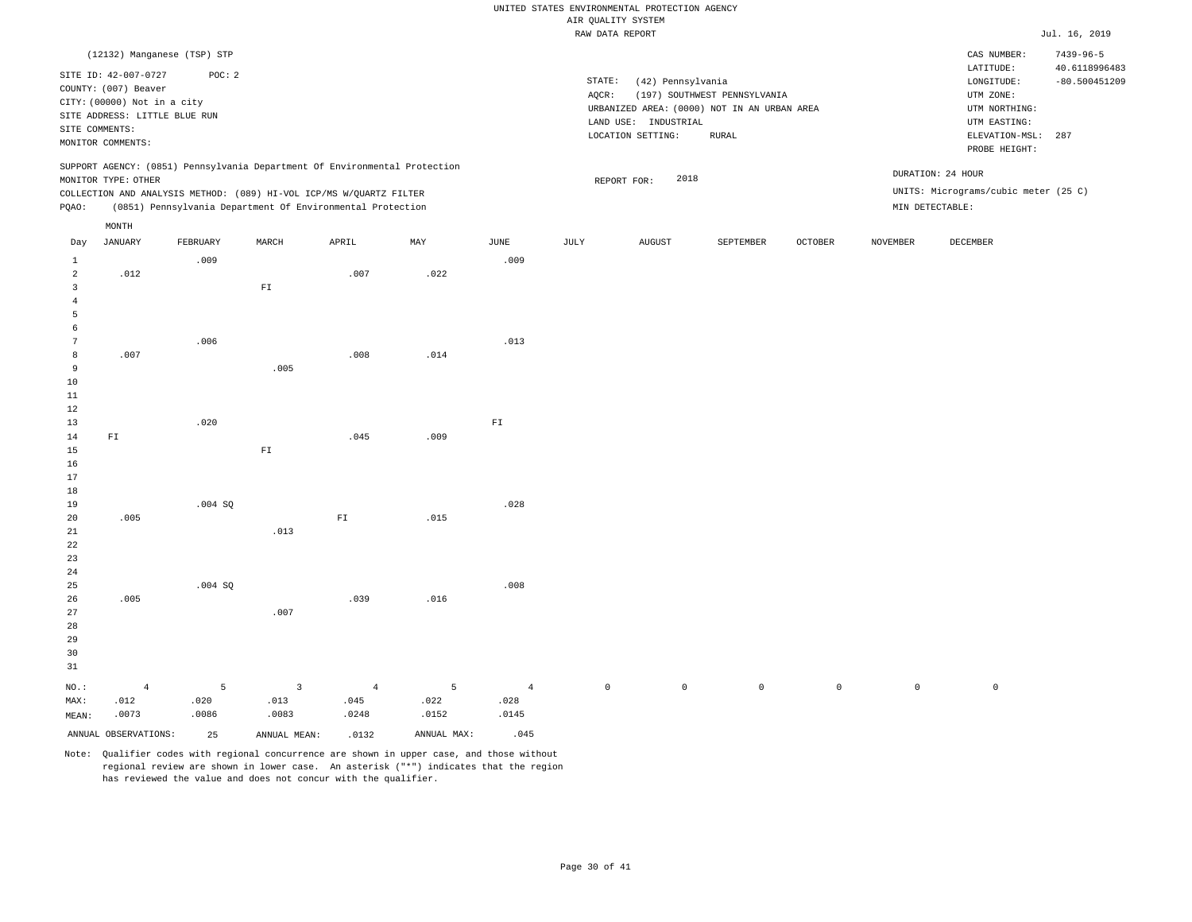|                     |                                                                                                              |          |                                                                            |                |             |                        | same present start para |                                                                |                                                                                              |                     |                 |                                                                                         | $0.421 + 201$                           |
|---------------------|--------------------------------------------------------------------------------------------------------------|----------|----------------------------------------------------------------------------|----------------|-------------|------------------------|-------------------------|----------------------------------------------------------------|----------------------------------------------------------------------------------------------|---------------------|-----------------|-----------------------------------------------------------------------------------------|-----------------------------------------|
|                     | (12132) Manganese (TSP) STP                                                                                  |          |                                                                            |                |             |                        |                         |                                                                |                                                                                              |                     |                 | CAS NUMBER:                                                                             | $7439 - 96 - 5$                         |
| SITE COMMENTS:      | SITE ID: 42-007-0727<br>COUNTY: (007) Beaver<br>CITY: (00000) Not in a city<br>SITE ADDRESS: LITTLE BLUE RUN | POC: 2   |                                                                            |                |             |                        | STATE:<br>AQCR:         | (42) Pennsylvania<br>LAND USE: INDUSTRIAL<br>LOCATION SETTING: | (197) SOUTHWEST PENNSYLVANIA<br>URBANIZED AREA: (0000) NOT IN AN URBAN AREA<br>${\tt RURAL}$ |                     |                 | LATITUDE:<br>LONGITUDE:<br>UTM ZONE:<br>UTM NORTHING:<br>UTM EASTING:<br>ELEVATION-MSL: | 40.6118996483<br>$-80.500451209$<br>287 |
|                     | MONITOR COMMENTS:                                                                                            |          |                                                                            |                |             |                        |                         |                                                                |                                                                                              |                     |                 | PROBE HEIGHT:                                                                           |                                         |
|                     | MONITOR TYPE: OTHER                                                                                          |          | SUPPORT AGENCY: (0851) Pennsylvania Department Of Environmental Protection |                |             |                        |                         | 2018<br>REPORT FOR:                                            |                                                                                              |                     |                 | DURATION: 24 HOUR                                                                       |                                         |
|                     |                                                                                                              |          | COLLECTION AND ANALYSIS METHOD: (089) HI-VOL ICP/MS W/QUARTZ FILTER        |                |             |                        |                         |                                                                |                                                                                              |                     |                 | UNITS: Micrograms/cubic meter (25 C)                                                    |                                         |
| PQAO:               |                                                                                                              |          | (0851) Pennsylvania Department Of Environmental Protection                 |                |             |                        |                         |                                                                |                                                                                              |                     | MIN DETECTABLE: |                                                                                         |                                         |
|                     | MONTH                                                                                                        |          |                                                                            |                |             |                        |                         |                                                                |                                                                                              |                     |                 |                                                                                         |                                         |
| Day                 | <b>JANUARY</b>                                                                                               | FEBRUARY | MARCH                                                                      | APRIL          | MAY         | JUNE                   | JULY                    | <b>AUGUST</b>                                                  | SEPTEMBER                                                                                    | <b>OCTOBER</b>      | <b>NOVEMBER</b> | DECEMBER                                                                                |                                         |
| $\mathbf{1}$        |                                                                                                              | .009     |                                                                            |                |             | .009                   |                         |                                                                |                                                                                              |                     |                 |                                                                                         |                                         |
| $\overline{a}$<br>3 | .012                                                                                                         |          | ${\tt F1}$                                                                 | .007           | .022        |                        |                         |                                                                |                                                                                              |                     |                 |                                                                                         |                                         |
| $\bf{4}$            |                                                                                                              |          |                                                                            |                |             |                        |                         |                                                                |                                                                                              |                     |                 |                                                                                         |                                         |
| 5                   |                                                                                                              |          |                                                                            |                |             |                        |                         |                                                                |                                                                                              |                     |                 |                                                                                         |                                         |
| 6<br>7              |                                                                                                              | .006     |                                                                            |                |             | .013                   |                         |                                                                |                                                                                              |                     |                 |                                                                                         |                                         |
| 8                   | .007                                                                                                         |          |                                                                            | .008           | .014        |                        |                         |                                                                |                                                                                              |                     |                 |                                                                                         |                                         |
| 9                   |                                                                                                              |          | .005                                                                       |                |             |                        |                         |                                                                |                                                                                              |                     |                 |                                                                                         |                                         |
| 10<br>11            |                                                                                                              |          |                                                                            |                |             |                        |                         |                                                                |                                                                                              |                     |                 |                                                                                         |                                         |
| 12                  |                                                                                                              |          |                                                                            |                |             |                        |                         |                                                                |                                                                                              |                     |                 |                                                                                         |                                         |
| 13                  |                                                                                                              | .020     |                                                                            |                |             | ${\tt F1}$             |                         |                                                                |                                                                                              |                     |                 |                                                                                         |                                         |
| 14<br>15            | ${\rm F\,I}$                                                                                                 |          | $\mathbb{F} \, \mathbb{I}$                                                 | .045           | .009        |                        |                         |                                                                |                                                                                              |                     |                 |                                                                                         |                                         |
| 16                  |                                                                                                              |          |                                                                            |                |             |                        |                         |                                                                |                                                                                              |                     |                 |                                                                                         |                                         |
| 17                  |                                                                                                              |          |                                                                            |                |             |                        |                         |                                                                |                                                                                              |                     |                 |                                                                                         |                                         |
| 18<br>19            |                                                                                                              | .004 SQ  |                                                                            |                |             | .028                   |                         |                                                                |                                                                                              |                     |                 |                                                                                         |                                         |
| 20                  | .005                                                                                                         |          |                                                                            | ${\rm FT}$     | .015        |                        |                         |                                                                |                                                                                              |                     |                 |                                                                                         |                                         |
| 21                  |                                                                                                              |          | .013                                                                       |                |             |                        |                         |                                                                |                                                                                              |                     |                 |                                                                                         |                                         |
| 22<br>23            |                                                                                                              |          |                                                                            |                |             |                        |                         |                                                                |                                                                                              |                     |                 |                                                                                         |                                         |
| 24                  |                                                                                                              |          |                                                                            |                |             |                        |                         |                                                                |                                                                                              |                     |                 |                                                                                         |                                         |
| 25                  |                                                                                                              | .004 SQ  |                                                                            |                |             | .008                   |                         |                                                                |                                                                                              |                     |                 |                                                                                         |                                         |
| 26<br>27            | .005                                                                                                         |          | .007                                                                       | .039           | .016        |                        |                         |                                                                |                                                                                              |                     |                 |                                                                                         |                                         |
| 28                  |                                                                                                              |          |                                                                            |                |             |                        |                         |                                                                |                                                                                              |                     |                 |                                                                                         |                                         |
| 29                  |                                                                                                              |          |                                                                            |                |             |                        |                         |                                                                |                                                                                              |                     |                 |                                                                                         |                                         |
| 30<br>31            |                                                                                                              |          |                                                                            |                |             |                        |                         |                                                                |                                                                                              |                     |                 |                                                                                         |                                         |
|                     |                                                                                                              | 5        |                                                                            | $\overline{4}$ | 5           |                        | $\circ$                 | $\circ$                                                        | $\mathbb O$                                                                                  | $\mathsf{O}\xspace$ |                 | $\mathsf 0$                                                                             |                                         |
| NO.:<br>MAX:        | $\overline{4}$<br>.012                                                                                       | .020     | $\overline{3}$<br>.013                                                     | .045           | .022        | $\overline{4}$<br>.028 |                         |                                                                |                                                                                              |                     | $\mathbf 0$     |                                                                                         |                                         |
| MEAN:               | .0073                                                                                                        | .0086    | .0083                                                                      | .0248          | .0152       | .0145                  |                         |                                                                |                                                                                              |                     |                 |                                                                                         |                                         |
|                     | ANNUAL OBSERVATIONS:                                                                                         | 25       | ANNUAL MEAN:                                                               | .0132          | ANNUAL MAX: | .045                   |                         |                                                                |                                                                                              |                     |                 |                                                                                         |                                         |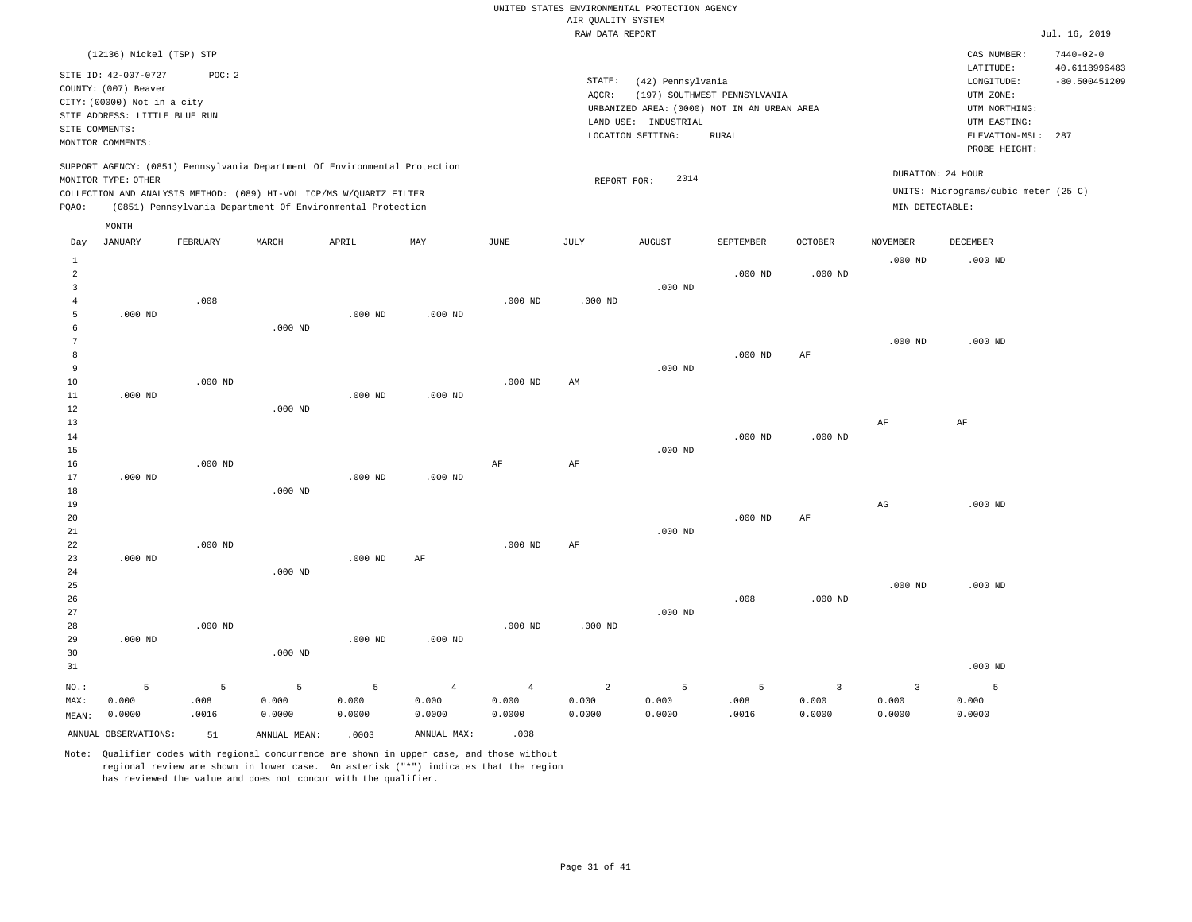|                |                                                                                                                                   |           |                                                                            |           |                           |                | RAW DATA REPORT |                                                                |                                                                                      |                |                   |                                                                                                          | Jul. 16, 2019                           |
|----------------|-----------------------------------------------------------------------------------------------------------------------------------|-----------|----------------------------------------------------------------------------|-----------|---------------------------|----------------|-----------------|----------------------------------------------------------------|--------------------------------------------------------------------------------------|----------------|-------------------|----------------------------------------------------------------------------------------------------------|-----------------------------------------|
|                | (12136) Nickel (TSP) STP                                                                                                          |           |                                                                            |           |                           |                |                 |                                                                |                                                                                      |                |                   | CAS NUMBER:                                                                                              | $7440 - 02 - 0$                         |
| SITE COMMENTS: | SITE ID: 42-007-0727<br>COUNTY: (007) Beaver<br>CITY: (00000) Not in a city<br>SITE ADDRESS: LITTLE BLUE RUN<br>MONITOR COMMENTS: | POC: 2    |                                                                            |           |                           |                | STATE:<br>AQCR: | (42) Pennsylvania<br>LAND USE: INDUSTRIAL<br>LOCATION SETTING: | (197) SOUTHWEST PENNSYLVANIA<br>URBANIZED AREA: (0000) NOT IN AN URBAN AREA<br>RURAL |                |                   | LATITUDE:<br>LONGITUDE:<br>UTM ZONE:<br>UTM NORTHING:<br>UTM EASTING:<br>ELEVATION-MSL:<br>PROBE HEIGHT: | 40.6118996483<br>$-80.500451209$<br>287 |
|                |                                                                                                                                   |           | SUPPORT AGENCY: (0851) Pennsylvania Department Of Environmental Protection |           |                           |                |                 |                                                                |                                                                                      |                | DURATION: 24 HOUR |                                                                                                          |                                         |
|                | MONITOR TYPE: OTHER                                                                                                               |           | COLLECTION AND ANALYSIS METHOD: (089) HI-VOL ICP/MS W/QUARTZ FILTER        |           |                           |                | REPORT FOR:     | 2014                                                           |                                                                                      |                |                   | UNITS: Micrograms/cubic meter (25 C)                                                                     |                                         |
| PQAO:          |                                                                                                                                   |           | (0851) Pennsylvania Department Of Environmental Protection                 |           |                           |                |                 |                                                                |                                                                                      |                | MIN DETECTABLE:   |                                                                                                          |                                         |
|                |                                                                                                                                   |           |                                                                            |           |                           |                |                 |                                                                |                                                                                      |                |                   |                                                                                                          |                                         |
| Day            | MONTH<br>JANUARY                                                                                                                  | FEBRUARY  | MARCH                                                                      | APRIL     | $\ensuremath{\text{MAX}}$ | JUNE           | JULY            | <b>AUGUST</b>                                                  | SEPTEMBER                                                                            | OCTOBER        | <b>NOVEMBER</b>   | DECEMBER                                                                                                 |                                         |
| $\mathbf{1}$   |                                                                                                                                   |           |                                                                            |           |                           |                |                 |                                                                |                                                                                      |                | $.000$ ND         | $.000$ ND                                                                                                |                                         |
| 2              |                                                                                                                                   |           |                                                                            |           |                           |                |                 |                                                                | $.000$ ND                                                                            | $.000$ ND      |                   |                                                                                                          |                                         |
| 3              |                                                                                                                                   |           |                                                                            |           |                           |                |                 | $.000$ ND                                                      |                                                                                      |                |                   |                                                                                                          |                                         |
| $\overline{4}$ |                                                                                                                                   | .008      |                                                                            |           |                           | $.000$ ND      | $.000$ ND       |                                                                |                                                                                      |                |                   |                                                                                                          |                                         |
| -5             | $.000$ ND                                                                                                                         |           |                                                                            | $.000$ ND | $.000$ ND                 |                |                 |                                                                |                                                                                      |                |                   |                                                                                                          |                                         |
| 6              |                                                                                                                                   |           | $.000$ ND                                                                  |           |                           |                |                 |                                                                |                                                                                      |                |                   |                                                                                                          |                                         |
| $\overline{7}$ |                                                                                                                                   |           |                                                                            |           |                           |                |                 |                                                                |                                                                                      |                | $.000$ ND         | $.000$ ND                                                                                                |                                         |
| 8              |                                                                                                                                   |           |                                                                            |           |                           |                |                 |                                                                | $.000$ ND                                                                            | AF             |                   |                                                                                                          |                                         |
| 9              |                                                                                                                                   |           |                                                                            |           |                           |                |                 | $.000$ ND                                                      |                                                                                      |                |                   |                                                                                                          |                                         |
| $10$<br>11     | $.000$ ND                                                                                                                         | $.000$ ND |                                                                            | $.000$ ND | $.000$ ND                 | $.000$ ND      | AM              |                                                                |                                                                                      |                |                   |                                                                                                          |                                         |
| 12             |                                                                                                                                   |           | $.000$ ND                                                                  |           |                           |                |                 |                                                                |                                                                                      |                |                   |                                                                                                          |                                         |
| 13             |                                                                                                                                   |           |                                                                            |           |                           |                |                 |                                                                |                                                                                      |                | AF                | $\rm{AF}$                                                                                                |                                         |
| 14             |                                                                                                                                   |           |                                                                            |           |                           |                |                 |                                                                | $.000$ ND                                                                            | $.000$ ND      |                   |                                                                                                          |                                         |
| 15             |                                                                                                                                   |           |                                                                            |           |                           |                |                 | $.000$ ND                                                      |                                                                                      |                |                   |                                                                                                          |                                         |
| 16             |                                                                                                                                   | $.000$ ND |                                                                            |           |                           | AF             | AF              |                                                                |                                                                                      |                |                   |                                                                                                          |                                         |
| 17             | $.000$ ND                                                                                                                         |           |                                                                            | $.000$ ND | $.000$ ND                 |                |                 |                                                                |                                                                                      |                |                   |                                                                                                          |                                         |
| 18             |                                                                                                                                   |           | $.000$ ND                                                                  |           |                           |                |                 |                                                                |                                                                                      |                |                   |                                                                                                          |                                         |
| 19             |                                                                                                                                   |           |                                                                            |           |                           |                |                 |                                                                |                                                                                      |                | $_{\rm AG}$       | $.000$ ND                                                                                                |                                         |
| 20             |                                                                                                                                   |           |                                                                            |           |                           |                |                 |                                                                | $.000$ ND                                                                            | $\rm AF$       |                   |                                                                                                          |                                         |
| 21             |                                                                                                                                   |           |                                                                            |           |                           |                |                 | $.000$ ND                                                      |                                                                                      |                |                   |                                                                                                          |                                         |
| 22<br>23       | $.000$ ND                                                                                                                         | $.000$ ND |                                                                            | $.000$ ND | AF                        | $.000$ ND      | AF              |                                                                |                                                                                      |                |                   |                                                                                                          |                                         |
| 24             |                                                                                                                                   |           | $.000$ ND                                                                  |           |                           |                |                 |                                                                |                                                                                      |                |                   |                                                                                                          |                                         |
| 25             |                                                                                                                                   |           |                                                                            |           |                           |                |                 |                                                                |                                                                                      |                | $.000$ ND         | $.000$ ND                                                                                                |                                         |
| 26             |                                                                                                                                   |           |                                                                            |           |                           |                |                 |                                                                | .008                                                                                 | $.000$ ND      |                   |                                                                                                          |                                         |
| 27             |                                                                                                                                   |           |                                                                            |           |                           |                |                 | $.000$ ND                                                      |                                                                                      |                |                   |                                                                                                          |                                         |
| 28             |                                                                                                                                   | $.000$ ND |                                                                            |           |                           | $.000$ ND      | $.000$ ND       |                                                                |                                                                                      |                |                   |                                                                                                          |                                         |
| 29             | $.000$ ND                                                                                                                         |           |                                                                            | $.000$ ND | $.000$ ND                 |                |                 |                                                                |                                                                                      |                |                   |                                                                                                          |                                         |
| 30             |                                                                                                                                   |           | $.000$ ND                                                                  |           |                           |                |                 |                                                                |                                                                                      |                |                   |                                                                                                          |                                         |
| 31             |                                                                                                                                   |           |                                                                            |           |                           |                |                 |                                                                |                                                                                      |                |                   | $.000$ ND                                                                                                |                                         |
| NO.:           | 5                                                                                                                                 | 5         | 5                                                                          | 5         | $\overline{4}$            | $\overline{4}$ | $\overline{a}$  | 5                                                              | $5\overline{)}$                                                                      | $\overline{3}$ | $\overline{3}$    | 5                                                                                                        |                                         |
| MAX:           | 0.000                                                                                                                             | .008      | 0.000                                                                      | 0.000     | 0.000                     | 0.000          | 0.000           | 0.000                                                          | .008                                                                                 | 0.000          | 0.000             | 0.000                                                                                                    |                                         |
| MEAN:          | 0.0000                                                                                                                            | .0016     | 0.0000                                                                     | 0.0000    | 0.0000                    | 0.0000         | 0.0000          | 0.0000                                                         | .0016                                                                                | 0.0000         | 0.0000            | 0.0000                                                                                                   |                                         |
|                | ANNUAL OBSERVATIONS:                                                                                                              | 51        | ANNUAL MEAN:                                                               | .0003     | ANNUAL MAX:               | .008           |                 |                                                                |                                                                                      |                |                   |                                                                                                          |                                         |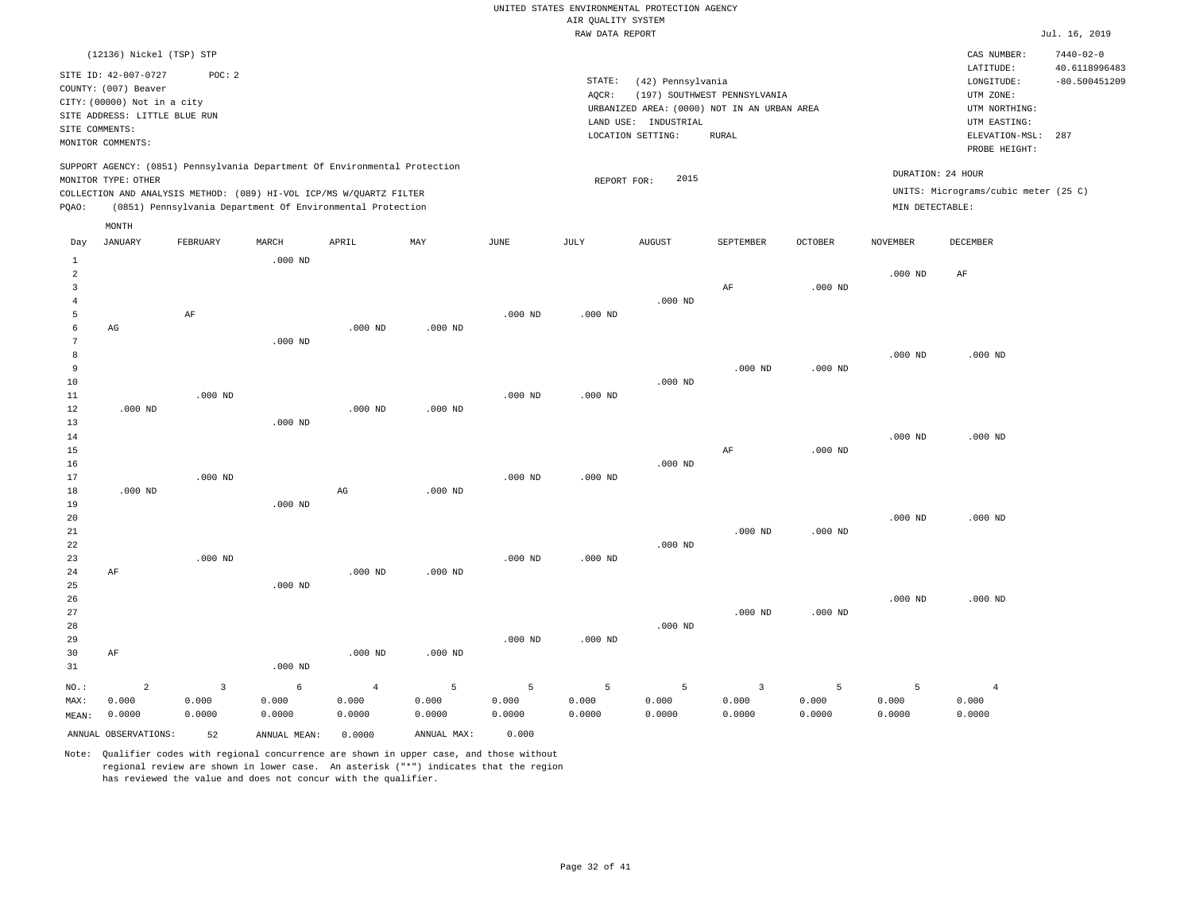|                |                               |                |                                                                            |                |             |           | RAW DATA REPORT |                      |                                             |                |                    |                                      | Jul. 16, 2019                    |
|----------------|-------------------------------|----------------|----------------------------------------------------------------------------|----------------|-------------|-----------|-----------------|----------------------|---------------------------------------------|----------------|--------------------|--------------------------------------|----------------------------------|
|                | (12136) Nickel (TSP) STP      |                |                                                                            |                |             |           |                 |                      |                                             |                |                    | CAS NUMBER:<br>LATITUDE:             | $7440 - 02 - 0$<br>40.6118996483 |
|                | SITE ID: 42-007-0727          | POC: 2         |                                                                            |                |             |           | STATE:          | (42) Pennsylvania    |                                             |                |                    | LONGITUDE:                           | $-80.500451209$                  |
|                | COUNTY: (007) Beaver          |                |                                                                            |                |             |           | AQCR:           |                      | (197) SOUTHWEST PENNSYLVANIA                |                |                    | UTM ZONE:                            |                                  |
|                | CITY: (00000) Not in a city   |                |                                                                            |                |             |           |                 |                      | URBANIZED AREA: (0000) NOT IN AN URBAN AREA |                |                    | UTM NORTHING:                        |                                  |
|                | SITE ADDRESS: LITTLE BLUE RUN |                |                                                                            |                |             |           |                 | LAND USE: INDUSTRIAL |                                             |                |                    | UTM EASTING:                         |                                  |
| SITE COMMENTS: |                               |                |                                                                            |                |             |           |                 | LOCATION SETTING:    | <b>RURAL</b>                                |                |                    | ELEVATION-MSL:                       | 287                              |
|                | MONITOR COMMENTS:             |                |                                                                            |                |             |           |                 |                      |                                             |                |                    | PROBE HEIGHT:                        |                                  |
|                |                               |                | SUPPORT AGENCY: (0851) Pennsylvania Department Of Environmental Protection |                |             |           |                 | 2015                 |                                             |                | DURATION: 24 HOUR  |                                      |                                  |
|                | MONITOR TYPE: OTHER           |                | COLLECTION AND ANALYSIS METHOD: (089) HI-VOL ICP/MS W/QUARTZ FILTER        |                |             |           | REPORT FOR:     |                      |                                             |                |                    | UNITS: Micrograms/cubic meter (25 C) |                                  |
| PQAO:          |                               |                | (0851) Pennsylvania Department Of Environmental Protection                 |                |             |           |                 |                      |                                             |                | MIN DETECTABLE:    |                                      |                                  |
|                | MONTH                         |                |                                                                            |                |             |           |                 |                      |                                             |                |                    |                                      |                                  |
| Day            | <b>JANUARY</b>                | FEBRUARY       | MARCH                                                                      | APRIL          | MAY         | JUNE      | JULY            | <b>AUGUST</b>        | SEPTEMBER                                   | <b>OCTOBER</b> | <b>NOVEMBER</b>    | DECEMBER                             |                                  |
| $\mathbf{1}$   |                               |                | $.000$ ND                                                                  |                |             |           |                 |                      |                                             |                |                    |                                      |                                  |
| 2              |                               |                |                                                                            |                |             |           |                 |                      |                                             |                | $.000$ ND          | AF                                   |                                  |
| 3              |                               |                |                                                                            |                |             |           |                 |                      | AF                                          | $.000$ ND      |                    |                                      |                                  |
| $\overline{4}$ |                               |                |                                                                            |                |             |           |                 | $.000$ ND            |                                             |                |                    |                                      |                                  |
| 5<br>6         |                               | AF             |                                                                            |                | $.000$ ND   | $.000$ ND | $.000$ ND       |                      |                                             |                |                    |                                      |                                  |
| 7              | AG                            |                | $.000$ ND                                                                  | $.000$ ND      |             |           |                 |                      |                                             |                |                    |                                      |                                  |
| 8              |                               |                |                                                                            |                |             |           |                 |                      |                                             |                | .000 <sub>ND</sub> | .000 <sub>ND</sub>                   |                                  |
| 9              |                               |                |                                                                            |                |             |           |                 |                      | $.000$ ND                                   | $.000$ ND      |                    |                                      |                                  |
| 10             |                               |                |                                                                            |                |             |           |                 | $.000$ ND            |                                             |                |                    |                                      |                                  |
| 11             |                               | $.000$ ND      |                                                                            |                |             | $.000$ ND | $.000$ ND       |                      |                                             |                |                    |                                      |                                  |
| 12             | $.000$ ND                     |                |                                                                            | $.000$ ND      | $.000$ ND   |           |                 |                      |                                             |                |                    |                                      |                                  |
| 13             |                               |                | $.000$ ND                                                                  |                |             |           |                 |                      |                                             |                |                    |                                      |                                  |
| 14             |                               |                |                                                                            |                |             |           |                 |                      |                                             |                | $.000$ ND          | $.000$ ND                            |                                  |
| 15             |                               |                |                                                                            |                |             |           |                 |                      | AF                                          | $.000$ ND      |                    |                                      |                                  |
| 16             |                               |                |                                                                            |                |             |           |                 | $.000$ ND            |                                             |                |                    |                                      |                                  |
| 17             |                               | $.000$ ND      |                                                                            |                |             | $.000$ ND | $.000$ ND       |                      |                                             |                |                    |                                      |                                  |
| 18             | $.000$ ND                     |                |                                                                            | $_{\rm AG}$    | $.000$ ND   |           |                 |                      |                                             |                |                    |                                      |                                  |
| 19             |                               |                | $.000$ ND                                                                  |                |             |           |                 |                      |                                             |                |                    |                                      |                                  |
| 20             |                               |                |                                                                            |                |             |           |                 |                      |                                             |                | $.000$ ND          | $.000$ ND                            |                                  |
| 21             |                               |                |                                                                            |                |             |           |                 |                      | $.000$ ND                                   | $.000$ ND      |                    |                                      |                                  |
| 22<br>23       |                               | $.000$ ND      |                                                                            |                |             | $.000$ ND | $.000$ ND       | $.000$ ND            |                                             |                |                    |                                      |                                  |
| 24             | AF                            |                |                                                                            | $.000$ ND      | $.000$ ND   |           |                 |                      |                                             |                |                    |                                      |                                  |
| 25             |                               |                | $.000$ ND                                                                  |                |             |           |                 |                      |                                             |                |                    |                                      |                                  |
| 26             |                               |                |                                                                            |                |             |           |                 |                      |                                             |                | $.000$ ND          | $.000$ ND                            |                                  |
| 27             |                               |                |                                                                            |                |             |           |                 |                      | $.000$ ND                                   | $.000$ ND      |                    |                                      |                                  |
| 28             |                               |                |                                                                            |                |             |           |                 | $.000$ ND            |                                             |                |                    |                                      |                                  |
| 29             |                               |                |                                                                            |                |             | $.000$ ND | $.000$ ND       |                      |                                             |                |                    |                                      |                                  |
| 30             | AF                            |                |                                                                            | $.000$ ND      | $.000$ ND   |           |                 |                      |                                             |                |                    |                                      |                                  |
| 31             |                               |                | $.000$ ND                                                                  |                |             |           |                 |                      |                                             |                |                    |                                      |                                  |
| NO.:           | $\overline{2}$                | $\overline{3}$ | 6                                                                          | $\overline{4}$ | 5           | 5         | 5               | 5                    | $\overline{\mathbf{3}}$                     | 5              | 5                  | $\overline{4}$                       |                                  |
| MAX:           | 0.000                         | 0.000          | 0.000                                                                      | 0.000          | 0.000       | 0.000     | 0.000           | 0.000                | 0.000                                       | 0.000          | 0.000              | 0.000                                |                                  |
| MEAN:          | 0.0000                        | 0.0000         | 0.0000                                                                     | 0.0000         | 0.0000      | 0.0000    | 0.0000          | 0.0000               | 0.0000                                      | 0.0000         | 0.0000             | 0.0000                               |                                  |
|                | ANNUAL OBSERVATIONS:          | 52             | ANNUAL MEAN:                                                               | 0.0000         | ANNUAL MAX: | 0.000     |                 |                      |                                             |                |                    |                                      |                                  |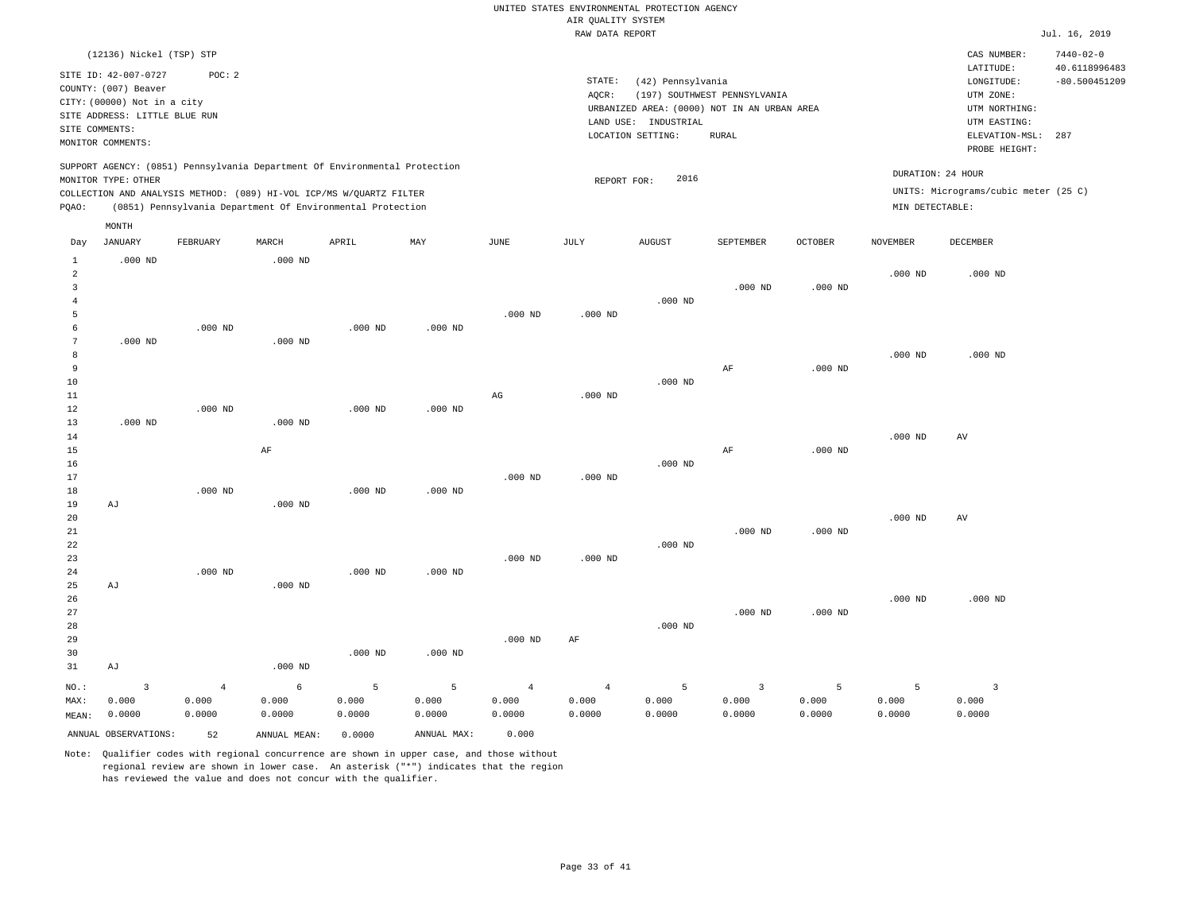|                | (12136) Nickel (TSP) STP      |                                                                                                                                                   |                 |                 |                 |                 |                 |                      |                                             |                 |                 | CAS NUMBER:<br>LATITUDE:                                  | $7440 - 02 - 0$<br>40.6118996483 |
|----------------|-------------------------------|---------------------------------------------------------------------------------------------------------------------------------------------------|-----------------|-----------------|-----------------|-----------------|-----------------|----------------------|---------------------------------------------|-----------------|-----------------|-----------------------------------------------------------|----------------------------------|
|                | SITE ID: 42-007-0727          | POC: 2                                                                                                                                            |                 |                 |                 |                 | STATE:          | (42) Pennsylvania    |                                             |                 |                 | LONGITUDE:                                                | $-80.500451209$                  |
|                | COUNTY: (007) Beaver          |                                                                                                                                                   |                 |                 |                 |                 | AQCR:           |                      | (197) SOUTHWEST PENNSYLVANIA                |                 |                 | UTM ZONE:                                                 |                                  |
|                | CITY: (00000) Not in a city   |                                                                                                                                                   |                 |                 |                 |                 |                 |                      | URBANIZED AREA: (0000) NOT IN AN URBAN AREA |                 |                 | UTM NORTHING:                                             |                                  |
|                | SITE ADDRESS: LITTLE BLUE RUN |                                                                                                                                                   |                 |                 |                 |                 |                 | LAND USE: INDUSTRIAL |                                             |                 |                 | UTM EASTING:                                              |                                  |
| SITE COMMENTS: |                               |                                                                                                                                                   |                 |                 |                 |                 |                 | LOCATION SETTING:    | <b>RURAL</b>                                |                 |                 | ELEVATION-MSL:                                            | 287                              |
|                | MONITOR COMMENTS:             |                                                                                                                                                   |                 |                 |                 |                 |                 |                      |                                             |                 |                 | PROBE HEIGHT:                                             |                                  |
|                | MONITOR TYPE: OTHER           | SUPPORT AGENCY: (0851) Pennsylvania Department Of Environmental Protection<br>COLLECTION AND ANALYSIS METHOD: (089) HI-VOL ICP/MS W/QUARTZ FILTER |                 |                 |                 |                 | REPORT FOR:     | 2016                 |                                             |                 |                 | DURATION: 24 HOUR<br>UNITS: Micrograms/cubic meter (25 C) |                                  |
| PQAO:          |                               | (0851) Pennsylvania Department Of Environmental Protection                                                                                        |                 |                 |                 |                 |                 |                      |                                             |                 | MIN DETECTABLE: |                                                           |                                  |
|                | MONTH                         |                                                                                                                                                   |                 |                 |                 |                 |                 |                      |                                             |                 |                 |                                                           |                                  |
| Day            | JANUARY                       | FEBRUARY                                                                                                                                          | MARCH           | APRIL           | MAY             | <b>JUNE</b>     | JULY            | <b>AUGUST</b>        | SEPTEMBER                                   | <b>OCTOBER</b>  | <b>NOVEMBER</b> | DECEMBER                                                  |                                  |
| $\mathbf{1}$   | $.000$ ND                     |                                                                                                                                                   | $.000$ ND       |                 |                 |                 |                 |                      |                                             |                 |                 |                                                           |                                  |
| 2              |                               |                                                                                                                                                   |                 |                 |                 |                 |                 |                      |                                             |                 | $.000$ ND       | $.000$ ND                                                 |                                  |
| $\mathbf{3}$   |                               |                                                                                                                                                   |                 |                 |                 |                 |                 |                      | $.000$ ND                                   | $.000$ ND       |                 |                                                           |                                  |
| $\overline{4}$ |                               |                                                                                                                                                   |                 |                 |                 |                 |                 | $.000$ ND            |                                             |                 |                 |                                                           |                                  |
| 5              |                               |                                                                                                                                                   |                 |                 |                 | $.000$ ND       | $.000$ ND       |                      |                                             |                 |                 |                                                           |                                  |
| 6              |                               | $.000$ ND                                                                                                                                         |                 | $.000$ ND       | $.000$ ND       |                 |                 |                      |                                             |                 |                 |                                                           |                                  |
| 7              | $.000$ ND                     |                                                                                                                                                   | $.000$ ND       |                 |                 |                 |                 |                      |                                             |                 |                 |                                                           |                                  |
| 8              |                               |                                                                                                                                                   |                 |                 |                 |                 |                 |                      |                                             |                 | $.000$ ND       | $.000$ ND                                                 |                                  |
| 9              |                               |                                                                                                                                                   |                 |                 |                 |                 |                 |                      | $\rm{AF}$                                   | $.000$ ND       |                 |                                                           |                                  |
| 10             |                               |                                                                                                                                                   |                 |                 |                 |                 |                 | $.000$ ND            |                                             |                 |                 |                                                           |                                  |
| 11<br>12       |                               | $.000$ ND                                                                                                                                         |                 | $.000$ ND       | $.000$ ND       | AG              | $.000$ ND       |                      |                                             |                 |                 |                                                           |                                  |
| 13             | $.000$ ND                     |                                                                                                                                                   | $.000$ ND       |                 |                 |                 |                 |                      |                                             |                 |                 |                                                           |                                  |
| 14             |                               |                                                                                                                                                   |                 |                 |                 |                 |                 |                      |                                             |                 | $.000$ ND       | AV                                                        |                                  |
| 15             |                               |                                                                                                                                                   | AF              |                 |                 |                 |                 |                      | AF                                          | $.000$ ND       |                 |                                                           |                                  |
| 16             |                               |                                                                                                                                                   |                 |                 |                 |                 |                 | $.000$ ND            |                                             |                 |                 |                                                           |                                  |
| 17             |                               |                                                                                                                                                   |                 |                 |                 | $.000$ ND       | $.000$ ND       |                      |                                             |                 |                 |                                                           |                                  |
| 18             |                               | $.000$ ND                                                                                                                                         |                 | $.000$ ND       | $.000$ ND       |                 |                 |                      |                                             |                 |                 |                                                           |                                  |
| 19             | AJ                            |                                                                                                                                                   | $.000$ ND       |                 |                 |                 |                 |                      |                                             |                 |                 |                                                           |                                  |
| 20             |                               |                                                                                                                                                   |                 |                 |                 |                 |                 |                      |                                             |                 | $.000$ ND       | AV                                                        |                                  |
| 21             |                               |                                                                                                                                                   |                 |                 |                 |                 |                 |                      | $.000$ ND                                   | $.000$ ND       |                 |                                                           |                                  |
| 22             |                               |                                                                                                                                                   |                 |                 |                 |                 |                 | $.000$ ND            |                                             |                 |                 |                                                           |                                  |
| 23             |                               |                                                                                                                                                   |                 |                 |                 | $.000$ ND       | $.000$ ND       |                      |                                             |                 |                 |                                                           |                                  |
| 24             |                               | $.000$ ND                                                                                                                                         |                 | $.000$ ND       | $.000$ ND       |                 |                 |                      |                                             |                 |                 |                                                           |                                  |
| 25<br>26       | AJ                            |                                                                                                                                                   | $.000$ ND       |                 |                 |                 |                 |                      |                                             |                 | $.000$ ND       | $.000$ ND                                                 |                                  |
| 27             |                               |                                                                                                                                                   |                 |                 |                 |                 |                 |                      | $.000$ ND                                   | $.000$ ND       |                 |                                                           |                                  |
| 28             |                               |                                                                                                                                                   |                 |                 |                 |                 |                 | $.000$ ND            |                                             |                 |                 |                                                           |                                  |
| 29             |                               |                                                                                                                                                   |                 |                 |                 | $.000$ ND       | AF              |                      |                                             |                 |                 |                                                           |                                  |
| 30             |                               |                                                                                                                                                   |                 | $.000$ ND       | $.000$ ND       |                 |                 |                      |                                             |                 |                 |                                                           |                                  |
| 31             | AJ                            |                                                                                                                                                   | $.000$ ND       |                 |                 |                 |                 |                      |                                             |                 |                 |                                                           |                                  |
|                |                               |                                                                                                                                                   |                 |                 |                 |                 |                 |                      |                                             |                 |                 |                                                           |                                  |
| NO.:           | $\overline{\mathbf{3}}$       | $\overline{4}$                                                                                                                                    | 6               | 5               | 5               | $\overline{4}$  | $\overline{4}$  | 5                    | $\overline{\mathbf{3}}$                     | 5               | 5               | $\overline{\mathbf{3}}$                                   |                                  |
| MAX:           | 0.000<br>0.0000               | 0.000<br>0.0000                                                                                                                                   | 0.000<br>0.0000 | 0.000<br>0.0000 | 0.000<br>0.0000 | 0.000<br>0.0000 | 0.000<br>0.0000 | 0.000<br>0.0000      | 0.000<br>0.0000                             | 0.000<br>0.0000 | 0.000<br>0.0000 | 0.000<br>0.0000                                           |                                  |
| MEAN:          |                               |                                                                                                                                                   |                 |                 |                 |                 |                 |                      |                                             |                 |                 |                                                           |                                  |
|                | ANNUAL OBSERVATIONS:          | 52                                                                                                                                                | ANNUAL MEAN:    | 0.0000          | ANNUAL MAX:     | 0.000           |                 |                      |                                             |                 |                 |                                                           |                                  |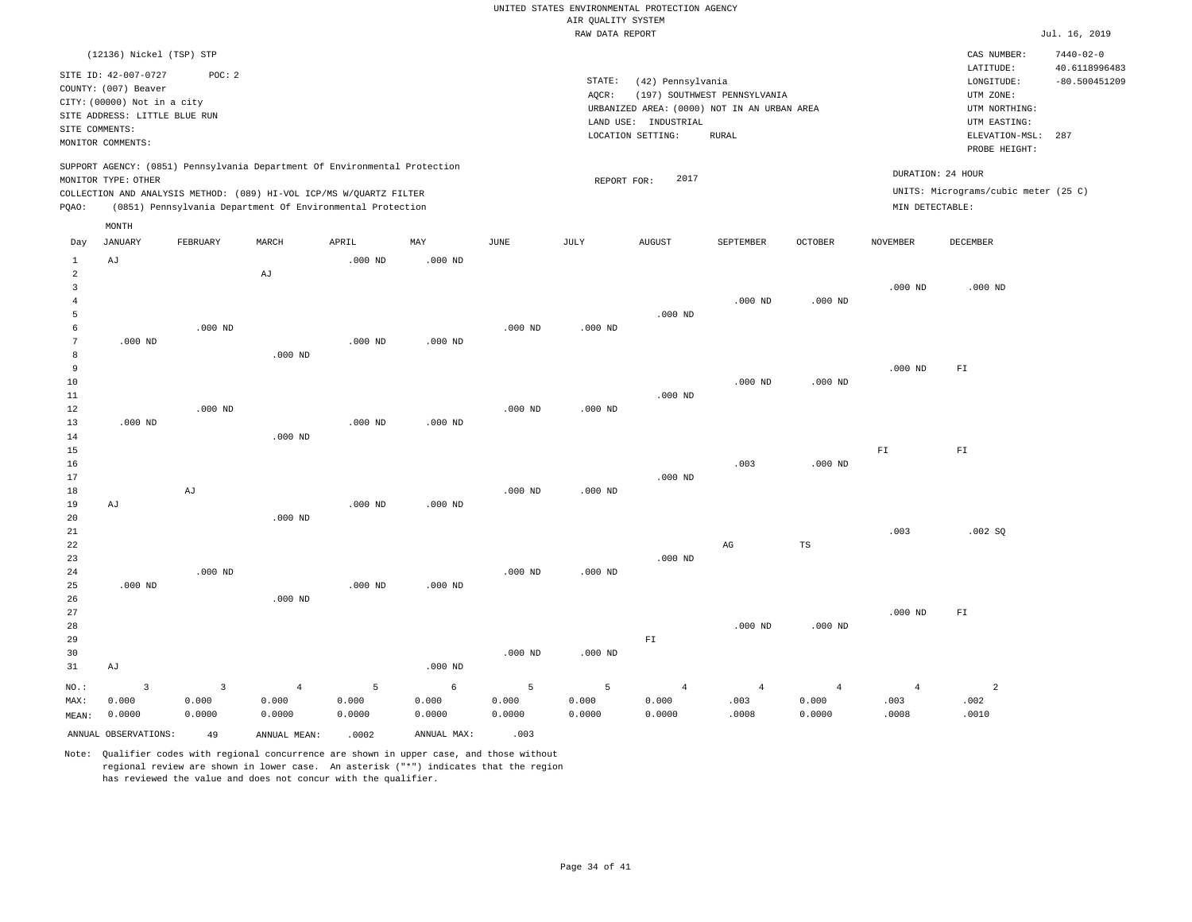|                     |                                              |                |                |                                                                                                                                   |                  |             |                    | UNITED STATES ENVIRONMENTAL PROTECTION AGENCY |                                             |                |                   |                                      |                                  |
|---------------------|----------------------------------------------|----------------|----------------|-----------------------------------------------------------------------------------------------------------------------------------|------------------|-------------|--------------------|-----------------------------------------------|---------------------------------------------|----------------|-------------------|--------------------------------------|----------------------------------|
|                     |                                              |                |                |                                                                                                                                   |                  |             | AIR QUALITY SYSTEM |                                               |                                             |                |                   |                                      |                                  |
|                     |                                              |                |                |                                                                                                                                   |                  |             | RAW DATA REPORT    |                                               |                                             |                |                   |                                      | Jul. 16, 2019                    |
|                     | (12136) Nickel (TSP) STP                     |                |                |                                                                                                                                   |                  |             |                    |                                               |                                             |                |                   | CAS NUMBER:<br>LATITUDE:             | $7440 - 02 - 0$<br>40.6118996483 |
|                     | SITE ID: 42-007-0727<br>COUNTY: (007) Beaver | POC: 2         |                |                                                                                                                                   |                  |             | STATE:             | (42) Pennsylvania                             |                                             |                |                   | LONGITUDE:                           | $-80.500451209$                  |
|                     | CITY: (00000) Not in a city                  |                |                |                                                                                                                                   |                  |             | AQCR:              |                                               | (197) SOUTHWEST PENNSYLVANIA                |                |                   | UTM ZONE:                            |                                  |
|                     | SITE ADDRESS: LITTLE BLUE RUN                |                |                |                                                                                                                                   |                  |             |                    |                                               | URBANIZED AREA: (0000) NOT IN AN URBAN AREA |                |                   | UTM NORTHING:                        |                                  |
| SITE COMMENTS:      |                                              |                |                |                                                                                                                                   |                  |             |                    | LAND USE: INDUSTRIAL                          |                                             |                |                   | UTM EASTING:                         |                                  |
|                     | MONITOR COMMENTS:                            |                |                |                                                                                                                                   |                  |             |                    | LOCATION SETTING:                             | <b>RURAL</b>                                |                |                   | ELEVATION-MSL:<br>PROBE HEIGHT:      | 287                              |
|                     |                                              |                |                | SUPPORT AGENCY: (0851) Pennsylvania Department Of Environmental Protection                                                        |                  |             |                    |                                               |                                             |                | DURATION: 24 HOUR |                                      |                                  |
|                     | MONITOR TYPE: OTHER                          |                |                |                                                                                                                                   |                  |             | REPORT FOR:        | 2017                                          |                                             |                |                   | UNITS: Micrograms/cubic meter (25 C) |                                  |
| PQAO:               |                                              |                |                | COLLECTION AND ANALYSIS METHOD: (089) HI-VOL ICP/MS W/QUARTZ FILTER<br>(0851) Pennsylvania Department Of Environmental Protection |                  |             |                    |                                               |                                             |                | MIN DETECTABLE:   |                                      |                                  |
|                     | MONTH                                        |                |                |                                                                                                                                   |                  |             |                    |                                               |                                             |                |                   |                                      |                                  |
| Day<br>$\mathbf{1}$ | <b>JANUARY</b><br>AJ                         | FEBRUARY       | MARCH          | APRIL<br>$.000$ ND                                                                                                                | MAY<br>$.000$ ND | <b>JUNE</b> | JULY               | <b>AUGUST</b>                                 | SEPTEMBER                                   | <b>OCTOBER</b> | <b>NOVEMBER</b>   | DECEMBER                             |                                  |
| $\overline{a}$      |                                              |                | AJ             |                                                                                                                                   |                  |             |                    |                                               |                                             |                |                   |                                      |                                  |
| $\overline{3}$      |                                              |                |                |                                                                                                                                   |                  |             |                    |                                               |                                             |                | $.000$ ND         | $.000$ ND                            |                                  |
| $\overline{4}$      |                                              |                |                |                                                                                                                                   |                  |             |                    |                                               | $.000$ ND                                   | $.000$ ND      |                   |                                      |                                  |
| 5                   |                                              |                |                |                                                                                                                                   |                  |             |                    | $.000$ ND                                     |                                             |                |                   |                                      |                                  |
| 6                   |                                              | $.000$ ND      |                |                                                                                                                                   |                  | $.000$ ND   | $.000$ ND          |                                               |                                             |                |                   |                                      |                                  |
| $\overline{7}$      | $.000$ ND                                    |                |                | $.000$ ND                                                                                                                         | $.000$ ND        |             |                    |                                               |                                             |                |                   |                                      |                                  |
| 8                   |                                              |                | $.000$ ND      |                                                                                                                                   |                  |             |                    |                                               |                                             |                |                   |                                      |                                  |
| $\overline{9}$      |                                              |                |                |                                                                                                                                   |                  |             |                    |                                               |                                             |                | $.000$ ND         | ${\rm F\,I}$                         |                                  |
| 10                  |                                              |                |                |                                                                                                                                   |                  |             |                    |                                               | $.000$ ND                                   | $.000$ ND      |                   |                                      |                                  |
| 11                  |                                              |                |                |                                                                                                                                   |                  |             |                    | $.000$ ND                                     |                                             |                |                   |                                      |                                  |
| 12                  |                                              | $.000$ ND      |                |                                                                                                                                   |                  | $.000$ ND   | $.000$ ND          |                                               |                                             |                |                   |                                      |                                  |
| 13                  | $.000$ ND                                    |                |                | $.000$ ND                                                                                                                         | $.000$ ND        |             |                    |                                               |                                             |                |                   |                                      |                                  |
| 14<br>15            |                                              |                | $.000$ ND      |                                                                                                                                   |                  |             |                    |                                               |                                             |                | ${\rm F}1$        | ${\rm F}1$                           |                                  |
| 16                  |                                              |                |                |                                                                                                                                   |                  |             |                    |                                               | .003                                        | $.000$ ND      |                   |                                      |                                  |
| 17                  |                                              |                |                |                                                                                                                                   |                  |             |                    | $.000$ ND                                     |                                             |                |                   |                                      |                                  |
| 18                  |                                              | AJ             |                |                                                                                                                                   |                  | $.000$ ND   | $.000$ ND          |                                               |                                             |                |                   |                                      |                                  |
| 19                  | AJ                                           |                |                | $.000$ ND                                                                                                                         | $.000$ ND        |             |                    |                                               |                                             |                |                   |                                      |                                  |
| 20                  |                                              |                | $.000$ ND      |                                                                                                                                   |                  |             |                    |                                               |                                             |                |                   |                                      |                                  |
| 21                  |                                              |                |                |                                                                                                                                   |                  |             |                    |                                               |                                             |                | .003              | .002 SQ                              |                                  |
| 22                  |                                              |                |                |                                                                                                                                   |                  |             |                    |                                               | AG                                          | TS             |                   |                                      |                                  |
| 23                  |                                              |                |                |                                                                                                                                   |                  |             |                    | $.000$ ND                                     |                                             |                |                   |                                      |                                  |
| 24                  |                                              | $.000$ ND      |                |                                                                                                                                   |                  | $.000$ ND   | $.000$ ND          |                                               |                                             |                |                   |                                      |                                  |
| 25                  | $.000$ ND                                    |                |                | $.000$ ND                                                                                                                         | $.000$ ND        |             |                    |                                               |                                             |                |                   |                                      |                                  |
| 26                  |                                              |                | $.000$ ND      |                                                                                                                                   |                  |             |                    |                                               |                                             |                |                   |                                      |                                  |
| 27                  |                                              |                |                |                                                                                                                                   |                  |             |                    |                                               |                                             |                | $.000$ ND         | $\mathbb{F} \, \mathbb{I}$           |                                  |
| 28                  |                                              |                |                |                                                                                                                                   |                  |             |                    |                                               | $.000$ ND                                   | $.000$ ND      |                   |                                      |                                  |
| 29                  |                                              |                |                |                                                                                                                                   |                  |             |                    | ${\rm F\,I}$                                  |                                             |                |                   |                                      |                                  |
| 30<br>31            | AJ                                           |                |                |                                                                                                                                   | $.000$ ND        | $.000$ ND   | $.000$ ND          |                                               |                                             |                |                   |                                      |                                  |
| NO.:                | $\overline{3}$                               | $\overline{3}$ | $\overline{4}$ | 5                                                                                                                                 | 6                | 5           | 5                  | $\overline{4}$                                | $\overline{4}$                              | $\overline{4}$ | $\overline{4}$    | $\overline{a}$                       |                                  |
| MAX:                | 0.000                                        | 0.000          | 0.000          | 0.000                                                                                                                             | 0.000            | 0.000       | 0.000              | 0.000                                         | .003                                        | 0.000          | .003              | .002                                 |                                  |
| $\texttt{MEAN}:$    | 0.0000                                       | 0.0000         | 0.0000         | 0.0000                                                                                                                            | 0.0000           | 0.0000      | 0.0000             | 0.0000                                        | .0008                                       | 0.0000         | .0008             | .0010                                |                                  |

Note: Qualifier codes with regional concurrence are shown in upper case, and those without regional review are shown in lower case. An asterisk ("\*") indicates that the region has reviewed the value and does not concur with the qualifier.

ANNUAL OBSERVATIONS: 49 ANNUAL MEAN: .0002 ANNUAL MAX: .003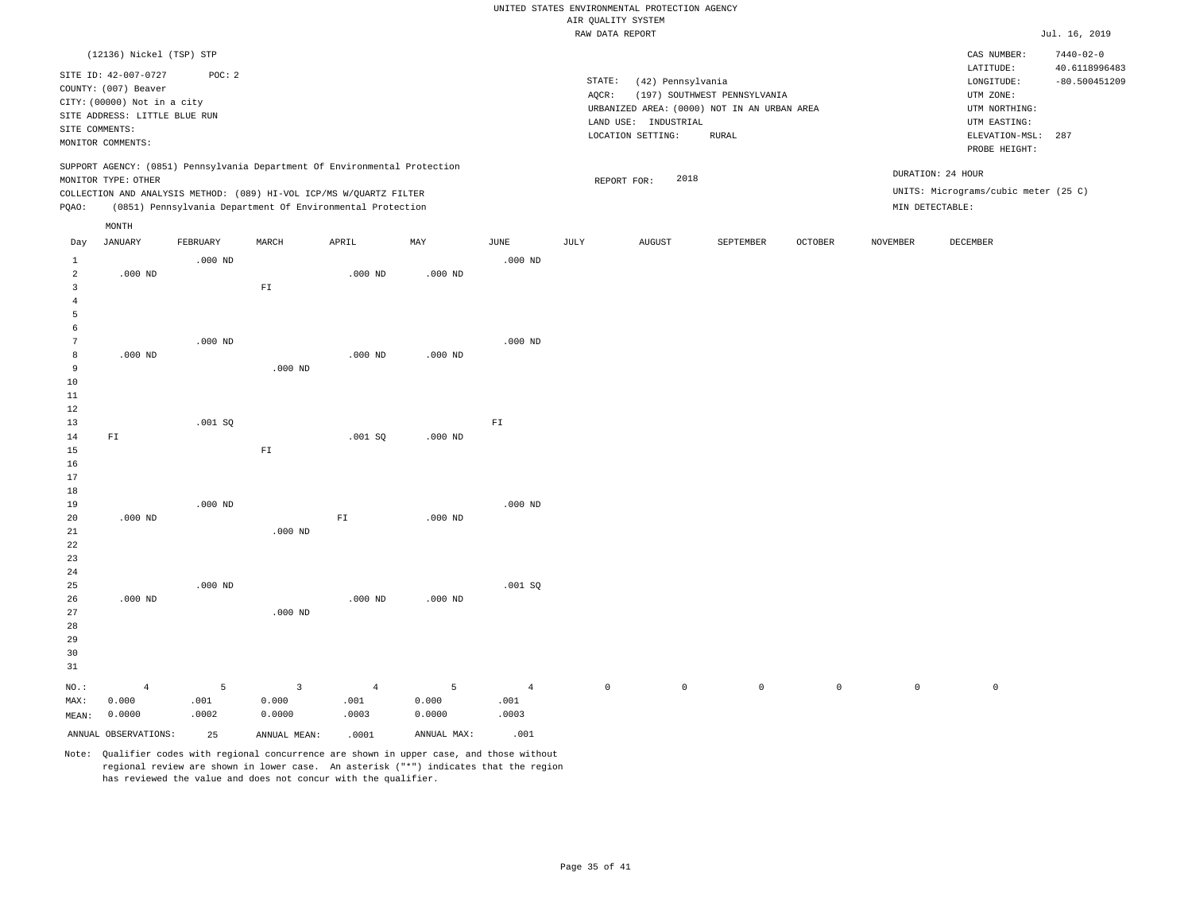|                |                                                                                                                                |           |                                                                            |                |             |                | RAW DATA REPORT |                                                                                          |                              |         |                 |                                                          | Jul. 16, 2019                    |
|----------------|--------------------------------------------------------------------------------------------------------------------------------|-----------|----------------------------------------------------------------------------|----------------|-------------|----------------|-----------------|------------------------------------------------------------------------------------------|------------------------------|---------|-----------------|----------------------------------------------------------|----------------------------------|
|                | (12136) Nickel (TSP) STP                                                                                                       |           |                                                                            |                |             |                |                 |                                                                                          |                              |         |                 | CAS NUMBER:<br>LATITUDE:                                 | $7440 - 02 - 0$<br>40.6118996483 |
|                | SITE ID: 42-007-0727<br>COUNTY: (007) Beaver<br>CITY: (00000) Not in a city<br>SITE ADDRESS: LITTLE BLUE RUN<br>SITE COMMENTS: | POC: 2    |                                                                            |                |             |                | STATE:<br>AQCR: | (42) Pennsylvania<br>URBANIZED AREA: (0000) NOT IN AN URBAN AREA<br>LAND USE: INDUSTRIAL | (197) SOUTHWEST PENNSYLVANIA |         |                 | LONGITUDE:<br>UTM ZONE:<br>UTM NORTHING:<br>UTM EASTING: | $-80.500451209$                  |
|                | MONITOR COMMENTS:                                                                                                              |           |                                                                            |                |             |                |                 | LOCATION SETTING:                                                                        | RURAL                        |         |                 | ELEVATION-MSL:<br>PROBE HEIGHT:                          | 287                              |
|                | MONITOR TYPE: OTHER                                                                                                            |           | SUPPORT AGENCY: (0851) Pennsylvania Department Of Environmental Protection |                |             |                |                 | 2018<br>REPORT FOR:                                                                      |                              |         |                 | DURATION: 24 HOUR                                        |                                  |
|                |                                                                                                                                |           | COLLECTION AND ANALYSIS METHOD: (089) HI-VOL ICP/MS W/QUARTZ FILTER        |                |             |                |                 |                                                                                          |                              |         |                 | UNITS: Micrograms/cubic meter (25 C)                     |                                  |
| PQAO:          |                                                                                                                                |           | (0851) Pennsylvania Department Of Environmental Protection                 |                |             |                |                 |                                                                                          |                              |         |                 | MIN DETECTABLE:                                          |                                  |
|                | MONTH                                                                                                                          |           |                                                                            |                |             |                |                 |                                                                                          |                              |         |                 |                                                          |                                  |
| Day            | JANUARY                                                                                                                        | FEBRUARY  | MARCH                                                                      | APRIL          | MAY         | JUNE           | JULY            | <b>AUGUST</b>                                                                            | SEPTEMBER                    | OCTOBER | <b>NOVEMBER</b> | DECEMBER                                                 |                                  |
| $\mathbf{1}$   |                                                                                                                                | $.000$ ND |                                                                            |                |             | $.000$ ND      |                 |                                                                                          |                              |         |                 |                                                          |                                  |
| $\overline{a}$ | $.000$ ND                                                                                                                      |           |                                                                            | $.000$ ND      | $.000$ ND   |                |                 |                                                                                          |                              |         |                 |                                                          |                                  |
| $\overline{3}$ |                                                                                                                                |           | ${\rm F\,I}$                                                               |                |             |                |                 |                                                                                          |                              |         |                 |                                                          |                                  |
| $\bf{4}$       |                                                                                                                                |           |                                                                            |                |             |                |                 |                                                                                          |                              |         |                 |                                                          |                                  |
| 5<br>6         |                                                                                                                                |           |                                                                            |                |             |                |                 |                                                                                          |                              |         |                 |                                                          |                                  |
| 7              |                                                                                                                                | $.000$ ND |                                                                            |                |             | $.000$ ND      |                 |                                                                                          |                              |         |                 |                                                          |                                  |
| 8              | $.000$ ND                                                                                                                      |           |                                                                            | $.000$ ND      | $.000$ ND   |                |                 |                                                                                          |                              |         |                 |                                                          |                                  |
| 9              |                                                                                                                                |           | $.000$ ND                                                                  |                |             |                |                 |                                                                                          |                              |         |                 |                                                          |                                  |
| 10             |                                                                                                                                |           |                                                                            |                |             |                |                 |                                                                                          |                              |         |                 |                                                          |                                  |
| 11<br>12       |                                                                                                                                |           |                                                                            |                |             |                |                 |                                                                                          |                              |         |                 |                                                          |                                  |
| 13             |                                                                                                                                | .001SQ    |                                                                            |                |             | ${\tt F1}$     |                 |                                                                                          |                              |         |                 |                                                          |                                  |
| 14             | FI                                                                                                                             |           |                                                                            | .001SQ         | $.000$ ND   |                |                 |                                                                                          |                              |         |                 |                                                          |                                  |
| 15             |                                                                                                                                |           | ${\rm FT}$                                                                 |                |             |                |                 |                                                                                          |                              |         |                 |                                                          |                                  |
| 16             |                                                                                                                                |           |                                                                            |                |             |                |                 |                                                                                          |                              |         |                 |                                                          |                                  |
| 17<br>18       |                                                                                                                                |           |                                                                            |                |             |                |                 |                                                                                          |                              |         |                 |                                                          |                                  |
| 19             |                                                                                                                                | $.000$ ND |                                                                            |                |             | $.000$ ND      |                 |                                                                                          |                              |         |                 |                                                          |                                  |
| 20             | $.000$ ND                                                                                                                      |           |                                                                            | ${\rm F\,I}$   | $.000$ ND   |                |                 |                                                                                          |                              |         |                 |                                                          |                                  |
| 21             |                                                                                                                                |           | $.000$ ND                                                                  |                |             |                |                 |                                                                                          |                              |         |                 |                                                          |                                  |
| 22             |                                                                                                                                |           |                                                                            |                |             |                |                 |                                                                                          |                              |         |                 |                                                          |                                  |
| 23<br>24       |                                                                                                                                |           |                                                                            |                |             |                |                 |                                                                                          |                              |         |                 |                                                          |                                  |
| 25             |                                                                                                                                | $.000$ ND |                                                                            |                |             | .001SQ         |                 |                                                                                          |                              |         |                 |                                                          |                                  |
| 26             | $.000$ ND                                                                                                                      |           |                                                                            | $.000$ ND      | $.000$ ND   |                |                 |                                                                                          |                              |         |                 |                                                          |                                  |
| 27             |                                                                                                                                |           | $.000$ ND                                                                  |                |             |                |                 |                                                                                          |                              |         |                 |                                                          |                                  |
| 28             |                                                                                                                                |           |                                                                            |                |             |                |                 |                                                                                          |                              |         |                 |                                                          |                                  |
| 29<br>30       |                                                                                                                                |           |                                                                            |                |             |                |                 |                                                                                          |                              |         |                 |                                                          |                                  |
| 31             |                                                                                                                                |           |                                                                            |                |             |                |                 |                                                                                          |                              |         |                 |                                                          |                                  |
| NO.:           | $\overline{4}$                                                                                                                 | 5         | $\overline{3}$                                                             | $\overline{4}$ | 5           | $\overline{4}$ | $\mathsf{O}$    | $\circ$                                                                                  | $\circ$                      | $\circ$ | $\circ$         | $\mathbb O$                                              |                                  |
| MAX:           | 0.000                                                                                                                          | .001      | 0.000                                                                      | .001           | 0.000       | .001           |                 |                                                                                          |                              |         |                 |                                                          |                                  |
| MEAN:          | 0.0000                                                                                                                         | .0002     | 0.0000                                                                     | .0003          | 0.0000      | .0003          |                 |                                                                                          |                              |         |                 |                                                          |                                  |
|                | ANNUAL OBSERVATIONS:                                                                                                           | 25        | ANNUAL MEAN:                                                               | .0001          | ANNUAL MAX: | .001           |                 |                                                                                          |                              |         |                 |                                                          |                                  |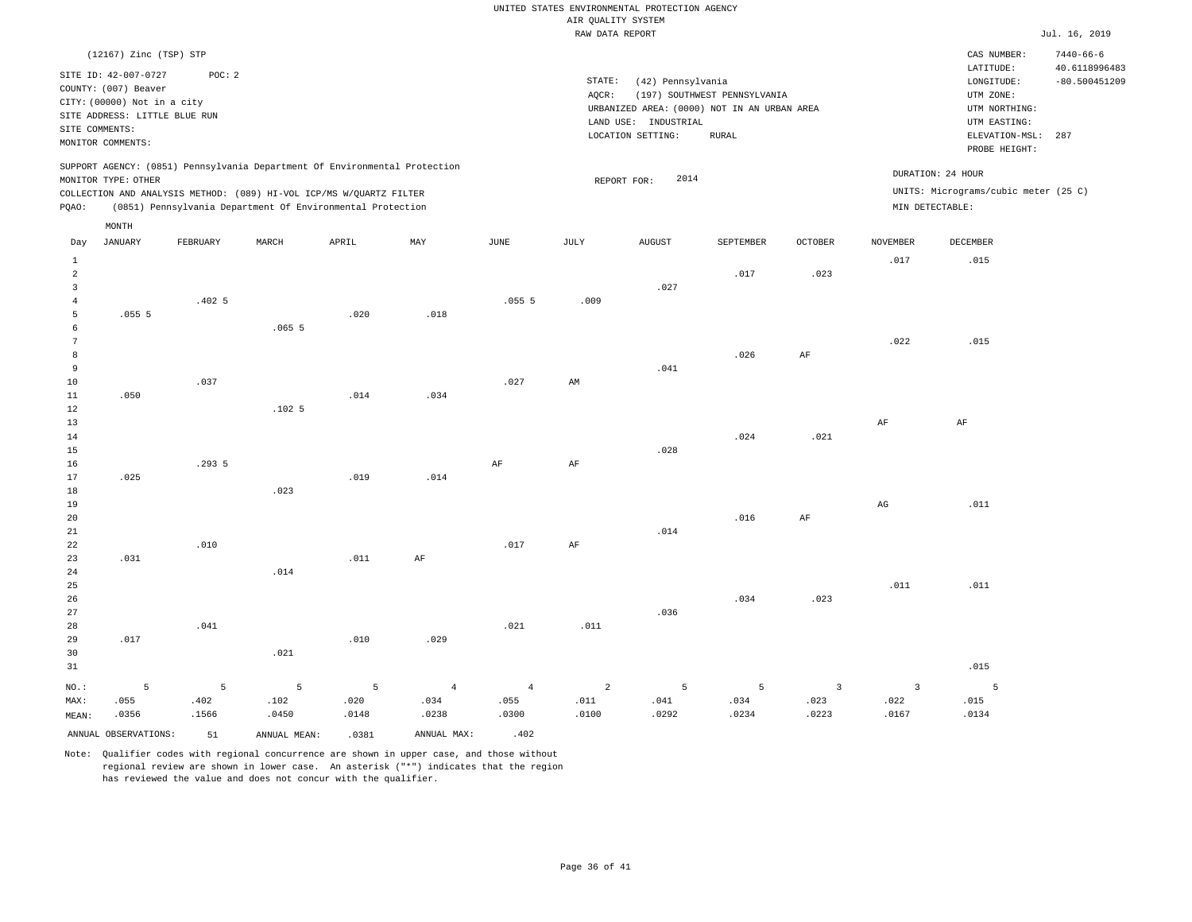|                 | (12167) Zinc (TSP) STP                       |          |              |                                                                                                                                   |                |                |                |                      |                                             |                         |                 | CAS NUMBER:                          | $7440 - 66 - 6$                  |
|-----------------|----------------------------------------------|----------|--------------|-----------------------------------------------------------------------------------------------------------------------------------|----------------|----------------|----------------|----------------------|---------------------------------------------|-------------------------|-----------------|--------------------------------------|----------------------------------|
|                 | SITE ID: 42-007-0727<br>COUNTY: (007) Beaver | POC: 2   |              |                                                                                                                                   |                |                | STATE:         | (42) Pennsylvania    |                                             |                         |                 | LATITUDE:<br>LONGITUDE:              | 40.6118996483<br>$-80.500451209$ |
|                 | CITY: (00000) Not in a city                  |          |              |                                                                                                                                   |                |                | AQCR:          |                      | (197) SOUTHWEST PENNSYLVANIA                |                         |                 | UTM ZONE:                            |                                  |
|                 | SITE ADDRESS: LITTLE BLUE RUN                |          |              |                                                                                                                                   |                |                |                |                      | URBANIZED AREA: (0000) NOT IN AN URBAN AREA |                         |                 | UTM NORTHING:                        |                                  |
| SITE COMMENTS:  |                                              |          |              |                                                                                                                                   |                |                |                | LAND USE: INDUSTRIAL |                                             |                         |                 | UTM EASTING:                         |                                  |
|                 | MONITOR COMMENTS:                            |          |              |                                                                                                                                   |                |                |                | LOCATION SETTING:    | <b>RURAL</b>                                |                         |                 | ELEVATION-MSL:                       | 287                              |
|                 |                                              |          |              |                                                                                                                                   |                |                |                |                      |                                             |                         |                 | PROBE HEIGHT:                        |                                  |
|                 |                                              |          |              | SUPPORT AGENCY: (0851) Pennsylvania Department Of Environmental Protection                                                        |                |                |                | 2014                 |                                             |                         |                 | DURATION: 24 HOUR                    |                                  |
|                 | MONITOR TYPE: OTHER                          |          |              |                                                                                                                                   |                |                |                | REPORT FOR:          |                                             |                         |                 | UNITS: Micrograms/cubic meter (25 C) |                                  |
|                 |                                              |          |              | COLLECTION AND ANALYSIS METHOD: (089) HI-VOL ICP/MS W/QUARTZ FILTER<br>(0851) Pennsylvania Department Of Environmental Protection |                |                |                |                      |                                             |                         | MIN DETECTABLE: |                                      |                                  |
| PQAO:           |                                              |          |              |                                                                                                                                   |                |                |                |                      |                                             |                         |                 |                                      |                                  |
|                 | MONTH                                        |          |              |                                                                                                                                   |                |                |                |                      |                                             |                         |                 |                                      |                                  |
| Day             | <b>JANUARY</b>                               | FEBRUARY | MARCH        | APRIL                                                                                                                             | MAY            | JUNE           | JULY           | <b>AUGUST</b>        | SEPTEMBER                                   | OCTOBER                 | <b>NOVEMBER</b> | DECEMBER                             |                                  |
| $\mathbf{1}$    |                                              |          |              |                                                                                                                                   |                |                |                |                      |                                             |                         | .017            | .015                                 |                                  |
| $\overline{a}$  |                                              |          |              |                                                                                                                                   |                |                |                |                      | .017                                        | .023                    |                 |                                      |                                  |
| 3               |                                              |          |              |                                                                                                                                   |                |                |                | .027                 |                                             |                         |                 |                                      |                                  |
| $\bf{4}$        |                                              | .4025    |              |                                                                                                                                   |                | .0555          | .009           |                      |                                             |                         |                 |                                      |                                  |
| 5               | .0555                                        |          |              | .020                                                                                                                              | .018           |                |                |                      |                                             |                         |                 |                                      |                                  |
| 6               |                                              |          | .0655        |                                                                                                                                   |                |                |                |                      |                                             |                         |                 |                                      |                                  |
| $7\phantom{.0}$ |                                              |          |              |                                                                                                                                   |                |                |                |                      |                                             |                         | .022            | .015                                 |                                  |
| 8               |                                              |          |              |                                                                                                                                   |                |                |                |                      | .026                                        | AF                      |                 |                                      |                                  |
| $\overline{9}$  |                                              |          |              |                                                                                                                                   |                |                |                | .041                 |                                             |                         |                 |                                      |                                  |
| 10              |                                              | .037     |              |                                                                                                                                   |                | .027           | AM             |                      |                                             |                         |                 |                                      |                                  |
| 11              | .050                                         |          |              | .014                                                                                                                              | .034           |                |                |                      |                                             |                         |                 |                                      |                                  |
| 12              |                                              |          | .1025        |                                                                                                                                   |                |                |                |                      |                                             |                         |                 |                                      |                                  |
| 13<br>14        |                                              |          |              |                                                                                                                                   |                |                |                |                      | .024                                        | .021                    | AF              | AF                                   |                                  |
| 15              |                                              |          |              |                                                                                                                                   |                |                |                | .028                 |                                             |                         |                 |                                      |                                  |
| 16              |                                              | .293 5   |              |                                                                                                                                   |                | $\rm{AF}$      | $\rm{AF}$      |                      |                                             |                         |                 |                                      |                                  |
| 17              | .025                                         |          |              | .019                                                                                                                              | .014           |                |                |                      |                                             |                         |                 |                                      |                                  |
| 18              |                                              |          | .023         |                                                                                                                                   |                |                |                |                      |                                             |                         |                 |                                      |                                  |
| 19              |                                              |          |              |                                                                                                                                   |                |                |                |                      |                                             |                         | $_{\rm AG}$     | .011                                 |                                  |
| 20              |                                              |          |              |                                                                                                                                   |                |                |                |                      | .016                                        | $\rm{AF}$               |                 |                                      |                                  |
| 21              |                                              |          |              |                                                                                                                                   |                |                |                | .014                 |                                             |                         |                 |                                      |                                  |
| 22              |                                              | .010     |              |                                                                                                                                   |                | .017           | AF             |                      |                                             |                         |                 |                                      |                                  |
| 23              | .031                                         |          |              | .011                                                                                                                              | AF             |                |                |                      |                                             |                         |                 |                                      |                                  |
| $2\sqrt{4}$     |                                              |          | .014         |                                                                                                                                   |                |                |                |                      |                                             |                         |                 |                                      |                                  |
| 25              |                                              |          |              |                                                                                                                                   |                |                |                |                      |                                             |                         | .011            | .011                                 |                                  |
| 26              |                                              |          |              |                                                                                                                                   |                |                |                |                      | .034                                        | .023                    |                 |                                      |                                  |
| 27              |                                              |          |              |                                                                                                                                   |                |                |                | .036                 |                                             |                         |                 |                                      |                                  |
| 28              |                                              | .041     |              |                                                                                                                                   |                | .021           | .011           |                      |                                             |                         |                 |                                      |                                  |
| 29              | .017                                         |          |              | .010                                                                                                                              | .029           |                |                |                      |                                             |                         |                 |                                      |                                  |
| 30              |                                              |          | .021         |                                                                                                                                   |                |                |                |                      |                                             |                         |                 |                                      |                                  |
| 31              |                                              |          |              |                                                                                                                                   |                |                |                |                      |                                             |                         |                 | .015                                 |                                  |
| NO.:            | 5                                            | 5        | 5            | 5                                                                                                                                 | $\overline{4}$ | $\overline{4}$ | $\overline{a}$ | 5                    | 5                                           | $\overline{\mathbf{3}}$ | $\overline{3}$  | 5                                    |                                  |
| MAX:            | .055                                         | .402     | .102         | .020                                                                                                                              | .034           | .055           | .011           | .041                 | .034                                        | .023                    | .022            | .015                                 |                                  |
| MEAN:           | .0356                                        | .1566    | .0450        | .0148                                                                                                                             | .0238          | .0300          | .0100          | .0292                | .0234                                       | .0223                   | .0167           | .0134                                |                                  |
|                 | ANNUAL OBSERVATIONS:                         | 51       | ANNUAL MEAN: | .0381                                                                                                                             | ANNUAL MAX:    | .402           |                |                      |                                             |                         |                 |                                      |                                  |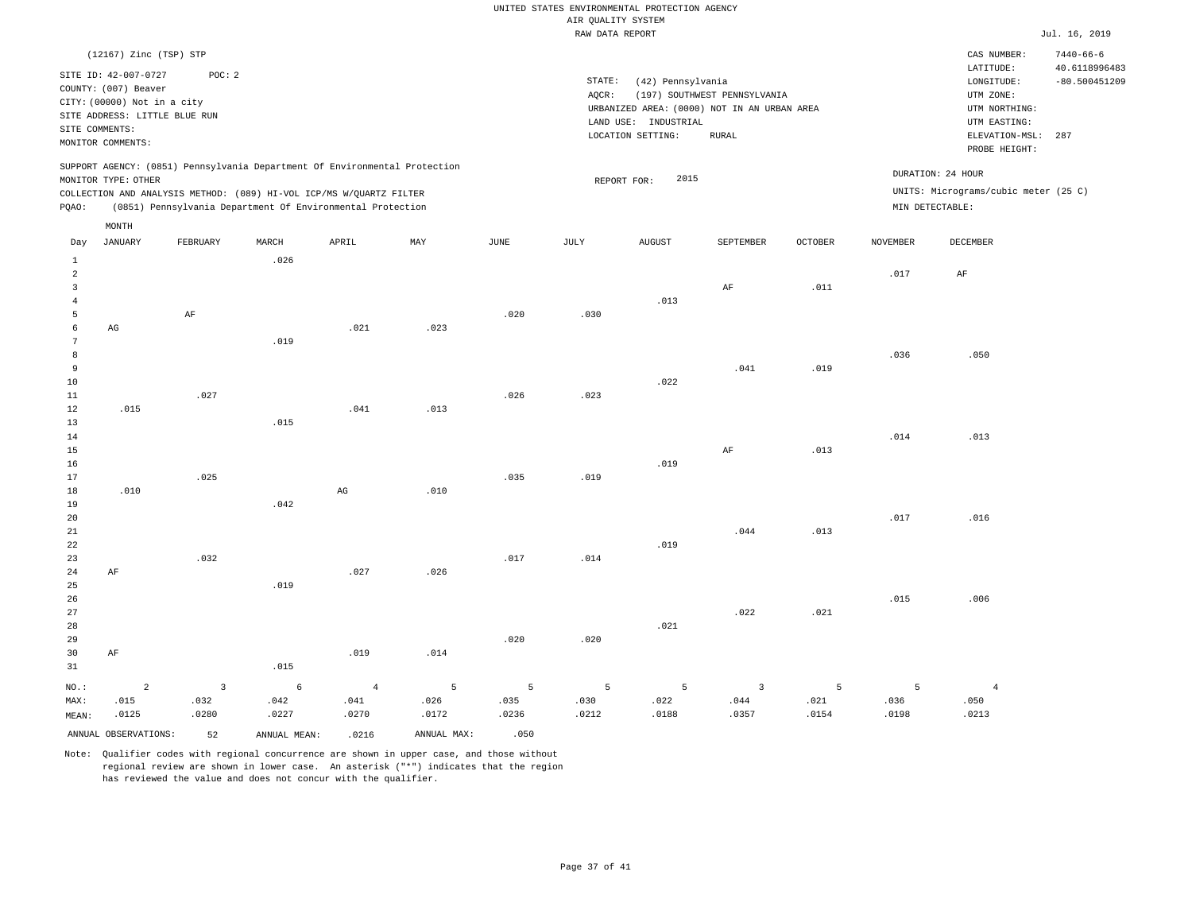|                |                               |          |       |                                                                            |      |      | RAW DATA REPORT |                      |                                             |         |                 |                                      | Jul. 16, 2019                    |
|----------------|-------------------------------|----------|-------|----------------------------------------------------------------------------|------|------|-----------------|----------------------|---------------------------------------------|---------|-----------------|--------------------------------------|----------------------------------|
|                | (12167) Zinc (TSP) STP        |          |       |                                                                            |      |      |                 |                      |                                             |         |                 | CAS NUMBER:                          | $7440 - 66 - 6$                  |
|                | SITE ID: 42-007-0727          | POC: 2   |       |                                                                            |      |      | STATE:          | (42) Pennsylvania    |                                             |         |                 | LATITUDE:<br>LONGITUDE:              | 40.6118996483<br>$-80.500451209$ |
|                | COUNTY: (007) Beaver          |          |       |                                                                            |      |      | AOCR:           |                      | (197) SOUTHWEST PENNSYLVANIA                |         |                 | UTM ZONE:                            |                                  |
|                | CITY: (00000) Not in a city   |          |       |                                                                            |      |      |                 |                      | URBANIZED AREA: (0000) NOT IN AN URBAN AREA |         |                 | UTM NORTHING:                        |                                  |
|                | SITE ADDRESS: LITTLE BLUE RUN |          |       |                                                                            |      |      |                 | LAND USE: INDUSTRIAL |                                             |         |                 | UTM EASTING:                         |                                  |
|                | SITE COMMENTS:                |          |       |                                                                            |      |      |                 | LOCATION SETTING:    | RURAL                                       |         |                 | ELEVATION-MSL:                       | 287                              |
|                | MONITOR COMMENTS:             |          |       |                                                                            |      |      |                 |                      |                                             |         |                 | PROBE HEIGHT:                        |                                  |
|                |                               |          |       | SUPPORT AGENCY: (0851) Pennsylvania Department Of Environmental Protection |      |      |                 |                      |                                             |         |                 | DURATION: 24 HOUR                    |                                  |
|                | MONITOR TYPE: OTHER           |          |       |                                                                            |      |      |                 | 2015<br>REPORT FOR:  |                                             |         |                 |                                      |                                  |
|                |                               |          |       | COLLECTION AND ANALYSIS METHOD: (089) HI-VOL ICP/MS W/QUARTZ FILTER        |      |      |                 |                      |                                             |         |                 | UNITS: Micrograms/cubic meter (25 C) |                                  |
| PQAO:          |                               |          |       | (0851) Pennsylvania Department Of Environmental Protection                 |      |      |                 |                      |                                             |         |                 | MIN DETECTABLE:                      |                                  |
|                | MONTH                         |          |       |                                                                            |      |      |                 |                      |                                             |         |                 |                                      |                                  |
| Day            | <b>JANUARY</b>                | FEBRUARY | MARCH | APRIL                                                                      | MAY  | JUNE | JULY            | <b>AUGUST</b>        | SEPTEMBER                                   | OCTOBER | <b>NOVEMBER</b> | DECEMBER                             |                                  |
| $\mathbf{1}$   |                               |          | .026  |                                                                            |      |      |                 |                      |                                             |         |                 |                                      |                                  |
| $\overline{a}$ |                               |          |       |                                                                            |      |      |                 |                      |                                             |         | .017            | AF                                   |                                  |
| 3              |                               |          |       |                                                                            |      |      |                 |                      | AF                                          | .011    |                 |                                      |                                  |
| 4              |                               |          |       |                                                                            |      |      |                 | .013                 |                                             |         |                 |                                      |                                  |
| 5              |                               | AF       |       |                                                                            |      | .020 | .030            |                      |                                             |         |                 |                                      |                                  |
| 6<br>7         | AG                            |          |       | .021                                                                       | .023 |      |                 |                      |                                             |         |                 |                                      |                                  |
| 8              |                               |          | .019  |                                                                            |      |      |                 |                      |                                             |         | .036            | .050                                 |                                  |
| 9              |                               |          |       |                                                                            |      |      |                 |                      | .041                                        | .019    |                 |                                      |                                  |
| 10             |                               |          |       |                                                                            |      |      |                 | .022                 |                                             |         |                 |                                      |                                  |
| 11             |                               | .027     |       |                                                                            |      | .026 | .023            |                      |                                             |         |                 |                                      |                                  |
| 12             | .015                          |          |       | .041                                                                       | .013 |      |                 |                      |                                             |         |                 |                                      |                                  |
| 13             |                               |          | .015  |                                                                            |      |      |                 |                      |                                             |         |                 |                                      |                                  |
| 14             |                               |          |       |                                                                            |      |      |                 |                      |                                             |         | .014            | .013                                 |                                  |
| 15             |                               |          |       |                                                                            |      |      |                 |                      | $\rm AF$                                    | .013    |                 |                                      |                                  |
| 16             |                               |          |       |                                                                            |      |      |                 | .019                 |                                             |         |                 |                                      |                                  |
| 17             |                               | .025     |       |                                                                            |      | .035 | .019            |                      |                                             |         |                 |                                      |                                  |
| 18             | .010                          |          |       | $_{\rm AG}$                                                                | .010 |      |                 |                      |                                             |         |                 |                                      |                                  |
| 19             |                               |          | .042  |                                                                            |      |      |                 |                      |                                             |         |                 |                                      |                                  |
| 20             |                               |          |       |                                                                            |      |      |                 |                      |                                             |         | .017            | .016                                 |                                  |
| 21             |                               |          |       |                                                                            |      |      |                 |                      | .044                                        | .013    |                 |                                      |                                  |
| 22             |                               |          |       |                                                                            |      |      |                 | .019                 |                                             |         |                 |                                      |                                  |
| 23             |                               | .032     |       |                                                                            |      | .017 | .014            |                      |                                             |         |                 |                                      |                                  |
| 24             | AF                            |          |       | .027                                                                       | .026 |      |                 |                      |                                             |         |                 |                                      |                                  |
| 25             |                               |          | .019  |                                                                            |      |      |                 |                      |                                             |         |                 |                                      |                                  |
| 26             |                               |          |       |                                                                            |      |      |                 |                      |                                             |         | .015            | .006                                 |                                  |

ANNUAL OBSERVATIONS: 52 ANNUAL MEAN: .0216 ANNUAL MAX: .050 Note: Qualifier codes with regional concurrence are shown in upper case, and those without regional review are shown in lower case. An asterisk ("\*") indicates that the region has reviewed the value and does not concur with the qualifier.

.019

4 .041 .0270

.014

5 .026 .0172

.020

5 .035 .0236

.015

6 .042 .0227

3 .032 .0280

NO.: MAX: MEAN: AF

2 .015 .0125

.020

5 .030 .0212

.021

5 .022 .0188

.022

3 .044 .0357

.021

5 .021 .0154

5 .036 .0198

4 .050 .0213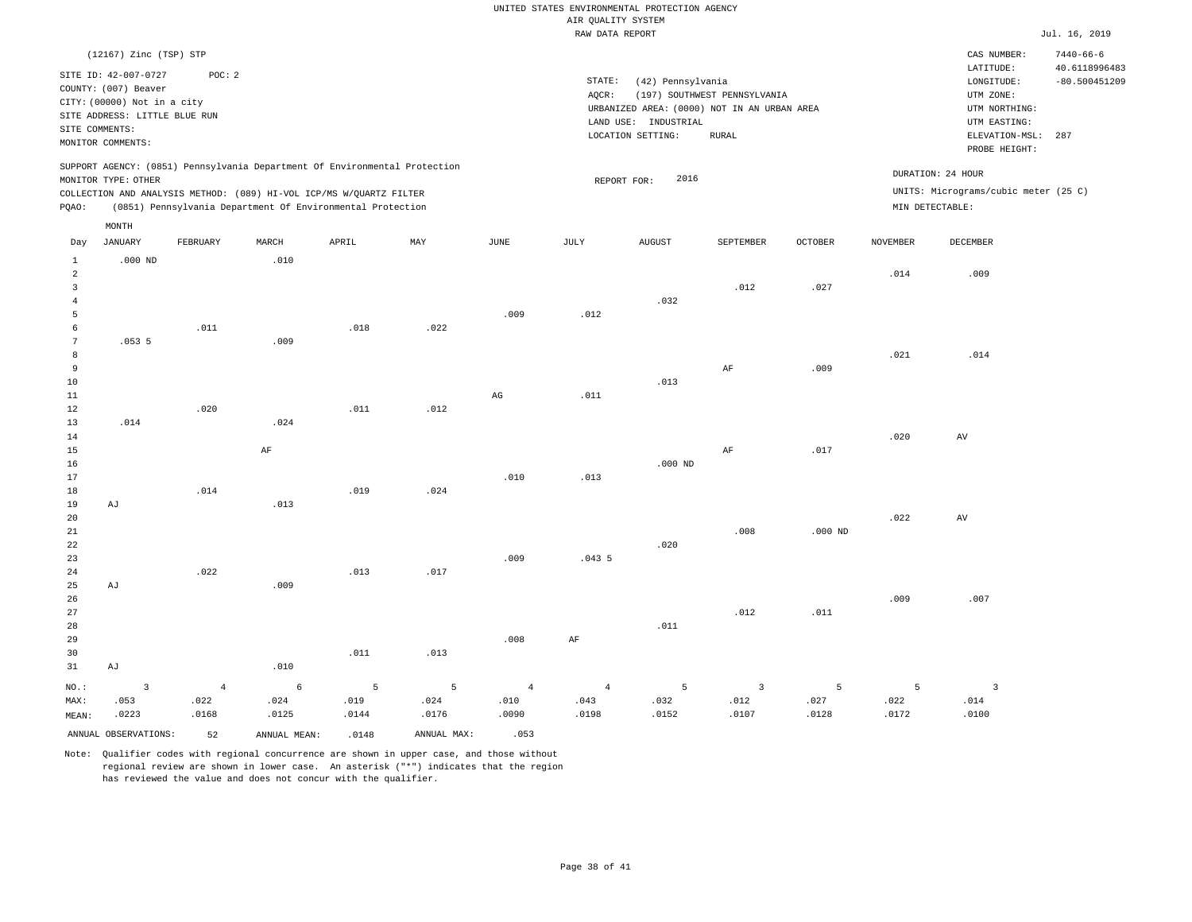|                 | (12167) Zinc (TSP) STP                                                      |                |                                                                                                                                   |               |                           |                        |                 |                                                                     |                              |               |                 | CAS NUMBER:                                               | $7440 - 66 - 6$                  |
|-----------------|-----------------------------------------------------------------------------|----------------|-----------------------------------------------------------------------------------------------------------------------------------|---------------|---------------------------|------------------------|-----------------|---------------------------------------------------------------------|------------------------------|---------------|-----------------|-----------------------------------------------------------|----------------------------------|
|                 | SITE ID: 42-007-0727<br>COUNTY: (007) Beaver<br>CITY: (00000) Not in a city | POC: 2         |                                                                                                                                   |               |                           |                        | STATE:<br>AQCR: | (42) Pennsylvania                                                   | (197) SOUTHWEST PENNSYLVANIA |               |                 | LATITUDE:<br>LONGITUDE:<br>UTM ZONE:                      | 40.6118996483<br>$-80.500451209$ |
|                 | SITE ADDRESS: LITTLE BLUE RUN                                               |                |                                                                                                                                   |               |                           |                        |                 | URBANIZED AREA: (0000) NOT IN AN URBAN AREA<br>LAND USE: INDUSTRIAL |                              |               |                 | UTM NORTHING:<br>UTM EASTING:                             |                                  |
|                 | SITE COMMENTS:                                                              |                |                                                                                                                                   |               |                           |                        |                 | LOCATION SETTING:                                                   | <b>RURAL</b>                 |               |                 | ELEVATION-MSL:                                            | 287                              |
|                 | MONITOR COMMENTS:                                                           |                |                                                                                                                                   |               |                           |                        |                 |                                                                     |                              |               |                 | PROBE HEIGHT:                                             |                                  |
|                 | MONITOR TYPE: OTHER                                                         |                | SUPPORT AGENCY: (0851) Pennsylvania Department Of Environmental Protection                                                        |               |                           |                        | REPORT FOR:     | 2016                                                                |                              |               |                 | DURATION: 24 HOUR<br>UNITS: Micrograms/cubic meter (25 C) |                                  |
| PQAO:           |                                                                             |                | COLLECTION AND ANALYSIS METHOD: (089) HI-VOL ICP/MS W/QUARTZ FILTER<br>(0851) Pennsylvania Department Of Environmental Protection |               |                           |                        |                 |                                                                     |                              |               | MIN DETECTABLE: |                                                           |                                  |
|                 | MONTH                                                                       |                |                                                                                                                                   |               |                           |                        |                 |                                                                     |                              |               |                 |                                                           |                                  |
| Day             | JANUARY                                                                     | FEBRUARY       | MARCH                                                                                                                             | APRIL         | $\ensuremath{\text{MAX}}$ | $\mathtt{JUNE}$        | JULY            | <b>AUGUST</b>                                                       | SEPTEMBER                    | $OCTOBER$     | <b>NOVEMBER</b> | DECEMBER                                                  |                                  |
| $\mathbf{1}$    | $.000$ ND                                                                   |                | .010                                                                                                                              |               |                           |                        |                 |                                                                     |                              |               |                 |                                                           |                                  |
| $\overline{a}$  |                                                                             |                |                                                                                                                                   |               |                           |                        |                 |                                                                     |                              |               | .014            | .009                                                      |                                  |
| $\overline{3}$  |                                                                             |                |                                                                                                                                   |               |                           |                        |                 |                                                                     | .012                         | .027          |                 |                                                           |                                  |
| $\overline{4}$  |                                                                             |                |                                                                                                                                   |               |                           |                        |                 | .032                                                                |                              |               |                 |                                                           |                                  |
| 5<br>6          |                                                                             | .011           |                                                                                                                                   | .018          | .022                      | .009                   | .012            |                                                                     |                              |               |                 |                                                           |                                  |
| $7\phantom{.0}$ | .0535                                                                       |                | .009                                                                                                                              |               |                           |                        |                 |                                                                     |                              |               |                 |                                                           |                                  |
| 8               |                                                                             |                |                                                                                                                                   |               |                           |                        |                 |                                                                     |                              |               | .021            | .014                                                      |                                  |
| 9               |                                                                             |                |                                                                                                                                   |               |                           |                        |                 |                                                                     | $\rm{AF}$                    | .009          |                 |                                                           |                                  |
| 10              |                                                                             |                |                                                                                                                                   |               |                           |                        |                 | .013                                                                |                              |               |                 |                                                           |                                  |
| 11              |                                                                             |                |                                                                                                                                   |               |                           | $\mathbb{A}\mathbb{G}$ | .011            |                                                                     |                              |               |                 |                                                           |                                  |
| 12<br>13        | .014                                                                        | .020           | .024                                                                                                                              | .011          | .012                      |                        |                 |                                                                     |                              |               |                 |                                                           |                                  |
| 14              |                                                                             |                |                                                                                                                                   |               |                           |                        |                 |                                                                     |                              |               | .020            | AV                                                        |                                  |
| 15              |                                                                             |                | AF                                                                                                                                |               |                           |                        |                 |                                                                     | AF                           | .017          |                 |                                                           |                                  |
| 16              |                                                                             |                |                                                                                                                                   |               |                           |                        |                 | $.000$ ND                                                           |                              |               |                 |                                                           |                                  |
| 17              |                                                                             |                |                                                                                                                                   |               |                           | .010                   | .013            |                                                                     |                              |               |                 |                                                           |                                  |
| 18<br>19        | AJ                                                                          | .014           | .013                                                                                                                              | .019          | .024                      |                        |                 |                                                                     |                              |               |                 |                                                           |                                  |
| 20              |                                                                             |                |                                                                                                                                   |               |                           |                        |                 |                                                                     |                              |               | .022            | AV                                                        |                                  |
| 21              |                                                                             |                |                                                                                                                                   |               |                           |                        |                 |                                                                     | .008                         | $.000$ ND     |                 |                                                           |                                  |
| 22              |                                                                             |                |                                                                                                                                   |               |                           |                        |                 | .020                                                                |                              |               |                 |                                                           |                                  |
| 23              |                                                                             |                |                                                                                                                                   |               |                           | .009                   | .0435           |                                                                     |                              |               |                 |                                                           |                                  |
| 24<br>25        | AJ                                                                          | .022           | .009                                                                                                                              | .013          | .017                      |                        |                 |                                                                     |                              |               |                 |                                                           |                                  |
| 26              |                                                                             |                |                                                                                                                                   |               |                           |                        |                 |                                                                     |                              |               | .009            | .007                                                      |                                  |
| 27              |                                                                             |                |                                                                                                                                   |               |                           |                        |                 |                                                                     | .012                         | .011          |                 |                                                           |                                  |
| 28              |                                                                             |                |                                                                                                                                   |               |                           |                        |                 | .011                                                                |                              |               |                 |                                                           |                                  |
| 29              |                                                                             |                |                                                                                                                                   |               |                           | .008                   | AF              |                                                                     |                              |               |                 |                                                           |                                  |
| 30<br>31        | AJ                                                                          |                | .010                                                                                                                              | .011          | .013                      |                        |                 |                                                                     |                              |               |                 |                                                           |                                  |
|                 |                                                                             |                |                                                                                                                                   |               |                           |                        |                 |                                                                     |                              |               |                 |                                                           |                                  |
| NO.:            | $\overline{3}$                                                              | $\overline{4}$ | $6\phantom{.}6$                                                                                                                   | 5             | 5                         | $\overline{4}$         | $\overline{4}$  | 5                                                                   | $\overline{\mathbf{3}}$      | 5             | 5               | $\overline{3}$                                            |                                  |
| MAX:<br>MEAN:   | .053<br>.0223                                                               | .022<br>.0168  | .024<br>.0125                                                                                                                     | .019<br>.0144 | .024<br>.0176             | .010<br>.0090          | .043<br>.0198   | .032<br>.0152                                                       | .012<br>.0107                | .027<br>.0128 | .022<br>.0172   | .014<br>.0100                                             |                                  |
|                 |                                                                             |                |                                                                                                                                   |               |                           | .053                   |                 |                                                                     |                              |               |                 |                                                           |                                  |
|                 | ANNUAL OBSERVATIONS:                                                        | 52             | ANNUAL MEAN:                                                                                                                      | .0148         | ANNUAL MAX:               |                        |                 |                                                                     |                              |               |                 |                                                           |                                  |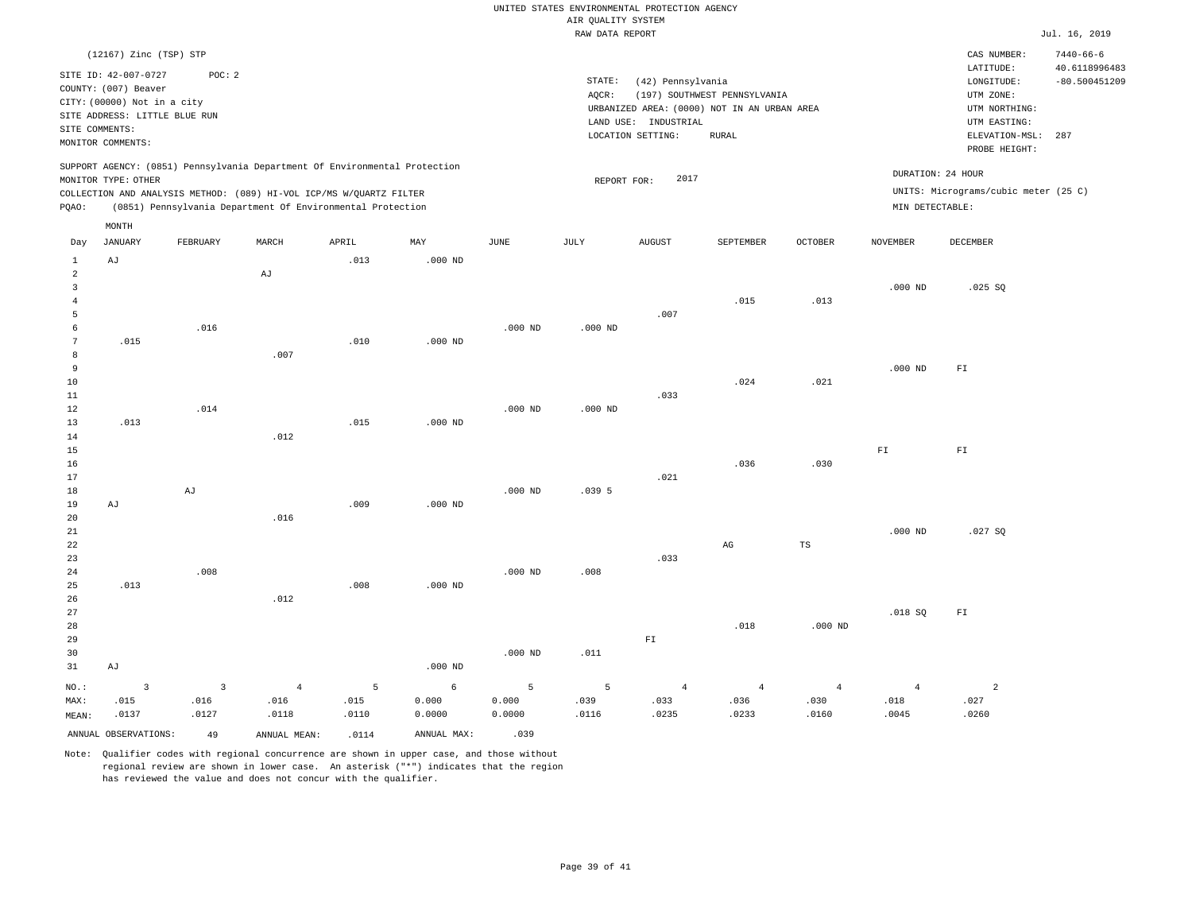|  |                    | UNITED STATES ENVIRONMENTAL PROTECTION AGENCY |  |
|--|--------------------|-----------------------------------------------|--|
|  | AIR OUALITY SYSTEM |                                               |  |
|  | RAW DATA REPORT    |                                               |  |

|                                |                                                                             |              |                                                                            |       |             |             | RAW DATA REPORT |                      |                                             |                |                 |                                            | Jul. 16, 2019                    |
|--------------------------------|-----------------------------------------------------------------------------|--------------|----------------------------------------------------------------------------|-------|-------------|-------------|-----------------|----------------------|---------------------------------------------|----------------|-----------------|--------------------------------------------|----------------------------------|
|                                | (12167) Zinc (TSP) STP                                                      |              |                                                                            |       |             |             |                 |                      |                                             |                |                 | CAS NUMBER:                                | $7440 - 66 - 6$                  |
|                                | SITE ID: 42-007-0727<br>COUNTY: (007) Beaver<br>CITY: (00000) Not in a city | POC: 2       |                                                                            |       |             |             | STATE:<br>AQCR: | (42) Pennsylvania    | (197) SOUTHWEST PENNSYLVANIA                |                |                 | LATITUDE:<br>LONGITUDE:<br>UTM ZONE:       | 40.6118996483<br>$-80.500451209$ |
|                                | SITE ADDRESS: LITTLE BLUE RUN                                               |              |                                                                            |       |             |             |                 |                      | URBANIZED AREA: (0000) NOT IN AN URBAN AREA |                |                 | UTM NORTHING:                              |                                  |
|                                | SITE COMMENTS:                                                              |              |                                                                            |       |             |             |                 | LAND USE: INDUSTRIAL |                                             |                |                 | UTM EASTING:                               |                                  |
|                                | MONITOR COMMENTS:                                                           |              |                                                                            |       |             |             |                 | LOCATION SETTING:    | RURAL                                       |                |                 | $\texttt{ELEVATION-MSL}:$<br>PROBE HEIGHT: | 287                              |
|                                |                                                                             |              | SUPPORT AGENCY: (0851) Pennsylvania Department Of Environmental Protection |       |             |             |                 |                      |                                             |                |                 | DURATION: 24 HOUR                          |                                  |
|                                | MONITOR TYPE: OTHER                                                         |              |                                                                            |       |             |             | REPORT FOR:     | 2017                 |                                             |                |                 |                                            |                                  |
|                                |                                                                             |              | COLLECTION AND ANALYSIS METHOD: (089) HI-VOL ICP/MS W/QUARTZ FILTER        |       |             |             |                 |                      |                                             |                |                 | UNITS: Micrograms/cubic meter (25 C)       |                                  |
| PQAO:                          |                                                                             |              | (0851) Pennsylvania Department Of Environmental Protection                 |       |             |             |                 |                      |                                             |                | MIN DETECTABLE: |                                            |                                  |
|                                | MONTH                                                                       |              |                                                                            |       |             |             |                 |                      |                                             |                |                 |                                            |                                  |
| Day                            | <b>JANUARY</b>                                                              | FEBRUARY     | MARCH                                                                      | APRIL | MAX         | <b>JUNE</b> | JULY            | <b>AUGUST</b>        | SEPTEMBER                                   | OCTOBER        | <b>NOVEMBER</b> | DECEMBER                                   |                                  |
| $\mathbf{1}$<br>$\overline{a}$ | AJ                                                                          |              | AJ                                                                         | .013  | $.000$ ND   |             |                 |                      |                                             |                |                 |                                            |                                  |
| $\overline{3}$                 |                                                                             |              |                                                                            |       |             |             |                 |                      |                                             |                | $.000$ ND       | .025 SQ                                    |                                  |
| $\overline{4}$                 |                                                                             |              |                                                                            |       |             |             |                 |                      | .015                                        | .013           |                 |                                            |                                  |
| 5                              |                                                                             |              |                                                                            |       |             |             |                 | .007                 |                                             |                |                 |                                            |                                  |
| 6                              |                                                                             | .016         |                                                                            |       |             | $.000$ ND   | $.000$ ND       |                      |                                             |                |                 |                                            |                                  |
| $7\phantom{.0}$                | .015                                                                        |              |                                                                            | .010  | $.000$ ND   |             |                 |                      |                                             |                |                 |                                            |                                  |
| 8                              |                                                                             |              | .007                                                                       |       |             |             |                 |                      |                                             |                |                 |                                            |                                  |
| 9                              |                                                                             |              |                                                                            |       |             |             |                 |                      |                                             |                | $.000$ ND       | ${\tt F1}$                                 |                                  |
| 10                             |                                                                             |              |                                                                            |       |             |             |                 |                      | .024                                        | .021           |                 |                                            |                                  |
| 11                             |                                                                             |              |                                                                            |       |             |             |                 | .033                 |                                             |                |                 |                                            |                                  |
| 12                             |                                                                             | .014         |                                                                            |       |             | $.000$ ND   | $.000$ ND       |                      |                                             |                |                 |                                            |                                  |
| 13                             | .013                                                                        |              |                                                                            | .015  | $.000$ ND   |             |                 |                      |                                             |                |                 |                                            |                                  |
| 14                             |                                                                             |              | .012                                                                       |       |             |             |                 |                      |                                             |                |                 |                                            |                                  |
| 15                             |                                                                             |              |                                                                            |       |             |             |                 |                      |                                             |                | ${\rm F}1$      | $\mathbb{F} \mathbbm{I}$                   |                                  |
| 16<br>17                       |                                                                             |              |                                                                            |       |             |             |                 | .021                 | .036                                        | .030           |                 |                                            |                                  |
| 18                             |                                                                             | AJ           |                                                                            |       |             | $.000$ ND   | .0395           |                      |                                             |                |                 |                                            |                                  |
| 19                             | AJ                                                                          |              |                                                                            | .009  | $.000$ ND   |             |                 |                      |                                             |                |                 |                                            |                                  |
| 20                             |                                                                             |              | .016                                                                       |       |             |             |                 |                      |                                             |                |                 |                                            |                                  |
| 21                             |                                                                             |              |                                                                            |       |             |             |                 |                      |                                             |                | $.000$ ND       | .027SQ                                     |                                  |
| 22                             |                                                                             |              |                                                                            |       |             |             |                 |                      | $\mathbb{A}\mathbb{G}$                      | $_{\rm TS}$    |                 |                                            |                                  |
| 23                             |                                                                             |              |                                                                            |       |             |             |                 | .033                 |                                             |                |                 |                                            |                                  |
| 24                             |                                                                             | .008         |                                                                            |       |             | $.000$ ND   | .008            |                      |                                             |                |                 |                                            |                                  |
| 25                             | .013                                                                        |              |                                                                            | .008  | $.000$ ND   |             |                 |                      |                                             |                |                 |                                            |                                  |
| 26                             |                                                                             |              | .012                                                                       |       |             |             |                 |                      |                                             |                |                 |                                            |                                  |
| 27                             |                                                                             |              |                                                                            |       |             |             |                 |                      |                                             |                | .018 SQ         | ${\rm FT}$                                 |                                  |
| 28                             |                                                                             |              |                                                                            |       |             |             |                 |                      | .018                                        | $.000$ ND      |                 |                                            |                                  |
| 29                             |                                                                             |              |                                                                            |       |             |             |                 | ${\rm F\,I}$         |                                             |                |                 |                                            |                                  |
| 30                             |                                                                             |              |                                                                            |       |             | $.000$ ND   | .011            |                      |                                             |                |                 |                                            |                                  |
| 31                             | AJ                                                                          |              |                                                                            |       | $.000$ ND   |             |                 |                      |                                             |                |                 |                                            |                                  |
| NO.:                           | $\overline{\mathbf{3}}$                                                     | $\mathbf{3}$ | $\overline{4}$                                                             | 5     | 6           | 5           | 5               | $\overline{4}$       | $\overline{4}$                              | $\overline{4}$ | $\overline{4}$  | 2                                          |                                  |
| MAX:                           | .015                                                                        | .016         | .016                                                                       | .015  | 0.000       | 0.000       | .039            | .033                 | .036                                        | .030           | .018            | .027                                       |                                  |
| MEAN:                          | .0137                                                                       | .0127        | .0118                                                                      | .0110 | 0.0000      | 0.0000      | .0116           | .0235                | .0233                                       | .0160          | .0045           | .0260                                      |                                  |
|                                | ANNUAL OBSERVATIONS:                                                        | 49           | ANNUAL MEAN:                                                               | .0114 | ANNUAL MAX: | .039        |                 |                      |                                             |                |                 |                                            |                                  |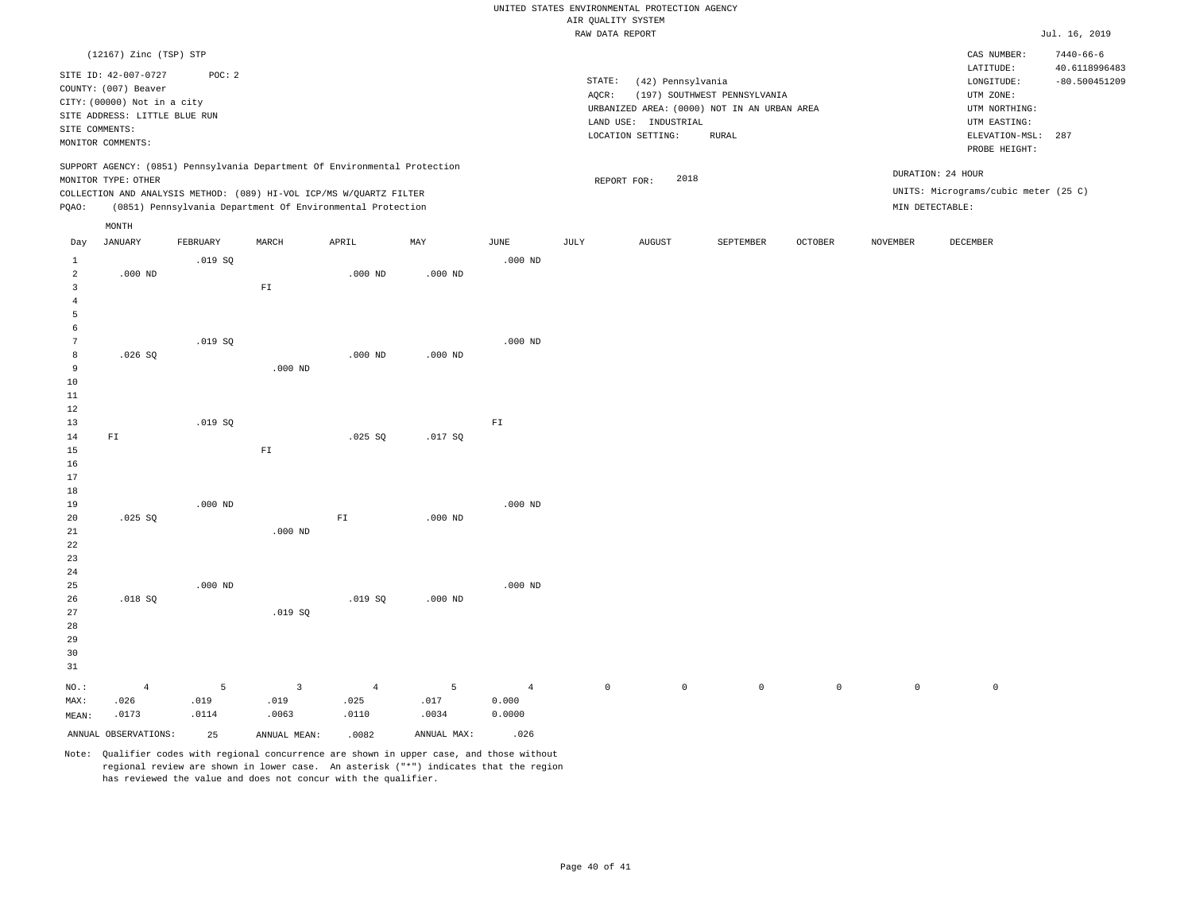|                |                                                                                                                                                     |           |                              |                                                                                                                                                                                                                 |             |                           | RAW DATA REPORT |                                                                                                               |                                       |                |                 |                                                                                                          | Jul. 16, 2019                           |
|----------------|-----------------------------------------------------------------------------------------------------------------------------------------------------|-----------|------------------------------|-----------------------------------------------------------------------------------------------------------------------------------------------------------------------------------------------------------------|-------------|---------------------------|-----------------|---------------------------------------------------------------------------------------------------------------|---------------------------------------|----------------|-----------------|----------------------------------------------------------------------------------------------------------|-----------------------------------------|
|                | (12167) Zinc (TSP) STP                                                                                                                              |           |                              |                                                                                                                                                                                                                 |             |                           |                 |                                                                                                               |                                       |                |                 | CAS NUMBER:                                                                                              | $7440 - 66 - 6$                         |
|                | SITE ID: 42-007-0727<br>COUNTY: (007) Beaver<br>CITY: (00000) Not in a city<br>SITE ADDRESS: LITTLE BLUE RUN<br>SITE COMMENTS:<br>MONITOR COMMENTS: | POC: 2    |                              |                                                                                                                                                                                                                 |             |                           | STATE:<br>AQCR: | (42) Pennsylvania<br>URBANIZED AREA: (0000) NOT IN AN URBAN AREA<br>LAND USE: INDUSTRIAL<br>LOCATION SETTING: | (197) SOUTHWEST PENNSYLVANIA<br>RURAL |                |                 | LATITUDE:<br>LONGITUDE:<br>UTM ZONE:<br>UTM NORTHING:<br>UTM EASTING:<br>ELEVATION-MSL:<br>PROBE HEIGHT: | 40.6118996483<br>$-80.500451209$<br>287 |
| PQAO:          | MONITOR TYPE: OTHER                                                                                                                                 |           |                              | SUPPORT AGENCY: (0851) Pennsylvania Department Of Environmental Protection<br>COLLECTION AND ANALYSIS METHOD: (089) HI-VOL ICP/MS W/QUARTZ FILTER<br>(0851) Pennsylvania Department Of Environmental Protection |             |                           |                 | 2018<br>REPORT FOR:                                                                                           |                                       |                |                 | DURATION: 24 HOUR<br>UNITS: Micrograms/cubic meter (25 C)<br>MIN DETECTABLE:                             |                                         |
|                | MONTH                                                                                                                                               |           |                              |                                                                                                                                                                                                                 |             |                           |                 |                                                                                                               |                                       |                |                 |                                                                                                          |                                         |
| Day            | <b>JANUARY</b>                                                                                                                                      | FEBRUARY  | MARCH                        | APRIL                                                                                                                                                                                                           | MAY         | JUNE                      | JULY            | <b>AUGUST</b>                                                                                                 | SEPTEMBER                             | <b>OCTOBER</b> | <b>NOVEMBER</b> | <b>DECEMBER</b>                                                                                          |                                         |
| $\mathbf{1}$   |                                                                                                                                                     | .019SQ    |                              |                                                                                                                                                                                                                 |             | $.000$ ND                 |                 |                                                                                                               |                                       |                |                 |                                                                                                          |                                         |
| 2              | $.000$ ND                                                                                                                                           |           |                              | $.000$ ND                                                                                                                                                                                                       | $.000$ ND   |                           |                 |                                                                                                               |                                       |                |                 |                                                                                                          |                                         |
| $\overline{3}$ |                                                                                                                                                     |           | $\mathbb{F} \, \mathbb{I}$   |                                                                                                                                                                                                                 |             |                           |                 |                                                                                                               |                                       |                |                 |                                                                                                          |                                         |
| $\overline{4}$ |                                                                                                                                                     |           |                              |                                                                                                                                                                                                                 |             |                           |                 |                                                                                                               |                                       |                |                 |                                                                                                          |                                         |
| 5<br>6         |                                                                                                                                                     |           |                              |                                                                                                                                                                                                                 |             |                           |                 |                                                                                                               |                                       |                |                 |                                                                                                          |                                         |
| 7              |                                                                                                                                                     | .019S     |                              |                                                                                                                                                                                                                 |             | $.000$ ND                 |                 |                                                                                                               |                                       |                |                 |                                                                                                          |                                         |
| 8              | .026SQ                                                                                                                                              |           |                              | $.000$ ND                                                                                                                                                                                                       | $.000$ ND   |                           |                 |                                                                                                               |                                       |                |                 |                                                                                                          |                                         |
| $\overline{9}$ |                                                                                                                                                     |           | $.000$ ND                    |                                                                                                                                                                                                                 |             |                           |                 |                                                                                                               |                                       |                |                 |                                                                                                          |                                         |
| 10             |                                                                                                                                                     |           |                              |                                                                                                                                                                                                                 |             |                           |                 |                                                                                                               |                                       |                |                 |                                                                                                          |                                         |
| $1\,1$         |                                                                                                                                                     |           |                              |                                                                                                                                                                                                                 |             |                           |                 |                                                                                                               |                                       |                |                 |                                                                                                          |                                         |
| 12             |                                                                                                                                                     |           |                              |                                                                                                                                                                                                                 |             |                           |                 |                                                                                                               |                                       |                |                 |                                                                                                          |                                         |
| 13             |                                                                                                                                                     | .019SQ    |                              |                                                                                                                                                                                                                 |             | ${\mathbb F} {\mathbb T}$ |                 |                                                                                                               |                                       |                |                 |                                                                                                          |                                         |
| 14             | FI                                                                                                                                                  |           |                              | .025 SQ                                                                                                                                                                                                         | .017SQ      |                           |                 |                                                                                                               |                                       |                |                 |                                                                                                          |                                         |
| 15             |                                                                                                                                                     |           | $\mathbbm{F} \, \mathbbm{I}$ |                                                                                                                                                                                                                 |             |                           |                 |                                                                                                               |                                       |                |                 |                                                                                                          |                                         |
| 16<br>$17$     |                                                                                                                                                     |           |                              |                                                                                                                                                                                                                 |             |                           |                 |                                                                                                               |                                       |                |                 |                                                                                                          |                                         |
| 18             |                                                                                                                                                     |           |                              |                                                                                                                                                                                                                 |             |                           |                 |                                                                                                               |                                       |                |                 |                                                                                                          |                                         |
| 19             |                                                                                                                                                     | $.000$ ND |                              |                                                                                                                                                                                                                 |             | $.000$ ND                 |                 |                                                                                                               |                                       |                |                 |                                                                                                          |                                         |
| 20             | .025 SQ                                                                                                                                             |           |                              | ${\rm FT}$                                                                                                                                                                                                      | $.000$ ND   |                           |                 |                                                                                                               |                                       |                |                 |                                                                                                          |                                         |
| $2\sqrt{1}$    |                                                                                                                                                     |           | $.000$ ND                    |                                                                                                                                                                                                                 |             |                           |                 |                                                                                                               |                                       |                |                 |                                                                                                          |                                         |
| 22             |                                                                                                                                                     |           |                              |                                                                                                                                                                                                                 |             |                           |                 |                                                                                                               |                                       |                |                 |                                                                                                          |                                         |
| 23             |                                                                                                                                                     |           |                              |                                                                                                                                                                                                                 |             |                           |                 |                                                                                                               |                                       |                |                 |                                                                                                          |                                         |
| 24             |                                                                                                                                                     |           |                              |                                                                                                                                                                                                                 |             |                           |                 |                                                                                                               |                                       |                |                 |                                                                                                          |                                         |
| 25             |                                                                                                                                                     | $.000$ ND |                              |                                                                                                                                                                                                                 |             | $.000$ ND                 |                 |                                                                                                               |                                       |                |                 |                                                                                                          |                                         |
| 26<br>27       | .018 SQ                                                                                                                                             |           | .019SQ                       | .019SQ                                                                                                                                                                                                          | $.000$ ND   |                           |                 |                                                                                                               |                                       |                |                 |                                                                                                          |                                         |
| 28             |                                                                                                                                                     |           |                              |                                                                                                                                                                                                                 |             |                           |                 |                                                                                                               |                                       |                |                 |                                                                                                          |                                         |
| 29             |                                                                                                                                                     |           |                              |                                                                                                                                                                                                                 |             |                           |                 |                                                                                                               |                                       |                |                 |                                                                                                          |                                         |
| 30             |                                                                                                                                                     |           |                              |                                                                                                                                                                                                                 |             |                           |                 |                                                                                                               |                                       |                |                 |                                                                                                          |                                         |
| 31             |                                                                                                                                                     |           |                              |                                                                                                                                                                                                                 |             |                           |                 |                                                                                                               |                                       |                |                 |                                                                                                          |                                         |
|                |                                                                                                                                                     | 5         | 3                            |                                                                                                                                                                                                                 | 5           | $\sqrt{4}$                | $\mathbb O$     | $\overline{0}$                                                                                                | $\mathbb O$                           | $\mathbb O$    | $\circ$         | $\circ$                                                                                                  |                                         |
| NO.:<br>MAX:   | $\overline{4}$<br>.026                                                                                                                              | .019      | .019                         | $\overline{4}$<br>.025                                                                                                                                                                                          | .017        | 0.000                     |                 |                                                                                                               |                                       |                |                 |                                                                                                          |                                         |
| MEAN:          | .0173                                                                                                                                               | .0114     | .0063                        | .0110                                                                                                                                                                                                           | .0034       | 0.0000                    |                 |                                                                                                               |                                       |                |                 |                                                                                                          |                                         |
|                | ANNUAL OBSERVATIONS:                                                                                                                                | 25        | ANNUAL MEAN:                 | .0082                                                                                                                                                                                                           | ANNUAL MAX: | .026                      |                 |                                                                                                               |                                       |                |                 |                                                                                                          |                                         |
|                |                                                                                                                                                     |           |                              |                                                                                                                                                                                                                 |             |                           |                 |                                                                                                               |                                       |                |                 |                                                                                                          |                                         |